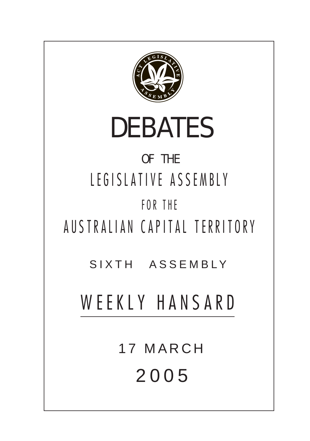

17 MARCH 200 5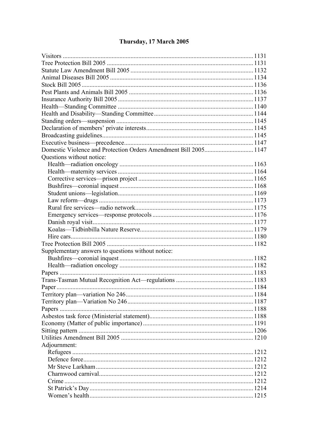# Thursday, 17 March 2005

| Questions without notice:                          |  |
|----------------------------------------------------|--|
|                                                    |  |
|                                                    |  |
|                                                    |  |
|                                                    |  |
|                                                    |  |
|                                                    |  |
|                                                    |  |
|                                                    |  |
|                                                    |  |
|                                                    |  |
|                                                    |  |
|                                                    |  |
| Supplementary answers to questions without notice: |  |
|                                                    |  |
|                                                    |  |
|                                                    |  |
|                                                    |  |
|                                                    |  |
|                                                    |  |
|                                                    |  |
|                                                    |  |
|                                                    |  |
|                                                    |  |
|                                                    |  |
|                                                    |  |
| Adjournment:                                       |  |
|                                                    |  |
|                                                    |  |
|                                                    |  |
|                                                    |  |
|                                                    |  |
|                                                    |  |
|                                                    |  |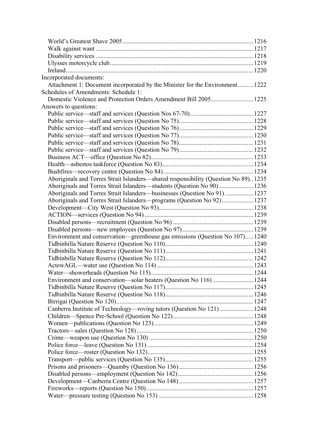| Incorporated documents:                                                            |  |
|------------------------------------------------------------------------------------|--|
| Attachment 1: Document incorporated by the Minister for the Environment 1222       |  |
| Schedules of Amendments: Schedule 1:                                               |  |
|                                                                                    |  |
| Answers to questions:                                                              |  |
|                                                                                    |  |
|                                                                                    |  |
|                                                                                    |  |
|                                                                                    |  |
|                                                                                    |  |
|                                                                                    |  |
|                                                                                    |  |
|                                                                                    |  |
|                                                                                    |  |
| Aboriginals and Torres Strait Islanders—shared responsibility (Question No 89)1235 |  |
|                                                                                    |  |
| Aboriginals and Torres Strait Islanders—businesses (Question No 91)  1237          |  |
| Aboriginals and Torres Strait Islanders—programs (Question No 92) 1237             |  |
|                                                                                    |  |
|                                                                                    |  |
|                                                                                    |  |
|                                                                                    |  |
| Environment and conservation—greenhouse gas emissions (Question No 107) 1240       |  |
|                                                                                    |  |
|                                                                                    |  |
|                                                                                    |  |
|                                                                                    |  |
|                                                                                    |  |
|                                                                                    |  |
|                                                                                    |  |
|                                                                                    |  |
|                                                                                    |  |
| Canberra Institute of Technology—roving tutors (Question No 121)  1248             |  |
|                                                                                    |  |
|                                                                                    |  |
|                                                                                    |  |
|                                                                                    |  |
|                                                                                    |  |
|                                                                                    |  |
|                                                                                    |  |
|                                                                                    |  |
|                                                                                    |  |
|                                                                                    |  |
|                                                                                    |  |
|                                                                                    |  |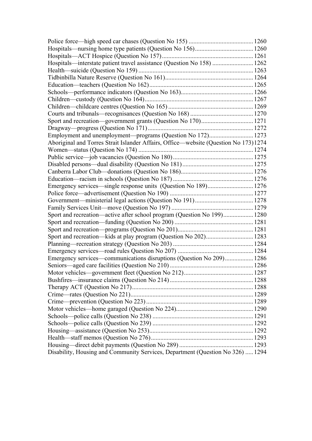| Hospitals—interstate patient travel assistance (Question No 158)  1262              |  |
|-------------------------------------------------------------------------------------|--|
|                                                                                     |  |
|                                                                                     |  |
|                                                                                     |  |
|                                                                                     |  |
|                                                                                     |  |
|                                                                                     |  |
|                                                                                     |  |
|                                                                                     |  |
|                                                                                     |  |
|                                                                                     |  |
| Aboriginal and Torres Strait Islander Affairs, Office—website (Question No 173)1274 |  |
|                                                                                     |  |
|                                                                                     |  |
|                                                                                     |  |
|                                                                                     |  |
|                                                                                     |  |
| Emergency services—single response units (Question No 189) 1276                     |  |
|                                                                                     |  |
|                                                                                     |  |
|                                                                                     |  |
| Sport and recreation—active after school program (Question No 199) 1280             |  |
|                                                                                     |  |
|                                                                                     |  |
| Sport and recreation—kids at play program (Question No 202) 1283                    |  |
|                                                                                     |  |
|                                                                                     |  |
| Emergency services—communications disruptions (Question No 209) 1286                |  |
|                                                                                     |  |
|                                                                                     |  |
|                                                                                     |  |
|                                                                                     |  |
|                                                                                     |  |
|                                                                                     |  |
|                                                                                     |  |
|                                                                                     |  |
|                                                                                     |  |
|                                                                                     |  |
|                                                                                     |  |
|                                                                                     |  |
| Disability, Housing and Community Services, Department (Question No 326)  1294      |  |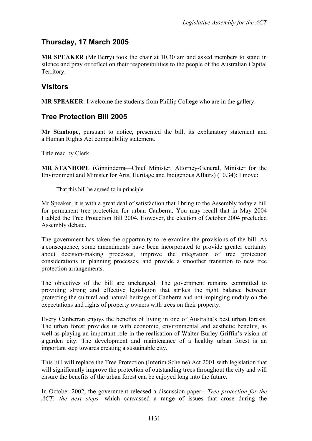# **Thursday, 17 March 2005**

**MR SPEAKER** (Mr Berry) took the chair at 10.30 am and asked members to stand in silence and pray or reflect on their responsibilities to the people of the Australian Capital Territory.

## <span id="page-5-0"></span>**Visitors**

**MR SPEAKER**: I welcome the students from Phillip College who are in the gallery.

# <span id="page-5-1"></span>**Tree Protection Bill 2005**

**Mr Stanhope**, pursuant to notice, presented the bill, its explanatory statement and a Human Rights Act compatibility statement.

Title read by Clerk.

**MR STANHOPE** (Ginninderra—Chief Minister, Attorney-General, Minister for the Environment and Minister for Arts, Heritage and Indigenous Affairs) (10.34): I move:

That this bill be agreed to in principle.

Mr Speaker, it is with a great deal of satisfaction that I bring to the Assembly today a bill for permanent tree protection for urban Canberra. You may recall that in May 2004 I tabled the Tree Protection Bill 2004. However, the election of October 2004 precluded Assembly debate.

The government has taken the opportunity to re-examine the provisions of the bill. As a consequence, some amendments have been incorporated to provide greater certainty about decision-making processes, improve the integration of tree protection considerations in planning processes, and provide a smoother transition to new tree protection arrangements.

The objectives of the bill are unchanged. The government remains committed to providing strong and effective legislation that strikes the right balance between protecting the cultural and natural heritage of Canberra and not impinging unduly on the expectations and rights of property owners with trees on their property.

Every Canberran enjoys the benefits of living in one of Australia's best urban forests. The urban forest provides us with economic, environmental and aesthetic benefits, as well as playing an important role in the realisation of Walter Burley Griffin's vision of a garden city. The development and maintenance of a healthy urban forest is an important step towards creating a sustainable city.

This bill will replace the Tree Protection (Interim Scheme) Act 2001 with legislation that will significantly improve the protection of outstanding trees throughout the city and will ensure the benefits of the urban forest can be enjoyed long into the future.

In October 2002, the government released a discussion paper—*Tree protection for the ACT: the next steps*—which canvassed a range of issues that arose during the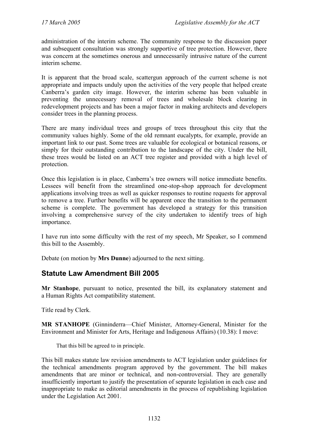administration of the interim scheme. The community response to the discussion paper and subsequent consultation was strongly supportive of tree protection. However, there was concern at the sometimes onerous and unnecessarily intrusive nature of the current interim scheme.

It is apparent that the broad scale, scattergun approach of the current scheme is not appropriate and impacts unduly upon the activities of the very people that helped create Canberra's garden city image. However, the interim scheme has been valuable in preventing the unnecessary removal of trees and wholesale block clearing in redevelopment projects and has been a major factor in making architects and developers consider trees in the planning process.

There are many individual trees and groups of trees throughout this city that the community values highly. Some of the old remnant eucalypts, for example, provide an important link to our past. Some trees are valuable for ecological or botanical reasons, or simply for their outstanding contribution to the landscape of the city. Under the bill, these trees would be listed on an ACT tree register and provided with a high level of protection.

Once this legislation is in place, Canberra's tree owners will notice immediate benefits. Lessees will benefit from the streamlined one-stop-shop approach for development applications involving trees as well as quicker responses to routine requests for approval to remove a tree. Further benefits will be apparent once the transition to the permanent scheme is complete. The government has developed a strategy for this transition involving a comprehensive survey of the city undertaken to identify trees of high importance.

I have run into some difficulty with the rest of my speech, Mr Speaker, so I commend this bill to the Assembly.

Debate (on motion by **Mrs Dunne**) adjourned to the next sitting.

### <span id="page-6-0"></span>**Statute Law Amendment Bill 2005**

**Mr Stanhope**, pursuant to notice, presented the bill, its explanatory statement and a Human Rights Act compatibility statement.

Title read by Clerk.

**MR STANHOPE** (Ginninderra—Chief Minister, Attorney-General, Minister for the Environment and Minister for Arts, Heritage and Indigenous Affairs) (10.38): I move:

That this bill be agreed to in principle.

This bill makes statute law revision amendments to ACT legislation under guidelines for the technical amendments program approved by the government. The bill makes amendments that are minor or technical, and non-controversial. They are generally insufficiently important to justify the presentation of separate legislation in each case and inappropriate to make as editorial amendments in the process of republishing legislation under the Legislation Act 2001.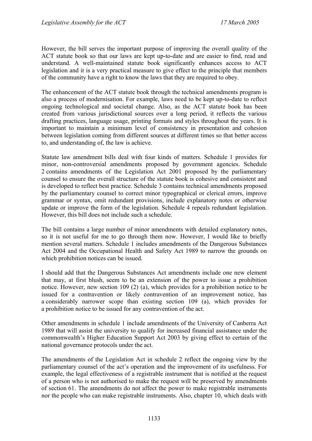However, the bill serves the important purpose of improving the overall quality of the ACT statute book so that our laws are kept up-to-date and are easier to find, read and understand. A well-maintained statute book significantly enhances access to ACT legislation and it is a very practical measure to give effect to the principle that members of the community have a right to know the laws that they are required to obey.

The enhancement of the ACT statute book through the technical amendments program is also a process of modernisation. For example, laws need to be kept up-to-date to reflect ongoing technological and societal change. Also, as the ACT statute book has been created from various jurisdictional sources over a long period, it reflects the various drafting practices, language usage, printing formats and styles throughout the years. It is important to maintain a minimum level of consistency in presentation and cohesion between legislation coming from different sources at different times so that better access to, and understanding of, the law is achieve.

Statute law amendment bills deal with four kinds of matters. Schedule 1 provides for minor, non-controversial amendments proposed by government agencies. Schedule 2 contains amendments of the Legislation Act 2001 proposed by the parliamentary counsel to ensure the overall structure of the statute book is cohesive and consistent and is developed to reflect best practice. Schedule 3 contains technical amendments proposed by the parliamentary counsel to correct minor typographical or clerical errors, improve grammar or syntax, omit redundant provisions, include explanatory notes or otherwise update or improve the form of the legislation. Schedule 4 repeals redundant legislation. However, this bill does not include such a schedule.

The bill contains a large number of minor amendments with detailed explanatory notes, so it is not useful for me to go through them now. However, I would like to briefly mention several matters. Schedule 1 includes amendments of the Dangerous Substances Act 2004 and the Occupational Health and Safety Act 1989 to narrow the grounds on which prohibition notices can be issued.

I should add that the Dangerous Substances Act amendments include one new element that may, at first blush, seem to be an extension of the power to issue a prohibition notice. However, new section 109 (2) (a), which provides for a prohibition notice to be issued for a contravention or likely contravention of an improvement notice, has a considerably narrower scope than existing section 109 (a), which provides for a prohibition notice to be issued for any contravention of the act.

Other amendments in schedule 1 include amendments of the University of Canberra Act 1989 that will assist the university to qualify for increased financial assistance under the commonwealth's Higher Education Support Act 2003 by giving effect to certain of the national governance protocols under the act.

The amendments of the Legislation Act in schedule 2 reflect the ongoing view by the parliamentary counsel of the act's operation and the improvement of its usefulness. For example, the legal effectiveness of a registrable instrument that is notified at the request of a person who is not authorised to make the request will be preserved by amendments of section 61. The amendments do not affect the power to make registrable instruments nor the people who can make registrable instruments. Also, chapter 10, which deals with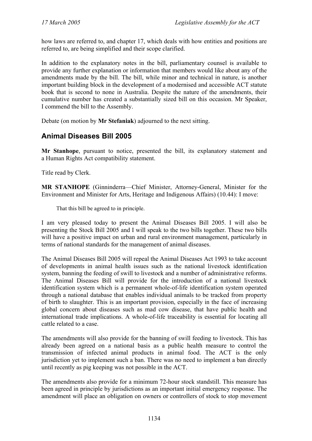how laws are referred to, and chapter 17, which deals with how entities and positions are referred to, are being simplified and their scope clarified.

In addition to the explanatory notes in the bill, parliamentary counsel is available to provide any further explanation or information that members would like about any of the amendments made by the bill. The bill, while minor and technical in nature, is another important building block in the development of a modernised and accessible ACT statute book that is second to none in Australia. Despite the nature of the amendments, their cumulative number has created a substantially sized bill on this occasion. Mr Speaker, I commend the bill to the Assembly.

Debate (on motion by **Mr Stefaniak**) adjourned to the next sitting.

### <span id="page-8-0"></span>**Animal Diseases Bill 2005**

**Mr Stanhope**, pursuant to notice, presented the bill, its explanatory statement and a Human Rights Act compatibility statement.

Title read by Clerk.

**MR STANHOPE** (Ginninderra—Chief Minister, Attorney-General, Minister for the Environment and Minister for Arts, Heritage and Indigenous Affairs) (10.44): I move:

That this bill be agreed to in principle.

I am very pleased today to present the Animal Diseases Bill 2005. I will also be presenting the Stock Bill 2005 and I will speak to the two bills together. These two bills will have a positive impact on urban and rural environment management, particularly in terms of national standards for the management of animal diseases.

The Animal Diseases Bill 2005 will repeal the Animal Diseases Act 1993 to take account of developments in animal health issues such as the national livestock identification system, banning the feeding of swill to livestock and a number of administrative reforms. The Animal Diseases Bill will provide for the introduction of a national livestock identification system which is a permanent whole-of-life identification system operated through a national database that enables individual animals to be tracked from property of birth to slaughter. This is an important provision, especially in the face of increasing global concern about diseases such as mad cow disease, that have public health and international trade implications. A whole-of-life traceability is essential for locating all cattle related to a case.

The amendments will also provide for the banning of swill feeding to livestock. This has already been agreed on a national basis as a public health measure to control the transmission of infected animal products in animal food. The ACT is the only jurisdiction yet to implement such a ban. There was no need to implement a ban directly until recently as pig keeping was not possible in the ACT.

The amendments also provide for a minimum 72-hour stock standstill. This measure has been agreed in principle by jurisdictions as an important initial emergency response. The amendment will place an obligation on owners or controllers of stock to stop movement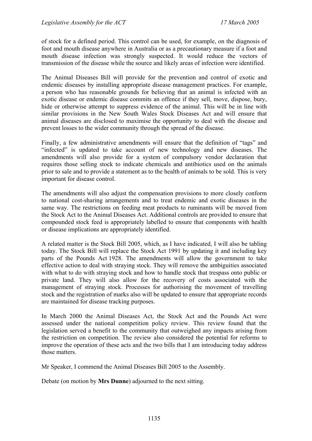of stock for a defined period. This control can be used, for example, on the diagnosis of foot and mouth disease anywhere in Australia or as a precautionary measure if a foot and mouth disease infection was strongly suspected. It would reduce the vectors of transmission of the disease while the source and likely areas of infection were identified.

The Animal Diseases Bill will provide for the prevention and control of exotic and endemic diseases by installing appropriate disease management practices. For example, a person who has reasonable grounds for believing that an animal is infected with an exotic disease or endemic disease commits an offence if they sell, move, dispose, bury, hide or otherwise attempt to suppress evidence of the animal. This will be in line with similar provisions in the New South Wales Stock Diseases Act and will ensure that animal diseases are disclosed to maximise the opportunity to deal with the disease and prevent losses to the wider community through the spread of the disease.

Finally, a few administrative amendments will ensure that the definition of "tags" and "infected" is updated to take account of new technology and new diseases. The amendments will also provide for a system of compulsory vendor declaration that requires those selling stock to indicate chemicals and antibiotics used on the animals prior to sale and to provide a statement as to the health of animals to be sold. This is very important for disease control.

The amendments will also adjust the compensation provisions to more closely conform to national cost-sharing arrangements and to treat endemic and exotic diseases in the same way. The restrictions on feeding meat products to ruminants will be moved from the Stock Act to the Animal Diseases Act. Additional controls are provided to ensure that compounded stock feed is appropriately labelled to ensure that components with health or disease implications are appropriately identified.

A related matter is the Stock Bill 2005, which, as I have indicated, I will also be tabling today. The Stock Bill will replace the Stock Act 1991 by updating it and including key parts of the Pounds Act 1928. The amendments will allow the government to take effective action to deal with straying stock. They will remove the ambiguities associated with what to do with straying stock and how to handle stock that trespass onto public or private land. They will also allow for the recovery of costs associated with the management of straying stock. Processes for authorising the movement of travelling stock and the registration of marks also will be updated to ensure that appropriate records are maintained for disease tracking purposes.

In March 2000 the Animal Diseases Act, the Stock Act and the Pounds Act were assessed under the national competition policy review. This review found that the legislation served a benefit to the community that outweighed any impacts arising from the restriction on competition. The review also considered the potential for reforms to improve the operation of these acts and the two bills that I am introducing today address those matters.

Mr Speaker, I commend the Animal Diseases Bill 2005 to the Assembly.

Debate (on motion by **Mrs Dunne**) adjourned to the next sitting.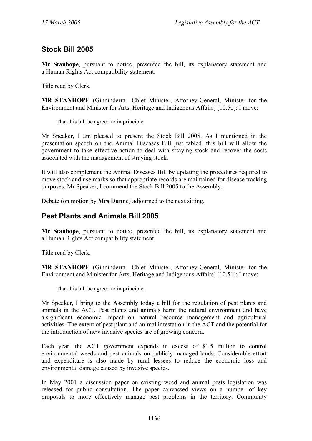# <span id="page-10-0"></span>**Stock Bill 2005**

**Mr Stanhope**, pursuant to notice, presented the bill, its explanatory statement and a Human Rights Act compatibility statement.

Title read by Clerk.

**MR STANHOPE** (Ginninderra—Chief Minister, Attorney-General, Minister for the Environment and Minister for Arts, Heritage and Indigenous Affairs) (10.50): I move:

That this bill be agreed to in principle

Mr Speaker, I am pleased to present the Stock Bill 2005. As I mentioned in the presentation speech on the Animal Diseases Bill just tabled, this bill will allow the government to take effective action to deal with straying stock and recover the costs associated with the management of straying stock.

It will also complement the Animal Diseases Bill by updating the procedures required to move stock and use marks so that appropriate records are maintained for disease tracking purposes. Mr Speaker, I commend the Stock Bill 2005 to the Assembly.

Debate (on motion by **Mrs Dunne**) adjourned to the next sitting.

### <span id="page-10-1"></span>**Pest Plants and Animals Bill 2005**

**Mr Stanhope**, pursuant to notice, presented the bill, its explanatory statement and a Human Rights Act compatibility statement.

Title read by Clerk.

**MR STANHOPE** (Ginninderra—Chief Minister, Attorney-General, Minister for the Environment and Minister for Arts, Heritage and Indigenous Affairs) (10.51): I move:

That this bill be agreed to in principle.

Mr Speaker, I bring to the Assembly today a bill for the regulation of pest plants and animals in the ACT. Pest plants and animals harm the natural environment and have a significant economic impact on natural resource management and agricultural activities. The extent of pest plant and animal infestation in the ACT and the potential for the introduction of new invasive species are of growing concern.

Each year, the ACT government expends in excess of \$1.5 million to control environmental weeds and pest animals on publicly managed lands. Considerable effort and expenditure is also made by rural lessees to reduce the economic loss and environmental damage caused by invasive species.

In May 2001 a discussion paper on existing weed and animal pests legislation was released for public consultation. The paper canvassed views on a number of key proposals to more effectively manage pest problems in the territory. Community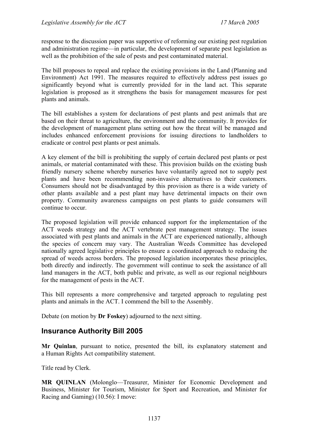response to the discussion paper was supportive of reforming our existing pest regulation and administration regime—in particular, the development of separate pest legislation as well as the prohibition of the sale of pests and pest contaminated material.

The bill proposes to repeal and replace the existing provisions in the Land (Planning and Environment) Act 1991. The measures required to effectively address pest issues go significantly beyond what is currently provided for in the land act. This separate legislation is proposed as it strengthens the basis for management measures for pest plants and animals.

The bill establishes a system for declarations of pest plants and pest animals that are based on their threat to agriculture, the environment and the community. It provides for the development of management plans setting out how the threat will be managed and includes enhanced enforcement provisions for issuing directions to landholders to eradicate or control pest plants or pest animals.

A key element of the bill is prohibiting the supply of certain declared pest plants or pest animals, or material contaminated with these. This provision builds on the existing bush friendly nursery scheme whereby nurseries have voluntarily agreed not to supply pest plants and have been recommending non-invasive alternatives to their customers. Consumers should not be disadvantaged by this provision as there is a wide variety of other plants available and a pest plant may have detrimental impacts on their own property. Community awareness campaigns on pest plants to guide consumers will continue to occur.

The proposed legislation will provide enhanced support for the implementation of the ACT weeds strategy and the ACT vertebrate pest management strategy. The issues associated with pest plants and animals in the ACT are experienced nationally, although the species of concern may vary. The Australian Weeds Committee has developed nationally agreed legislative principles to ensure a coordinated approach to reducing the spread of weeds across borders. The proposed legislation incorporates these principles, both directly and indirectly. The government will continue to seek the assistance of all land managers in the ACT, both public and private, as well as our regional neighbours for the management of pests in the ACT.

This bill represents a more comprehensive and targeted approach to regulating pest plants and animals in the ACT. I commend the bill to the Assembly.

Debate (on motion by **Dr Foskey**) adjourned to the next sitting.

### <span id="page-11-0"></span>**Insurance Authority Bill 2005**

**Mr Quinlan**, pursuant to notice, presented the bill, its explanatory statement and a Human Rights Act compatibility statement.

Title read by Clerk.

**MR QUINLAN** (Molonglo—Treasurer, Minister for Economic Development and Business, Minister for Tourism, Minister for Sport and Recreation, and Minister for Racing and Gaming) (10.56): I move: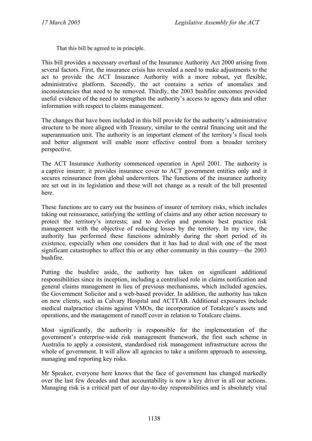That this bill be agreed to in principle.

This bill provides a necessary overhaul of the Insurance Authority Act 2000 arising from several factors. First, the insurance crisis has revealed a need to make adjustments to the act to provide the ACT Insurance Authority with a more robust, yet flexible, administrative platform. Secondly, the act contains a series of anomalies and inconsistencies that need to be removed. Thirdly, the 2003 bushfire outcomes provided useful evidence of the need to strengthen the authority's access to agency data and other information with respect to claims management.

The changes that have been included in this bill provide for the authority's administrative structure to be more aligned with Treasury, similar to the central financing unit and the superannuation unit. The authority is an important element of the territory's fiscal tools and better alignment will enable more effective control from a broader territory perspective.

The ACT Insurance Authority commenced operation in April 2001. The authority is a captive insurer; it provides insurance cover to ACT government entities only and it secures reinsurance from global underwriters. The functions of the insurance authority are set out in its legislation and these will not change as a result of the bill presented here.

These functions are to carry out the business of insurer of territory risks, which includes taking out reinsurance, satisfying the settling of claims and any other action necessary to protect the territory's interests; and to develop and promote best practice risk management with the objective of reducing losses by the territory. In my view, the authority has performed these functions admirably during the short period of its existence, especially when one considers that it has had to deal with one of the most significant catastrophes to affect this or any other community in this country—the 2003 bushfire.

Putting the bushfire aside, the authority has taken on significant additional responsibilities since its inception, including a centralised role in claims notification and general claims management in lieu of previous mechanisms, which included agencies, the Government Solicitor and a web-based provider. In addition, the authority has taken on new clients, such as Calvary Hospital and ACTTAB. Additional exposures include medical malpractice claims against VMOs, the incorporation of Totalcare's assets and operations, and the management of runoff cover in relation to Totalcare claims.

Most significantly, the authority is responsible for the implementation of the government's enterprise-wide risk management framework, the first such scheme in Australia to apply a consistent, standardised risk management infrastructure across the whole of government. It will allow all agencies to take a uniform approach to assessing, managing and reporting key risks.

Mr Speaker, everyone here knows that the face of government has changed markedly over the last few decades and that accountability is now a key driver in all our actions. Managing risk is a critical part of our day-to-day responsibilities and is absolutely vital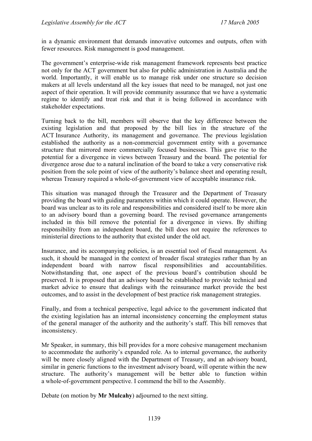in a dynamic environment that demands innovative outcomes and outputs, often with fewer resources. Risk management is good management.

The government's enterprise-wide risk management framework represents best practice not only for the ACT government but also for public administration in Australia and the world. Importantly, it will enable us to manage risk under one structure so decision makers at all levels understand all the key issues that need to be managed, not just one aspect of their operation. It will provide community assurance that we have a systematic regime to identify and treat risk and that it is being followed in accordance with stakeholder expectations.

Turning back to the bill, members will observe that the key difference between the existing legislation and that proposed by the bill lies in the structure of the ACT Insurance Authority, its management and governance. The previous legislation established the authority as a non-commercial government entity with a governance structure that mirrored more commercially focused businesses. This gave rise to the potential for a divergence in views between Treasury and the board. The potential for divergence arose due to a natural inclination of the board to take a very conservative risk position from the sole point of view of the authority's balance sheet and operating result, whereas Treasury required a whole-of-government view of acceptable insurance risk.

This situation was managed through the Treasurer and the Department of Treasury providing the board with guiding parameters within which it could operate. However, the board was unclear as to its role and responsibilities and considered itself to be more akin to an advisory board than a governing board. The revised governance arrangements included in this bill remove the potential for a divergence in views. By shifting responsibility from an independent board, the bill does not require the references to ministerial directions to the authority that existed under the old act.

Insurance, and its accompanying policies, is an essential tool of fiscal management. As such, it should be managed in the context of broader fiscal strategies rather than by an independent board with narrow fiscal responsibilities and accountabilities. Notwithstanding that, one aspect of the previous board's contribution should be preserved. It is proposed that an advisory board be established to provide technical and market advice to ensure that dealings with the reinsurance market provide the best outcomes, and to assist in the development of best practice risk management strategies.

Finally, and from a technical perspective, legal advice to the government indicated that the existing legislation has an internal inconsistency concerning the employment status of the general manager of the authority and the authority's staff. This bill removes that inconsistency.

Mr Speaker, in summary, this bill provides for a more cohesive management mechanism to accommodate the authority's expanded role. As to internal governance, the authority will be more closely aligned with the Department of Treasury, and an advisory board, similar in generic functions to the investment advisory board, will operate within the new structure. The authority's management will be better able to function within a whole-of-government perspective. I commend the bill to the Assembly.

Debate (on motion by **Mr Mulcahy**) adjourned to the next sitting.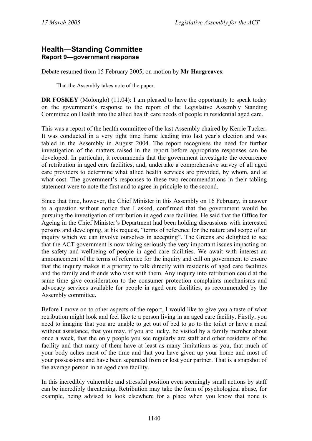#### <span id="page-14-0"></span>**Health—Standing Committee Report 9—government response**

Debate resumed from 15 February 2005, on motion by **Mr Hargreaves**:

That the Assembly takes note of the paper.

**DR FOSKEY** (Molonglo) (11.04): I am pleased to have the opportunity to speak today on the government's response to the report of the Legislative Assembly Standing Committee on Health into the allied health care needs of people in residential aged care.

This was a report of the health committee of the last Assembly chaired by Kerrie Tucker. It was conducted in a very tight time frame leading into last year's election and was tabled in the Assembly in August 2004. The report recognises the need for further investigation of the matters raised in the report before appropriate responses can be developed. In particular, it recommends that the government investigate the occurrence of retribution in aged care facilities; and, undertake a comprehensive survey of all aged care providers to determine what allied health services are provided, by whom, and at what cost. The government's responses to these two recommendations in their tabling statement were to note the first and to agree in principle to the second.

Since that time, however, the Chief Minister in this Assembly on 16 February, in answer to a question without notice that I asked, confirmed that the government would be pursuing the investigation of retribution in aged care facilities. He said that the Office for Ageing in the Chief Minister's Department had been holding discussions with interested persons and developing, at his request, "terms of reference for the nature and scope of an inquiry which we can involve ourselves in accepting". The Greens are delighted to see that the ACT government is now taking seriously the very important issues impacting on the safety and wellbeing of people in aged care facilities. We await with interest an announcement of the terms of reference for the inquiry and call on government to ensure that the inquiry makes it a priority to talk directly with residents of aged care facilities and the family and friends who visit with them. Any inquiry into retribution could at the same time give consideration to the consumer protection complaints mechanisms and advocacy services available for people in aged care facilities, as recommended by the Assembly committee.

Before I move on to other aspects of the report, I would like to give you a taste of what retribution might look and feel like to a person living in an aged care facility. Firstly, you need to imagine that you are unable to get out of bed to go to the toilet or have a meal without assistance, that you may, if you are lucky, be visited by a family member about once a week, that the only people you see regularly are staff and other residents of the facility and that many of them have at least as many limitations as you, that much of your body aches most of the time and that you have given up your home and most of your possessions and have been separated from or lost your partner. That is a snapshot of the average person in an aged care facility.

In this incredibly vulnerable and stressful position even seemingly small actions by staff can be incredibly threatening. Retribution may take the form of psychological abuse, for example, being advised to look elsewhere for a place when you know that none is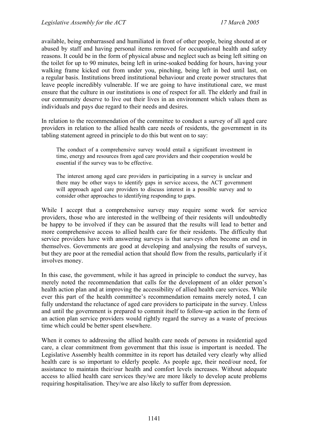available, being embarrassed and humiliated in front of other people, being shouted at or abused by staff and having personal items removed for occupational health and safety reasons. It could be in the form of physical abuse and neglect such as being left sitting on the toilet for up to 90 minutes, being left in urine-soaked bedding for hours, having your walking frame kicked out from under you, pinching, being left in bed until last, on a regular basis. Institutions breed institutional behaviour and create power structures that leave people incredibly vulnerable. If we are going to have institutional care, we must ensure that the culture in our institutions is one of respect for all. The elderly and frail in our community deserve to live out their lives in an environment which values them as individuals and pays due regard to their needs and desires.

In relation to the recommendation of the committee to conduct a survey of all aged care providers in relation to the allied health care needs of residents, the government in its tabling statement agreed in principle to do this but went on to say:

The conduct of a comprehensive survey would entail a significant investment in time, energy and resources from aged care providers and their cooperation would be essential if the survey was to be effective.

The interest among aged care providers in participating in a survey is unclear and there may be other ways to identify gaps in service access, the ACT government will approach aged care providers to discuss interest in a possible survey and to consider other approaches to identifying responding to gaps.

While I accept that a comprehensive survey may require some work for service providers, those who are interested in the wellbeing of their residents will undoubtedly be happy to be involved if they can be assured that the results will lead to better and more comprehensive access to allied health care for their residents. The difficulty that service providers have with answering surveys is that surveys often become an end in themselves. Governments are good at developing and analysing the results of surveys, but they are poor at the remedial action that should flow from the results, particularly if it involves money.

In this case, the government, while it has agreed in principle to conduct the survey, has merely noted the recommendation that calls for the development of an older person's health action plan and at improving the accessibility of allied health care services. While ever this part of the health committee's recommendation remains merely noted, I can fully understand the reluctance of aged care providers to participate in the survey. Unless and until the government is prepared to commit itself to follow-up action in the form of an action plan service providers would rightly regard the survey as a waste of precious time which could be better spent elsewhere.

When it comes to addressing the allied health care needs of persons in residential aged care, a clear commitment from government that this issue is important is needed. The Legislative Assembly health committee in its report has detailed very clearly why allied health care is so important to elderly people. As people age, their need/our need, for assistance to maintain their/our health and comfort levels increases. Without adequate access to allied health care services they/we are more likely to develop acute problems requiring hospitalisation. They/we are also likely to suffer from depression.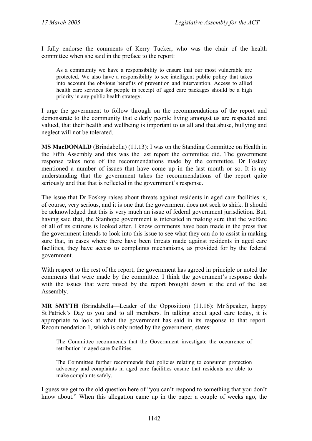I fully endorse the comments of Kerry Tucker, who was the chair of the health committee when she said in the preface to the report:

As a community we have a responsibility to ensure that our most vulnerable are protected. We also have a responsibility to see intelligent public policy that takes into account the obvious benefits of prevention and intervention. Access to allied health care services for people in receipt of aged care packages should be a high priority in any public health strategy.

I urge the government to follow through on the recommendations of the report and demonstrate to the community that elderly people living amongst us are respected and valued, that their health and wellbeing is important to us all and that abuse, bullying and neglect will not be tolerated.

**MS MacDONALD** (Brindabella) (11.13): I was on the Standing Committee on Health in the Fifth Assembly and this was the last report the committee did. The government response takes note of the recommendations made by the committee. Dr Foskey mentioned a number of issues that have come up in the last month or so. It is my understanding that the government takes the recommendations of the report quite seriously and that that is reflected in the government's response.

The issue that Dr Foskey raises about threats against residents in aged care facilities is, of course, very serious, and it is one that the government does not seek to shirk. It should be acknowledged that this is very much an issue of federal government jurisdiction. But, having said that, the Stanhope government is interested in making sure that the welfare of all of its citizens is looked after. I know comments have been made in the press that the government intends to look into this issue to see what they can do to assist in making sure that, in cases where there have been threats made against residents in aged care facilities, they have access to complaints mechanisms, as provided for by the federal government.

With respect to the rest of the report, the government has agreed in principle or noted the comments that were made by the committee. I think the government's response deals with the issues that were raised by the report brought down at the end of the last Assembly.

**MR SMYTH** (Brindabella—Leader of the Opposition) (11.16): Mr Speaker, happy St Patrick's Day to you and to all members. In talking about aged care today, it is appropriate to look at what the government has said in its response to that report. Recommendation 1, which is only noted by the government, states:

The Committee recommends that the Government investigate the occurrence of retribution in aged care facilities.

The Committee further recommends that policies relating to consumer protection advocacy and complaints in aged care facilities ensure that residents are able to make complaints safely.

I guess we get to the old question here of "you can't respond to something that you don't know about." When this allegation came up in the paper a couple of weeks ago, the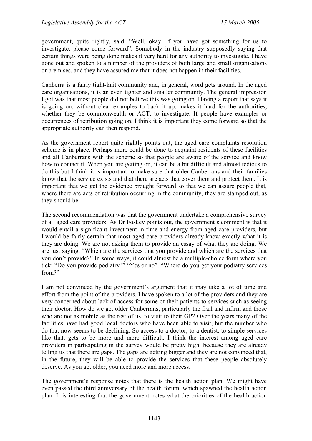government, quite rightly, said, "Well, okay. If you have got something for us to investigate, please come forward". Somebody in the industry supposedly saying that certain things were being done makes it very hard for any authority to investigate. I have gone out and spoken to a number of the providers of both large and small organisations or premises, and they have assured me that it does not happen in their facilities.

Canberra is a fairly tight-knit community and, in general, word gets around. In the aged care organisations, it is an even tighter and smaller community. The general impression I got was that most people did not believe this was going on. Having a report that says it is going on, without clear examples to back it up, makes it hard for the authorities, whether they be commonwealth or ACT, to investigate. If people have examples or occurrences of retribution going on, I think it is important they come forward so that the appropriate authority can then respond.

As the government report quite rightly points out, the aged care complaints resolution scheme is in place. Perhaps more could be done to acquaint residents of these facilities and all Canberrans with the scheme so that people are aware of the service and know how to contact it. When you are getting on, it can be a bit difficult and almost tedious to do this but I think it is important to make sure that older Canberrans and their families know that the service exists and that there are acts that cover them and protect them. It is important that we get the evidence brought forward so that we can assure people that, where there are acts of retribution occurring in the community, they are stamped out, as they should be.

The second recommendation was that the government undertake a comprehensive survey of all aged care providers. As Dr Foskey points out, the government's comment is that it would entail a significant investment in time and energy from aged care providers, but I would be fairly certain that most aged care providers already know exactly what it is they are doing. We are not asking them to provide an essay of what they are doing. We are just saying, "Which are the services that you provide and which are the services that you don't provide?" In some ways, it could almost be a multiple-choice form where you tick: "Do you provide podiatry?" "Yes or no". "Where do you get your podiatry services from?"

I am not convinced by the government's argument that it may take a lot of time and effort from the point of the providers. I have spoken to a lot of the providers and they are very concerned about lack of access for some of their patients to services such as seeing their doctor. How do we get older Canberrans, particularly the frail and infirm and those who are not as mobile as the rest of us, to visit to their GP? Over the years many of the facilities have had good local doctors who have been able to visit, but the number who do that now seems to be declining. So access to a doctor, to a dentist, to simple services like that, gets to be more and more difficult. I think the interest among aged care providers in participating in the survey would be pretty high, because they are already telling us that there are gaps. The gaps are getting bigger and they are not convinced that, in the future, they will be able to provide the services that these people absolutely deserve. As you get older, you need more and more access.

The government's response notes that there is the health action plan. We might have even passed the third anniversary of the health forum, which spawned the health action plan. It is interesting that the government notes what the priorities of the health action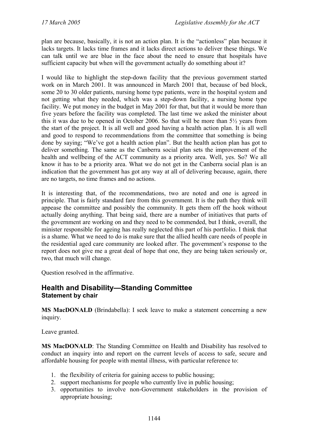plan are because, basically, it is not an action plan. It is the "actionless" plan because it lacks targets. It lacks time frames and it lacks direct actions to deliver these things. We can talk until we are blue in the face about the need to ensure that hospitals have sufficient capacity but when will the government actually do something about it?

I would like to highlight the step-down facility that the previous government started work on in March 2001. It was announced in March 2001 that, because of bed block, some 20 to 30 older patients, nursing home type patients, were in the hospital system and not getting what they needed, which was a step-down facility, a nursing home type facility. We put money in the budget in May 2001 for that, but that it would be more than five years before the facility was completed. The last time we asked the minister about this it was due to be opened in October 2006. So that will be more than 5½ years from the start of the project. It is all well and good having a health action plan. It is all well and good to respond to recommendations from the committee that something is being done by saying; "We've got a health action plan". But the health action plan has got to deliver something. The same as the Canberra social plan sets the improvement of the health and wellbeing of the ACT community as a priority area. Well, yes. So? We all know it has to be a priority area. What we do not get in the Canberra social plan is an indication that the government has got any way at all of delivering because, again, there are no targets, no time frames and no actions.

It is interesting that, of the recommendations, two are noted and one is agreed in principle. That is fairly standard fare from this government. It is the path they think will appease the committee and possibly the community. It gets them off the hook without actually doing anything. That being said, there are a number of initiatives that parts of the government are working on and they need to be commended, but I think, overall, the minister responsible for ageing has really neglected this part of his portfolio. I think that is a shame. What we need to do is make sure that the allied health care needs of people in the residential aged care community are looked after. The government's response to the report does not give me a great deal of hope that one, they are being taken seriously or, two, that much will change.

Question resolved in the affirmative.

#### <span id="page-18-0"></span>**Health and Disability—Standing Committee Statement by chair**

**MS MacDONALD** (Brindabella): I seek leave to make a statement concerning a new inquiry.

Leave granted.

**MS MacDONALD**: The Standing Committee on Health and Disability has resolved to conduct an inquiry into and report on the current levels of access to safe, secure and affordable housing for people with mental illness, with particular reference to:

- 1. the flexibility of criteria for gaining access to public housing;
- 2. support mechanisms for people who currently live in public housing;
- 3. opportunities to involve non-Government stakeholders in the provision of appropriate housing;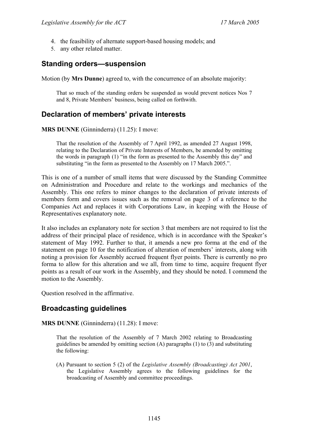- 4. the feasibility of alternate support-based housing models; and
- 5. any other related matter.

### <span id="page-19-0"></span>**Standing orders—suspension**

Motion (by **Mrs Dunne**) agreed to, with the concurrence of an absolute majority:

That so much of the standing orders be suspended as would prevent notices Nos 7 and 8, Private Members' business, being called on forthwith.

# <span id="page-19-1"></span>**Declaration of members' private interests**

**MRS DUNNE** (Ginninderra) (11.25): I move:

That the resolution of the Assembly of 7 April 1992, as amended 27 August 1998, relating to the Declaration of Private Interests of Members, be amended by omitting the words in paragraph (1) "in the form as presented to the Assembly this day" and substituting "in the form as presented to the Assembly on 17 March 2005.".

This is one of a number of small items that were discussed by the Standing Committee on Administration and Procedure and relate to the workings and mechanics of the Assembly. This one refers to minor changes to the declaration of private interests of members form and covers issues such as the removal on page 3 of a reference to the Companies Act and replaces it with Corporations Law, in keeping with the House of Representatives explanatory note.

It also includes an explanatory note for section 3 that members are not required to list the address of their principal place of residence, which is in accordance with the Speaker's statement of May 1992. Further to that, it amends a new pro forma at the end of the statement on page 10 for the notification of alteration of members' interests, along with noting a provision for Assembly accrued frequent flyer points. There is currently no pro forma to allow for this alteration and we all, from time to time, acquire frequent flyer points as a result of our work in the Assembly, and they should be noted. I commend the motion to the Assembly.

Question resolved in the affirmative.

# <span id="page-19-2"></span>**Broadcasting guidelines**

**MRS DUNNE** (Ginninderra) (11.28): I move:

That the resolution of the Assembly of 7 March 2002 relating to Broadcasting guidelines be amended by omitting section (A) paragraphs (1) to (3) and substituting the following:

(A) Pursuant to section 5 (2) of the *Legislative Assembly (Broadcasting) Act 2001*, the Legislative Assembly agrees to the following guidelines for the broadcasting of Assembly and committee proceedings.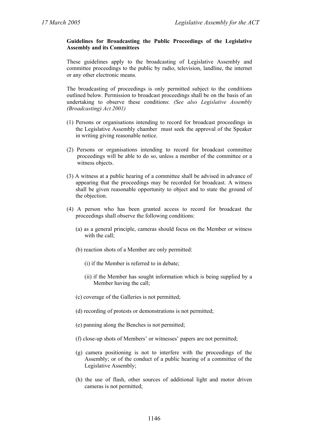#### **Guidelines for Broadcasting the Public Proceedings of the Legislative Assembly and its Committees**

These guidelines apply to the broadcasting of Legislative Assembly and committee proceedings to the public by radio, television, landline, the internet or any other electronic means.

The broadcasting of proceedings is only permitted subject to the conditions outlined below. Permission to broadcast proceedings shall be on the basis of an undertaking to observe these conditions: *(See also Legislative Assembly (Broadcasting) Act 2001)* 

- (1) Persons or organisations intending to record for broadcast proceedings in the Legislative Assembly chamber must seek the approval of the Speaker in writing giving reasonable notice.
- (2) Persons or organisations intending to record for broadcast committee proceedings will be able to do so, unless a member of the committee or a witness objects.
- (3) A witness at a public hearing of a committee shall be advised in advance of appearing that the proceedings may be recorded for broadcast. A witness shall be given reasonable opportunity to object and to state the ground of the objection.
- (4) A person who has been granted access to record for broadcast the proceedings shall observe the following conditions:
	- (a) as a general principle, cameras should focus on the Member or witness with the call:
	- (b) reaction shots of a Member are only permitted:
		- (i) if the Member is referred to in debate;
		- (ii) if the Member has sought information which is being supplied by a Member having the call;
	- (c) coverage of the Galleries is not permitted;
	- (d) recording of protests or demonstrations is not permitted;
	- (e) panning along the Benches is not permitted;
	- (f) close-up shots of Members' or witnesses' papers are not permitted;
	- (g) camera positioning is not to interfere with the proceedings of the Assembly; or of the conduct of a public hearing of a committee of the Legislative Assembly;
	- (h) the use of flash, other sources of additional light and motor driven cameras is not permitted;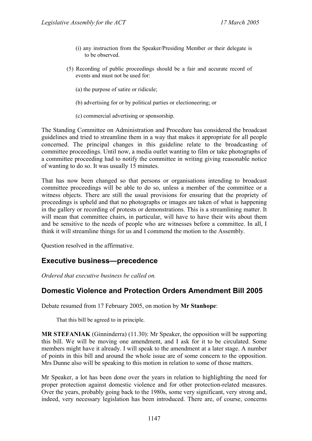- (i) any instruction from the Speaker/Presiding Member or their delegate is to be observed.
- (5) Recording of public proceedings should be a fair and accurate record of events and must not be used for:
	- (a) the purpose of satire or ridicule;
	- (b) advertising for or by political parties or electioneering; or
	- (c) commercial advertising or sponsorship.

The Standing Committee on Administration and Procedure has considered the broadcast guidelines and tried to streamline them in a way that makes it appropriate for all people concerned. The principal changes in this guideline relate to the broadcasting of committee proceedings. Until now, a media outlet wanting to film or take photographs of a committee proceeding had to notify the committee in writing giving reasonable notice of wanting to do so. It was usually 15 minutes.

That has now been changed so that persons or organisations intending to broadcast committee proceedings will be able to do so, unless a member of the committee or a witness objects. There are still the usual provisions for ensuring that the propriety of proceedings is upheld and that no photographs or images are taken of what is happening in the gallery or recording of protests or demonstrations. This is a streamlining matter. It will mean that committee chairs, in particular, will have to have their wits about them and be sensitive to the needs of people who are witnesses before a committee. In all, I think it will streamline things for us and I commend the motion to the Assembly.

Question resolved in the affirmative.

### <span id="page-21-0"></span>**Executive business—precedence**

*Ordered that executive business be called on.*

### <span id="page-21-1"></span>**Domestic Violence and Protection Orders Amendment Bill 2005**

Debate resumed from 17 February 2005, on motion by **Mr Stanhope**:

That this bill be agreed to in principle.

**MR STEFANIAK** (Ginninderra) (11.30): Mr Speaker, the opposition will be supporting this bill. We will be moving one amendment, and I ask for it to be circulated. Some members might have it already. I will speak to the amendment at a later stage. A number of points in this bill and around the whole issue are of some concern to the opposition. Mrs Dunne also will be speaking to this motion in relation to some of those matters.

Mr Speaker, a lot has been done over the years in relation to highlighting the need for proper protection against domestic violence and for other protection-related measures. Over the years, probably going back to the 1980s, some very significant, very strong and, indeed, very necessary legislation has been introduced. There are, of course, concerns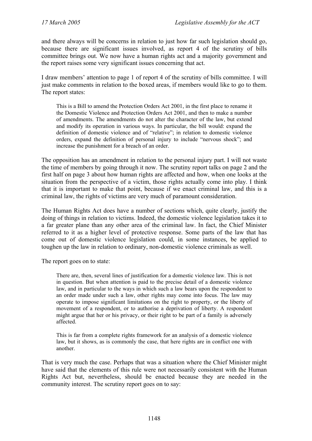and there always will be concerns in relation to just how far such legislation should go, because there are significant issues involved, as report 4 of the scrutiny of bills committee brings out. We now have a human rights act and a majority government and the report raises some very significant issues concerning that act.

I draw members' attention to page 1 of report 4 of the scrutiny of bills committee. I will just make comments in relation to the boxed areas, if members would like to go to them. The report states:

This is a Bill to amend the Protection Orders Act 2001, in the first place to rename it the Domestic Violence and Protection Orders Act 2001, and then to make a number of amendments. The amendments do not alter the character of the law, but extend and modify its operation in various ways. In particular, the bill would: expand the definition of domestic violence and of "relative"; in relation to domestic violence orders, expand the definition of personal injury to include "nervous shock"; and increase the punishment for a breach of an order.

The opposition has an amendment in relation to the personal injury part. I will not waste the time of members by going through it now. The scrutiny report talks on page 2 and the first half on page 3 about how human rights are affected and how, when one looks at the situation from the perspective of a victim, those rights actually come into play. I think that it is important to make that point, because if we enact criminal law, and this is a criminal law, the rights of victims are very much of paramount consideration.

The Human Rights Act does have a number of sections which, quite clearly, justify the doing of things in relation to victims. Indeed, the domestic violence legislation takes it to a far greater plane than any other area of the criminal law. In fact, the Chief Minister referred to it as a higher level of protective response. Some parts of the law that has come out of domestic violence legislation could, in some instances, be applied to toughen up the law in relation to ordinary, non-domestic violence criminals as well.

The report goes on to state:

There are, then, several lines of justification for a domestic violence law. This is not in question. But when attention is paid to the precise detail of a domestic violence law, and in particular to the ways in which such a law bears upon the respondent to an order made under such a law, other rights may come into focus. The law may operate to impose significant limitations on the right to property, or the liberty of movement of a respondent, or to authorise a deprivation of liberty. A respondent might argue that her or his privacy, or their right to be part of a family is adversely affected.

This is far from a complete rights framework for an analysis of a domestic violence law, but it shows, as is commonly the case, that here rights are in conflict one with another.

That is very much the case. Perhaps that was a situation where the Chief Minister might have said that the elements of this rule were not necessarily consistent with the Human Rights Act but, nevertheless, should be enacted because they are needed in the community interest. The scrutiny report goes on to say: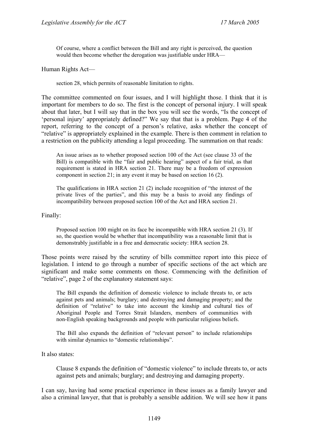Of course, where a conflict between the Bill and any right is perceived, the question would then become whether the derogation was justifiable under HRA—

Human Rights Act—

section 28, which permits of reasonable limitation to rights.

The committee commented on four issues, and I will highlight those. I think that it is important for members to do so. The first is the concept of personal injury. I will speak about that later, but I will say that in the box you will see the words, "Is the concept of 'personal injury' appropriately defined?" We say that that is a problem. Page 4 of the report, referring to the concept of a person's relative, asks whether the concept of "relative" is appropriately explained in the example. There is then comment in relation to a restriction on the publicity attending a legal proceeding. The summation on that reads:

An issue arises as to whether proposed section 100 of the Act (see clause 33 of the Bill) is compatible with the "fair and public hearing" aspect of a fair trial, as that requirement is stated in HRA section 21. There may be a freedom of expression component in section 21; in any event it may be based on section 16 (2).

The qualifications in HRA section 21 (2) include recognition of "the interest of the private lives of the parties", and this may be a basis to avoid any findings of incompatibility between proposed section 100 of the Act and HRA section 21.

#### Finally:

Proposed section 100 might on its face be incompatible with HRA section 21 (3). If so, the question would be whether that incompatibility was a reasonable limit that is demonstrably justifiable in a free and democratic society: HRA section 28.

Those points were raised by the scrutiny of bills committee report into this piece of legislation. I intend to go through a number of specific sections of the act which are significant and make some comments on those. Commencing with the definition of "relative", page 2 of the explanatory statement says:

The Bill expands the definition of domestic violence to include threats to, or acts against pets and animals; burglary; and destroying and damaging property; and the definition of "relative" to take into account the kinship and cultural ties of Aboriginal People and Torres Strait Islanders, members of communities with non-English speaking backgrounds and people with particular religious beliefs.

The Bill also expands the definition of "relevant person" to include relationships with similar dynamics to "domestic relationships".

It also states:

Clause 8 expands the definition of "domestic violence" to include threats to, or acts against pets and animals; burglary; and destroying and damaging property.

I can say, having had some practical experience in these issues as a family lawyer and also a criminal lawyer, that that is probably a sensible addition. We will see how it pans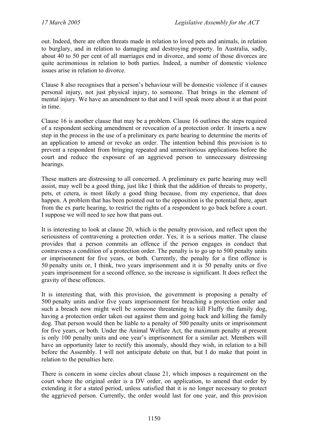out. Indeed, there are often threats made in relation to loved pets and animals, in relation to burglary, and in relation to damaging and destroying property. In Australia, sadly, about 40 to 50 per cent of all marriages end in divorce, and some of those divorces are quite acrimonious in relation to both parties. Indeed, a number of domestic violence issues arise in relation to divorce.

Clause 8 also recognises that a person's behaviour will be domestic violence if it causes personal injury, not just physical injury, to someone. That brings in the element of mental injury. We have an amendment to that and I will speak more about it at that point in time.

Clause 16 is another clause that may be a problem. Clause 16 outlines the steps required of a respondent seeking amendment or revocation of a protection order. It inserts a new step in the process in the use of a preliminary ex parte hearing to determine the merits of an application to amend or revoke an order. The intention behind this provision is to prevent a respondent from bringing repeated and unmeritorious applications before the court and reduce the exposure of an aggrieved person to unnecessary distressing hearings.

These matters are distressing to all concerned. A preliminary ex parte hearing may well assist, may well be a good thing, just like I think that the addition of threats to property, pets, et cetera, is most likely a good thing because, from my experience, that does happen. A problem that has been pointed out to the opposition is the potential there, apart from the ex parte hearing, to restrict the rights of a respondent to go back before a court. I suppose we will need to see how that pans out.

It is interesting to look at clause 20, which is the penalty provision, and reflect upon the seriousness of contravening a protection order. Yes, it is a serious matter. The clause provides that a person commits an offence if the person engages in conduct that contravenes a condition of a protection order. The penalty is to go up to 500 penalty units or imprisonment for five years, or both. Currently, the penalty for a first offence is 50 penalty units or, I think, two years imprisonment and it is 50 penalty units or five years imprisonment for a second offence, so the increase is significant. It does reflect the gravity of these offences.

It is interesting that, with this provision, the government is proposing a penalty of 500 penalty units and/or five years imprisonment for breaching a protection order and such a breach now might well be someone threatening to kill Fluffy the family dog, having a protection order taken out against them and going back and killing the family dog. That person would then be liable to a penalty of 500 penalty units or imprisonment for five years, or both. Under the Animal Welfare Act, the maximum penalty at present is only 100 penalty units and one year's imprisonment for a similar act. Members will have an opportunity later to rectify this anomaly, should they wish, in relation to a bill before the Assembly. I will not anticipate debate on that, but I do make that point in relation to the penalties here.

There is concern in some circles about clause 21, which imposes a requirement on the court where the original order is a DV order, on application, to amend that order by extending it for a stated period, unless satisfied that it is no longer necessary to protect the aggrieved person. Currently, the order would last for one year, and this provision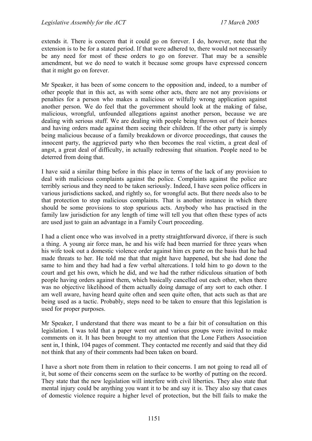extends it. There is concern that it could go on forever. I do, however, note that the extension is to be for a stated period. If that were adhered to, there would not necessarily be any need for most of these orders to go on forever. That may be a sensible amendment, but we do need to watch it because some groups have expressed concern that it might go on forever.

Mr Speaker, it has been of some concern to the opposition and, indeed, to a number of other people that in this act, as with some other acts, there are not any provisions or penalties for a person who makes a malicious or wilfully wrong application against another person. We do feel that the government should look at the making of false, malicious, wrongful, unfounded allegations against another person, because we are dealing with serious stuff. We are dealing with people being thrown out of their homes and having orders made against them seeing their children. If the other party is simply being malicious because of a family breakdown or divorce proceedings, that causes the innocent party, the aggrieved party who then becomes the real victim, a great deal of angst, a great deal of difficulty, in actually redressing that situation. People need to be deterred from doing that.

I have said a similar thing before in this place in terms of the lack of any provision to deal with malicious complaints against the police. Complaints against the police are terribly serious and they need to be taken seriously. Indeed, I have seen police officers in various jurisdictions sacked, and rightly so, for wrongful acts. But there needs also to be that protection to stop malicious complaints. That is another instance in which there should be some provisions to stop spurious acts. Anybody who has practised in the family law jurisdiction for any length of time will tell you that often these types of acts are used just to gain an advantage in a Family Court proceeding.

I had a client once who was involved in a pretty straightforward divorce, if there is such a thing. A young air force man, he and his wife had been married for three years when his wife took out a domestic violence order against him ex parte on the basis that he had made threats to her. He told me that that might have happened, but she had done the same to him and they had had a few verbal altercations. I told him to go down to the court and get his own, which he did, and we had the rather ridiculous situation of both people having orders against them, which basically cancelled out each other, when there was no objective likelihood of them actually doing damage of any sort to each other. I am well aware, having heard quite often and seen quite often, that acts such as that are being used as a tactic. Probably, steps need to be taken to ensure that this legislation is used for proper purposes.

Mr Speaker, I understand that there was meant to be a fair bit of consultation on this legislation. I was told that a paper went out and various groups were invited to make comments on it. It has been brought to my attention that the Lone Fathers Association sent in, I think, 104 pages of comment. They contacted me recently and said that they did not think that any of their comments had been taken on board.

I have a short note from them in relation to their concerns. I am not going to read all of it, but some of their concerns seem on the surface to be worthy of putting on the record. They state that the new legislation will interfere with civil liberties. They also state that mental injury could be anything you want it to be and say it is. They also say that cases of domestic violence require a higher level of protection, but the bill fails to make the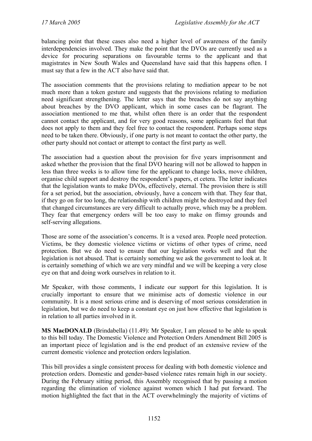balancing point that these cases also need a higher level of awareness of the family interdependencies involved. They make the point that the DVOs are currently used as a device for procuring separations on favourable terms to the applicant and that magistrates in New South Wales and Queensland have said that this happens often. I must say that a few in the ACT also have said that.

The association comments that the provisions relating to mediation appear to be not much more than a token gesture and suggests that the provisions relating to mediation need significant strengthening. The letter says that the breaches do not say anything about breaches by the DVO applicant, which in some cases can be flagrant. The association mentioned to me that, whilst often there is an order that the respondent cannot contact the applicant, and for very good reasons, some applicants feel that that does not apply to them and they feel free to contact the respondent. Perhaps some steps need to be taken there. Obviously, if one party is not meant to contact the other party, the other party should not contact or attempt to contact the first party as well.

The association had a question about the provision for five years imprisonment and asked whether the provision that the final DVO hearing will not be allowed to happen in less than three weeks is to allow time for the applicant to change locks, move children, organise child support and destroy the respondent's papers, et cetera. The letter indicates that the legislation wants to make DVOs, effectively, eternal. The provision there is still for a set period, but the association, obviously, have a concern with that. They fear that, if they go on for too long, the relationship with children might be destroyed and they feel that changed circumstances are very difficult to actually prove, which may be a problem. They fear that emergency orders will be too easy to make on flimsy grounds and self-serving allegations.

Those are some of the association's concerns. It is a vexed area. People need protection. Victims, be they domestic violence victims or victims of other types of crime, need protection. But we do need to ensure that our legislation works well and that the legislation is not abused. That is certainly something we ask the government to look at. It is certainly something of which we are very mindful and we will be keeping a very close eye on that and doing work ourselves in relation to it.

Mr Speaker, with those comments, I indicate our support for this legislation. It is crucially important to ensure that we minimise acts of domestic violence in our community. It is a most serious crime and is deserving of most serious consideration in legislation, but we do need to keep a constant eye on just how effective that legislation is in relation to all parties involved in it.

**MS MacDONALD** (Brindabella) (11.49): Mr Speaker, I am pleased to be able to speak to this bill today. The Domestic Violence and Protection Orders Amendment Bill 2005 is an important piece of legislation and is the end product of an extensive review of the current domestic violence and protection orders legislation.

This bill provides a single consistent process for dealing with both domestic violence and protection orders. Domestic and gender-based violence rates remain high in our society. During the February sitting period, this Assembly recognised that by passing a motion regarding the elimination of violence against women which I had put forward. The motion highlighted the fact that in the ACT overwhelmingly the majority of victims of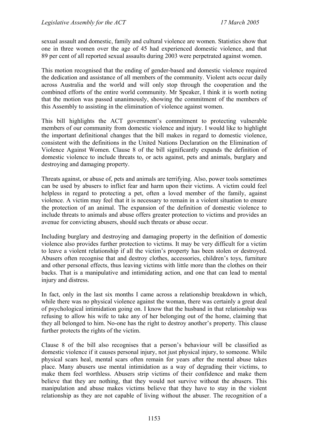sexual assault and domestic, family and cultural violence are women. Statistics show that one in three women over the age of 45 had experienced domestic violence, and that 89 per cent of all reported sexual assaults during 2003 were perpetrated against women.

This motion recognised that the ending of gender-based and domestic violence required the dedication and assistance of all members of the community. Violent acts occur daily across Australia and the world and will only stop through the cooperation and the combined efforts of the entire world community. Mr Speaker, I think it is worth noting that the motion was passed unanimously, showing the commitment of the members of this Assembly to assisting in the elimination of violence against women.

This bill highlights the ACT government's commitment to protecting vulnerable members of our community from domestic violence and injury. I would like to highlight the important definitional changes that the bill makes in regard to domestic violence, consistent with the definitions in the United Nations Declaration on the Elimination of Violence Against Women. Clause 8 of the bill significantly expands the definition of domestic violence to include threats to, or acts against, pets and animals, burglary and destroying and damaging property.

Threats against, or abuse of, pets and animals are terrifying. Also, power tools sometimes can be used by abusers to inflict fear and harm upon their victims. A victim could feel helpless in regard to protecting a pet, often a loved member of the family, against violence. A victim may feel that it is necessary to remain in a violent situation to ensure the protection of an animal. The expansion of the definition of domestic violence to include threats to animals and abuse offers greater protection to victims and provides an avenue for convicting abusers, should such threats or abuse occur.

Including burglary and destroying and damaging property in the definition of domestic violence also provides further protection to victims. It may be very difficult for a victim to leave a violent relationship if all the victim's property has been stolen or destroyed. Abusers often recognise that and destroy clothes, accessories, children's toys, furniture and other personal effects, thus leaving victims with little more than the clothes on their backs. That is a manipulative and intimidating action, and one that can lead to mental injury and distress.

In fact, only in the last six months I came across a relationship breakdown in which, while there was no physical violence against the woman, there was certainly a great deal of psychological intimidation going on. I know that the husband in that relationship was refusing to allow his wife to take any of her belonging out of the home, claiming that they all belonged to him. No-one has the right to destroy another's property. This clause further protects the rights of the victim.

Clause 8 of the bill also recognises that a person's behaviour will be classified as domestic violence if it causes personal injury, not just physical injury, to someone. While physical scars heal, mental scars often remain for years after the mental abuse takes place. Many abusers use mental intimidation as a way of degrading their victims, to make them feel worthless. Abusers strip victims of their confidence and make them believe that they are nothing, that they would not survive without the abusers. This manipulation and abuse makes victims believe that they have to stay in the violent relationship as they are not capable of living without the abuser. The recognition of a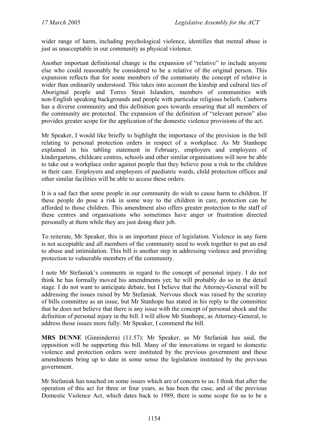wider range of harm, including psychological violence, identifies that mental abuse is just as unacceptable in our community as physical violence.

Another important definitional change is the expansion of "relative" to include anyone else who could reasonably be considered to be a relative of the original person. This expansion reflects that for some members of the community the concept of relative is wider than ordinarily understood. This takes into account the kinship and cultural ties of Aboriginal people and Torres Strait Islanders, members of communities with non-English speaking backgrounds and people with particular religious beliefs. Canberra has a diverse community and this definition goes towards ensuring that all members of the community are protected. The expansion of the definition of "relevant person" also provides greater scope for the application of the domestic violence provisions of the act.

Mr Speaker, I would like briefly to highlight the importance of the provision in the bill relating to personal protection orders in respect of a workplace. As Mr Stanhope explained in his tabling statement in February, employers and employees of kindergartens, childcare centres, schools and other similar organisations will now be able to take out a workplace order against people that they believe pose a risk to the children in their care. Employers and employees of paediatric wards, child protection offices and other similar facilities will be able to access these orders.

It is a sad fact that some people in our community do wish to cause harm to children. If these people do pose a risk in some way to the children in care, protection can be afforded to those children. This amendment also offers greater protection to the staff of these centres and organisations who sometimes have anger or frustration directed personally at them while they are just doing their job.

To reiterate, Mr Speaker, this is an important piece of legislation. Violence in any form is not acceptable and all members of the community need to work together to put an end to abuse and intimidation. This bill is another step in addressing violence and providing protection to vulnerable members of the community.

I note Mr Stefaniak's comments in regard to the concept of personal injury. I do not think he has formally moved his amendments yet; he will probably do so in the detail stage. I do not want to anticipate debate, but I believe that the Attorney-General will be addressing the issues raised by Mr Stefaniak. Nervous shock was raised by the scrutiny of bills committee as an issue, but Mr Stanhope has stated in his reply to the committee that he does not believe that there is any issue with the concept of personal shock and the definition of personal injury in the bill. I will allow Mr Stanhope, as Attorney-General, to address those issues more fully. Mr Speaker, I commend the bill.

**MRS DUNNE** (Ginninderra) (11.57): Mr Speaker, as Mr Stefaniak has said, the opposition will be supporting this bill. Many of the innovations in regard to domestic violence and protection orders were instituted by the previous government and these amendments bring up to date in some sense the legislation instituted by the previous government.

Mr Stefaniak has touched on some issues which are of concern to us. I think that after the operation of this act for three or four years, as has been the case, and of the previous Domestic Violence Act, which dates back to 1989, there is some scope for us to be a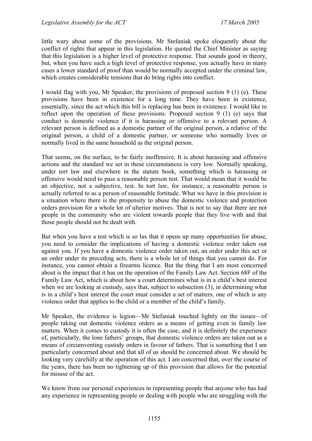little wary about some of the provisions. Mr Stefaniak spoke eloquently about the conflict of rights that appear in this legislation. He quoted the Chief Minister as saying that this legislation is a higher level of protective response. That sounds good in theory, but, when you have such a high level of protective response, you actually have in many cases a lower standard of proof than would be normally accepted under the criminal law, which creates considerable tensions that do bring rights into conflict.

I would flag with you, Mr Speaker, the provisions of proposed section 9 (1) (e). These provisions have been in existence for a long time. They have been in existence, essentially, since the act which this bill is replacing has been in existence. I would like to reflect upon the operation of these provisions. Proposed section 9 (1) (e) says that conduct is domestic violence if it is harassing or offensive to a relevant person. A relevant person is defined as a domestic partner of the original person, a relative of the original person, a child of a domestic partner, or someone who normally lives or normally lived in the same household as the original person.

That seems, on the surface, to be fairly inoffensive. It is about harassing and offensive actions and the standard we set in these circumstances is very low. Normally speaking, under tort law and elsewhere in the statute book, something which is harassing or offensive would need to pass a reasonable person test. That would mean that it would be an objective, not a subjective, test. In tort law, for instance, a reasonable person is actually referred to as a person of reasonable fortitude. What we have in this provision is a situation where there is the propensity to abuse the domestic violence and protection orders provision for a whole lot of ulterior motives. That is not to say that there are not people in the community who are violent towards people that they live with and that those people should not be dealt with.

But when you have a test which is so lax that it opens up many opportunities for abuse, you need to consider the implications of having a domestic violence order taken out against you. If you have a domestic violence order taken out, an order under this act or an order under its preceding acts, there is a whole lot of things that you cannot do. For instance, you cannot obtain a firearms licence. But the thing that I am most concerned about is the impact that it has on the operation of the Family Law Act. Section 68F of the Family Law Act, which is about how a court determines what is in a child's best interest when we are looking at custody, says that, subject to subsection  $(3)$ , in determining what is in a child's best interest the court must consider a set of matters, one of which is any violence order that applies to the child or a member of the child's family.

Mr Speaker, the evidence is legion—Mr Stefaniak touched lightly on the issues—of people taking out domestic violence orders as a means of getting even in family law matters. When it comes to custody it is often the case, and it is definitely the experience of, particularly, the lone fathers' groups, that domestic violence orders are taken out as a means of circumventing custody orders in favour of fathers. That is something that I am particularly concerned about and that all of us should be concerned about. We should be looking very carefully at the operation of this act. I am concerned that, over the course of the years, there has been no tightening up of this provision that allows for the potential for misuse of the act.

We know from our personal experiences in representing people that anyone who has had any experience in representing people or dealing with people who are struggling with the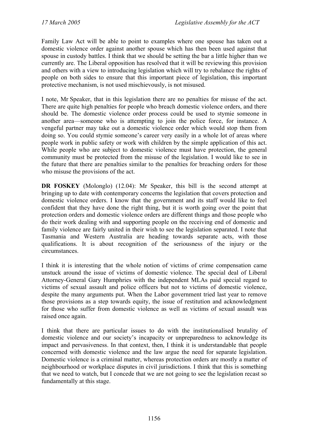Family Law Act will be able to point to examples where one spouse has taken out a domestic violence order against another spouse which has then been used against that spouse in custody battles. I think that we should be setting the bar a little higher than we currently are. The Liberal opposition has resolved that it will be reviewing this provision and others with a view to introducing legislation which will try to rebalance the rights of people on both sides to ensure that this important piece of legislation, this important protective mechanism, is not used mischievously, is not misused.

I note, Mr Speaker, that in this legislation there are no penalties for misuse of the act. There are quite high penalties for people who breach domestic violence orders, and there should be. The domestic violence order process could be used to stymie someone in another area—someone who is attempting to join the police force, for instance. A vengeful partner may take out a domestic violence order which would stop them from doing so. You could stymie someone's career very easily in a whole lot of areas where people work in public safety or work with children by the simple application of this act. While people who are subject to domestic violence must have protection, the general community must be protected from the misuse of the legislation. I would like to see in the future that there are penalties similar to the penalties for breaching orders for those who misuse the provisions of the act.

**DR FOSKEY** (Molonglo) (12.04): Mr Speaker, this bill is the second attempt at bringing up to date with contemporary concerns the legislation that covers protection and domestic violence orders. I know that the government and its staff would like to feel confident that they have done the right thing, but it is worth going over the point that protection orders and domestic violence orders are different things and those people who do their work dealing with and supporting people on the receiving end of domestic and family violence are fairly united in their wish to see the legislation separated. I note that Tasmania and Western Australia are heading towards separate acts, with those qualifications. It is about recognition of the seriousness of the injury or the circumstances.

I think it is interesting that the whole notion of victims of crime compensation came unstuck around the issue of victims of domestic violence. The special deal of Liberal Attorney-General Gary Humphries with the independent MLAs paid special regard to victims of sexual assault and police officers but not to victims of domestic violence, despite the many arguments put. When the Labor government tried last year to remove those provisions as a step towards equity, the issue of restitution and acknowledgment for those who suffer from domestic violence as well as victims of sexual assault was raised once again.

I think that there are particular issues to do with the institutionalised brutality of domestic violence and our society's incapacity or unpreparedness to acknowledge its impact and pervasiveness. In that context, then, I think it is understandable that people concerned with domestic violence and the law argue the need for separate legislation. Domestic violence is a criminal matter, whereas protection orders are mostly a matter of neighbourhood or workplace disputes in civil jurisdictions. I think that this is something that we need to watch, but I concede that we are not going to see the legislation recast so fundamentally at this stage.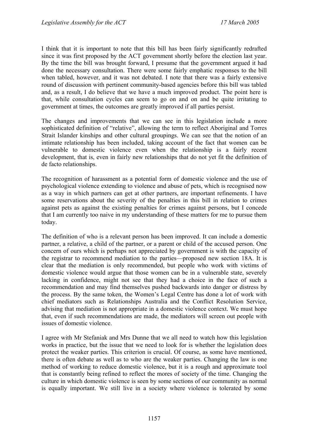I think that it is important to note that this bill has been fairly significantly redrafted since it was first proposed by the ACT government shortly before the election last year. By the time the bill was brought forward, I presume that the government argued it had done the necessary consultation. There were some fairly emphatic responses to the bill when tabled, however, and it was not debated. I note that there was a fairly extensive round of discussion with pertinent community-based agencies before this bill was tabled and, as a result, I do believe that we have a much improved product. The point here is that, while consultation cycles can seem to go on and on and be quite irritating to government at times, the outcomes are greatly improved if all parties persist.

The changes and improvements that we can see in this legislation include a more sophisticated definition of "relative", allowing the term to reflect Aboriginal and Torres Strait Islander kinships and other cultural groupings. We can see that the notion of an intimate relationship has been included, taking account of the fact that women can be vulnerable to domestic violence even when the relationship is a fairly recent development, that is, even in fairly new relationships that do not yet fit the definition of de facto relationships.

The recognition of harassment as a potential form of domestic violence and the use of psychological violence extending to violence and abuse of pets, which is recognised now as a way in which partners can get at other partners, are important refinements. I have some reservations about the severity of the penalties in this bill in relation to crimes against pets as against the existing penalties for crimes against persons, but I concede that I am currently too naive in my understanding of these matters for me to pursue them today.

The definition of who is a relevant person has been improved. It can include a domestic partner, a relative, a child of the partner, or a parent or child of the accused person. One concern of ours which is perhaps not appreciated by government is with the capacity of the registrar to recommend mediation to the parties—proposed new section 18A. It is clear that the mediation is only recommended, but people who work with victims of domestic violence would argue that those women can be in a vulnerable state, severely lacking in confidence, might not see that they had a choice in the face of such a recommendation and may find themselves pushed backwards into danger or distress by the process. By the same token, the Women's Legal Centre has done a lot of work with chief mediators such as Relationships Australia and the Conflict Resolution Service, advising that mediation is not appropriate in a domestic violence context. We must hope that, even if such recommendations are made, the mediators will screen out people with issues of domestic violence.

I agree with Mr Stefaniak and Mrs Dunne that we all need to watch how this legislation works in practice, but the issue that we need to look for is whether the legislation does protect the weaker parties. This criterion is crucial. Of course, as some have mentioned, there is often debate as well as to who are the weaker parties. Changing the law is one method of working to reduce domestic violence, but it is a rough and approximate tool that is constantly being refined to reflect the mores of society of the time. Changing the culture in which domestic violence is seen by some sections of our community as normal is equally important. We still live in a society where violence is tolerated by some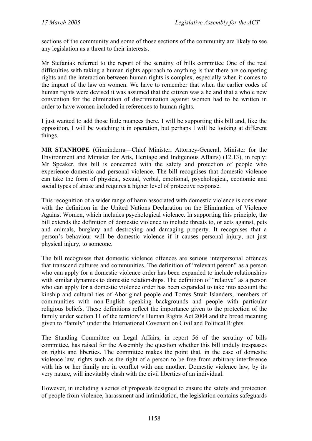sections of the community and some of those sections of the community are likely to see any legislation as a threat to their interests.

Mr Stefaniak referred to the report of the scrutiny of bills committee One of the real difficulties with taking a human rights approach to anything is that there are competing rights and the interaction between human rights is complex, especially when it comes to the impact of the law on women. We have to remember that when the earlier codes of human rights were devised it was assumed that the citizen was a he and that a whole new convention for the elimination of discrimination against women had to be written in order to have women included in references to human rights.

I just wanted to add those little nuances there. I will be supporting this bill and, like the opposition, I will be watching it in operation, but perhaps I will be looking at different things.

**MR STANHOPE** (Ginninderra—Chief Minister, Attorney-General, Minister for the Environment and Minister for Arts, Heritage and Indigenous Affairs) (12.13), in reply: Mr Speaker, this bill is concerned with the safety and protection of people who experience domestic and personal violence. The bill recognises that domestic violence can take the form of physical, sexual, verbal, emotional, psychological, economic and social types of abuse and requires a higher level of protective response.

This recognition of a wider range of harm associated with domestic violence is consistent with the definition in the United Nations Declaration on the Elimination of Violence Against Women, which includes psychological violence. In supporting this principle, the bill extends the definition of domestic violence to include threats to, or acts against, pets and animals, burglary and destroying and damaging property. It recognises that a person's behaviour will be domestic violence if it causes personal injury, not just physical injury, to someone.

The bill recognises that domestic violence offences are serious interpersonal offences that transcend cultures and communities. The definition of "relevant person" as a person who can apply for a domestic violence order has been expanded to include relationships with similar dynamics to domestic relationships. The definition of "relative" as a person who can apply for a domestic violence order has been expanded to take into account the kinship and cultural ties of Aboriginal people and Torres Strait Islanders, members of communities with non-English speaking backgrounds and people with particular religious beliefs. These definitions reflect the importance given to the protection of the family under section 11 of the territory's Human Rights Act 2004 and the broad meaning given to "family" under the International Covenant on Civil and Political Rights.

The Standing Committee on Legal Affairs, in report 56 of the scrutiny of bills committee, has raised for the Assembly the question whether this bill unduly trespasses on rights and liberties. The committee makes the point that, in the case of domestic violence law, rights such as the right of a person to be free from arbitrary interference with his or her family are in conflict with one another. Domestic violence law, by its very nature, will inevitably clash with the civil liberties of an individual.

However, in including a series of proposals designed to ensure the safety and protection of people from violence, harassment and intimidation, the legislation contains safeguards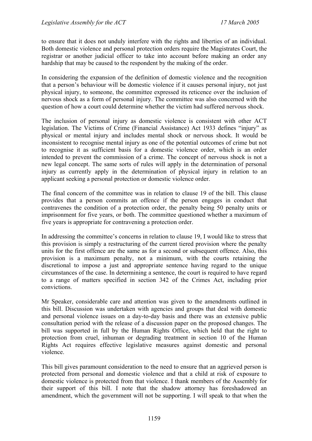to ensure that it does not unduly interfere with the rights and liberties of an individual. Both domestic violence and personal protection orders require the Magistrates Court, the registrar or another judicial officer to take into account before making an order any hardship that may be caused to the respondent by the making of the order.

In considering the expansion of the definition of domestic violence and the recognition that a person's behaviour will be domestic violence if it causes personal injury, not just physical injury, to someone, the committee expressed its reticence over the inclusion of nervous shock as a form of personal injury. The committee was also concerned with the question of how a court could determine whether the victim had suffered nervous shock.

The inclusion of personal injury as domestic violence is consistent with other ACT legislation. The Victims of Crime (Financial Assistance) Act 1933 defines "injury" as physical or mental injury and includes mental shock or nervous shock. It would be inconsistent to recognise mental injury as one of the potential outcomes of crime but not to recognise it as sufficient basis for a domestic violence order, which is an order intended to prevent the commission of a crime. The concept of nervous shock is not a new legal concept. The same sorts of rules will apply in the determination of personal injury as currently apply in the determination of physical injury in relation to an applicant seeking a personal protection or domestic violence order.

The final concern of the committee was in relation to clause 19 of the bill. This clause provides that a person commits an offence if the person engages in conduct that contravenes the condition of a protection order, the penalty being 50 penalty units or imprisonment for five years, or both. The committee questioned whether a maximum of five years is appropriate for contravening a protection order.

In addressing the committee's concerns in relation to clause 19, I would like to stress that this provision is simply a restructuring of the current tiered provision where the penalty units for the first offence are the same as for a second or subsequent offence. Also, this provision is a maximum penalty, not a minimum, with the courts retaining the discretional to impose a just and appropriate sentence having regard to the unique circumstances of the case. In determining a sentence, the court is required to have regard to a range of matters specified in section 342 of the Crimes Act, including prior convictions.

Mr Speaker, considerable care and attention was given to the amendments outlined in this bill. Discussion was undertaken with agencies and groups that deal with domestic and personal violence issues on a day-to-day basis and there was an extensive public consultation period with the release of a discussion paper on the proposed changes. The bill was supported in full by the Human Rights Office, which held that the right to protection from cruel, inhuman or degrading treatment in section 10 of the Human Rights Act requires effective legislative measures against domestic and personal violence.

This bill gives paramount consideration to the need to ensure that an aggrieved person is protected from personal and domestic violence and that a child at risk of exposure to domestic violence is protected from that violence. I thank members of the Assembly for their support of this bill. I note that the shadow attorney has foreshadowed an amendment, which the government will not be supporting. I will speak to that when the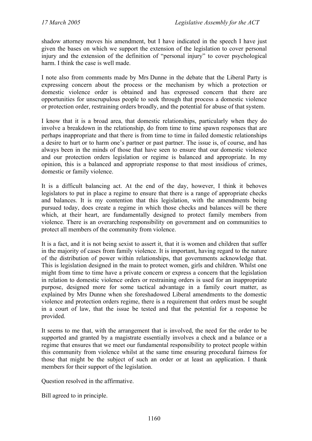shadow attorney moves his amendment, but I have indicated in the speech I have just given the bases on which we support the extension of the legislation to cover personal injury and the extension of the definition of "personal injury" to cover psychological harm. I think the case is well made.

I note also from comments made by Mrs Dunne in the debate that the Liberal Party is expressing concern about the process or the mechanism by which a protection or domestic violence order is obtained and has expressed concern that there are opportunities for unscrupulous people to seek through that process a domestic violence or protection order, restraining orders broadly, and the potential for abuse of that system.

I know that it is a broad area, that domestic relationships, particularly when they do involve a breakdown in the relationship, do from time to time spawn responses that are perhaps inappropriate and that there is from time to time in failed domestic relationships a desire to hurt or to harm one's partner or past partner. The issue is, of course, and has always been in the minds of those that have seen to ensure that our domestic violence and our protection orders legislation or regime is balanced and appropriate. In my opinion, this is a balanced and appropriate response to that most insidious of crimes, domestic or family violence.

It is a difficult balancing act. At the end of the day, however, I think it behoves legislators to put in place a regime to ensure that there is a range of appropriate checks and balances. It is my contention that this legislation, with the amendments being pursued today, does create a regime in which those checks and balances will be there which, at their heart, are fundamentally designed to protect family members from violence. There is an overarching responsibility on government and on communities to protect all members of the community from violence.

It is a fact, and it is not being sexist to assert it, that it is women and children that suffer in the majority of cases from family violence. It is important, having regard to the nature of the distribution of power within relationships, that governments acknowledge that. This is legislation designed in the main to protect women, girls and children. Whilst one might from time to time have a private concern or express a concern that the legislation in relation to domestic violence orders or restraining orders is used for an inappropriate purpose, designed more for some tactical advantage in a family court matter, as explained by Mrs Dunne when she foreshadowed Liberal amendments to the domestic violence and protection orders regime, there is a requirement that orders must be sought in a court of law, that the issue be tested and that the potential for a response be provided.

It seems to me that, with the arrangement that is involved, the need for the order to be supported and granted by a magistrate essentially involves a check and a balance or a regime that ensures that we meet our fundamental responsibility to protect people within this community from violence whilst at the same time ensuring procedural fairness for those that might be the subject of such an order or at least an application. I thank members for their support of the legislation.

Question resolved in the affirmative.

Bill agreed to in principle.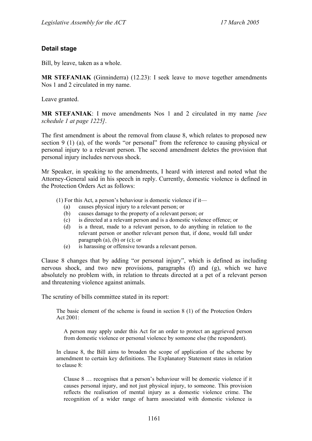#### **Detail stage**

Bill, by leave, taken as a whole.

**MR STEFANIAK** (Ginninderra) (12.23): I seek leave to move together amendments Nos 1 and 2 circulated in my name.

Leave granted.

**MR STEFANIAK**: I move amendments Nos 1 and 2 circulated in my name *[see schedule 1 at page 1225]*.

The first amendment is about the removal from clause 8, which relates to proposed new section 9 (1) (a), of the words "or personal" from the reference to causing physical or personal injury to a relevant person. The second amendment deletes the provision that personal injury includes nervous shock.

Mr Speaker, in speaking to the amendments, I heard with interest and noted what the Attorney-General said in his speech in reply. Currently, domestic violence is defined in the Protection Orders Act as follows:

- (1) For this Act, a person's behaviour is domestic violence if it—
	- (a) causes physical injury to a relevant person; or (b) causes damage to the property of a relevant per
	- causes damage to the property of a relevant person; or
	- (c) is directed at a relevant person and is a domestic violence offence; or
	- (d) is a threat, made to a relevant person, to do anything in relation to the relevant person or another relevant person that, if done, would fall under paragraph (a), (b) or (c); or
	- (e) is harassing or offensive towards a relevant person.

Clause 8 changes that by adding "or personal injury", which is defined as including nervous shock, and two new provisions, paragraphs (f) and (g), which we have absolutely no problem with, in relation to threats directed at a pet of a relevant person and threatening violence against animals.

The scrutiny of bills committee stated in its report:

The basic element of the scheme is found in section 8 (1) of the Protection Orders Act 2001:

A person may apply under this Act for an order to protect an aggrieved person from domestic violence or personal violence by someone else (the respondent).

In clause 8, the Bill aims to broaden the scope of application of the scheme by amendment to certain key definitions. The Explanatory Statement states in relation to clause 8:

Clause 8 … recognises that a person's behaviour will be domestic violence if it causes personal injury, and not just physical injury, to someone. This provision reflects the realisation of mental injury as a domestic violence crime. The recognition of a wider range of harm associated with domestic violence is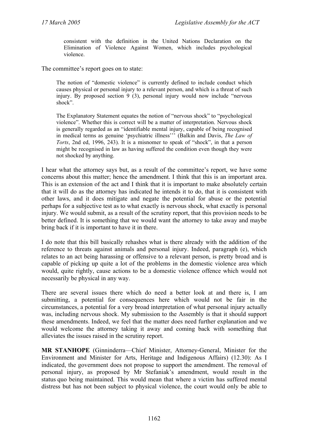consistent with the definition in the United Nations Declaration on the Elimination of Violence Against Women, which includes psychological violence.

The committee's report goes on to state:

The notion of "domestic violence" is currently defined to include conduct which causes physical or personal injury to a relevant person, and which is a threat of such injury. By proposed section 9 (3), personal injury would now include "nervous shock".

The Explanatory Statement equates the notion of "nervous shock" to "psychological violence". Whether this is correct will be a matter of interpretation. Nervous shock is generally regarded as an "identifiable mental injury, capable of being recognised in medical terms as genuine 'psychiatric illness''' (Balkin and Davis, *The Law of Torts*, 2nd ed, 1996, 243). It is a misnomer to speak of "shock", in that a person might be recognised in law as having suffered the condition even though they were not shocked by anything.

I hear what the attorney says but, as a result of the committee's report, we have some concerns about this matter; hence the amendment. I think that this is an important area. This is an extension of the act and I think that it is important to make absolutely certain that it will do as the attorney has indicated he intends it to do, that it is consistent with other laws, and it does mitigate and negate the potential for abuse or the potential perhaps for a subjective test as to what exactly is nervous shock, what exactly is personal injury. We would submit, as a result of the scrutiny report, that this provision needs to be better defined. It is something that we would want the attorney to take away and maybe bring back if it is important to have it in there.

I do note that this bill basically rehashes what is there already with the addition of the reference to threats against animals and personal injury. Indeed, paragraph (e), which relates to an act being harassing or offensive to a relevant person, is pretty broad and is capable of picking up quite a lot of the problems in the domestic violence area which would, quite rightly, cause actions to be a domestic violence offence which would not necessarily be physical in any way.

There are several issues there which do need a better look at and there is, I am submitting, a potential for consequences here which would not be fair in the circumstances, a potential for a very broad interpretation of what personal injury actually was, including nervous shock. My submission to the Assembly is that it should support these amendments. Indeed, we feel that the matter does need further explanation and we would welcome the attorney taking it away and coming back with something that alleviates the issues raised in the scrutiny report.

**MR STANHOPE** (Ginninderra—Chief Minister, Attorney-General, Minister for the Environment and Minister for Arts, Heritage and Indigenous Affairs) (12.30): As I indicated, the government does not propose to support the amendment. The removal of personal injury, as proposed by Mr Stefaniak's amendment, would result in the status quo being maintained. This would mean that where a victim has suffered mental distress but has not been subject to physical violence, the court would only be able to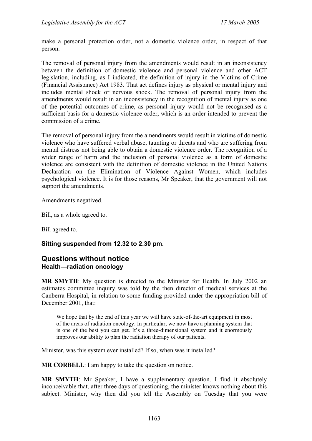make a personal protection order, not a domestic violence order, in respect of that person.

The removal of personal injury from the amendments would result in an inconsistency between the definition of domestic violence and personal violence and other ACT legislation, including, as I indicated, the definition of injury in the Victims of Crime (Financial Assistance) Act 1983. That act defines injury as physical or mental injury and includes mental shock or nervous shock. The removal of personal injury from the amendments would result in an inconsistency in the recognition of mental injury as one of the potential outcomes of crime, as personal injury would not be recognised as a sufficient basis for a domestic violence order, which is an order intended to prevent the commission of a crime.

The removal of personal injury from the amendments would result in victims of domestic violence who have suffered verbal abuse, taunting or threats and who are suffering from mental distress not being able to obtain a domestic violence order. The recognition of a wider range of harm and the inclusion of personal violence as a form of domestic violence are consistent with the definition of domestic violence in the United Nations Declaration on the Elimination of Violence Against Women, which includes psychological violence. It is for those reasons, Mr Speaker, that the government will not support the amendments.

Amendments negatived.

Bill, as a whole agreed to.

Bill agreed to.

### **Sitting suspended from 12.32 to 2.30 pm.**

## **Questions without notice Health—radiation oncology**

**MR SMYTH**: My question is directed to the Minister for Health. In July 2002 an estimates committee inquiry was told by the then director of medical services at the Canberra Hospital, in relation to some funding provided under the appropriation bill of December 2001, that:

We hope that by the end of this year we will have state-of-the-art equipment in most of the areas of radiation oncology. In particular, we now have a planning system that is one of the best you can get. It's a three-dimensional system and it enormously improves our ability to plan the radiation therapy of our patients.

Minister, was this system ever installed? If so, when was it installed?

**MR CORBELL:** I am happy to take the question on notice.

**MR SMYTH**: Mr Speaker, I have a supplementary question. I find it absolutely inconceivable that, after three days of questioning, the minister knows nothing about this subject. Minister, why then did you tell the Assembly on Tuesday that you were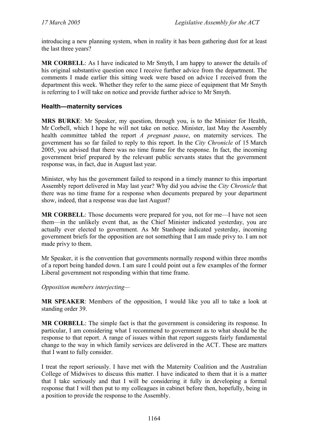introducing a new planning system, when in reality it has been gathering dust for at least the last three years?

**MR CORBELL**: As I have indicated to Mr Smyth, I am happy to answer the details of his original substantive question once I receive further advice from the department. The comments I made earlier this sitting week were based on advice I received from the department this week. Whether they refer to the same piece of equipment that Mr Smyth is referring to I will take on notice and provide further advice to Mr Smyth.

### **Health—maternity services**

**MRS BURKE**: Mr Speaker, my question, through you, is to the Minister for Health, Mr Corbell, which I hope he will not take on notice. Minister, last May the Assembly health committee tabled the report *A pregnant pause*, on maternity services. The government has so far failed to reply to this report. In the *City Chronicle* of 15 March 2005, you advised that there was no time frame for the response. In fact, the incoming government brief prepared by the relevant public servants states that the government response was, in fact, due in August last year.

Minister, why has the government failed to respond in a timely manner to this important Assembly report delivered in May last year? Why did you advise the *City Chronicle* that there was no time frame for a response when documents prepared by your department show, indeed, that a response was due last August?

**MR CORBELL**: Those documents were prepared for you, not for me—I have not seen them—in the unlikely event that, as the Chief Minister indicated yesterday, you are actually ever elected to government. As Mr Stanhope indicated yesterday, incoming government briefs for the opposition are not something that I am made privy to. I am not made privy to them.

Mr Speaker, it is the convention that governments normally respond within three months of a report being handed down. I am sure I could point out a few examples of the former Liberal government not responding within that time frame.

*Opposition members interjecting—* 

**MR SPEAKER**: Members of the opposition, I would like you all to take a look at standing order 39.

**MR CORBELL**: The simple fact is that the government is considering its response. In particular, I am considering what I recommend to government as to what should be the response to that report. A range of issues within that report suggests fairly fundamental change to the way in which family services are delivered in the ACT. These are matters that I want to fully consider.

I treat the report seriously. I have met with the Maternity Coalition and the Australian College of Midwives to discuss this matter. I have indicated to them that it is a matter that I take seriously and that I will be considering it fully in developing a formal response that I will then put to my colleagues in cabinet before then, hopefully, being in a position to provide the response to the Assembly.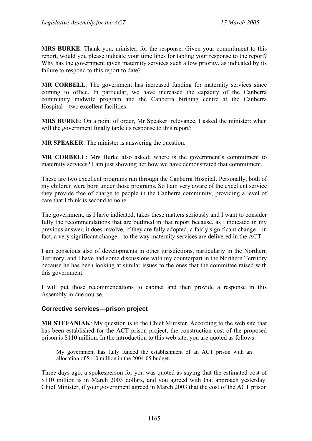**MRS BURKE**: Thank you, minister, for the response. Given your commitment to this report, would you please indicate your time lines for tabling your response to the report? Why has the government given maternity services such a low priority, as indicated by its failure to respond to this report to date?

**MR CORBELL**: The government has increased funding for maternity services since coming to office. In particular, we have increased the capacity of the Canberra community midwife program and the Canberra birthing centre at the Canberra Hospital—two excellent facilities.

**MRS BURKE**: On a point of order, Mr Speaker: relevance. I asked the minister: when will the government finally table its response to this report?

**MR SPEAKER**: The minister is answering the question.

**MR CORBELL**: Mrs Burke also asked: where is the government's commitment to maternity services? I am just showing her how we have demonstrated that commitment.

These are two excellent programs run through the Canberra Hospital. Personally, both of my children were born under those programs. So I am very aware of the excellent service they provide free of charge to people in the Canberra community, providing a level of care that I think is second to none.

The government, as I have indicated, takes these matters seriously and I want to consider fully the recommendations that are outlined in that report because, as I indicated in my previous answer, it does involve, if they are fully adopted, a fairly significant change—in fact, a very significant change—to the way maternity services are delivered in the ACT.

I am conscious also of developments in other jurisdictions, particularly in the Northern Territory, and I have had some discussions with my counterpart in the Northern Territory because he has been looking at similar issues to the ones that the committee raised with this government.

I will put those recommendations to cabinet and then provide a response in this Assembly in due course.

## **Corrective services—prison project**

**MR STEFANIAK**: My question is to the Chief Minister. According to the web site that has been established for the ACT prison project, the construction cost of the proposed prison is \$110 million. In the introduction to this web site, you are quoted as follows:

My government has fully funded the establishment of an ACT prison with an allocation of \$110 million in the 2004-05 budget.

Three days ago, a spokesperson for you was quoted as saying that the estimated cost of \$110 million is in March 2003 dollars, and you agreed with that approach yesterday. Chief Minister, if your government agreed in March 2003 that the cost of the ACT prison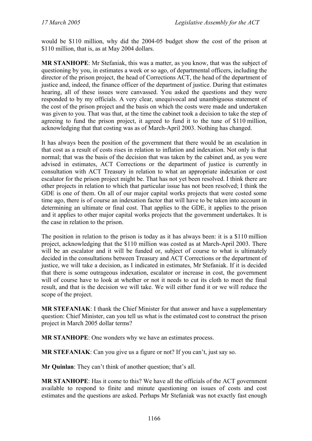would be \$110 million, why did the 2004-05 budget show the cost of the prison at \$110 million, that is, as at May 2004 dollars.

**MR STANHOPE**: Mr Stefaniak, this was a matter, as you know, that was the subject of questioning by you, in estimates a week or so ago, of departmental officers, including the director of the prison project, the head of Corrections ACT, the head of the department of justice and, indeed, the finance officer of the department of justice. During that estimates hearing, all of these issues were canvassed. You asked the questions and they were responded to by my officials. A very clear, unequivocal and unambiguous statement of the cost of the prison project and the basis on which the costs were made and undertaken was given to you. That was that, at the time the cabinet took a decision to take the step of agreeing to fund the prison project, it agreed to fund it to the tune of \$110 million, acknowledging that that costing was as of March-April 2003. Nothing has changed.

It has always been the position of the government that there would be an escalation in that cost as a result of costs rises in relation to inflation and indexation. Not only is that normal; that was the basis of the decision that was taken by the cabinet and, as you were advised in estimates, ACT Corrections or the department of justice is currently in consultation with ACT Treasury in relation to what an appropriate indexation or cost escalator for the prison project might be. That has not yet been resolved. I think there are other projects in relation to which that particular issue has not been resolved; I think the GDE is one of them. On all of our major capital works projects that were costed some time ago, there is of course an indexation factor that will have to be taken into account in determining an ultimate or final cost. That applies to the GDE, it applies to the prison and it applies to other major capital works projects that the government undertakes. It is the case in relation to the prison.

The position in relation to the prison is today as it has always been: it is a \$110 million project, acknowledging that the \$110 million was costed as at March-April 2003. There will be an escalator and it will be funded or, subject of course to what is ultimately decided in the consultations between Treasury and ACT Corrections or the department of justice, we will take a decision, as I indicated in estimates, Mr Stefaniak. If it is decided that there is some outrageous indexation, escalator or increase in cost, the government will of course have to look at whether or not it needs to cut its cloth to meet the final result, and that is the decision we will take. We will either fund it or we will reduce the scope of the project.

**MR STEFANIAK**: I thank the Chief Minister for that answer and have a supplementary question: Chief Minister, can you tell us what is the estimated cost to construct the prison project in March 2005 dollar terms?

**MR STANHOPE**: One wonders why we have an estimates process.

**MR STEFANIAK**: Can you give us a figure or not? If you can't, just say so.

**Mr Quinlan**: They can't think of another question; that's all.

**MR STANHOPE**: Has it come to this? We have all the officials of the ACT government available to respond to finite and minute questioning on issues of costs and cost estimates and the questions are asked. Perhaps Mr Stefaniak was not exactly fast enough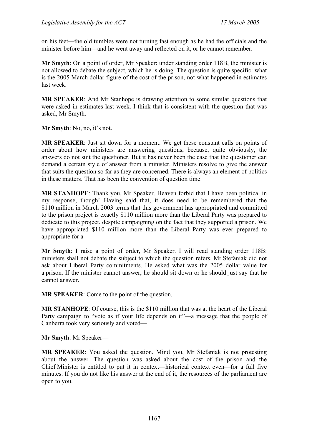on his feet—the old tumbles were not turning fast enough as he had the officials and the minister before him—and he went away and reflected on it, or he cannot remember.

**Mr Smyth**: On a point of order, Mr Speaker: under standing order 118B, the minister is not allowed to debate the subject, which he is doing. The question is quite specific: what is the 2005 March dollar figure of the cost of the prison, not what happened in estimates last week.

**MR SPEAKER**: And Mr Stanhope is drawing attention to some similar questions that were asked in estimates last week. I think that is consistent with the question that was asked, Mr Smyth.

**Mr Smyth**: No, no, it's not.

**MR SPEAKER**: Just sit down for a moment. We get these constant calls on points of order about how ministers are answering questions, because, quite obviously, the answers do not suit the questioner. But it has never been the case that the questioner can demand a certain style of answer from a minister. Ministers resolve to give the answer that suits the question so far as they are concerned. There is always an element of politics in these matters. That has been the convention of question time.

**MR STANHOPE**: Thank you, Mr Speaker. Heaven forbid that I have been political in my response, though! Having said that, it does need to be remembered that the \$110 million in March 2003 terms that this government has appropriated and committed to the prison project is exactly \$110 million more than the Liberal Party was prepared to dedicate to this project, despite campaigning on the fact that they supported a prison. We have appropriated \$110 million more than the Liberal Party was ever prepared to appropriate for a—

**Mr Smyth**: I raise a point of order, Mr Speaker. I will read standing order 118B: ministers shall not debate the subject to which the question refers. Mr Stefaniak did not ask about Liberal Party commitments. He asked what was the 2005 dollar value for a prison. If the minister cannot answer, he should sit down or he should just say that he cannot answer.

**MR SPEAKER**: Come to the point of the question.

**MR STANHOPE**: Of course, this is the \$110 million that was at the heart of the Liberal Party campaign to "vote as if your life depends on it"—a message that the people of Canberra took very seriously and voted—

**Mr Smyth**: Mr Speaker—

**MR SPEAKER**: You asked the question. Mind you, Mr Stefaniak is not protesting about the answer. The question was asked about the cost of the prison and the Chief Minister is entitled to put it in context—historical context even—for a full five minutes. If you do not like his answer at the end of it, the resources of the parliament are open to you.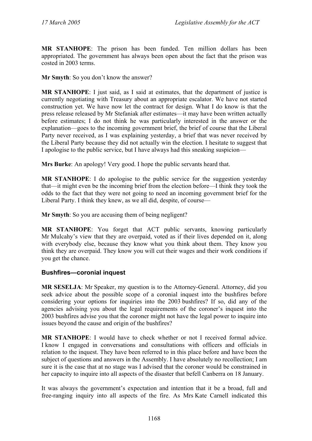**MR STANHOPE**: The prison has been funded. Ten million dollars has been appropriated. The government has always been open about the fact that the prison was costed in 2003 terms.

**Mr Smyth**: So you don't know the answer?

**MR STANHOPE**: I just said, as I said at estimates, that the department of justice is currently negotiating with Treasury about an appropriate escalator. We have not started construction yet. We have now let the contract for design. What I do know is that the press release released by Mr Stefaniak after estimates—it may have been written actually before estimates; I do not think he was particularly interested in the answer or the explanation—goes to the incoming government brief, the brief of course that the Liberal Party never received, as I was explaining yesterday, a brief that was never received by the Liberal Party because they did not actually win the election. I hesitate to suggest that I apologise to the public service, but I have always had this sneaking suspicion—

**Mrs Burke**: An apology! Very good. I hope the public servants heard that.

**MR STANHOPE**: I do apologise to the public service for the suggestion yesterday that—it might even be the incoming brief from the election before—I think they took the odds to the fact that they were not going to need an incoming government brief for the Liberal Party. I think they knew, as we all did, despite, of course—

**Mr Smyth**: So you are accusing them of being negligent?

**MR STANHOPE**: You forget that ACT public servants, knowing particularly Mr Mulcahy's view that they are overpaid, voted as if their lives depended on it, along with everybody else, because they know what you think about them. They know you think they are overpaid. They know you will cut their wages and their work conditions if you get the chance.

### **Bushfires—coronial inquest**

**MR SESELJA**: Mr Speaker, my question is to the Attorney-General. Attorney, did you seek advice about the possible scope of a coronial inquest into the bushfires before considering your options for inquiries into the 2003 bushfires? If so, did any of the agencies advising you about the legal requirements of the coroner's inquest into the 2003 bushfires advise you that the coroner might not have the legal power to inquire into issues beyond the cause and origin of the bushfires?

**MR STANHOPE**: I would have to check whether or not I received formal advice. I know I engaged in conversations and consultations with officers and officials in relation to the inquest. They have been referred to in this place before and have been the subject of questions and answers in the Assembly. I have absolutely no recollection; I am sure it is the case that at no stage was I advised that the coroner would be constrained in her capacity to inquire into all aspects of the disaster that befell Canberra on 18 January.

It was always the government's expectation and intention that it be a broad, full and free-ranging inquiry into all aspects of the fire. As Mrs Kate Carnell indicated this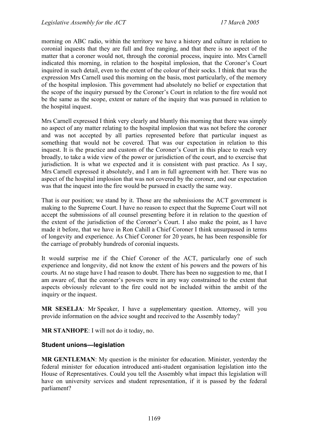morning on ABC radio, within the territory we have a history and culture in relation to coronial inquests that they are full and free ranging, and that there is no aspect of the matter that a coroner would not, through the coronial process, inquire into. Mrs Carnell indicated this morning, in relation to the hospital implosion, that the Coroner's Court inquired in such detail, even to the extent of the colour of their socks. I think that was the expression Mrs Carnell used this morning on the basis, most particularly, of the memory of the hospital implosion. This government had absolutely no belief or expectation that the scope of the inquiry pursued by the Coroner's Court in relation to the fire would not be the same as the scope, extent or nature of the inquiry that was pursued in relation to the hospital inquest.

Mrs Carnell expressed I think very clearly and bluntly this morning that there was simply no aspect of any matter relating to the hospital implosion that was not before the coroner and was not accepted by all parties represented before that particular inquest as something that would not be covered. That was our expectation in relation to this inquest. It is the practice and custom of the Coroner's Court in this place to reach very broadly, to take a wide view of the power or jurisdiction of the court, and to exercise that jurisdiction. It is what we expected and it is consistent with past practice. As I say, Mrs Carnell expressed it absolutely, and I am in full agreement with her. There was no aspect of the hospital implosion that was not covered by the coroner, and our expectation was that the inquest into the fire would be pursued in exactly the same way.

That is our position; we stand by it. Those are the submissions the ACT government is making to the Supreme Court. I have no reason to expect that the Supreme Court will not accept the submissions of all counsel presenting before it in relation to the question of the extent of the jurisdiction of the Coroner's Court. I also make the point, as I have made it before, that we have in Ron Cahill a Chief Coroner I think unsurpassed in terms of longevity and experience. As Chief Coroner for 20 years, he has been responsible for the carriage of probably hundreds of coronial inquests.

It would surprise me if the Chief Coroner of the ACT, particularly one of such experience and longevity, did not know the extent of his powers and the powers of his courts. At no stage have I had reason to doubt. There has been no suggestion to me, that I am aware of, that the coroner's powers were in any way constrained to the extent that aspects obviously relevant to the fire could not be included within the ambit of the inquiry or the inquest.

**MR SESELJA**: Mr Speaker, I have a supplementary question. Attorney, will you provide information on the advice sought and received to the Assembly today?

**MR STANHOPE**: I will not do it today, no.

## **Student unions—legislation**

**MR GENTLEMAN**: My question is the minister for education. Minister, yesterday the federal minister for education introduced anti-student organisation legislation into the House of Representatives. Could you tell the Assembly what impact this legislation will have on university services and student representation, if it is passed by the federal parliament?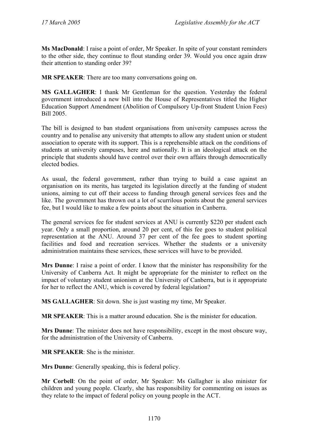**Ms MacDonald**: I raise a point of order, Mr Speaker. In spite of your constant reminders to the other side, they continue to flout standing order 39. Would you once again draw their attention to standing order 39?

**MR SPEAKER**: There are too many conversations going on.

**MS GALLAGHER**: I thank Mr Gentleman for the question. Yesterday the federal government introduced a new bill into the House of Representatives titled the Higher Education Support Amendment (Abolition of Compulsory Up-front Student Union Fees) Bill 2005.

The bill is designed to ban student organisations from university campuses across the country and to penalise any university that attempts to allow any student union or student association to operate with its support. This is a reprehensible attack on the conditions of students at university campuses, here and nationally. It is an ideological attack on the principle that students should have control over their own affairs through democratically elected bodies.

As usual, the federal government, rather than trying to build a case against an organisation on its merits, has targeted its legislation directly at the funding of student unions, aiming to cut off their access to funding through general services fees and the like. The government has thrown out a lot of scurrilous points about the general services fee, but I would like to make a few points about the situation in Canberra.

The general services fee for student services at ANU is currently \$220 per student each year. Only a small proportion, around 20 per cent, of this fee goes to student political representation at the ANU. Around 37 per cent of the fee goes to student sporting facilities and food and recreation services. Whether the students or a university administration maintains these services, these services will have to be provided.

**Mrs Dunne**: I raise a point of order. I know that the minister has responsibility for the University of Canberra Act. It might be appropriate for the minister to reflect on the impact of voluntary student unionism at the University of Canberra, but is it appropriate for her to reflect the ANU, which is covered by federal legislation?

**MS GALLAGHER**: Sit down. She is just wasting my time, Mr Speaker.

**MR SPEAKER**: This is a matter around education. She is the minister for education.

**Mrs Dunne**: The minister does not have responsibility, except in the most obscure way, for the administration of the University of Canberra.

**MR SPEAKER**: She is the minister.

**Mrs Dunne**: Generally speaking, this is federal policy.

**Mr Corbell**: On the point of order, Mr Speaker: Ms Gallagher is also minister for children and young people. Clearly, she has responsibility for commenting on issues as they relate to the impact of federal policy on young people in the ACT.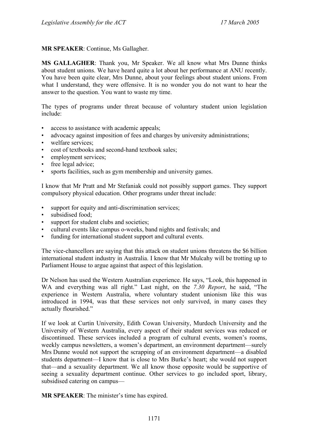**MR SPEAKER**: Continue, Ms Gallagher.

**MS GALLAGHER**: Thank you, Mr Speaker. We all know what Mrs Dunne thinks about student unions. We have heard quite a lot about her performance at ANU recently. You have been quite clear, Mrs Dunne, about your feelings about student unions. From what I understand, they were offensive. It is no wonder you do not want to hear the answer to the question. You want to waste my time.

The types of programs under threat because of voluntary student union legislation include:

- access to assistance with academic appeals;
- advocacy against imposition of fees and charges by university administrations;
- welfare services:
- cost of textbooks and second-hand textbook sales;
- employment services;
- free legal advice;
- sports facilities, such as gym membership and university games.

I know that Mr Pratt and Mr Stefaniak could not possibly support games. They support compulsory physical education. Other programs under threat include:

- support for equity and anti-discrimination services;
- subsidised food;
- support for student clubs and societies;
- cultural events like campus o-weeks, band nights and festivals; and
- funding for international student support and cultural events.

The vice-chancellors are saying that this attack on student unions threatens the \$6 billion international student industry in Australia. I know that Mr Mulcahy will be trotting up to Parliament House to argue against that aspect of this legislation.

Dr Nelson has used the Western Australian experience. He says, "Look, this happened in WA and everything was all right." Last night, on the *7.30 Report*, he said, "The experience in Western Australia, where voluntary student unionism like this was introduced in 1994, was that these services not only survived, in many cases they actually flourished."

If we look at Curtin University, Edith Cowan University, Murdoch University and the University of Western Australia, every aspect of their student services was reduced or discontinued. These services included a program of cultural events, women's rooms, weekly campus newsletters, a women's department, an environment department—surely Mrs Dunne would not support the scrapping of an environment department—a disabled students department—I know that is close to Mrs Burke's heart; she would not support that—and a sexuality department. We all know those opposite would be supportive of seeing a sexuality department continue. Other services to go included sport, library, subsidised catering on campus—

**MR SPEAKER**: The minister's time has expired.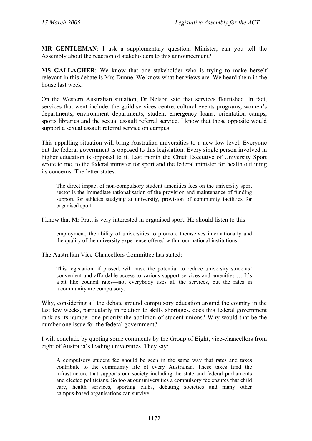**MR GENTLEMAN**: I ask a supplementary question. Minister, can you tell the Assembly about the reaction of stakeholders to this announcement?

**MS GALLAGHER**: We know that one stakeholder who is trying to make herself relevant in this debate is Mrs Dunne. We know what her views are. We heard them in the house last week.

On the Western Australian situation, Dr Nelson said that services flourished. In fact, services that went include: the guild services centre, cultural events programs, women's departments, environment departments, student emergency loans, orientation camps, sports libraries and the sexual assault referral service. I know that those opposite would support a sexual assault referral service on campus.

This appalling situation will bring Australian universities to a new low level. Everyone but the federal government is opposed to this legislation. Every single person involved in higher education is opposed to it. Last month the Chief Executive of University Sport wrote to me, to the federal minister for sport and the federal minister for health outlining its concerns. The letter states:

The direct impact of non-compulsory student amenities fees on the university sport sector is the immediate rationalisation of the provision and maintenance of funding support for athletes studying at university, provision of community facilities for organised sport—

I know that Mr Pratt is very interested in organised sport. He should listen to this—

employment, the ability of universities to promote themselves internationally and the quality of the university experience offered within our national institutions.

The Australian Vice-Chancellors Committee has stated:

This legislation, if passed, will have the potential to reduce university students' convenient and affordable access to various support services and amenities … It's a bit like council rates—not everybody uses all the services, but the rates in a community are compulsory.

Why, considering all the debate around compulsory education around the country in the last few weeks, particularly in relation to skills shortages, does this federal government rank as its number one priority the abolition of student unions? Why would that be the number one issue for the federal government?

I will conclude by quoting some comments by the Group of Eight, vice-chancellors from eight of Australia's leading universities. They say:

A compulsory student fee should be seen in the same way that rates and taxes contribute to the community life of every Australian. These taxes fund the infrastructure that supports our society including the state and federal parliaments and elected politicians. So too at our universities a compulsory fee ensures that child care, health services, sporting clubs, debating societies and many other campus-based organisations can survive …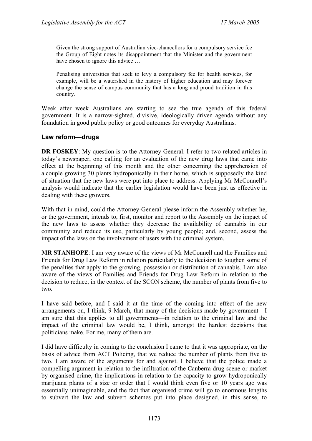Given the strong support of Australian vice-chancellors for a compulsory service fee the Group of Eight notes its disappointment that the Minister and the government have chosen to ignore this advice ...

Penalising universities that seek to levy a compulsory fee for health services, for example, will be a watershed in the history of higher education and may forever change the sense of campus community that has a long and proud tradition in this country.

Week after week Australians are starting to see the true agenda of this federal government. It is a narrow-sighted, divisive, ideologically driven agenda without any foundation in good public policy or good outcomes for everyday Australians.

### **Law reform—drugs**

**DR FOSKEY:** My question is to the Attorney-General. I refer to two related articles in today's newspaper, one calling for an evaluation of the new drug laws that came into effect at the beginning of this month and the other concerning the apprehension of a couple growing 30 plants hydroponically in their home, which is supposedly the kind of situation that the new laws were put into place to address. Applying Mr McConnell's analysis would indicate that the earlier legislation would have been just as effective in dealing with these growers.

With that in mind, could the Attorney-General please inform the Assembly whether he, or the government, intends to, first, monitor and report to the Assembly on the impact of the new laws to assess whether they decrease the availability of cannabis in our community and reduce its use, particularly by young people; and, second, assess the impact of the laws on the involvement of users with the criminal system.

**MR STANHOPE**: I am very aware of the views of Mr McConnell and the Families and Friends for Drug Law Reform in relation particularly to the decision to toughen some of the penalties that apply to the growing, possession or distribution of cannabis. I am also aware of the views of Families and Friends for Drug Law Reform in relation to the decision to reduce, in the context of the SCON scheme, the number of plants from five to two.

I have said before, and I said it at the time of the coming into effect of the new arrangements on, I think, 9 March, that many of the decisions made by government—I am sure that this applies to all governments—in relation to the criminal law and the impact of the criminal law would be, I think, amongst the hardest decisions that politicians make. For me, many of them are.

I did have difficulty in coming to the conclusion I came to that it was appropriate, on the basis of advice from ACT Policing, that we reduce the number of plants from five to two. I am aware of the arguments for and against. I believe that the police made a compelling argument in relation to the infiltration of the Canberra drug scene or market by organised crime, the implications in relation to the capacity to grow hydroponically marijuana plants of a size or order that I would think even five or 10 years ago was essentially unimaginable, and the fact that organised crime will go to enormous lengths to subvert the law and subvert schemes put into place designed, in this sense, to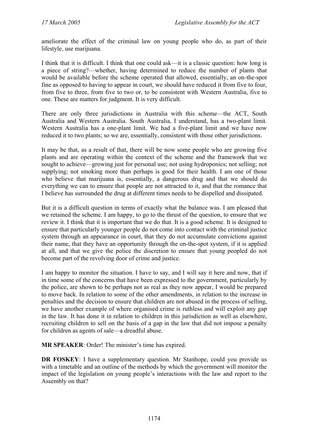ameliorate the effect of the criminal law on young people who do, as part of their lifestyle, use marijuana.

I think that it is difficult. I think that one could ask—it is a classic question: how long is a piece of string?—whether, having determined to reduce the number of plants that would be available before the scheme operated that allowed, essentially, an on-the-spot fine as opposed to having to appear in court, we should have reduced it from five to four, from five to three, from five to two or, to be consistent with Western Australia, five to one. These are matters for judgment. It is very difficult.

There are only three jurisdictions in Australia with this scheme—the ACT, South Australia and Western Australia. South Australia, I understand, has a two-plant limit. Western Australia has a one-plant limit. We had a five-plant limit and we have now reduced it to two plants; so we are, essentially, consistent with those other jurisdictions.

It may be that, as a result of that, there will be now some people who are growing five plants and are operating within the context of the scheme and the framework that we sought to achieve—growing just for personal use; not using hydroponics; not selling; not supplying; not smoking more than perhaps is good for their health. I am one of those who believe that marijuana is, essentially, a dangerous drug and that we should do everything we can to ensure that people are not attracted to it, and that the romance that I believe has surrounded the drug at different times needs to be dispelled and dissipated.

But it is a difficult question in terms of exactly what the balance was. I am pleased that we retained the scheme. I am happy, to go to the thrust of the question, to ensure that we review it. I think that it is important that we do that. It is a good scheme. It is designed to ensure that particularly younger people do not come into contact with the criminal justice system through an appearance in court, that they do not accumulate convictions against their name, that they have an opportunity through the on-the-spot system, if it is applied at all, and that we give the police the discretion to ensure that young peopled do not become part of the revolving door of crime and justice.

I am happy to monitor the situation. I have to say, and I will say it here and now, that if in time some of the concerns that have been expressed to the government, particularly by the police, are shown to be perhaps not as real as they now appear, I would be prepared to move back. In relation to some of the other amendments, in relation to the increase in penalties and the decision to ensure that children are not abused in the process of selling, we have another example of where organised crime is ruthless and will exploit any gap in the law. It has done it in relation to children in this jurisdiction as well as elsewhere, recruiting children to sell on the basis of a gap in the law that did not impose a penalty for children as agents of sale—a dreadful abuse.

**MR SPEAKER**: Order! The minister's time has expired.

**DR FOSKEY**: I have a supplementary question. Mr Stanhope, could you provide us with a timetable and an outline of the methods by which the government will monitor the impact of the legislation on young people's interactions with the law and report to the Assembly on that?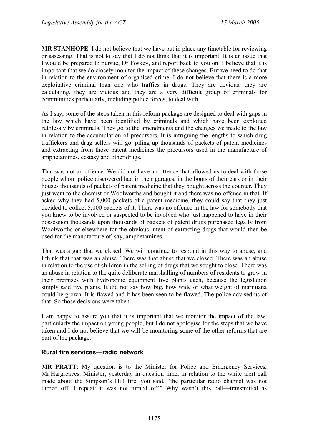**MR STANHOPE**: I do not believe that we have put in place any timetable for reviewing or assessing. That is not to say that I do not think that it is important. It is an issue that I would be prepared to pursue, Dr Foskey, and report back to you on. I believe that it is important that we do closely monitor the impact of these changes. But we need to do that in relation to the environment of organised crime. I do not believe that there is a more exploitative criminal than one who traffics in drugs. They are devious, they are calculating, they are vicious and they are a very difficult group of criminals for communities particularly, including police forces, to deal with.

As I say, some of the steps taken in this reform package are designed to deal with gaps in the law which have been identified by criminals and which have been exploited ruthlessly by criminals. They go to the amendments and the changes we made to the law in relation to the accumulation of precursors. It is intriguing the lengths to which drug traffickers and drug sellers will go, piling up thousands of packets of patent medicines and extracting from those patent medicines the precursors used in the manufacture of amphetamines, ecstasy and other drugs.

That was not an offence. We did not have an offence that allowed us to deal with those people whom police discovered had in their garages, in the boots of their cars or in their houses thousands of packets of patent medicine that they bought across the counter. They just went to the chemist or Woolworths and bought it and there was no offence in that. If asked why they had 5,000 packets of a patent medicine, they could say that they just decided to collect 5,000 packets of it. There was no offence in the law for somebody that you knew to be involved or suspected to be involved who just happened to have in their possession thousands upon thousands of packets of patent drugs purchased legally from Woolworths or elsewhere for the obvious intent of extracting drugs that would then be used for the manufacture of, say, amphetamines.

That was a gap that we closed. We will continue to respond in this way to abuse, and I think that that was an abuse. There was that abuse that we closed. There was an abuse in relation to the use of children in the selling of drugs that we sought to close. There was an abuse in relation to the quite deliberate marshalling of numbers of residents to grow in their premises with hydroponic equipment five plants each, because the legislation simply said five plants. It did not say how big, how wide or what weight of marijuana could be grown. It is flawed and it has been seen to be flawed. The police advised us of that. So those decisions were taken.

I am happy to assure you that it is important that we monitor the impact of the law, particularly the impact on young people, but I do not apologise for the steps that we have taken and I do not believe that we will be monitoring some of the other reforms that are part of the package.

### **Rural fire services—radio network**

**MR PRATT**: My question is to the Minister for Police and Emergency Services, Mr Hargreaves. Minister, yesterday in question time, in relation to the white alert call made about the Simpson's Hill fire, you said, "the particular radio channel was not turned off. I repeat: it was not turned off." Why wasn't this call—transmitted as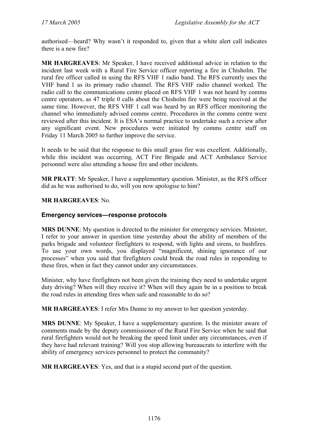authorised—heard? Why wasn't it responded to, given that a white alert call indicates there is a new fire?

**MR HARGREAVES**: Mr Speaker, I have received additional advice in relation to the incident last week with a Rural Fire Service officer reporting a fire in Chisholm. The rural fire officer called in using the RFS VHF 1 radio band. The RFS currently uses the VHF band 1 as its primary radio channel. The RFS VHF radio channel worked. The radio call to the communications centre placed on RFS VHF 1 was not heard by comms centre operators, as 47 triple 0 calls about the Chisholm fire were being received at the same time. However, the RFS VHF 1 call was heard by an RFS officer monitoring the channel who immediately advised comms centre. Procedures in the comms centre were reviewed after this incident. It is ESA's normal practice to undertake such a review after any significant event. New procedures were initiated by comms centre staff on Friday 11 March 2005 to further improve the service.

It needs to be said that the response to this small grass fire was excellent. Additionally, while this incident was occurring, ACT Fire Brigade and ACT Ambulance Service personnel were also attending a house fire and other incidents.

**MR PRATT**: Mr Speaker, I have a supplementary question. Minister, as the RFS officer did as he was authorised to do, will you now apologise to him?

### **MR HARGREAVES**: No.

#### **Emergency services—response protocols**

**MRS DUNNE**: My question is directed to the minister for emergency services. Minister, I refer to your answer in question time yesterday about the ability of members of the parks brigade and volunteer firefighters to respond, with lights and sirens, to bushfires. To use your own words, you displayed "magnificent, shining ignorance of our processes" when you said that firefighters could break the road rules in responding to these fires, when in fact they cannot under any circumstances.

Minister, why have firefighters not been given the training they need to undertake urgent duty driving? When will they receive it? When will they again be in a position to break the road rules in attending fires when safe and reasonable to do so?

**MR HARGREAVES**: I refer Mrs Dunne to my answer to her question yesterday.

**MRS DUNNE**: My Speaker, I have a supplementary question. Is the minister aware of comments made by the deputy commissioner of the Rural Fire Service when he said that rural firefighters would not be breaking the speed limit under any circumstances, even if they have had relevant training? Will you stop allowing bureaucrats to interfere with the ability of emergency services personnel to protect the community?

**MR HARGREAVES**: Yes, and that is a stupid second part of the question.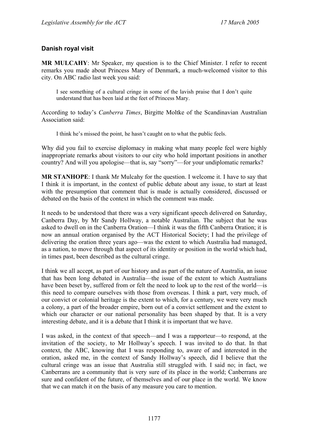## **Danish royal visit**

**MR MULCAHY**: Mr Speaker, my question is to the Chief Minister. I refer to recent remarks you made about Princess Mary of Denmark, a much-welcomed visitor to this city. On ABC radio last week you said:

I see something of a cultural cringe in some of the lavish praise that I don't quite understand that has been laid at the feet of Princess Mary.

According to today's *Canberra Times*, Birgitte Moltke of the Scandinavian Australian Association said:

I think he's missed the point, he hasn't caught on to what the public feels.

Why did you fail to exercise diplomacy in making what many people feel were highly inappropriate remarks about visitors to our city who hold important positions in another country? And will you apologise—that is, say "sorry"—for your undiplomatic remarks?

**MR STANHOPE**: I thank Mr Mulcahy for the question. I welcome it. I have to say that I think it is important, in the context of public debate about any issue, to start at least with the presumption that comment that is made is actually considered, discussed or debated on the basis of the context in which the comment was made.

It needs to be understood that there was a very significant speech delivered on Saturday, Canberra Day, by Mr Sandy Hollway, a notable Australian. The subject that he was asked to dwell on in the Canberra Oration—I think it was the fifth Canberra Oration; it is now an annual oration organised by the ACT Historical Society; I had the privilege of delivering the oration three years ago—was the extent to which Australia had managed, as a nation, to move through that aspect of its identity or position in the world which had, in times past, been described as the cultural cringe.

I think we all accept, as part of our history and as part of the nature of Australia, an issue that has been long debated in Australia—the issue of the extent to which Australians have been beset by, suffered from or felt the need to look up to the rest of the world—is this need to compare ourselves with those from overseas. I think a part, very much, of our convict or colonial heritage is the extent to which, for a century, we were very much a colony, a part of the broader empire, born out of a convict settlement and the extent to which our character or our national personality has been shaped by that. It is a very interesting debate, and it is a debate that I think it is important that we have.

I was asked, in the context of that speech—and I was a rapporteur—to respond, at the invitation of the society, to Mr Hollway's speech. I was invited to do that. In that context, the ABC, knowing that I was responding to, aware of and interested in the oration, asked me, in the context of Sandy Hollway's speech, did I believe that the cultural cringe was an issue that Australia still struggled with. I said no; in fact, we Canberrans are a community that is very sure of its place in the world; Canberrans are sure and confident of the future, of themselves and of our place in the world. We know that we can match it on the basis of any measure you care to mention.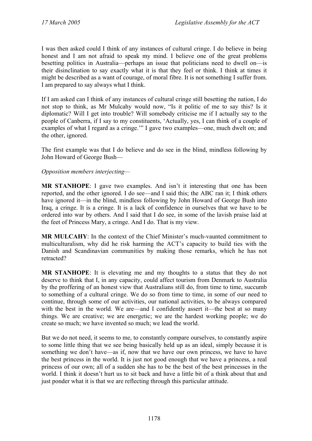I was then asked could I think of any instances of cultural cringe. I do believe in being honest and I am not afraid to speak my mind. I believe one of the great problems besetting politics in Australia—perhaps an issue that politicians need to dwell on—is their disinclination to say exactly what it is that they feel or think. I think at times it might be described as a want of courage, of moral fibre. It is not something I suffer from. I am prepared to say always what I think.

If I am asked can I think of any instances of cultural cringe still besetting the nation, I do not stop to think, as Mr Mulcahy would now, "Is it politic of me to say this? Is it diplomatic? Will I get into trouble? Will somebody criticise me if I actually say to the people of Canberra, if I say to my constituents, 'Actually, yes, I can think of a couple of examples of what I regard as a cringe.'" I gave two examples—one, much dwelt on; and the other, ignored.

The first example was that I do believe and do see in the blind, mindless following by John Howard of George Bush—

### *Opposition members interjecting—*

**MR STANHOPE**: I gave two examples. And isn't it interesting that one has been reported, and the other ignored. I do see—and I said this; the ABC ran it; I think others have ignored it—in the blind, mindless following by John Howard of George Bush into Iraq, a cringe. It is a cringe. It is a lack of confidence in ourselves that we have to be ordered into war by others. And I said that I do see, in some of the lavish praise laid at the feet of Princess Mary, a cringe. And I do. That is my view.

**MR MULCAHY**: In the context of the Chief Minister's much-vaunted commitment to multiculturalism, why did he risk harming the ACT's capacity to build ties with the Danish and Scandinavian communities by making those remarks, which he has not retracted?

**MR STANHOPE**: It is elevating me and my thoughts to a status that they do not deserve to think that I, in any capacity, could affect tourism from Denmark to Australia by the proffering of an honest view that Australians still do, from time to time, succumb to something of a cultural cringe. We do so from time to time, in some of our need to continue, through some of our activities, our national activities, to be always compared with the best in the world. We are—and I confidently assert it—the best at so many things. We are creative; we are energetic; we are the hardest working people; we do create so much; we have invented so much; we lead the world.

But we do not need, it seems to me, to constantly compare ourselves, to constantly aspire to some little thing that we see being basically held up as an ideal, simply because it is something we don't have—as if, now that we have our own princess, we have to have the best princess in the world. It is just not good enough that we have a princess, a real princess of our own; all of a sudden she has to be the best of the best princesses in the world. I think it doesn't hurt us to sit back and have a little bit of a think about that and just ponder what it is that we are reflecting through this particular attitude.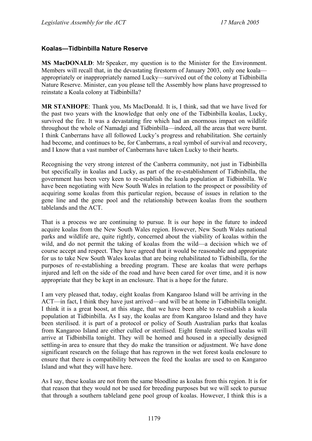### **Koalas—Tidbinbilla Nature Reserve**

**MS MacDONALD**: Mr Speaker, my question is to the Minister for the Environment. Members will recall that, in the devastating firestorm of January 2003, only one koala appropriately or inappropriately named Lucky—survived out of the colony at Tidbinbilla Nature Reserve. Minister, can you please tell the Assembly how plans have progressed to reinstate a Koala colony at Tidbinbilla?

**MR STANHOPE**: Thank you, Ms MacDonald. It is, I think, sad that we have lived for the past two years with the knowledge that only one of the Tidbinbilla koalas, Lucky, survived the fire. It was a devastating fire which had an enormous impact on wildlife throughout the whole of Namadgi and Tidbinbilla—indeed, all the areas that were burnt. I think Canberrans have all followed Lucky's progress and rehabilitation. She certainly had become, and continues to be, for Canberrans, a real symbol of survival and recovery, and I know that a vast number of Canberrans have taken Lucky to their hearts.

Recognising the very strong interest of the Canberra community, not just in Tidbinbilla but specifically in koalas and Lucky, as part of the re-establishment of Tidbinbilla, the government has been very keen to re-establish the koala population at Tidbinbilla. We have been negotiating with New South Wales in relation to the prospect or possibility of acquiring some koalas from this particular region, because of issues in relation to the gene line and the gene pool and the relationship between koalas from the southern tablelands and the ACT.

That is a process we are continuing to pursue. It is our hope in the future to indeed acquire koalas from the New South Wales region. However, New South Wales national parks and wildlife are, quite rightly, concerned about the viability of koalas within the wild, and do not permit the taking of koalas from the wild—a decision which we of course accept and respect. They have agreed that it would be reasonable and appropriate for us to take New South Wales koalas that are being rehabilitated to Tidbinbilla, for the purposes of re-establishing a breeding program. These are koalas that were perhaps injured and left on the side of the road and have been cared for over time, and it is now appropriate that they be kept in an enclosure. That is a hope for the future.

I am very pleased that, today, eight koalas from Kangaroo Island will be arriving in the ACT—in fact, I think they have just arrived—and will be at home in Tidbinbilla tonight. I think it is a great boost, at this stage, that we have been able to re-establish a koala population at Tidbinbilla. As I say, the koalas are from Kangaroo Island and they have been sterilised. it is part of a protocol or policy of South Australian parks that koalas from Kangaroo Island are either culled or sterilised. Eight female sterilised koalas will arrive at Tidbinbilla tonight. They will be homed and housed in a specially designed settling-in area to ensure that they do make the transition or adjustment. We have done significant research on the foliage that has regrown in the wet forest koala enclosure to ensure that there is compatibility between the feed the koalas are used to on Kangaroo Island and what they will have here.

As I say, these koalas are not from the same bloodline as koalas from this region. It is for that reason that they would not be used for breeding purposes but we will seek to pursue that through a southern tableland gene pool group of koalas. However, I think this is a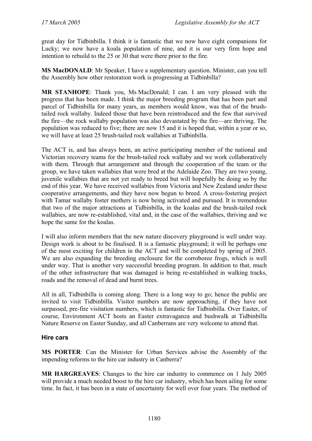great day for Tidbinbilla. I think it is fantastic that we now have eight companions for Lucky; we now have a koala population of nine, and it is our very firm hope and intention to rebuild to the 25 or 30 that were there prior to the fire.

**MS MacDONALD**: Mr Speaker, I have a supplementary question. Minister, can you tell the Assembly how other restoration work is progressing at Tidbinbilla?

**MR STANHOPE**: Thank you, Ms MacDonald; I can. I am very pleased with the progress that has been made. I think the major breeding program that has been part and parcel of Tidbinbilla for many years, as members would know, was that of the brushtailed rock wallaby. Indeed those that have been reintroduced and the few that survived the fire—the rock wallaby population was also devastated by the fire—are thriving. The population was reduced to five; there are now 15 and it is hoped that, within a year or so, we will have at least 25 brush-tailed rock wallabies at Tidbinbilla.

The ACT is, and has always been, an active participating member of the national and Victorian recovery teams for the brush-tailed rock wallaby and we work collaboratively with them. Through that arrangement and through the cooperation of the team or the group, we have taken wallabies that were bred at the Adelaide Zoo. They are two young, juvenile wallabies that are not yet ready to breed but will hopefully be doing so by the end of this year. We have received wallabies from Victoria and New Zealand under these cooperative arrangements, and they have now begun to breed. A cross-fostering project with Tamar wallaby foster mothers is now being activated and pursued. It is tremendous that two of the major attractions at Tidbinbilla, in the koalas and the brush-tailed rock wallabies, are now re-established, vital and, in the case of the wallabies, thriving and we hope the same for the koalas.

I will also inform members that the new nature discovery playground is well under way. Design work is about to be finalised. It is a fantastic playground; it will be perhaps one of the most exciting for children in the ACT and will be completed by spring of 2005. We are also expanding the breeding enclosure for the corroboree frogs, which is well under way. That is another very successful breeding program. In addition to that, much of the other infrastructure that was damaged is being re-established in walking tracks, roads and the removal of dead and burnt trees.

All in all, Tidbinbilla is coming along. There is a long way to go; hence the public are invited to visit Tidbinbilla. Visitor numbers are now approaching, if they have not surpassed, pre-fire visitation numbers, which is fantastic for Tidbinbilla. Over Easter, of course, Environment ACT hosts an Easter extravaganza and bushwalk at Tidbinbilla Nature Reserve on Easter Sunday, and all Canberrans are very welcome to attend that.

### **Hire cars**

**MS PORTER**: Can the Minister for Urban Services advise the Assembly of the impending reforms to the hire car industry in Canberra?

**MR HARGREAVES**: Changes to the hire car industry to commence on 1 July 2005 will provide a much needed boost to the hire car industry, which has been ailing for some time. In fact, it has been in a state of uncertainty for well over four years. The method of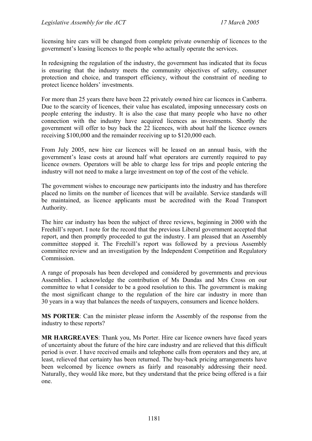licensing hire cars will be changed from complete private ownership of licences to the government's leasing licences to the people who actually operate the services.

In redesigning the regulation of the industry, the government has indicated that its focus is ensuring that the industry meets the community objectives of safety, consumer protection and choice, and transport efficiency, without the constraint of needing to protect licence holders' investments.

For more than 25 years there have been 22 privately owned hire car licences in Canberra. Due to the scarcity of licences, their value has escalated, imposing unnecessary costs on people entering the industry. It is also the case that many people who have no other connection with the industry have acquired licences as investments. Shortly the government will offer to buy back the 22 licences, with about half the licence owners receiving \$100,000 and the remainder receiving up to \$120,000 each.

From July 2005, new hire car licences will be leased on an annual basis, with the government's lease costs at around half what operators are currently required to pay licence owners. Operators will be able to charge less for trips and people entering the industry will not need to make a large investment on top of the cost of the vehicle.

The government wishes to encourage new participants into the industry and has therefore placed no limits on the number of licences that will be available. Service standards will be maintained, as licence applicants must be accredited with the Road Transport Authority.

The hire car industry has been the subject of three reviews, beginning in 2000 with the Freehill's report. I note for the record that the previous Liberal government accepted that report, and then promptly proceeded to gut the industry. I am pleased that an Assembly committee stopped it. The Freehill's report was followed by a previous Assembly committee review and an investigation by the Independent Competition and Regulatory Commission.

A range of proposals has been developed and considered by governments and previous Assemblies. I acknowledge the contribution of Ms Dundas and Mrs Cross on our committee to what I consider to be a good resolution to this. The government is making the most significant change to the regulation of the hire car industry in more than 30 years in a way that balances the needs of taxpayers, consumers and licence holders.

**MS PORTER**: Can the minister please inform the Assembly of the response from the industry to these reports?

**MR HARGREAVES**: Thank you, Ms Porter. Hire car licence owners have faced years of uncertainty about the future of the hire care industry and are relieved that this difficult period is over. I have received emails and telephone calls from operators and they are, at least, relieved that certainty has been returned. The buy-back pricing arrangements have been welcomed by licence owners as fairly and reasonably addressing their need. Naturally, they would like more, but they understand that the price being offered is a fair one.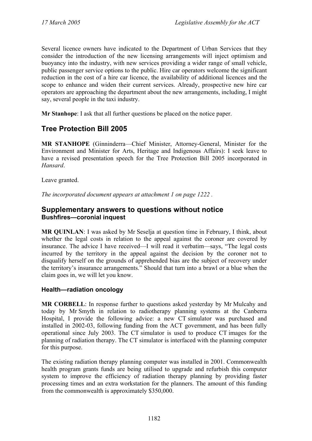Several licence owners have indicated to the Department of Urban Services that they consider the introduction of the new licensing arrangements will inject optimism and buoyancy into the industry, with new services providing a wider range of small vehicle, public passenger service options to the public. Hire car operators welcome the significant reduction in the cost of a hire car licence, the availability of additional licences and the scope to enhance and widen their current services. Already, prospective new hire car operators are approaching the department about the new arrangements, including, I might say, several people in the taxi industry.

**Mr Stanhope**: I ask that all further questions be placed on the notice paper.

# **Tree Protection Bill 2005**

**MR STANHOPE** (Ginninderra—Chief Minister, Attorney-General, Minister for the Environment and Minister for Arts, Heritage and Indigenous Affairs): I seek leave to have a revised presentation speech for the Tree Protection Bill 2005 incorporated in *Hansard*.

Leave granted.

*The incorporated document appears at attachment 1 on page 1222 .*

## **Supplementary answers to questions without notice Bushfires—coronial inquest**

**MR QUINLAN**: I was asked by Mr Seselja at question time in February, I think, about whether the legal costs in relation to the appeal against the coroner are covered by insurance. The advice I have received—I will read it verbatim—says, "The legal costs incurred by the territory in the appeal against the decision by the coroner not to disqualify herself on the grounds of apprehended bias are the subject of recovery under the territory's insurance arrangements." Should that turn into a brawl or a blue when the claim goes in, we will let you know.

### **Health—radiation oncology**

**MR CORBELL**: In response further to questions asked yesterday by Mr Mulcahy and today by Mr Smyth in relation to radiotherapy planning systems at the Canberra Hospital, I provide the following advice: a new CT simulator was purchased and installed in 2002-03, following funding from the ACT government, and has been fully operational since July 2003. The CT simulator is used to produce CT images for the planning of radiation therapy. The CT simulator is interfaced with the planning computer for this purpose.

The existing radiation therapy planning computer was installed in 2001. Commonwealth health program grants funds are being utilised to upgrade and refurbish this computer system to improve the efficiency of radiation therapy planning by providing faster processing times and an extra workstation for the planners. The amount of this funding from the commonwealth is approximately \$350,000.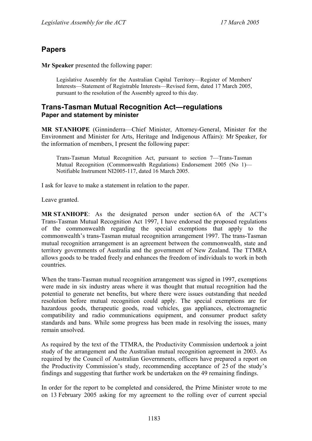# **Papers**

**Mr Speaker** presented the following paper:

Legislative Assembly for the Australian Capital Territory—Register of Members' Interests—Statement of Registrable Interests—Revised form, dated 17 March 2005, pursuant to the resolution of the Assembly agreed to this day.

### **Trans-Tasman Mutual Recognition Act—regulations Paper and statement by minister**

**MR STANHOPE** (Ginninderra—Chief Minister, Attorney-General, Minister for the Environment and Minister for Arts, Heritage and Indigenous Affairs): Mr Speaker, for the information of members, I present the following paper:

Trans-Tasman Mutual Recognition Act, pursuant to section 7—Trans-Tasman Mutual Recognition (Commonwealth Regulations) Endorsement 2005 (No 1)— Notifiable Instrument NI2005-117, dated 16 March 2005.

I ask for leave to make a statement in relation to the paper.

Leave granted.

**MR STANHOPE**: As the designated person under section 6A of the ACT's Trans-Tasman Mutual Recognition Act 1997, I have endorsed the proposed regulations of the commonwealth regarding the special exemptions that apply to the commonwealth's trans-Tasman mutual recognition arrangement 1997. The trans-Tasman mutual recognition arrangement is an agreement between the commonwealth, state and territory governments of Australia and the government of New Zealand. The TTMRA allows goods to be traded freely and enhances the freedom of individuals to work in both countries.

When the trans-Tasman mutual recognition arrangement was signed in 1997, exemptions were made in six industry areas where it was thought that mutual recognition had the potential to generate net benefits, but where there were issues outstanding that needed resolution before mutual recognition could apply. The special exemptions are for hazardous goods, therapeutic goods, road vehicles, gas appliances, electromagnetic compatibility and radio communications equipment, and consumer product safety standards and bans. While some progress has been made in resolving the issues, many remain unsolved.

As required by the text of the TTMRA, the Productivity Commission undertook a joint study of the arrangement and the Australian mutual recognition agreement in 2003. As required by the Council of Australian Governments, officers have prepared a report on the Productivity Commission's study, recommending acceptance of 25 of the study's findings and suggesting that further work be undertaken on the 49 remaining findings.

In order for the report to be completed and considered, the Prime Minister wrote to me on 13 February 2005 asking for my agreement to the rolling over of current special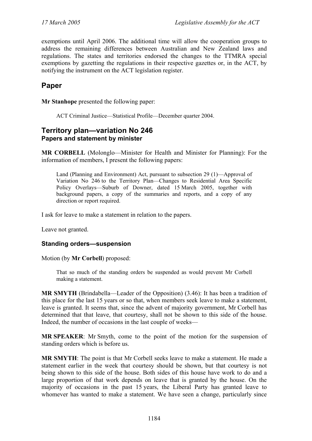exemptions until April 2006. The additional time will allow the cooperation groups to address the remaining differences between Australian and New Zealand laws and regulations. The states and territories endorsed the changes to the TTMRA special exemptions by gazetting the regulations in their respective gazettes or, in the ACT, by notifying the instrument on the ACT legislation register.

## **Paper**

**Mr Stanhope** presented the following paper:

ACT Criminal Justice—Statistical Profile—December quarter 2004.

## **Territory plan—variation No 246 Papers and statement by minister**

**MR CORBELL** (Molonglo—Minister for Health and Minister for Planning): For the information of members, I present the following papers:

Land (Planning and Environment) Act, pursuant to subsection 29 (1)—Approval of Variation No 246 to the Territory Plan—Changes to Residential Area Specific Policy Overlays—Suburb of Downer, dated 15 March 2005, together with background papers, a copy of the summaries and reports, and a copy of any direction or report required.

I ask for leave to make a statement in relation to the papers.

Leave not granted.

### **Standing orders—suspension**

Motion (by **Mr Corbell**) proposed:

That so much of the standing orders be suspended as would prevent Mr Corbell making a statement.

**MR SMYTH** (Brindabella—Leader of the Opposition) (3.46): It has been a tradition of this place for the last 15 years or so that, when members seek leave to make a statement, leave is granted. It seems that, since the advent of majority government, Mr Corbell has determined that that leave, that courtesy, shall not be shown to this side of the house. Indeed, the number of occasions in the last couple of weeks—

**MR SPEAKER**: Mr Smyth, come to the point of the motion for the suspension of standing orders which is before us.

**MR SMYTH**: The point is that Mr Corbell seeks leave to make a statement. He made a statement earlier in the week that courtesy should be shown, but that courtesy is not being shown to this side of the house. Both sides of this house have work to do and a large proportion of that work depends on leave that is granted by the house. On the majority of occasions in the past 15 years, the Liberal Party has granted leave to whomever has wanted to make a statement. We have seen a change, particularly since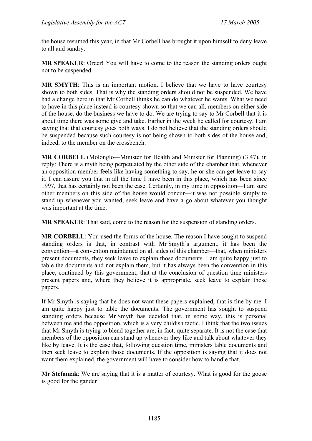the house resumed this year, in that Mr Corbell has brought it upon himself to deny leave to all and sundry.

**MR SPEAKER**: Order! You will have to come to the reason the standing orders ought not to be suspended.

**MR SMYTH**: This is an important motion. I believe that we have to have courtesy shown to both sides. That is why the standing orders should not be suspended. We have had a change here in that Mr Corbell thinks he can do whatever he wants. What we need to have in this place instead is courtesy shown so that we can all, members on either side of the house, do the business we have to do. We are trying to say to Mr Corbell that it is about time there was some give and take. Earlier in the week he called for courtesy. I am saying that that courtesy goes both ways. I do not believe that the standing orders should be suspended because such courtesy is not being shown to both sides of the house and, indeed, to the member on the crossbench.

**MR CORBELL** (Molonglo—Minister for Health and Minister for Planning) (3.47), in reply: There is a myth being perpetuated by the other side of the chamber that, whenever an opposition member feels like having something to say, he or she can get leave to say it. I can assure you that in all the time I have been in this place, which has been since 1997, that has certainly not been the case. Certainly, in my time in opposition—I am sure other members on this side of the house would concur—it was not possible simply to stand up whenever you wanted, seek leave and have a go about whatever you thought was important at the time.

**MR SPEAKER**: That said, come to the reason for the suspension of standing orders.

**MR CORBELL**: You used the forms of the house. The reason I have sought to suspend standing orders is that, in contrast with Mr Smyth's argument, it has been the convention—a convention maintained on all sides of this chamber—that, when ministers present documents, they seek leave to explain those documents. I am quite happy just to table the documents and not explain them, but it has always been the convention in this place, continued by this government, that at the conclusion of question time ministers present papers and, where they believe it is appropriate, seek leave to explain those papers.

If Mr Smyth is saying that he does not want these papers explained, that is fine by me. I am quite happy just to table the documents. The government has sought to suspend standing orders because Mr Smyth has decided that, in some way, this is personal between me and the opposition, which is a very childish tactic. I think that the two issues that Mr Smyth is trying to blend together are, in fact, quite separate. It is not the case that members of the opposition can stand up whenever they like and talk about whatever they like by leave. It is the case that, following question time, ministers table documents and then seek leave to explain those documents. If the opposition is saying that it does not want them explained, the government will have to consider how to handle that.

**Mr Stefaniak**: We are saying that it is a matter of courtesy. What is good for the goose is good for the gander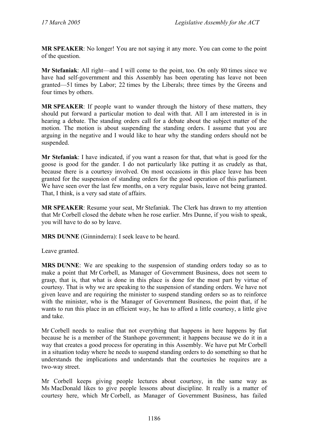**MR SPEAKER**: No longer! You are not saying it any more. You can come to the point of the question.

**Mr Stefaniak**: All right—and I will come to the point, too. On only 80 times since we have had self-government and this Assembly has been operating has leave not been granted—51 times by Labor; 22 times by the Liberals; three times by the Greens and four times by others.

**MR SPEAKER**: If people want to wander through the history of these matters, they should put forward a particular motion to deal with that. All I am interested in is in hearing a debate. The standing orders call for a debate about the subject matter of the motion. The motion is about suspending the standing orders. I assume that you are arguing in the negative and I would like to hear why the standing orders should not be suspended.

**Mr Stefaniak**: I have indicated, if you want a reason for that, that what is good for the goose is good for the gander. I do not particularly like putting it as crudely as that, because there is a courtesy involved. On most occasions in this place leave has been granted for the suspension of standing orders for the good operation of this parliament. We have seen over the last few months, on a very regular basis, leave not being granted. That, I think, is a very sad state of affairs.

**MR SPEAKER**: Resume your seat, Mr Stefaniak. The Clerk has drawn to my attention that Mr Corbell closed the debate when he rose earlier. Mrs Dunne, if you wish to speak, you will have to do so by leave.

**MRS DUNNE** (Ginninderra): I seek leave to be heard.

Leave granted.

**MRS DUNNE**: We are speaking to the suspension of standing orders today so as to make a point that Mr Corbell, as Manager of Government Business, does not seem to grasp, that is, that what is done in this place is done for the most part by virtue of courtesy. That is why we are speaking to the suspension of standing orders. We have not given leave and are requiring the minister to suspend standing orders so as to reinforce with the minister, who is the Manager of Government Business, the point that, if he wants to run this place in an efficient way, he has to afford a little courtesy, a little give and take.

Mr Corbell needs to realise that not everything that happens in here happens by fiat because he is a member of the Stanhope government; it happens because we do it in a way that creates a good process for operating in this Assembly. We have put Mr Corbell in a situation today where he needs to suspend standing orders to do something so that he understands the implications and understands that the courtesies he requires are a two-way street.

Mr Corbell keeps giving people lectures about courtesy, in the same way as Ms MacDonald likes to give people lessons about discipline. It really is a matter of courtesy here, which Mr Corbell, as Manager of Government Business, has failed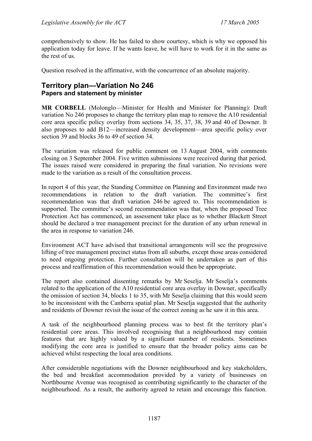comprehensively to show. He has failed to show courtesy, which is why we opposed his application today for leave. If he wants leave, he will have to work for it in the same as the rest of us.

Question resolved in the affirmative, with the concurrence of an absolute majority.

## **Territory plan—Variation No 246 Papers and statement by minister**

**MR CORBELL** (Molonglo—Minister for Health and Minister for Planning): Draft variation No 246 proposes to change the territory plan map to remove the A10 residential core area specific policy overlay from sections 34, 35, 37, 38, 39 and 40 of Downer. It also proposes to add B12—increased density development—area specific policy over section 39 and blocks 36 to 49 of section 34.

The variation was released for public comment on 13 August 2004, with comments closing on 3 September 2004. Five written submissions were received during that period. The issues raised were considered in preparing the final variation. No revisions were made to the variation as a result of the consultation process.

In report 4 of this year, the Standing Committee on Planning and Environment made two recommendations in relation to the draft variation. The committee's first recommendation was that draft variation 246 be agreed to. This recommendation is supported. The committee's second recommendation was that, when the proposed Tree Protection Act has commenced, an assessment take place as to whether Blackett Street should be declared a tree management precinct for the duration of any urban renewal in the area in response to variation 246.

Environment ACT have advised that transitional arrangements will see the progressive lifting of tree management precinct status from all suburbs, except those areas considered to need ongoing protection. Further consultation will be undertaken as part of this process and reaffirmation of this recommendation would then be appropriate.

The report also contained dissenting remarks by Mr Seselja. Mr Seselja's comments related to the application of the A10 residential core area overlay in Downer, specifically the omission of section 34, blocks 1 to 35, with Mr Seselja claiming that this would seem to be inconsistent with the Canberra spatial plan. Mr Seselja suggested that the authority and residents of Downer revisit the issue of the correct zoning as he saw it in this area.

A task of the neighbourhood planning process was to best fit the territory plan's residential core areas. This involved recognising that a neighbourhood may contain features that are highly valued by a significant number of residents. Sometimes modifying the core area is justified to ensure that the broader policy aims can be achieved whilst respecting the local area conditions.

After considerable negotiations with the Downer neighbourhood and key stakeholders, the bed and breakfast accommodation provided by a variety of businesses on Northbourne Avenue was recognised as contributing significantly to the character of the neighbourhood. As a result, the authority agreed to retain and encourage this function.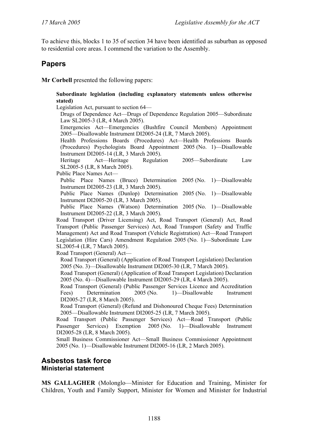To achieve this, blocks 1 to 35 of section 34 have been identified as suburban as opposed to residential core areas. I commend the variation to the Assembly.

## **Papers**

**Mr Corbell** presented the following papers:

**Subordinate legislation (including explanatory statements unless otherwise stated)** 

Legislation Act, pursuant to section 64—

Drugs of Dependence Act—Drugs of Dependence Regulation 2005—Subordinate Law SL2005-3 (LR, 4 March 2005).

Emergencies Act—Emergencies (Bushfire Council Members) Appointment 2005—Disallowable Instrument DI2005-24 (LR, 7 March 2005).

Health Professions Boards (Procedures) Act—Health Professions Boards (Procedures) Psychologists Board Appointment 2005 (No. 1)—Disallowable Instrument DI2005-14 (LR, 3 March 2005).

Heritage Act—Heritage Regulation 2005—Subordinate Law SL2005-5 (LR, 8 March 2005).

Public Place Names Act—

Public Place Names (Bruce) Determination 2005 (No. 1)—Disallowable Instrument DI2005-23 (LR, 3 March 2005).

Public Place Names (Dunlop) Determination 2005 (No. 1)—Disallowable Instrument DI2005-20 (LR, 3 March 2005).

Public Place Names (Watson) Determination 2005 (No. 1)—Disallowable Instrument DI2005-22 (LR, 3 March 2005).

Road Transport (Driver Licensing) Act, Road Transport (General) Act, Road Transport (Public Passenger Services) Act, Road Transport (Safety and Traffic Management) Act and Road Transport (Vehicle Registration) Act—Road Transport Legislation (Hire Cars) Amendment Regulation 2005 (No. 1)—Subordinate Law SL2005-4 (LR, 7 March 2005).

Road Transport (General) Act—

Road Transport (General) (Application of Road Transport Legislation) Declaration 2005 (No. 3)—Disallowable Instrument DI2005-30 (LR, 7 March 2005).

Road Transport (General) (Application of Road Transport Legislation) Declaration 2005 (No. 4)—Disallowable Instrument DI2005-29 (LR, 4 March 2005).

Road Transport (General) (Public Passenger Services Licence and Accreditation Fees) Determination 2005 (No. 1)—Disallowable Instrument DI2005-27 (LR, 8 March 2005).

Road Transport (General) (Refund and Dishonoured Cheque Fees) Determination 2005—Disallowable Instrument DI2005-25 (LR, 7 March 2005).

Road Transport (Public Passenger Services) Act—Road Transport (Public Passenger Services) Exemption 2005 (No. 1)—Disallowable Instrument DI2005-28 (LR, 8 March 2005).

Small Business Commissioner Act—Small Business Commissioner Appointment 2005 (No. 1)—Disallowable Instrument DI2005-16 (LR, 2 March 2005).

### **Asbestos task force Ministerial statement**

**MS GALLAGHER** (Molonglo—Minister for Education and Training, Minister for Children, Youth and Family Support, Minister for Women and Minister for Industrial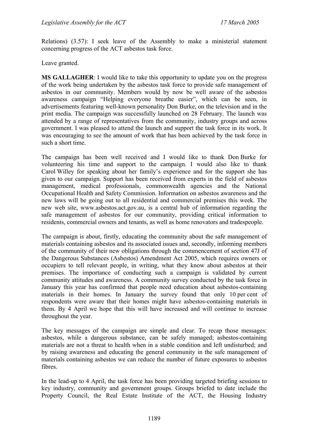Relations) (3.57): I seek leave of the Assembly to make a ministerial statement concerning progress of the ACT asbestos task force.

#### Leave granted.

**MS GALLAGHER**: I would like to take this opportunity to update you on the progress of the work being undertaken by the asbestos task force to provide safe management of asbestos in our community. Members would by now be well aware of the asbestos awareness campaign "Helping everyone breathe easier", which can be seen, in advertisements featuring well-known personality Don Burke, on the television and in the print media. The campaign was successfully launched on 28 February. The launch was attended by a range of representatives from the community, industry groups and across government. I was pleased to attend the launch and support the task force in its work. It was encouraging to see the amount of work that has been achieved by the task force in such a short time.

The campaign has been well received and I would like to thank Don Burke for volunteering his time and support to the campaign. I would also like to thank Carol Willey for speaking about her family's experience and for the support she has given to our campaign. Support has been received from experts in the field of asbestos management, medical professionals, commonwealth agencies and the National Occupational Health and Safety Commission. Information on asbestos awareness and the new laws will be going out to all residential and commercial premises this week. The new web site, www.asbestos.act.gov.au, is a central hub of information regarding the safe management of asbestos for our community, providing critical information to residents, commercial owners and tenants, as well as home renovators and tradespeople.

The campaign is about, firstly, educating the community about the safe management of materials containing asbestos and its associated issues and, secondly, informing members of the community of their new obligations through the commencement of section 47J of the Dangerous Substances (Asbestos) Amendment Act 2005, which requires owners or occupiers to tell relevant people, in writing, what they know about asbestos at their premises. The importance of conducting such a campaign is validated by current community attitudes and awareness. A community survey conducted by the task force in January this year has confirmed that people need education about asbestos-containing materials in their homes. In January the survey found that only 10 per cent of respondents were aware that their homes might have asbestos-containing materials in them. By 4 April we hope that this will have increased and will continue to increase throughout the year.

The key messages of the campaign are simple and clear. To recap those messages: asbestos, while a dangerous substance, can be safely managed; asbestos-containing materials are not a threat to health when in a stable condition and left undisturbed; and by raising awareness and educating the general community in the safe management of materials containing asbestos we can reduce the number of future exposures to asbestos fibres.

In the lead-up to 4 April, the task force has been providing targeted briefing sessions to key industry, community and government groups. Groups briefed to date include the Property Council, the Real Estate Institute of the ACT, the Housing Industry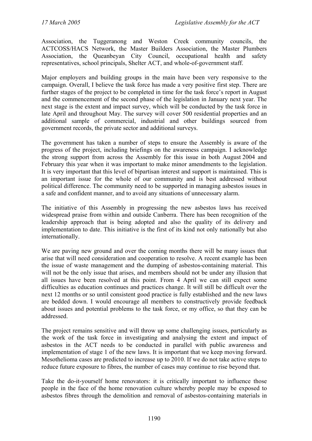Association, the Tuggeranong and Weston Creek community councils, the ACTCOSS/HACS Network, the Master Builders Association, the Master Plumbers Association, the Queanbeyan City Council, occupational health and safety representatives, school principals, Shelter ACT, and whole-of-government staff.

Major employers and building groups in the main have been very responsive to the campaign. Overall, I believe the task force has made a very positive first step. There are further stages of the project to be completed in time for the task force's report in August and the commencement of the second phase of the legislation in January next year. The next stage is the extent and impact survey, which will be conducted by the task force in late April and throughout May. The survey will cover 500 residential properties and an additional sample of commercial, industrial and other buildings sourced from government records, the private sector and additional surveys.

The government has taken a number of steps to ensure the Assembly is aware of the progress of the project, including briefings on the awareness campaign. I acknowledge the strong support from across the Assembly for this issue in both August 2004 and February this year when it was important to make minor amendments to the legislation. It is very important that this level of bipartisan interest and support is maintained. This is an important issue for the whole of our community and is best addressed without political difference. The community need to be supported in managing asbestos issues in a safe and confident manner, and to avoid any situations of unnecessary alarm.

The initiative of this Assembly in progressing the new asbestos laws has received widespread praise from within and outside Canberra. There has been recognition of the leadership approach that is being adopted and also the quality of its delivery and implementation to date. This initiative is the first of its kind not only nationally but also internationally.

We are paving new ground and over the coming months there will be many issues that arise that will need consideration and cooperation to resolve. A recent example has been the issue of waste management and the dumping of asbestos-containing material. This will not be the only issue that arises, and members should not be under any illusion that all issues have been resolved at this point. From 4 April we can still expect some difficulties as education continues and practices change. It will still be difficult over the next 12 months or so until consistent good practice is fully established and the new laws are bedded down. I would encourage all members to constructively provide feedback about issues and potential problems to the task force, or my office, so that they can be addressed.

The project remains sensitive and will throw up some challenging issues, particularly as the work of the task force in investigating and analysing the extent and impact of asbestos in the ACT needs to be conducted in parallel with public awareness and implementation of stage 1 of the new laws. It is important that we keep moving forward. Mesothelioma cases are predicted to increase up to 2010. If we do not take active steps to reduce future exposure to fibres, the number of cases may continue to rise beyond that.

Take the do-it-yourself home renovators: it is critically important to influence those people in the face of the home renovation culture whereby people may be exposed to asbestos fibres through the demolition and removal of asbestos-containing materials in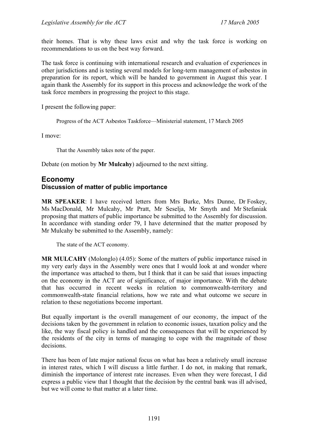their homes. That is why these laws exist and why the task force is working on recommendations to us on the best way forward.

The task force is continuing with international research and evaluation of experiences in other jurisdictions and is testing several models for long-term management of asbestos in preparation for its report, which will be handed to government in August this year. I again thank the Assembly for its support in this process and acknowledge the work of the task force members in progressing the project to this stage.

I present the following paper:

Progress of the ACT Asbestos Taskforce—Ministerial statement, 17 March 2005

I move:

That the Assembly takes note of the paper.

Debate (on motion by **Mr Mulcahy**) adjourned to the next sitting.

## **Economy Discussion of matter of public importance**

**MR SPEAKER**: I have received letters from Mrs Burke, Mrs Dunne, Dr Foskey, Ms MacDonald, Mr Mulcahy, Mr Pratt, Mr Seselja, Mr Smyth and Mr Stefaniak proposing that matters of public importance be submitted to the Assembly for discussion. In accordance with standing order 79, I have determined that the matter proposed by Mr Mulcahy be submitted to the Assembly, namely:

The state of the ACT economy.

**MR MULCAHY** (Molonglo) (4.05): Some of the matters of public importance raised in my very early days in the Assembly were ones that I would look at and wonder where the importance was attached to them, but I think that it can be said that issues impacting on the economy in the ACT are of significance, of major importance. With the debate that has occurred in recent weeks in relation to commonwealth-territory and commonwealth-state financial relations, how we rate and what outcome we secure in relation to these negotiations become important.

But equally important is the overall management of our economy, the impact of the decisions taken by the government in relation to economic issues, taxation policy and the like, the way fiscal policy is handled and the consequences that will be experienced by the residents of the city in terms of managing to cope with the magnitude of those decisions.

There has been of late major national focus on what has been a relatively small increase in interest rates, which I will discuss a little further. I do not, in making that remark, diminish the importance of interest rate increases. Even when they were forecast, I did express a public view that I thought that the decision by the central bank was ill advised, but we will come to that matter at a later time.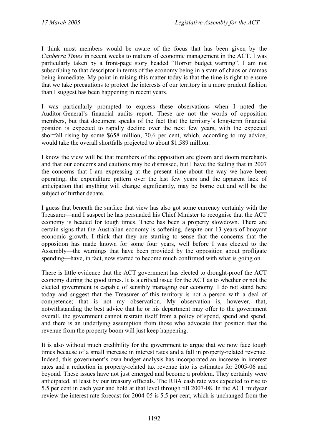I think most members would be aware of the focus that has been given by the *Canberra Times* in recent weeks to matters of economic management in the ACT. I was particularly taken by a front-page story headed "Horror budget warning". I am not subscribing to that descriptor in terms of the economy being in a state of chaos or dramas being immediate. My point in raising this matter today is that the time is right to ensure that we take precautions to protect the interests of our territory in a more prudent fashion than I suggest has been happening in recent years.

I was particularly prompted to express these observations when I noted the Auditor-General's financial audits report. These are not the words of opposition members, but that document speaks of the fact that the territory's long-term financial position is expected to rapidly decline over the next few years, with the expected shortfall rising by some \$658 million, 70.6 per cent, which, according to my advice, would take the overall shortfalls projected to about \$1.589 million.

I know the view will be that members of the opposition are gloom and doom merchants and that our concerns and cautions may be dismissed, but I have the feeling that in 2007 the concerns that I am expressing at the present time about the way we have been operating, the expenditure pattern over the last few years and the apparent lack of anticipation that anything will change significantly, may be borne out and will be the subject of further debate.

I guess that beneath the surface that view has also got some currency certainly with the Treasurer—and I suspect he has persuaded his Chief Minister to recognise that the ACT economy is headed for tough times. There has been a property slowdown. There are certain signs that the Australian economy is softening, despite our 13 years of buoyant economic growth. I think that they are starting to sense that the concerns that the opposition has made known for some four years, well before I was elected to the Assembly—the warnings that have been provided by the opposition about profligate spending—have, in fact, now started to become much confirmed with what is going on.

There is little evidence that the ACT government has elected to drought-proof the ACT economy during the good times. It is a critical issue for the ACT as to whether or not the elected government is capable of sensibly managing our economy. I do not stand here today and suggest that the Treasurer of this territory is not a person with a deal of competence; that is not my observation. My observation is, however, that, notwithstanding the best advice that he or his department may offer to the government overall, the government cannot restrain itself from a policy of spend, spend and spend, and there is an underlying assumption from those who advocate that position that the revenue from the property boom will just keep happening.

It is also without much credibility for the government to argue that we now face tough times because of a small increase in interest rates and a fall in property-related revenue. Indeed, this government's own budget analysis has incorporated an increase in interest rates and a reduction in property-related tax revenue into its estimates for 2005-06 and beyond. These issues have not just emerged and become a problem. They certainly were anticipated, at least by our treasury officials. The RBA cash rate was expected to rise to 5.5 per cent in each year and hold at that level through till 2007-08. In the ACT midyear review the interest rate forecast for 2004-05 is 5.5 per cent, which is unchanged from the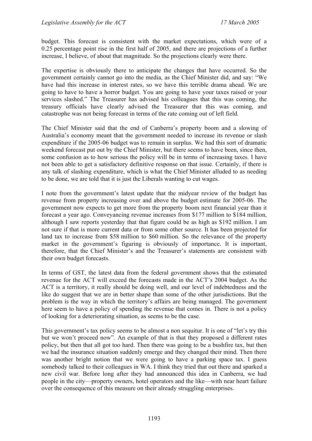budget. This forecast is consistent with the market expectations, which were of a 0.25 percentage point rise in the first half of 2005, and there are projections of a further increase, I believe, of about that magnitude. So the projections clearly were there.

The expertise is obviously there to anticipate the changes that have occurred. So the government certainly cannot go into the media, as the Chief Minister did, and say: "We have had this increase in interest rates, so we have this terrible drama ahead. We are going to have to have a horror budget. You are going to have your taxes raised or your services slashed." The Treasurer has advised his colleagues that this was coming, the treasury officials have clearly advised the Treasurer that this was coming, and catastrophe was not being forecast in terms of the rate coming out of left field.

The Chief Minister said that the end of Canberra's property boom and a slowing of Australia's economy meant that the government needed to increase its revenue or slash expenditure if the 2005-06 budget was to remain in surplus. We had this sort of dramatic weekend forecast put out by the Chief Minister, but there seems to have been, since then, some confusion as to how serious the policy will be in terms of increasing taxes. I have not been able to get a satisfactory definitive response on that issue. Certainly, if there is any talk of slashing expenditure, which is what the Chief Minister alluded to as needing to be done, we are told that it is just the Liberals wanting to cut wages.

I note from the government's latest update that the midyear review of the budget has revenue from property increasing over and above the budget estimate for 2005-06. The government now expects to get more from the property boom next financial year than it forecast a year ago. Conveyancing revenue increases from \$177 million to \$184 million, although I saw reports yesterday that that figure could be as high as \$192 million. I am not sure if that is more current data or from some other source. It has been projected for land tax to increase from \$58 million to \$60 million. So the relevance of the property market in the government's figuring is obviously of importance. It is important, therefore, that the Chief Minister's and the Treasurer's statements are consistent with their own budget forecasts.

In terms of GST, the latest data from the federal government shows that the estimated revenue for the ACT will exceed the forecasts made in the ACT's 2004 budget. As the ACT is a territory, it really should be doing well, and our level of indebtedness and the like do suggest that we are in better shape than some of the other jurisdictions. But the problem is the way in which the territory's affairs are being managed. The government here seem to have a policy of spending the revenue that comes in. There is not a policy of looking for a deteriorating situation, as seems to be the case.

This government's tax policy seems to be almost a non sequitur. It is one of "let's try this but we won't proceed now". An example of that is that they proposed a different rates policy, but then that all got too hard. Then there was going to be a bushfire tax, but then we had the insurance situation suddenly emerge and they changed their mind. Then there was another bright notion that we were going to have a parking space tax. I guess somebody talked to their colleagues in WA. I think they tried that out there and sparked a new civil war. Before long after they had announced this idea in Canberra, we had people in the city—property owners, hotel operators and the like—with near heart failure over the consequence of this measure on their already struggling enterprises.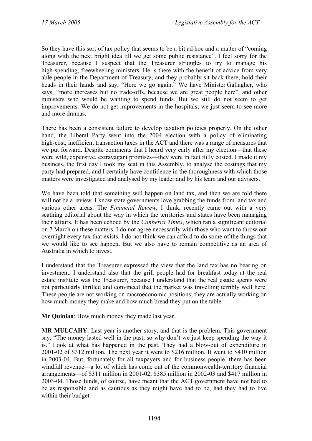So they have this sort of tax policy that seems to be a bit ad hoc and a matter of "coming along with the next bright idea till we get some public resistance". I feel sorry for the Treasurer, because I suspect that the Treasurer struggles to try to manage his high-spending, freewheeling ministers. He is there with the benefit of advice from very able people in the Department of Treasury, and they probably sit back there, hold their heads in their hands and say, "Here we go again." We have Minister Gallagher, who says, "more increases but no trade-offs, because we are great people here", and other ministers who would be wanting to spend funds. But we still do not seem to get improvements. We do not get improvements in the hospitals; we just seem to see more and more dramas.

There has been a consistent failure to develop taxation policies properly. On the other hand, the Liberal Party went into the 2004 election with a policy of eliminating high-cost, inefficient transaction taxes in the ACT and there was a range of measures that we put forward. Despite comments that I heard very early after my election—that these were wild, expensive, extravagant promises—they were in fact fully costed. I made it my business, the first day I took my seat in this Assembly, to analyse the costings that my party had prepared, and I certainly have confidence in the thoroughness with which those matters were investigated and analysed by my leader and by his team and our advisers.

We have been told that something will happen on land tax, and then we are told there will not be a review. I know state governments love grabbing the funds from land tax and various other areas. The *Financial Review*, I think, recently came out with a very scathing editorial about the way in which the territories and states have been managing their affairs. It has been echoed by the *Canberra Times*, which ran a significant editorial on 7 March on these matters. I do not agree necessarily with those who want to throw out overnight every tax that exists. I do not think we can afford to do some of the things that we would like to see happen. But we also have to remain competitive as an area of Australia in which to invest.

I understand that the Treasurer expressed the view that the land tax has no bearing on investment. I understand also that the grill people had for breakfast today at the real estate institute was the Treasurer, because I understand that the real estate agents were not particularly thrilled and convinced that the market was travelling terribly well here. These people are not working on macroeconomic positions; they are actually working on how much money they make and how much bread they put on the table.

**Mr Quinlan**: How much money they made last year.

**MR MULCAHY**: Last year is another story, and that is the problem. This government say, "The money lasted well in the past, so why don't we just keep spending the way it is." Look at what has happened in the past. They had a blow-out of expenditure in 2001-02 of \$312 million. The next year it went to \$216 million. It went to \$410 million in 2003-04. But, fortunately for all taxpayers and for business people, there has been windfall revenue—a lot of which has come out of the commonwealth-territory financial arrangements—of \$311 million in 2001-02, \$385 million in 2002-03 and \$417 million in 2003-04. Those funds, of course, have meant that the ACT government have not had to be as responsible and as cautious as they might have had to be, had they had to live within their budget.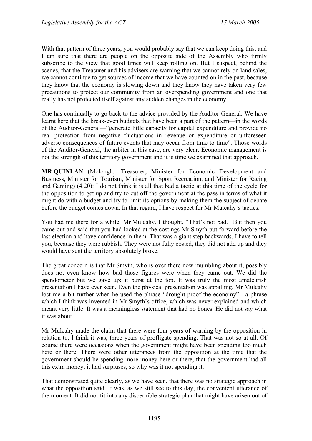With that pattern of three years, you would probably say that we can keep doing this, and I am sure that there are people on the opposite side of the Assembly who firmly subscribe to the view that good times will keep rolling on. But I suspect, behind the scenes, that the Treasurer and his advisers are warning that we cannot rely on land sales, we cannot continue to get sources of income that we have counted on in the past, because they know that the economy is slowing down and they know they have taken very few precautions to protect our community from an overspending government and one that really has not protected itself against any sudden changes in the economy.

One has continually to go back to the advice provided by the Auditor-General. We have learnt here that the break-even budgets that have been a part of the pattern—in the words of the Auditor-General—"generate little capacity for capital expenditure and provide no real protection from negative fluctuations in revenue or expenditure or unforeseen adverse consequences of future events that may occur from time to time". Those words of the Auditor-General, the arbiter in this case, are very clear. Economic management is not the strength of this territory government and it is time we examined that approach.

**MR QUINLAN** (Molonglo—Treasurer, Minister for Economic Development and Business, Minister for Tourism, Minister for Sport Recreation, and Minister for Racing and Gaming) (4.20): I do not think it is all that bad a tactic at this time of the cycle for the opposition to get up and try to cut off the government at the pass in terms of what it might do with a budget and try to limit its options by making them the subject of debate before the budget comes down. In that regard, I have respect for Mr Mulcahy's tactics.

You had me there for a while, Mr Mulcahy. I thought, "That's not bad." But then you came out and said that you had looked at the costings Mr Smyth put forward before the last election and have confidence in them. That was a giant step backwards, I have to tell you, because they were rubbish. They were not fully costed, they did not add up and they would have sent the territory absolutely broke.

The great concern is that Mr Smyth, who is over there now mumbling about it, possibly does not even know how bad those figures were when they came out. We did the spendometer but we gave up; it burst at the top. It was truly the most amateurish presentation I have ever seen. Even the physical presentation was appalling. Mr Mulcahy lost me a bit further when he used the phrase "drought-proof the economy"—a phrase which I think was invented in Mr Smyth's office, which was never explained and which meant very little. It was a meaningless statement that had no bones. He did not say what it was about.

Mr Mulcahy made the claim that there were four years of warning by the opposition in relation to, I think it was, three years of profligate spending. That was not so at all. Of course there were occasions when the government might have been spending too much here or there. There were other utterances from the opposition at the time that the government should be spending more money here or there, that the government had all this extra money; it had surpluses, so why was it not spending it.

That demonstrated quite clearly, as we have seen, that there was no strategic approach in what the opposition said. It was, as we still see to this day, the convenient utterance of the moment. It did not fit into any discernible strategic plan that might have arisen out of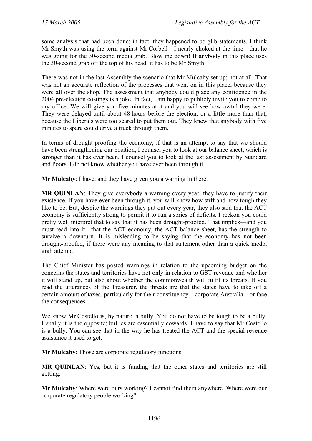some analysis that had been done; in fact, they happened to be glib statements. I think Mr Smyth was using the term against Mr Corbell—I nearly choked at the time—that he was going for the 30-second media grab. Blow me down! If anybody in this place uses the 30-second grab off the top of his head, it has to be Mr Smyth.

There was not in the last Assembly the scenario that Mr Mulcahy set up; not at all. That was not an accurate reflection of the processes that went on in this place, because they were all over the shop. The assessment that anybody could place any confidence in the 2004 pre-election costings is a joke. In fact, I am happy to publicly invite you to come to my office. We will give you five minutes at it and you will see how awful they were. They were delayed until about 48 hours before the election, or a little more than that, because the Liberals were too scared to put them out. They knew that anybody with five minutes to spare could drive a truck through them.

In terms of drought-proofing the economy, if that is an attempt to say that we should have been strengthening our position, I counsel you to look at our balance sheet, which is stronger than it has ever been. I counsel you to look at the last assessment by Standard and Poors. I do not know whether you have ever been through it.

**Mr Mulcahy**: I have, and they have given you a warning in there.

**MR OUINLAN**: They give everybody a warning every year; they have to justify their existence. If you have ever been through it, you will know how stiff and how tough they like to be. But, despite the warnings they put out every year, they also said that the ACT economy is sufficiently strong to permit it to run a series of deficits. I reckon you could pretty well interpret that to say that it has been drought-proofed. That implies—and you must read into it—that the ACT economy, the ACT balance sheet, has the strength to survive a downturn. It is misleading to be saying that the economy has not been drought-proofed, if there were any meaning to that statement other than a quick media grab attempt.

The Chief Minister has posted warnings in relation to the upcoming budget on the concerns the states and territories have not only in relation to GST revenue and whether it will stand up, but also about whether the commonwealth will fulfil its threats. If you read the utterances of the Treasurer, the threats are that the states have to take off a certain amount of taxes, particularly for their constituency—corporate Australia—or face the consequences.

We know Mr Costello is, by nature, a bully. You do not have to be tough to be a bully. Usually it is the opposite; bullies are essentially cowards. I have to say that Mr Costello is a bully. You can see that in the way he has treated the ACT and the special revenue assistance it used to get.

**Mr Mulcahy**: Those are corporate regulatory functions.

**MR QUINLAN**: Yes, but it is funding that the other states and territories are still getting.

**Mr Mulcahy**: Where were ours working? I cannot find them anywhere. Where were our corporate regulatory people working?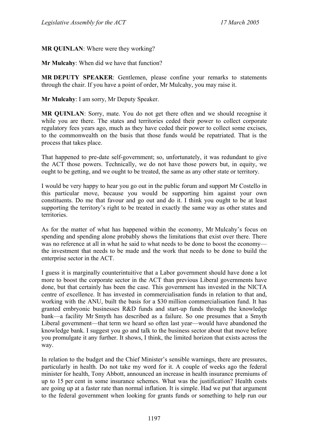**MR QUINLAN**: Where were they working?

**Mr Mulcahy**: When did we have that function?

**MR DEPUTY SPEAKER**: Gentlemen, please confine your remarks to statements through the chair. If you have a point of order, Mr Mulcahy, you may raise it.

**Mr Mulcahy**: I am sorry, Mr Deputy Speaker.

**MR QUINLAN**: Sorry, mate. You do not get there often and we should recognise it while you are there. The states and territories ceded their power to collect corporate regulatory fees years ago, much as they have ceded their power to collect some excises, to the commonwealth on the basis that those funds would be repatriated. That is the process that takes place.

That happened to pre-date self-government; so, unfortunately, it was redundant to give the ACT those powers. Technically, we do not have those powers but, in equity, we ought to be getting, and we ought to be treated, the same as any other state or territory.

I would be very happy to hear you go out in the public forum and support Mr Costello in this particular move, because you would be supporting him against your own constituents. Do me that favour and go out and do it. I think you ought to be at least supporting the territory's right to be treated in exactly the same way as other states and territories.

As for the matter of what has happened within the economy, Mr Mulcahy's focus on spending and spending alone probably shows the limitations that exist over there. There was no reference at all in what he said to what needs to be done to boost the economy the investment that needs to be made and the work that needs to be done to build the enterprise sector in the ACT.

I guess it is marginally counterintuitive that a Labor government should have done a lot more to boost the corporate sector in the ACT than previous Liberal governments have done, but that certainly has been the case. This government has invested in the NICTA centre of excellence. It has invested in commercialisation funds in relation to that and, working with the ANU, built the basis for a \$30 million commercialisation fund. It has granted embryonic businesses R&D funds and start-up funds through the knowledge bank—a facility Mr Smyth has described as a failure. So one presumes that a Smyth Liberal government—that term we heard so often last year—would have abandoned the knowledge bank. I suggest you go and talk to the business sector about that move before you promulgate it any further. It shows, I think, the limited horizon that exists across the way.

In relation to the budget and the Chief Minister's sensible warnings, there are pressures, particularly in health. Do not take my word for it. A couple of weeks ago the federal minister for health, Tony Abbott, announced an increase in health insurance premiums of up to 15 per cent in some insurance schemes. What was the justification? Health costs are going up at a faster rate than normal inflation. It is simple. Had we put that argument to the federal government when looking for grants funds or something to help run our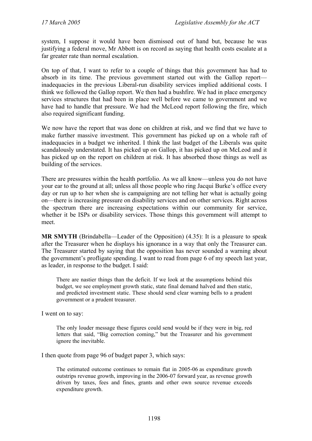system, I suppose it would have been dismissed out of hand but, because he was justifying a federal move, Mr Abbott is on record as saying that health costs escalate at a far greater rate than normal escalation.

On top of that, I want to refer to a couple of things that this government has had to absorb in its time. The previous government started out with the Gallop report inadequacies in the previous Liberal-run disability services implied additional costs. I think we followed the Gallop report. We then had a bushfire. We had in place emergency services structures that had been in place well before we came to government and we have had to handle that pressure. We had the McLeod report following the fire, which also required significant funding.

We now have the report that was done on children at risk, and we find that we have to make further massive investment. This government has picked up on a whole raft of inadequacies in a budget we inherited. I think the last budget of the Liberals was quite scandalously understated. It has picked up on Gallop, it has picked up on McLeod and it has picked up on the report on children at risk. It has absorbed those things as well as building of the services.

There are pressures within the health portfolio. As we all know—unless you do not have your ear to the ground at all; unless all those people who ring Jacqui Burke's office every day or run up to her when she is campaigning are not telling her what is actually going on—there is increasing pressure on disability services and on other services. Right across the spectrum there are increasing expectations within our community for service, whether it be ISPs or disability services. Those things this government will attempt to meet.

**MR SMYTH** (Brindabella—Leader of the Opposition) (4.35): It is a pleasure to speak after the Treasurer when he displays his ignorance in a way that only the Treasurer can. The Treasurer started by saying that the opposition has never sounded a warning about the government's profligate spending. I want to read from page 6 of my speech last year, as leader, in response to the budget. I said:

There are nastier things than the deficit. If we look at the assumptions behind this budget, we see employment growth static, state final demand halved and then static, and predicted investment static. These should send clear warning bells to a prudent government or a prudent treasurer.

I went on to say:

The only louder message these figures could send would be if they were in big, red letters that said, "Big correction coming," but the Treasurer and his government ignore the inevitable.

I then quote from page 96 of budget paper 3, which says:

The estimated outcome continues to remain flat in 2005-06 as expenditure growth outstrips revenue growth, improving in the 2006-07 forward year, as revenue growth driven by taxes, fees and fines, grants and other own source revenue exceeds expenditure growth.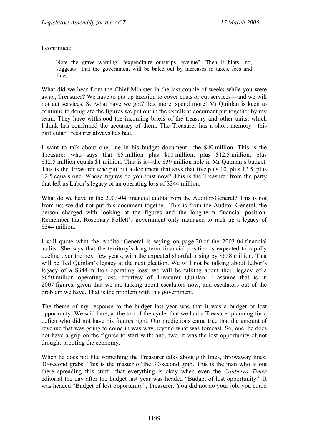I continued:

Note the grave warning: "expenditure outstrips revenue". Then it hints—no, suggests—that the government will be baled out by increases in taxes, fees and fines.

What did we hear from the Chief Minister in the last couple of weeks while you were away, Treasurer? We have to put up taxation to cover costs or cut services—and we will not cut services. So what have we got? Tax more, spend more! Mr Quinlan is keen to continue to denigrate the figures we put out in the excellent document put together by my team. They have withstood the incoming briefs of the treasury and other units, which I think has confirmed the accuracy of them. The Treasurer has a short memory—this particular Treasurer always has had.

I want to talk about one line in his budget document—the \$40 million. This is the Treasurer who says that \$5 million plus \$10 million, plus \$12.5 million, plus \$12.5 million equals \$1 million. That is it—the \$39 million hole in Mr Quinlan's budget. This is the Treasurer who put out a document that says that five plus 10, plus 12.5, plus 12.5 equals one. Whose figures do you trust now? This is the Treasurer from the party that left us Labor's legacy of an operating loss of \$344 million.

What do we have in the 2003-04 financial audits from the Auditor-General? This is not from us; we did not put this document together. This is from the Auditor-General, the person charged with looking at the figures and the long-term financial position. Remember that Rosemary Follett's government only managed to rack up a legacy of \$344 million.

I will quote what the Auditor-General is saying on page 20 of the 2003-04 financial audits. She says that the territory's long-term financial position is expected to rapidly decline over the next few years, with the expected shortfall rising by \$658 million. That will be Ted Quinlan's legacy at the next election. We will not be talking about Labor's legacy of a \$344 million operating loss; we will be talking about their legacy of a \$650 million operating loss, courtesy of Treasurer Quinlan. I assume that is in 2007 figures, given that we are talking about escalators now, and escalators out of the problem we have. That is the problem with this government.

The theme of my response to the budget last year was that it was a budget of lost opportunity. We said here, at the top of the cycle, that we had a Treasurer planning for a deficit who did not have his figures right. Our predictions came true that the amount of revenue that was going to come in was way beyond what was forecast. So, one, he does not have a grip on the figures to start with; and, two, it was the lost opportunity of not drought-proofing the economy.

When he does not like something the Treasurer talks about glib lines, throwaway lines, 30-second grabs. This is the master of the 30-second grab. This is the man who is out there spreading this stuff—that everything is okay when even the *Canberra Times* editorial the day after the budget last year was headed "Budget of lost opportunity". It was headed "Budget of lost opportunity", Treasurer. You did not do your job; you could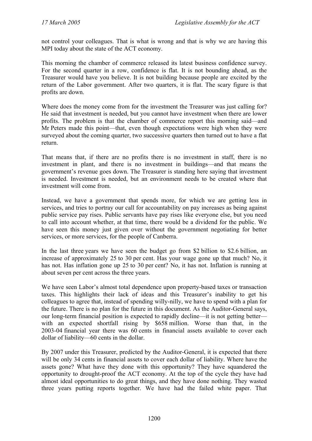not control your colleagues. That is what is wrong and that is why we are having this MPI today about the state of the ACT economy.

This morning the chamber of commerce released its latest business confidence survey. For the second quarter in a row, confidence is flat. It is not bounding ahead, as the Treasurer would have you believe. It is not building because people are excited by the return of the Labor government. After two quarters, it is flat. The scary figure is that profits are down.

Where does the money come from for the investment the Treasurer was just calling for? He said that investment is needed, but you cannot have investment when there are lower profits. The problem is that the chamber of commerce report this morning said—and Mr Peters made this point—that, even though expectations were high when they were surveyed about the coming quarter, two successive quarters then turned out to have a flat return.

That means that, if there are no profits there is no investment in staff, there is no investment in plant, and there is no investment in buildings—and that means the government's revenue goes down. The Treasurer is standing here saying that investment is needed. Investment is needed, but an environment needs to be created where that investment will come from.

Instead, we have a government that spends more, for which we are getting less in services, and tries to portray our call for accountability on pay increases as being against public service pay rises. Public servants have pay rises like everyone else, but you need to call into account whether, at that time, there would be a dividend for the public. We have seen this money just given over without the government negotiating for better services, or more services, for the people of Canberra.

In the last three years we have seen the budget go from \$2 billion to \$2.6 billion, an increase of approximately 25 to 30 per cent. Has your wage gone up that much? No, it has not. Has inflation gone up 25 to 30 per cent? No, it has not. Inflation is running at about seven per cent across the three years.

We have seen Labor's almost total dependence upon property-based taxes or transaction taxes. This highlights their lack of ideas and this Treasurer's inability to get his colleagues to agree that, instead of spending willy-nilly, we have to spend with a plan for the future. There is no plan for the future in this document. As the Auditor-General says, our long-term financial position is expected to rapidly decline—it is not getting better with an expected shortfall rising by \$658 million. Worse than that, in the 2003-04 financial year there was 60 cents in financial assets available to cover each dollar of liability—60 cents in the dollar.

By 2007 under this Treasurer, predicted by the Auditor-General, it is expected that there will be only 34 cents in financial assets to cover each dollar of liability. Where have the assets gone? What have they done with this opportunity? They have squandered the opportunity to drought-proof the ACT economy. At the top of the cycle they have had almost ideal opportunities to do great things, and they have done nothing. They wasted three years putting reports together. We have had the failed white paper. That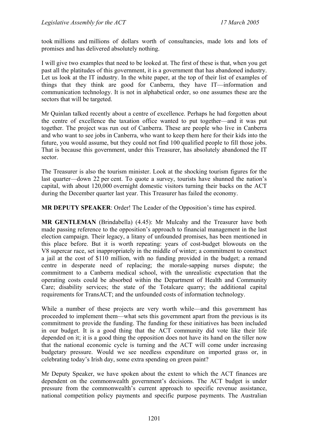took millions and millions of dollars worth of consultancies, made lots and lots of promises and has delivered absolutely nothing.

I will give two examples that need to be looked at. The first of these is that, when you get past all the platitudes of this government, it is a government that has abandoned industry. Let us look at the IT industry. In the white paper, at the top of their list of examples of things that they think are good for Canberra, they have IT—information and communication technology. It is not in alphabetical order, so one assumes these are the sectors that will be targeted.

Mr Quinlan talked recently about a centre of excellence. Perhaps he had forgotten about the centre of excellence the taxation office wanted to put together—and it was put together. The project was run out of Canberra. These are people who live in Canberra and who want to see jobs in Canberra, who want to keep them here for their kids into the future, you would assume, but they could not find 100 qualified people to fill those jobs. That is because this government, under this Treasurer, has absolutely abandoned the IT sector.

The Treasurer is also the tourism minister. Look at the shocking tourism figures for the last quarter—down 22 per cent. To quote a survey, tourists have shunned the nation's capital, with about 120,000 overnight domestic visitors turning their backs on the ACT during the December quarter last year. This Treasurer has failed the economy.

**MR DEPUTY SPEAKER**: Order! The Leader of the Opposition's time has expired.

**MR GENTLEMAN** (Brindabella) (4.45): Mr Mulcahy and the Treasurer have both made passing reference to the opposition's approach to financial management in the last election campaign. Their legacy, a litany of unfounded promises, has been mentioned in this place before. But it is worth repeating: years of cost-budget blowouts on the V8 supercar race, set inappropriately in the middle of winter; a commitment to construct a jail at the cost of \$110 million, with no funding provided in the budget; a remand centre in desperate need of replacing; the morale-sapping nurses dispute; the commitment to a Canberra medical school, with the unrealistic expectation that the operating costs could be absorbed within the Department of Health and Community Care; disability services; the state of the Totalcare quarry; the additional capital requirements for TransACT; and the unfounded costs of information technology.

While a number of these projects are very worth while—and this government has proceeded to implement them—what sets this government apart from the previous is its commitment to provide the funding. The funding for these initiatives has been included in our budget. It is a good thing that the ACT community did vote like their life depended on it; it is a good thing the opposition does not have its hand on the tiller now that the national economic cycle is turning and the ACT will come under increasing budgetary pressure. Would we see needless expenditure on imported grass or, in celebrating today's Irish day, some extra spending on green paint?

Mr Deputy Speaker, we have spoken about the extent to which the ACT finances are dependent on the commonwealth government's decisions. The ACT budget is under pressure from the commonwealth's current approach to specific revenue assistance, national competition policy payments and specific purpose payments. The Australian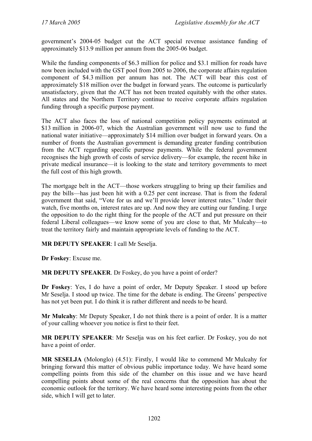government's 2004-05 budget cut the ACT special revenue assistance funding of approximately \$13.9 million per annum from the 2005-06 budget.

While the funding components of \$6.3 million for police and \$3.1 million for roads have now been included with the GST pool from 2005 to 2006, the corporate affairs regulation component of \$4.3 million per annum has not. The ACT will bear this cost of approximately \$18 million over the budget in forward years. The outcome is particularly unsatisfactory, given that the ACT has not been treated equitably with the other states. All states and the Northern Territory continue to receive corporate affairs regulation funding through a specific purpose payment.

The ACT also faces the loss of national competition policy payments estimated at \$13 million in 2006-07, which the Australian government will now use to fund the national water initiative—approximately \$14 million over budget in forward years. On a number of fronts the Australian government is demanding greater funding contribution from the ACT regarding specific purpose payments. While the federal government recognises the high growth of costs of service delivery—for example, the recent hike in private medical insurance—it is looking to the state and territory governments to meet the full cost of this high growth.

The mortgage belt in the ACT—those workers struggling to bring up their families and pay the bills—has just been hit with a 0.25 per cent increase. That is from the federal government that said, "Vote for us and we'll provide lower interest rates." Under their watch, five months on, interest rates are up. And now they are cutting our funding. I urge the opposition to do the right thing for the people of the ACT and put pressure on their federal Liberal colleagues—we know some of you are close to that, Mr Mulcahy—to treat the territory fairly and maintain appropriate levels of funding to the ACT.

**MR DEPUTY SPEAKER**: I call Mr Seselja.

**Dr Foskey**: Excuse me.

**MR DEPUTY SPEAKER**. Dr Foskey, do you have a point of order?

**Dr Foskey**: Yes, I do have a point of order, Mr Deputy Speaker. I stood up before Mr Seselja. I stood up twice. The time for the debate is ending. The Greens' perspective has not yet been put. I do think it is rather different and needs to be heard.

**Mr Mulcahy**: Mr Deputy Speaker, I do not think there is a point of order. It is a matter of your calling whoever you notice is first to their feet.

**MR DEPUTY SPEAKER**: Mr Seselja was on his feet earlier. Dr Foskey, you do not have a point of order.

**MR SESELJA** (Molonglo) (4.51): Firstly, I would like to commend Mr Mulcahy for bringing forward this matter of obvious public importance today. We have heard some compelling points from this side of the chamber on this issue and we have heard compelling points about some of the real concerns that the opposition has about the economic outlook for the territory. We have heard some interesting points from the other side, which I will get to later.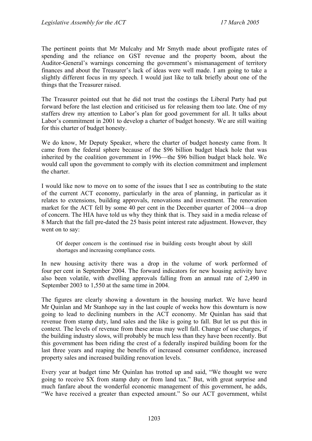The pertinent points that Mr Mulcahy and Mr Smyth made about profligate rates of spending and the reliance on GST revenue and the property boom, about the Auditor-General's warnings concerning the government's mismanagement of territory finances and about the Treasurer's lack of ideas were well made. I am going to take a slightly different focus in my speech. I would just like to talk briefly about one of the things that the Treasurer raised.

The Treasurer pointed out that he did not trust the costings the Liberal Party had put forward before the last election and criticised us for releasing them too late. One of my staffers drew my attention to Labor's plan for good government for all. It talks about Labor's commitment in 2001 to develop a charter of budget honesty. We are still waiting for this charter of budget honesty.

We do know, Mr Deputy Speaker, where the charter of budget honesty came from. It came from the federal sphere because of the \$96 billion budget black hole that was inherited by the coalition government in 1996—the \$96 billion budget black hole. We would call upon the government to comply with its election commitment and implement the charter.

I would like now to move on to some of the issues that I see as contributing to the state of the current ACT economy, particularly in the area of planning, in particular as it relates to extensions, building approvals, renovations and investment. The renovation market for the ACT fell by some 40 per cent in the December quarter of 2004—a drop of concern. The HIA have told us why they think that is. They said in a media release of 8 March that the fall pre-dated the 25 basis point interest rate adjustment. However, they went on to say:

Of deeper concern is the continued rise in building costs brought about by skill shortages and increasing compliance costs.

In new housing activity there was a drop in the volume of work performed of four per cent in September 2004. The forward indicators for new housing activity have also been volatile, with dwelling approvals falling from an annual rate of 2,490 in September 2003 to 1,550 at the same time in 2004.

The figures are clearly showing a downturn in the housing market. We have heard Mr Quinlan and Mr Stanhope say in the last couple of weeks how this downturn is now going to lead to declining numbers in the ACT economy. Mr Quinlan has said that revenue from stamp duty, land sales and the like is going to fall. But let us put this in context. The levels of revenue from these areas may well fall. Change of use charges, if the building industry slows, will probably be much less than they have been recently. But this government has been riding the crest of a federally inspired building boom for the last three years and reaping the benefits of increased consumer confidence, increased property sales and increased building renovation levels.

Every year at budget time Mr Quinlan has trotted up and said, "We thought we were going to receive \$X from stamp duty or from land tax." But, with great surprise and much fanfare about the wonderful economic management of this government, he adds, "We have received a greater than expected amount." So our ACT government, whilst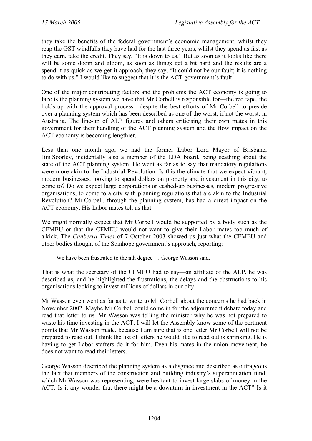they take the benefits of the federal government's economic management, whilst they reap the GST windfalls they have had for the last three years, whilst they spend as fast as they earn, take the credit. They say, "It is down to us." But as soon as it looks like there will be some doom and gloom, as soon as things get a bit hard and the results are a spend-it-as-quick-as-we-get-it approach, they say, "It could not be our fault; it is nothing to do with us." I would like to suggest that it is the ACT government's fault.

One of the major contributing factors and the problems the ACT economy is going to face is the planning system we have that Mr Corbell is responsible for—the red tape, the holds-up with the approval process—despite the best efforts of Mr Corbell to preside over a planning system which has been described as one of the worst, if not the worst, in Australia. The line-up of ALP figures and others criticising their own mates in this government for their handling of the ACT planning system and the flow impact on the ACT economy is becoming lengthier.

Less than one month ago, we had the former Labor Lord Mayor of Brisbane, Jim Soorley, incidentally also a member of the LDA board, being scathing about the state of the ACT planning system. He went as far as to say that mandatory regulations were more akin to the Industrial Revolution. Is this the climate that we expect vibrant, modern businesses, looking to spend dollars on property and investment in this city, to come to? Do we expect large corporations or cashed-up businesses, modern progressive organisations, to come to a city with planning regulations that are akin to the Industrial Revolution? Mr Corbell, through the planning system, has had a direct impact on the ACT economy. His Labor mates tell us that.

We might normally expect that Mr Corbell would be supported by a body such as the CFMEU or that the CFMEU would not want to give their Labor mates too much of a kick. The *Canberra Times* of 7 October 2003 showed us just what the CFMEU and other bodies thought of the Stanhope government's approach, reporting:

We have been frustrated to the nth degree … George Wasson said.

That is what the secretary of the CFMEU had to say—an affiliate of the ALP, he was described as, and he highlighted the frustrations, the delays and the obstructions to his organisations looking to invest millions of dollars in our city.

Mr Wasson even went as far as to write to Mr Corbell about the concerns he had back in November 2002. Maybe Mr Corbell could come in for the adjournment debate today and read that letter to us. Mr Wasson was telling the minister why he was not prepared to waste his time investing in the ACT. I will let the Assembly know some of the pertinent points that Mr Wasson made, because I am sure that is one letter Mr Corbell will not be prepared to read out. I think the list of letters he would like to read out is shrinking. He is having to get Labor staffers do it for him. Even his mates in the union movement, he does not want to read their letters.

George Wasson described the planning system as a disgrace and described as outrageous the fact that members of the construction and building industry's superannuation fund, which Mr Wasson was representing, were hesitant to invest large slabs of money in the ACT. Is it any wonder that there might be a downturn in investment in the ACT? Is it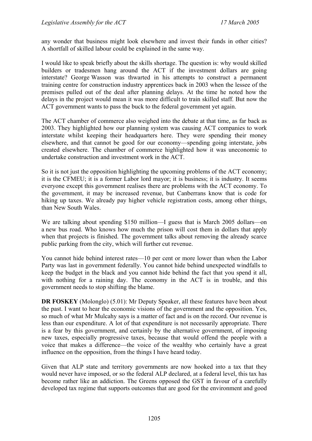any wonder that business might look elsewhere and invest their funds in other cities? A shortfall of skilled labour could be explained in the same way.

I would like to speak briefly about the skills shortage. The question is: why would skilled builders or tradesmen hang around the ACT if the investment dollars are going interstate? George Wasson was thwarted in his attempts to construct a permanent training centre for construction industry apprentices back in 2003 when the lessee of the premises pulled out of the deal after planning delays. At the time he noted how the delays in the project would mean it was more difficult to train skilled staff. But now the ACT government wants to pass the buck to the federal government yet again.

The ACT chamber of commerce also weighed into the debate at that time, as far back as 2003. They highlighted how our planning system was causing ACT companies to work interstate whilst keeping their headquarters here. They were spending their money elsewhere, and that cannot be good for our economy—spending going interstate, jobs created elsewhere. The chamber of commerce highlighted how it was uneconomic to undertake construction and investment work in the ACT.

So it is not just the opposition highlighting the upcoming problems of the ACT economy; it is the CFMEU; it is a former Labor lord mayor; it is business; it is industry. It seems everyone except this government realises there are problems with the ACT economy. To the government, it may be increased revenue, but Canberrans know that is code for hiking up taxes. We already pay higher vehicle registration costs, among other things, than New South Wales.

We are talking about spending \$150 million—I guess that is March 2005 dollars—on a new bus road. Who knows how much the prison will cost them in dollars that apply when that projects is finished. The government talks about removing the already scarce public parking from the city, which will further cut revenue.

You cannot hide behind interest rates—10 per cent or more lower than when the Labor Party was last in government federally. You cannot hide behind unexpected windfalls to keep the budget in the black and you cannot hide behind the fact that you spend it all, with nothing for a raining day. The economy in the ACT is in trouble, and this government needs to stop shifting the blame.

**DR FOSKEY** (Molonglo) (5.01): Mr Deputy Speaker, all these features have been about the past. I want to hear the economic visions of the government and the opposition. Yes, so much of what Mr Mulcahy says is a matter of fact and is on the record. Our revenue is less than our expenditure. A lot of that expenditure is not necessarily appropriate. There is a fear by this government, and certainly by the alternative government, of imposing new taxes, especially progressive taxes, because that would offend the people with a voice that makes a difference—the voice of the wealthy who certainly have a great influence on the opposition, from the things I have heard today.

Given that ALP state and territory governments are now hooked into a tax that they would never have imposed, or so the federal ALP declared, at a federal level, this tax has become rather like an addiction. The Greens opposed the GST in favour of a carefully developed tax regime that supports outcomes that are good for the environment and good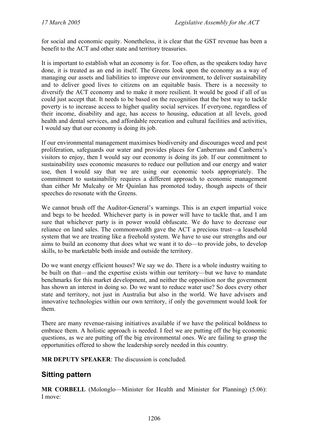for social and economic equity. Nonetheless, it is clear that the GST revenue has been a benefit to the ACT and other state and territory treasuries.

It is important to establish what an economy is for. Too often, as the speakers today have done, it is treated as an end in itself. The Greens look upon the economy as a way of managing our assets and liabilities to improve our environment, to deliver sustainability and to deliver good lives to citizens on an equitable basis. There is a necessity to diversify the ACT economy and to make it more resilient. It would be good if all of us could just accept that. It needs to be based on the recognition that the best way to tackle poverty is to increase access to higher quality social services. If everyone, regardless of their income, disability and age, has access to housing, education at all levels, good health and dental services, and affordable recreation and cultural facilities and activities, I would say that our economy is doing its job.

If our environmental management maximises biodiversity and discourages weed and pest proliferation, safeguards our water and provides places for Canberrans and Canberra's visitors to enjoy, then I would say our economy is doing its job. If our commitment to sustainability uses economic measures to reduce our pollution and our energy and water use, then I would say that we are using our economic tools appropriately. The commitment to sustainability requires a different approach to economic management than either Mr Mulcahy or Mr Quinlan has promoted today, though aspects of their speeches do resonate with the Greens.

We cannot brush off the Auditor-General's warnings. This is an expert impartial voice and begs to be heeded. Whichever party is in power will have to tackle that, and I am sure that whichever party is in power would obfuscate. We do have to decrease our reliance on land sales. The commonwealth gave the ACT a precious trust—a leasehold system that we are treating like a freehold system. We have to use our strengths and our aims to build an economy that does what we want it to do—to provide jobs, to develop skills, to be marketable both inside and outside the territory.

Do we want energy efficient houses? We say we do. There is a whole industry waiting to be built on that—and the expertise exists within our territory—but we have to mandate benchmarks for this market development, and neither the opposition nor the government has shown an interest in doing so. Do we want to reduce water use? So does every other state and territory, not just in Australia but also in the world. We have advisers and innovative technologies within our own territory, if only the government would look for them.

There are many revenue-raising initiatives available if we have the political boldness to embrace them. A holistic approach is needed. I feel we are putting off the big economic questions, as we are putting off the big environmental ones. We are failing to grasp the opportunities offered to show the leadership sorely needed in this country.

**MR DEPUTY SPEAKER**: The discussion is concluded.

## **Sitting pattern**

**MR CORBELL** (Molonglo—Minister for Health and Minister for Planning) (5.06): I move: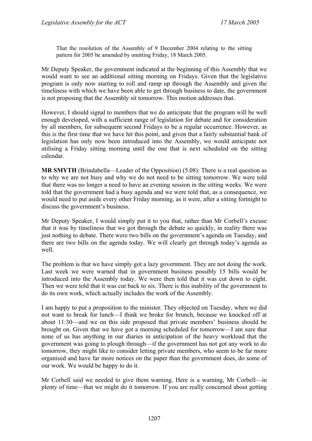That the resolution of the Assembly of 9 December 2004 relating to the sitting pattern for 2005 be amended by omitting Friday, 18 March 2005.

Mr Deputy Speaker, the government indicated at the beginning of this Assembly that we would want to see an additional sitting morning on Fridays. Given that the legislative program is only now starting to roll and ramp up through the Assembly and given the timeliness with which we have been able to get through business to date, the government is not proposing that the Assembly sit tomorrow. This motion addresses that.

However, I should signal to members that we do anticipate that the program will be well enough developed, with a sufficient range of legislation for debate and for consideration by all members, for subsequent second Fridays to be a regular occurrence. However, as this is the first time that we have hit this point, and given that a fairly substantial bank of legislation has only now been introduced into the Assembly, we would anticipate not utilising a Friday sitting morning until the one that is next scheduled on the sitting calendar.

**MR SMYTH** (Brindabella—Leader of the Opposition) (5.08): There is a real question as to why we are not busy and why we do not need to be sitting tomorrow. We were told that there was no longer a need to have an evening session in the sitting weeks. We were told that the government had a busy agenda and we were told that, as a consequence, we would need to put aside every other Friday morning, as it were, after a sitting fortnight to discuss the government's business.

Mr Deputy Speaker, I would simply put it to you that, rather than Mr Corbell's excuse that it was by timeliness that we got through the debate so quickly, in reality there was just nothing to debate. There were two bills on the government's agenda on Tuesday, and there are two bills on the agenda today. We will clearly get through today's agenda as well.

The problem is that we have simply got a lazy government. They are not doing the work. Last week we were warned that in government business possibly 15 bills would be introduced into the Assembly today. We were then told that it was cut down to eight. Then we were told that it was cut back to six. There is this inability of the government to do its own work, which actually includes the work of the Assembly.

I am happy to put a proposition to the minister. They objected on Tuesday, when we did not want to break for lunch—I think we broke for brunch, because we knocked off at about 11:30—and we on this side proposed that private members' business should be brought on. Given that we have got a morning scheduled for tomorrow—I am sure that none of us has anything in our diaries in anticipation of the heavy workload that the government was going to plough through—if the government has not got any work to do tomorrow, they might like to consider letting private members, who seem to be far more organised and have far more notices on the paper than the government does, do some of our work. We would be happy to do it.

Mr Corbell said we needed to give them warning. Here is a warning, Mr Corbell—in plenty of time—that we might do it tomorrow. If you are really concerned about getting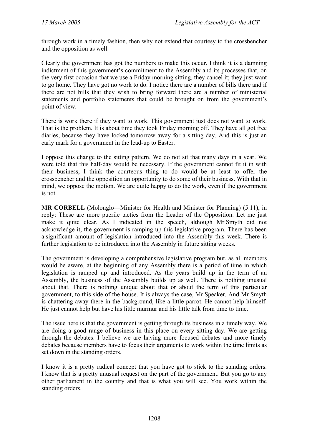through work in a timely fashion, then why not extend that courtesy to the crossbencher and the opposition as well.

Clearly the government has got the numbers to make this occur. I think it is a damning indictment of this government's commitment to the Assembly and its processes that, on the very first occasion that we use a Friday morning sitting, they cancel it; they just want to go home. They have got no work to do. I notice there are a number of bills there and if there are not bills that they wish to bring forward there are a number of ministerial statements and portfolio statements that could be brought on from the government's point of view.

There is work there if they want to work. This government just does not want to work. That is the problem. It is about time they took Friday morning off. They have all got free diaries, because they have locked tomorrow away for a sitting day. And this is just an early mark for a government in the lead-up to Easter.

I oppose this change to the sitting pattern. We do not sit that many days in a year. We were told that this half-day would be necessary. If the government cannot fit it in with their business, I think the courteous thing to do would be at least to offer the crossbencher and the opposition an opportunity to do some of their business. With that in mind, we oppose the motion. We are quite happy to do the work, even if the government is not.

**MR CORBELL** (Molonglo—Minister for Health and Minister for Planning) (5.11), in reply: These are more puerile tactics from the Leader of the Opposition. Let me just make it quite clear. As I indicated in the speech, although Mr Smyth did not acknowledge it, the government is ramping up this legislative program. There has been a significant amount of legislation introduced into the Assembly this week. There is further legislation to be introduced into the Assembly in future sitting weeks.

The government is developing a comprehensive legislative program but, as all members would be aware, at the beginning of any Assembly there is a period of time in which legislation is ramped up and introduced. As the years build up in the term of an Assembly, the business of the Assembly builds up as well. There is nothing unusual about that. There is nothing unique about that or about the term of this particular government, to this side of the house. It is always the case, Mr Speaker. And Mr Smyth is chattering away there in the background, like a little parrot. He cannot help himself. He just cannot help but have his little murmur and his little talk from time to time.

The issue here is that the government is getting through its business in a timely way. We are doing a good range of business in this place on every sitting day. We are getting through the debates. I believe we are having more focused debates and more timely debates because members have to focus their arguments to work within the time limits as set down in the standing orders.

I know it is a pretty radical concept that you have got to stick to the standing orders. I know that is a pretty unusual request on the part of the government. But you go to any other parliament in the country and that is what you will see. You work within the standing orders.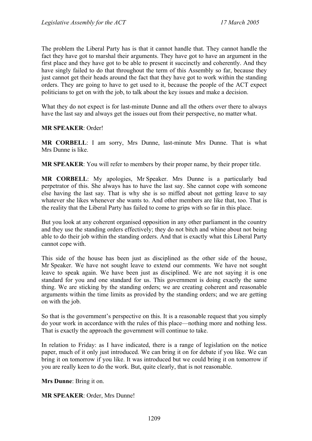The problem the Liberal Party has is that it cannot handle that. They cannot handle the fact they have got to marshal their arguments. They have got to have an argument in the first place and they have got to be able to present it succinctly and coherently. And they have singly failed to do that throughout the term of this Assembly so far, because they just cannot get their heads around the fact that they have got to work within the standing orders. They are going to have to get used to it, because the people of the ACT expect politicians to get on with the job, to talk about the key issues and make a decision.

What they do not expect is for last-minute Dunne and all the others over there to always have the last say and always get the issues out from their perspective, no matter what.

#### **MR SPEAKER**: Order!

**MR CORBELL**: I am sorry, Mrs Dunne, last-minute Mrs Dunne. That is what Mrs Dunne is like.

**MR SPEAKER**: You will refer to members by their proper name, by their proper title.

**MR CORBELL**: My apologies, Mr Speaker. Mrs Dunne is a particularly bad perpetrator of this. She always has to have the last say. She cannot cope with someone else having the last say. That is why she is so miffed about not getting leave to say whatever she likes whenever she wants to. And other members are like that, too. That is the reality that the Liberal Party has failed to come to grips with so far in this place.

But you look at any coherent organised opposition in any other parliament in the country and they use the standing orders effectively; they do not bitch and whine about not being able to do their job within the standing orders. And that is exactly what this Liberal Party cannot cope with.

This side of the house has been just as disciplined as the other side of the house, Mr Speaker. We have not sought leave to extend our comments. We have not sought leave to speak again. We have been just as disciplined. We are not saying it is one standard for you and one standard for us. This government is doing exactly the same thing. We are sticking by the standing orders; we are creating coherent and reasonable arguments within the time limits as provided by the standing orders; and we are getting on with the job.

So that is the government's perspective on this. It is a reasonable request that you simply do your work in accordance with the rules of this place—nothing more and nothing less. That is exactly the approach the government will continue to take.

In relation to Friday: as I have indicated, there is a range of legislation on the notice paper, much of it only just introduced. We can bring it on for debate if you like. We can bring it on tomorrow if you like. It was introduced but we could bring it on tomorrow if you are really keen to do the work. But, quite clearly, that is not reasonable.

**Mrs Dunne**: Bring it on.

**MR SPEAKER**: Order, Mrs Dunne!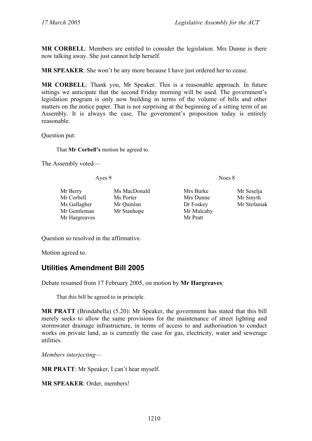**MR CORBELL**: Members are entitled to consider the legislation. Mrs Dunne is there now talking away. She just cannot help herself.

**MR SPEAKER**: She won't be any more because I have just ordered her to cease.

**MR CORBELL**: Thank you, Mr Speaker. This is a reasonable approach. In future sittings we anticipate that the second Friday morning will be used. The government's legislation program is only now building in terms of the volume of bills and other matters on the notice paper. That is not surprising at the beginning of a sitting term of an Assembly. It is always the case. The government's proposition today is entirely reasonable.

Question put:

That **Mr Corbell's** motion be agreed to.

The Assembly voted—

Ayes 9 Noes 8

Mr Corbell Ms Porter Mrs Dunne Mr Smyth Ms Gallagher Mr Quinlan Dr Foskey Mr Stefaniak Mr Gentleman Mr Stanhope Mr Mulcahy Mr Hargreaves Mr Pratt

Mr Berry Ms MacDonald Mrs Burke Mr Seselja

Question so resolved in the affirmative.

Motion agreed to.

## **Utilities Amendment Bill 2005**

Debate resumed from 17 February 2005, on motion by **Mr Hargreaves**:

That this bill be agreed to in principle.

**MR PRATT** (Brindabella) (5.20): Mr Speaker, the government has stated that this bill merely seeks to allow the same provisions for the maintenance of street lighting and stormwater drainage infrastructure, in terms of access to and authorisation to conduct works on private land, as is currently the case for gas, electricity, water and sewerage utilities.

*Members interjecting—* 

**MR PRATT**: Mr Speaker, I can't hear myself.

**MR SPEAKER**: Order, members!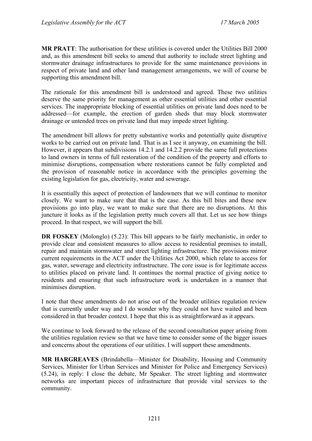**MR PRATT**: The authorisation for these utilities is covered under the Utilities Bill 2000 and, as this amendment bill seeks to amend that authority to include street lighting and stormwater drainage infrastructures to provide for the same maintenance provisions in respect of private land and other land management arrangements, we will of course be supporting this amendment bill.

The rationale for this amendment bill is understood and agreed. These two utilities deserve the same priority for management as other essential utilities and other essential services. The inappropriate blocking of essential utilities on private land does need to be addressed—for example, the erection of garden sheds that may block stormwater drainage or untended trees on private land that may impede street lighting.

The amendment bill allows for pretty substantive works and potentially quite disruptive works to be carried out on private land. That is as I see it anyway, on examining the bill. However, it appears that subdivisions 14.2.1 and 14.2.2 provide the same full protections to land owners in terms of full restoration of the condition of the property and efforts to minimise disruptions, compensation where restorations cannot be fully completed and the provision of reasonable notice in accordance with the principles governing the existing legislation for gas, electricity, water and sewerage.

It is essentially this aspect of protection of landowners that we will continue to monitor closely. We want to make sure that that is the case. As this bill bites and these new provisions go into play, we want to make sure that there are no disruptions. At this juncture it looks as if the legislation pretty much covers all that. Let us see how things proceed. In that respect, we will support the bill.

**DR FOSKEY** (Molonglo) (5.23): This bill appears to be fairly mechanistic, in order to provide clear and consistent measures to allow access to residential premises to install, repair and maintain stormwater and street lighting infrastructure. The provisions mirror current requirements in the ACT under the Utilities Act 2000, which relate to access for gas, water, sewerage and electricity infrastructure. The core issue is for legitimate access to utilities placed on private land. It continues the normal practice of giving notice to residents and ensuring that such infrastructure work is undertaken in a manner that minimises disruption.

I note that these amendments do not arise out of the broader utilities regulation review that is currently under way and I do wonder why they could not have waited and been considered in that broader context. I hope that this is as straightforward as it appears.

We continue to look forward to the release of the second consultation paper arising from the utilities regulation review so that we have time to consider some of the bigger issues and concerns about the operations of our utilities. I will support these amendments.

**MR HARGREAVES** (Brindabella—Minister for Disability, Housing and Community Services, Minister for Urban Services and Minister for Police and Emergency Services) (5.24), in reply: I close the debate, Mr Speaker. The street lighting and stormwater networks are important pieces of infrastructure that provide vital services to the community.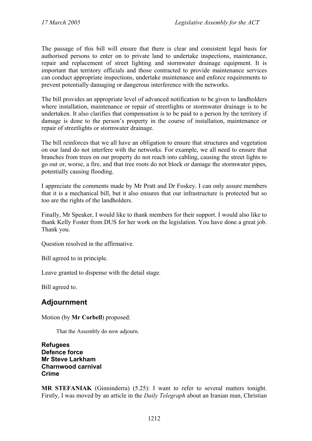The passage of this bill will ensure that there is clear and consistent legal basis for authorised persons to enter on to private land to undertake inspections, maintenance, repair and replacement of street lighting and stormwater drainage equipment. It is important that territory officials and those contracted to provide maintenance services can conduct appropriate inspections, undertake maintenance and enforce requirements to prevent potentially damaging or dangerous interference with the networks.

The bill provides an appropriate level of advanced notification to be given to landholders where installation, maintenance or repair of streetlights or stormwater drainage is to be undertaken. It also clarifies that compensation is to be paid to a person by the territory if damage is done to the person's property in the course of installation, maintenance or repair of streetlights or stormwater drainage.

The bill reinforces that we all have an obligation to ensure that structures and vegetation on our land do not interfere with the networks. For example, we all need to ensure that branches from trees on our property do not reach into cabling, causing the street lights to go out or, worse, a fire, and that tree roots do not block or damage the stormwater pipes, potentially causing flooding.

I appreciate the comments made by Mr Pratt and Dr Foskey. I can only assure members that it is a mechanical bill, but it also ensures that our infrastructure is protected but so too are the rights of the landholders.

Finally, Mr Speaker, I would like to thank members for their support. I would also like to thank Kelly Foster from DUS for her work on the legislation. You have done a great job. Thank you.

Question resolved in the affirmative.

Bill agreed to in principle.

Leave granted to dispense with the detail stage.

Bill agreed to.

## **Adjournment**

Motion (by **Mr Corbell**) proposed:

That the Assembly do now adjourn.

**Refugees Defence force Mr Steve Larkham Charnwood carnival Crime** 

**MR STEFANIAK** (Ginninderra) (5.25): I want to refer to several matters tonight. Firstly, I was moved by an article in the *Daily Telegraph* about an Iranian man, Christian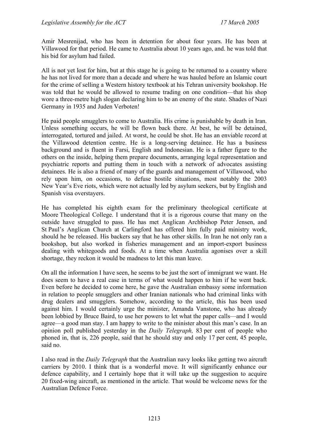Amir Mesrenijad, who has been in detention for about four years. He has been at Villawood for that period. He came to Australia about 10 years ago, and. he was told that his bid for asylum had failed.

All is not yet lost for him, but at this stage he is going to be returned to a country where he has not lived for more than a decade and where he was hauled before an Islamic court for the crime of selling a Western history textbook at his Tehran university bookshop. He was told that he would be allowed to resume trading on one condition—that his shop wore a three-metre high slogan declaring him to be an enemy of the state. Shades of Nazi Germany in 1935 and Juden Verboten!

He paid people smugglers to come to Australia. His crime is punishable by death in Iran. Unless something occurs, he will be flown back there. At best, he will be detained, interrogated, tortured and jailed. At worst, he could be shot. He has an enviable record at the Villawood detention centre. He is a long-serving detainee. He has a business background and is fluent in Farsi, English and Indonesian. He is a father figure to the others on the inside, helping them prepare documents, arranging legal representation and psychiatric reports and putting them in touch with a network of advocates assisting detainees. He is also a friend of many of the guards and management of Villawood, who rely upon him, on occasions, to defuse hostile situations, most notably the 2003 New Year's Eve riots, which were not actually led by asylum seekers, but by English and Spanish visa overstayers.

He has completed his eighth exam for the preliminary theological certificate at Moore Theological College. I understand that it is a rigorous course that many on the outside have struggled to pass. He has met Anglican Archbishop Peter Jensen, and St Paul's Anglican Church at Carlingford has offered him fully paid ministry work, should he be released. His backers say that he has other skills. In Iran he not only ran a bookshop, but also worked in fisheries management and an import-export business dealing with whitegoods and foods. At a time when Australia agonises over a skill shortage, they reckon it would be madness to let this man leave.

On all the information I have seen, he seems to be just the sort of immigrant we want. He does seem to have a real case in terms of what would happen to him if he went back. Even before he decided to come here, he gave the Australian embassy some information in relation to people smugglers and other Iranian nationals who had criminal links with drug dealers and smugglers. Somehow, according to the article, this has been used against him. I would certainly urge the minister, Amanda Vanstone, who has already been lobbied by Bruce Baird, to use her powers to let what the paper calls—and I would agree—a good man stay. I am happy to write to the minister about this man's case. In an opinion poll published yesterday in the *Daily Telegraph,* 83 per cent of people who phoned in, that is, 226 people, said that he should stay and only 17 per cent, 45 people, said no.

I also read in the *Daily Telegraph* that the Australian navy looks like getting two aircraft carriers by 2010. I think that is a wonderful move. It will significantly enhance our defence capability, and I certainly hope that it will take up the suggestion to acquire 20 fixed-wing aircraft, as mentioned in the article. That would be welcome news for the Australian Defence Force.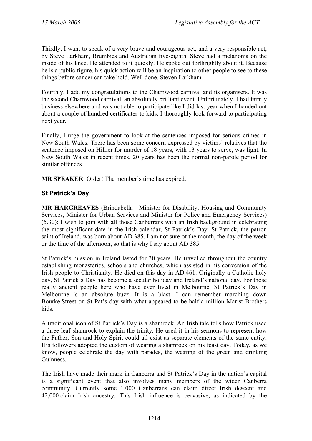Thirdly, I want to speak of a very brave and courageous act, and a very responsible act, by Steve Larkham, Brumbies and Australian five-eighth. Steve had a melanoma on the inside of his knee. He attended to it quickly. He spoke out forthrightly about it. Because he is a public figure, his quick action will be an inspiration to other people to see to these things before cancer can take hold. Well done, Steven Larkham.

Fourthly, I add my congratulations to the Charnwood carnival and its organisers. It was the second Charnwood carnival, an absolutely brilliant event. Unfortunately, I had family business elsewhere and was not able to participate like I did last year when I handed out about a couple of hundred certificates to kids. I thoroughly look forward to participating next year.

Finally, I urge the government to look at the sentences imposed for serious crimes in New South Wales. There has been some concern expressed by victims' relatives that the sentence imposed on Hillier for murder of 18 years, with 13 years to serve, was light. In New South Wales in recent times, 20 years has been the normal non-parole period for similar offences.

**MR SPEAKER**: Order! The member's time has expired.

## **St Patrick's Day**

**MR HARGREAVES** (Brindabella—Minister for Disability, Housing and Community Services, Minister for Urban Services and Minister for Police and Emergency Services) (5.30): I wish to join with all those Canberrans with an Irish background in celebrating the most significant date in the Irish calendar, St Patrick's Day. St Patrick, the patron saint of Ireland, was born about AD 385. I am not sure of the month, the day of the week or the time of the afternoon, so that is why I say about AD 385.

St Patrick's mission in Ireland lasted for 30 years. He travelled throughout the country establishing monasteries, schools and churches, which assisted in his conversion of the Irish people to Christianity. He died on this day in AD 461. Originally a Catholic holy day, St Patrick's Day has become a secular holiday and Ireland's national day. For those really ancient people here who have ever lived in Melbourne, St Patrick's Day in Melbourne is an absolute buzz. It is a blast. I can remember marching down Bourke Street on St Pat's day with what appeared to be half a million Marist Brothers kids.

A traditional icon of St Patrick's Day is a shamrock. An Irish tale tells how Patrick used a three-leaf shamrock to explain the trinity. He used it in his sermons to represent how the Father, Son and Holy Spirit could all exist as separate elements of the same entity. His followers adopted the custom of wearing a shamrock on his feast day. Today, as we know, people celebrate the day with parades, the wearing of the green and drinking Guinness.

The Irish have made their mark in Canberra and St Patrick's Day in the nation's capital is a significant event that also involves many members of the wider Canberra community. Currently some 1,000 Canberrans can claim direct Irish descent and 42,000 claim Irish ancestry. This Irish influence is pervasive, as indicated by the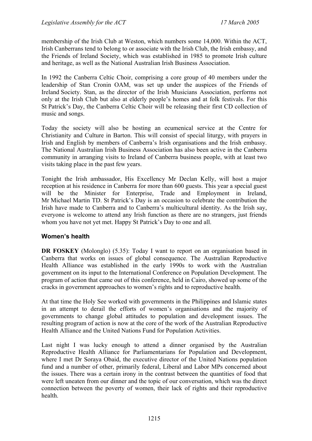membership of the Irish Club at Weston, which numbers some 14,000. Within the ACT, Irish Canberrans tend to belong to or associate with the Irish Club, the Irish embassy, and the Friends of Ireland Society, which was established in 1985 to promote Irish culture and heritage, as well as the National Australian Irish Business Association.

In 1992 the Canberra Celtic Choir, comprising a core group of 40 members under the leadership of Stan Cronin OAM, was set up under the auspices of the Friends of Ireland Society. Stan, as the director of the Irish Musicians Association, performs not only at the Irish Club but also at elderly people's homes and at folk festivals. For this St Patrick's Day, the Canberra Celtic Choir will be releasing their first CD collection of music and songs.

Today the society will also be hosting an ecumenical service at the Centre for Christianity and Culture in Barton. This will consist of special liturgy, with prayers in Irish and English by members of Canberra's Irish organisations and the Irish embassy. The National Australian Irish Business Association has also been active in the Canberra community in arranging visits to Ireland of Canberra business people, with at least two visits taking place in the past few years.

Tonight the Irish ambassador, His Excellency Mr Declan Kelly, will host a major reception at his residence in Canberra for more than 600 guests. This year a special guest will be the Minister for Enterprise. Trade and Employment in Ireland, Mr Michael Martin TD. St Patrick's Day is an occasion to celebrate the contribution the Irish have made to Canberra and to Canberra's multicultural identity. As the Irish say, everyone is welcome to attend any Irish function as there are no strangers, just friends whom you have not yet met. Happy St Patrick's Day to one and all.

## **Women's health**

**DR FOSKEY** (Molonglo) (5.35): Today I want to report on an organisation based in Canberra that works on issues of global consequence. The Australian Reproductive Health Alliance was established in the early 1990s to work with the Australian government on its input to the International Conference on Population Development. The program of action that came out of this conference, held in Cairo, showed up some of the cracks in government approaches to women's rights and to reproductive health.

At that time the Holy See worked with governments in the Philippines and Islamic states in an attempt to derail the efforts of women's organisations and the majority of governments to change global attitudes to population and development issues. The resulting program of action is now at the core of the work of the Australian Reproductive Health Alliance and the United Nations Fund for Population Activities.

Last night I was lucky enough to attend a dinner organised by the Australian Reproductive Health Alliance for Parliamentarians for Population and Development, where I met Dr Soraya Obaid, the executive director of the United Nations population fund and a number of other, primarily federal, Liberal and Labor MPs concerned about the issues. There was a certain irony in the contrast between the quantities of food that were left uneaten from our dinner and the topic of our conversation, which was the direct connection between the poverty of women, their lack of rights and their reproductive health.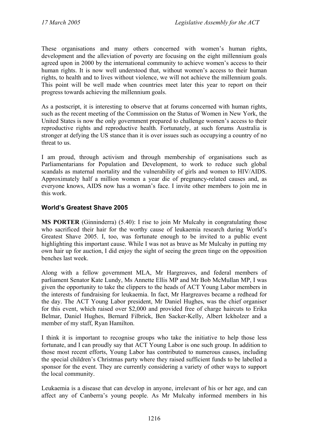These organisations and many others concerned with women's human rights, development and the alleviation of poverty are focusing on the eight millennium goals agreed upon in 2000 by the international community to achieve women's access to their human rights. It is now well understood that, without women's access to their human rights, to health and to lives without violence, we will not achieve the millennium goals. This point will be well made when countries meet later this year to report on their progress towards achieving the millennium goals.

As a postscript, it is interesting to observe that at forums concerned with human rights, such as the recent meeting of the Commission on the Status of Women in New York, the United States is now the only government prepared to challenge women's access to their reproductive rights and reproductive health. Fortunately, at such forums Australia is stronger at defying the US stance than it is over issues such as occupying a country of no threat to us.

I am proud, through activism and through membership of organisations such as Parliamentarians for Population and Development, to work to reduce such global scandals as maternal mortality and the vulnerability of girls and women to HIV/AIDS. Approximately half a million women a year die of pregnancy-related causes and, as everyone knows, AIDS now has a woman's face. I invite other members to join me in this work.

## **World's Greatest Shave 2005**

**MS PORTER** (Ginninderra) (5.40): I rise to join Mr Mulcahy in congratulating those who sacrificed their hair for the worthy cause of leukaemia research during World's Greatest Shave 2005. I, too, was fortunate enough to be invited to a public event highlighting this important cause. While I was not as brave as Mr Mulcahy in putting my own hair up for auction, I did enjoy the sight of seeing the green tinge on the opposition benches last week.

Along with a fellow government MLA, Mr Hargreaves, and federal members of parliament Senator Kate Lundy, Ms Annette Ellis MP and Mr Bob McMullan MP, I was given the opportunity to take the clippers to the heads of ACT Young Labor members in the interests of fundraising for leukaemia. In fact, Mr Hargreaves became a redhead for the day. The ACT Young Labor president, Mr Daniel Hughes, was the chief organiser for this event, which raised over \$2,000 and provided free of charge haircuts to Erika Belmar, Daniel Hughes, Bernard Filbrick, Ben Sacker-Kelly, Albert Ickholzer and a member of my staff, Ryan Hamilton.

I think it is important to recognise groups who take the initiative to help those less fortunate, and I can proudly say that ACT Young Labor is one such group. In addition to those most recent efforts, Young Labor has contributed to numerous causes, including the special children's Christmas party where they raised sufficient funds to be labelled a sponsor for the event. They are currently considering a variety of other ways to support the local community.

Leukaemia is a disease that can develop in anyone, irrelevant of his or her age, and can affect any of Canberra's young people. As Mr Mulcahy informed members in his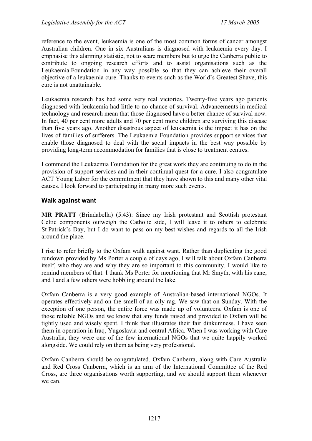reference to the event, leukaemia is one of the most common forms of cancer amongst Australian children. One in six Australians is diagnosed with leukaemia every day. I emphasise this alarming statistic, not to scare members but to urge the Canberra public to contribute to ongoing research efforts and to assist organisations such as the Leukaemia Foundation in any way possible so that they can achieve their overall objective of a leukaemia cure. Thanks to events such as the World's Greatest Shave, this cure is not unattainable.

Leukaemia research has had some very real victories. Twenty-five years ago patients diagnosed with leukaemia had little to no chance of survival. Advancements in medical technology and research mean that those diagnosed have a better chance of survival now. In fact, 40 per cent more adults and 70 per cent more children are surviving this disease than five years ago. Another disastrous aspect of leukaemia is the impact it has on the lives of families of sufferers. The Leukaemia Foundation provides support services that enable those diagnosed to deal with the social impacts in the best way possible by providing long-term accommodation for families that is close to treatment centres.

I commend the Leukaemia Foundation for the great work they are continuing to do in the provision of support services and in their continual quest for a cure. I also congratulate ACT Young Labor for the commitment that they have shown to this and many other vital causes. I look forward to participating in many more such events.

### **Walk against want**

**MR PRATT** (Brindabella) (5.43): Since my Irish protestant and Scottish protestant Celtic components outweigh the Catholic side, I will leave it to others to celebrate St Patrick's Day, but I do want to pass on my best wishes and regards to all the Irish around the place.

I rise to refer briefly to the Oxfam walk against want. Rather than duplicating the good rundown provided by Ms Porter a couple of days ago, I will talk about Oxfam Canberra itself, who they are and why they are so important to this community. I would like to remind members of that. I thank Ms Porter for mentioning that Mr Smyth, with his cane, and I and a few others were hobbling around the lake.

Oxfam Canberra is a very good example of Australian-based international NGOs. It operates effectively and on the smell of an oily rag. We saw that on Sunday. With the exception of one person, the entire force was made up of volunteers. Oxfam is one of those reliable NGOs and we know that any funds raised and provided to Oxfam will be tightly used and wisely spent. I think that illustrates their fair dinkumness. I have seen them in operation in Iraq, Yugoslavia and central Africa. When I was working with Care Australia, they were one of the few international NGOs that we quite happily worked alongside. We could rely on them as being very professional.

Oxfam Canberra should be congratulated. Oxfam Canberra, along with Care Australia and Red Cross Canberra, which is an arm of the International Committee of the Red Cross, are three organisations worth supporting, and we should support them whenever we can.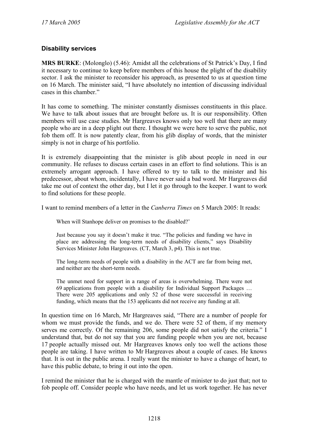### **Disability services**

**MRS BURKE**: (Molonglo) (5.46): Amidst all the celebrations of St Patrick's Day, I find it necessary to continue to keep before members of this house the plight of the disability sector. I ask the minister to reconsider his approach, as presented to us at question time on 16 March. The minister said, "I have absolutely no intention of discussing individual cases in this chamber."

It has come to something. The minister constantly dismisses constituents in this place. We have to talk about issues that are brought before us. It is our responsibility. Often members will use case studies. Mr Hargreaves knows only too well that there are many people who are in a deep plight out there. I thought we were here to serve the public, not fob them off. It is now patently clear, from his glib display of words, that the minister simply is not in charge of his portfolio.

It is extremely disappointing that the minister is glib about people in need in our community. He refuses to discuss certain cases in an effort to find solutions. This is an extremely arrogant approach. I have offered to try to talk to the minister and his predecessor, about whom, incidentally, I have never said a bad word. Mr Hargreaves did take me out of context the other day, but I let it go through to the keeper. I want to work to find solutions for these people.

I want to remind members of a letter in the *Canberra Times* on 5 March 2005: It reads:

When will Stanhope deliver on promises to the disabled?'

Just because you say it doesn't make it true. "The policies and funding we have in place are addressing the long-term needs of disability clients," says Disability Services Minister John Hargreaves. (CT, March 3, p4). This is not true.

The long-term needs of people with a disability in the ACT are far from being met, and neither are the short-term needs.

The unmet need for support in a range of areas is overwhelming. There were not 69 applications from people with a disability for Individual Support Packages … There were 205 applications and only 52 of those were successful in receiving funding, which means that the 153 applicants did not receive any funding at all.

In question time on 16 March, Mr Hargreaves said, "There are a number of people for whom we must provide the funds, and we do. There were 52 of them, if my memory serves me correctly. Of the remaining 206, some people did not satisfy the criteria." I understand that, but do not say that you are funding people when you are not, because 17 people actually missed out. Mr Hargreaves knows only too well the actions those people are taking. I have written to Mr Hargreaves about a couple of cases. He knows that. It is out in the public arena. I really want the minister to have a change of heart, to have this public debate, to bring it out into the open.

I remind the minister that he is charged with the mantle of minister to do just that; not to fob people off. Consider people who have needs, and let us work together. He has never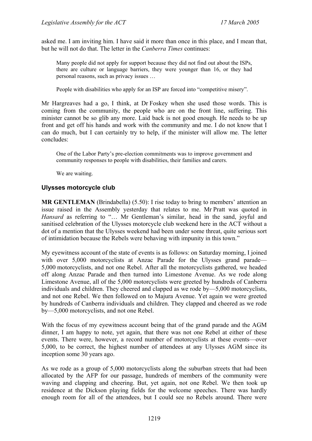asked me. I am inviting him. I have said it more than once in this place, and I mean that, but he will not do that. The letter in the *Canberra Times* continues:

Many people did not apply for support because they did not find out about the ISPs, there are culture or language barriers, they were younger than 16, or they had personal reasons, such as privacy issues …

People with disabilities who apply for an ISP are forced into "competitive misery".

Mr Hargreaves had a go, I think, at Dr Foskey when she used those words. This is coming from the community, the people who are on the front line, suffering. This minister cannot be so glib any more. Laid back is not good enough. He needs to be up front and get off his hands and work with the community and me. I do not know that I can do much, but I can certainly try to help, if the minister will allow me. The letter concludes:

One of the Labor Party's pre-election commitments was to improve government and community responses to people with disabilities, their families and carers.

We are waiting.

#### **Ulysses motorcycle club**

**MR GENTLEMAN** (Brindabella) (5.50): I rise today to bring to members' attention an issue raised in the Assembly yesterday that relates to me. Mr Pratt was quoted in *Hansard* as referring to "… Mr Gentleman's similar, head in the sand, joyful and sanitised celebration of the Ulysses motorcycle club weekend here in the ACT without a dot of a mention that the Ulysses weekend had been under some threat, quite serious sort of intimidation because the Rebels were behaving with impunity in this town."

My eyewitness account of the state of events is as follows: on Saturday morning, I joined with over 5,000 motorcyclists at Anzac Parade for the Ulysses grand parade— 5,000 motorcyclists, and not one Rebel. After all the motorcyclists gathered, we headed off along Anzac Parade and then turned into Limestone Avenue. As we rode along Limestone Avenue, all of the 5,000 motorcyclists were greeted by hundreds of Canberra individuals and children. They cheered and clapped as we rode by—5,000 motorcyclists, and not one Rebel. We then followed on to Majura Avenue. Yet again we were greeted by hundreds of Canberra individuals and children. They clapped and cheered as we rode by—5,000 motorcyclists, and not one Rebel.

With the focus of my eyewitness account being that of the grand parade and the AGM dinner, I am happy to note, yet again, that there was not one Rebel at either of these events. There were, however, a record number of motorcyclists at these events—over 5,000, to be correct, the highest number of attendees at any Ulysses AGM since its inception some 30 years ago.

As we rode as a group of 5,000 motorcyclists along the suburban streets that had been allocated by the AFP for our passage, hundreds of members of the community were waving and clapping and cheering. But, yet again, not one Rebel. We then took up residence at the Dickson playing fields for the welcome speeches. There was hardly enough room for all of the attendees, but I could see no Rebels around. There were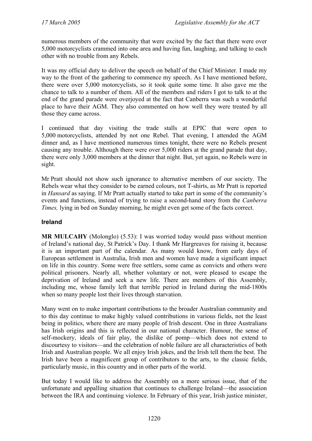numerous members of the community that were excited by the fact that there were over 5,000 motorcyclists crammed into one area and having fun, laughing, and talking to each other with no trouble from any Rebels.

It was my official duty to deliver the speech on behalf of the Chief Minister. I made my way to the front of the gathering to commence my speech. As I have mentioned before, there were over 5,000 motorcyclists, so it took quite some time. It also gave me the chance to talk to a number of them. All of the members and riders I got to talk to at the end of the grand parade were overjoyed at the fact that Canberra was such a wonderful place to have their AGM. They also commented on how well they were treated by all those they came across.

I continued that day visiting the trade stalls at EPIC that were open to 5,000 motorcyclists, attended by not one Rebel. That evening, I attended the AGM dinner and, as I have mentioned numerous times tonight, there were no Rebels present causing any trouble. Although there were over 5,000 riders at the grand parade that day, there were only 3,000 members at the dinner that night. But, yet again, no Rebels were in sight.

Mr Pratt should not show such ignorance to alternative members of our society. The Rebels wear what they consider to be earned colours, not T-shirts, as Mr Pratt is reported in *Hansard* as saying. If Mr Pratt actually started to take part in some of the community's events and functions, instead of trying to raise a second-hand story from the *Canberra Times,* lying in bed on Sunday morning, he might even get some of the facts correct.

### **Ireland**

**MR MULCAHY** (Molonglo) (5.53): I was worried today would pass without mention of Ireland's national day, St Patrick's Day. I thank Mr Hargreaves for raising it, because it is an important part of the calendar. As many would know, from early days of European settlement in Australia, Irish men and women have made a significant impact on life in this country. Some were free settlers, some came as convicts and others were political prisoners. Nearly all, whether voluntary or not, were pleased to escape the deprivation of Ireland and seek a new life. There are members of this Assembly, including me, whose family left that terrible period in Ireland during the mid-1800s when so many people lost their lives through starvation.

Many went on to make important contributions to the broader Australian community and to this day continue to make highly valued contributions in various fields, not the least being in politics, where there are many people of Irish descent. One in three Australians has Irish origins and this is reflected in our national character. Humour, the sense of self-mockery, ideals of fair play, the dislike of pomp—which does not extend to discourtesy to visitors—and the celebration of noble failure are all characteristics of both Irish and Australian people. We all enjoy Irish jokes, and the Irish tell them the best. The Irish have been a magnificent group of contributors to the arts, to the classic fields, particularly music, in this country and in other parts of the world.

But today I would like to address the Assembly on a more serious issue, that of the unfortunate and appalling situation that continues to challenge Ireland—the association between the IRA and continuing violence. In February of this year, Irish justice minister,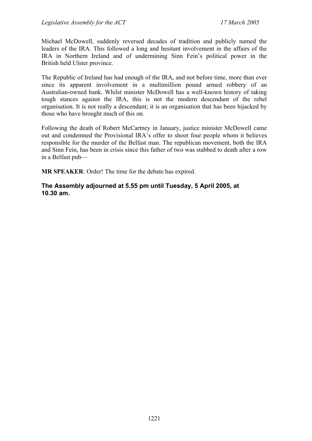Michael McDowell, suddenly reversed decades of tradition and publicly named the leaders of the IRA. This followed a long and hesitant involvement in the affairs of the IRA in Northern Ireland and of undermining Sinn Fein's political power in the British held Ulster province.

The Republic of Ireland has had enough of the IRA, and not before time, more than ever since its apparent involvement in a multimillion pound armed robbery of an Australian-owned bank. Whilst minister McDowell has a well-known history of taking tough stances against the IRA, this is not the modern descendant of the rebel organisation. It is not really a descendant; it is an organisation that has been hijacked by those who have brought much of this on.

Following the death of Robert McCartney in January, justice minister McDowell came out and condemned the Provisional IRA's offer to shoot four people whom it believes responsible for the murder of the Belfast man. The republican movement, both the IRA and Sinn Fein, has been in crisis since this father of two was stabbed to death after a row in a Belfast pub—

**MR SPEAKER**: Order! The time for the debate has expired.

### **The Assembly adjourned at 5.55 pm until Tuesday, 5 April 2005, at 10.30 am.**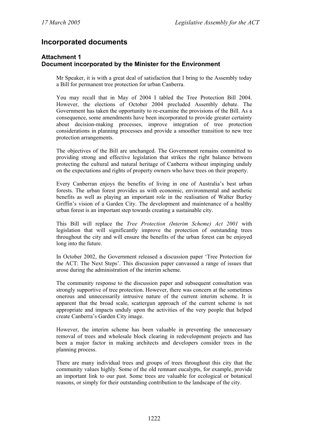## **Incorporated documents**

#### **Attachment 1 Document incorporated by the Minister for the Environment**

Mr Speaker, it is with a great deal of satisfaction that I bring to the Assembly today a Bill for permanent tree protection for urban Canberra.

You may recall that in May of 2004 I tabled the Tree Protection Bill 2004. However, the elections of October 2004 precluded Assembly debate. The Government has taken the opportunity to re-examine the provisions of the Bill. As a consequence, some amendments have been incorporated to provide greater certainty about decision-making processes, improve integration of tree protection considerations in planning processes and provide a smoother transition to new tree protection arrangements.

The objectives of the Bill are unchanged. The Government remains committed to providing strong and effective legislation that strikes the right balance between protecting the cultural and natural heritage of Canberra without impinging unduly on the expectations and rights of property owners who have trees on their property.

Every Canberran enjoys the benefits of living in one of Australia's best urban forests. The urban forest provides us with economic, environmental and aesthetic benefits as well as playing an important role in the realisation of Walter Burley Griffin's vision of a Garden City. The development and maintenance of a healthy urban forest is an important step towards creating a sustainable city.

This Bill will replace the *Tree Protection (Interim Scheme) Act 2001* with legislation that will significantly improve the protection of outstanding trees throughout the city and will ensure the benefits of the urban forest can be enjoyed long into the future.

In October 2002, the Government released a discussion paper 'Tree Protection for the ACT: The Next Steps'. This discussion paper canvassed a range of issues that arose during the administration of the interim scheme.

The community response to the discussion paper and subsequent consultation was strongly supportive of tree protection. However, there was concern at the sometimes onerous and unnecessarily intrusive nature of the current interim scheme. It is apparent that the broad scale, scattergun approach of the current scheme is not appropriate and impacts unduly upon the activities of the very people that helped create Canberra's Garden City image.

However, the interim scheme has been valuable in preventing the unnecessary removal of trees and wholesale block clearing in redevelopment projects and has been a major factor in making architects and developers consider trees in the planning process.

There are many individual trees and groups of trees throughout this city that the community values highly. Some of the old remnant eucalypts, for example, provide an important link to our past. Some trees are valuable for ecological or botanical reasons, or simply for their outstanding contribution to the landscape of the city.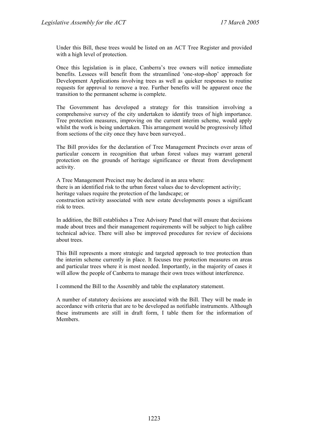Under this Bill, these trees would be listed on an ACT Tree Register and provided with a high level of protection.

Once this legislation is in place, Canberra's tree owners will notice immediate benefits. Lessees will benefit from the streamlined 'one-stop-shop' approach for Development Applications involving trees as well as quicker responses to routine requests for approval to remove a tree. Further benefits will be apparent once the transition to the permanent scheme is complete.

The Government has developed a strategy for this transition involving a comprehensive survey of the city undertaken to identify trees of high importance. Tree protection measures, improving on the current interim scheme, would apply whilst the work is being undertaken. This arrangement would be progressively lifted from sections of the city once they have been surveyed..

The Bill provides for the declaration of Tree Management Precincts over areas of particular concern in recognition that urban forest values may warrant general protection on the grounds of heritage significance or threat from development activity.

A Tree Management Precinct may be declared in an area where: there is an identified risk to the urban forest values due to development activity; heritage values require the protection of the landscape; or construction activity associated with new estate developments poses a significant risk to trees.

In addition, the Bill establishes a Tree Advisory Panel that will ensure that decisions made about trees and their management requirements will be subject to high calibre technical advice. There will also be improved procedures for review of decisions about trees.

This Bill represents a more strategic and targeted approach to tree protection than the interim scheme currently in place. It focuses tree protection measures on areas and particular trees where it is most needed. Importantly, in the majority of cases it will allow the people of Canberra to manage their own trees without interference.

I commend the Bill to the Assembly and table the explanatory statement.

A number of statutory decisions are associated with the Bill. They will be made in accordance with criteria that are to be developed as notifiable instruments. Although these instruments are still in draft form, I table them for the information of **Members**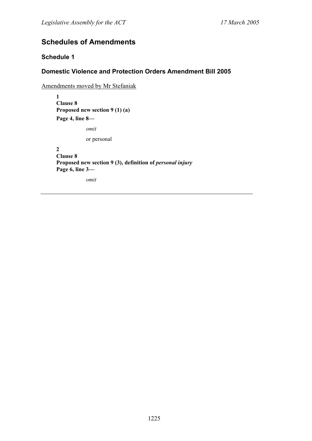# **Schedules of Amendments**

## **Schedule 1**

## **Domestic Violence and Protection Orders Amendment Bill 2005**

Amendments moved by Mr Stefaniak

**1 Clause 8 Proposed new section 9 (1) (a) Page 4, line 8—**

*omit* 

or personal

**2 Clause 8**  Proposed new section 9 (3), definition of *personal injury* **Page 6, line 3—** 

*omit*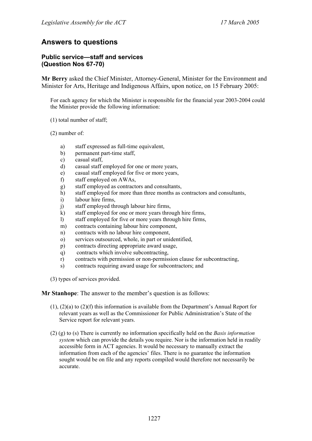## **Answers to questions**

#### **Public service—staff and services (Question Nos 67-70)**

**Mr Berry** asked the Chief Minister, Attorney-General, Minister for the Environment and Minister for Arts, Heritage and Indigenous Affairs, upon notice, on 15 February 2005:

For each agency for which the Minister is responsible for the financial year 2003-2004 could the Minister provide the following information:

- (1) total number of staff;
- (2) number of:
	- a) staff expressed as full-time equivalent,
	- b) permanent part-time staff,
	- c) casual staff,
	- d) casual staff employed for one or more years,
	- e) casual staff employed for five or more years,
	- f) staff employed on AWAs,
	- g) staff employed as contractors and consultants,
	- h) staff employed for more than three months as contractors and consultants,
	- i) labour hire firms,
	- j) staff employed through labour hire firms,
	- k) staff employed for one or more years through hire firms,
	- l) staff employed for five or more years through hire firms,
	- m) contracts containing labour hire component,
	- n) contracts with no labour hire component,
	- o) services outsourced, whole, in part or unidentified,
	- p) contracts directing appropriate award usage,
	- q) contracts which involve subcontracting,
	- r) contracts with permission or non-permission clause for subcontracting,
	- s) contracts requiring award usage for subcontractors; and

(3) types of services provided.

**Mr Stanhope**: The answer to the member's question is as follows:

- (1), (2)(a) to (2)(f) this information is available from the Department's Annual Report for relevant years as well as the Commissioner for Public Administration's State of the Service report for relevant years.
- (2) (g) to (s) There is currently no information specifically held on the *Basis information system* which can provide the details you require. Nor is the information held in readily accessible form in ACT agencies. It would be necessary to manually extract the information from each of the agencies' files. There is no guarantee the information sought would be on file and any reports compiled would therefore not necessarily be accurate.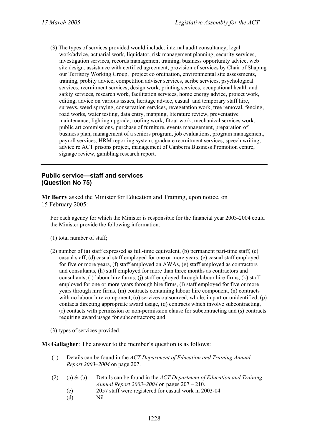(3) The types of services provided would include: internal audit consultancy, legal work/advice, actuarial work, liquidator, risk management planning, security services, investigation services, records management training, business opportunity advice, web site design, assistance with certified agreement, provision of services by Chair of Shaping our Territory Working Group, project co ordination, environmental site assessments, training, probity advice, competition adviser services, scribe services, psychological services, recruitment services, design work, printing services, occupational health and safety services, research work, facilitation services, home energy advice, project work, editing, advice on various issues, heritage advice, casual and temporary staff hire, surveys, weed spraying, conservation services, revegetation work, tree removal, fencing, road works, water testing, data entry, mapping, literature review, preventative maintenance, lighting upgrade, roofing work, fitout work, mechanical services work, public art commissions, purchase of furniture, events management, preparation of business plan, management of a seniors program, job evaluations, program management, payroll services, HRM reporting system, graduate recruitment services, speech writing, advice re ACT prisons project, management of Canberra Business Promotion centre, signage review, gambling research report.

#### **Public service—staff and services (Question No 75)**

**Mr Berry** asked the Minister for Education and Training, upon notice, on 15 February 2005:

For each agency for which the Minister is responsible for the financial year 2003-2004 could the Minister provide the following information:

- (1) total number of staff;
- (2) number of (a) staff expressed as full-time equivalent, (b) permanent part-time staff, (c) casual staff, (d) casual staff employed for one or more years, (e) casual staff employed for five or more years, (f) staff employed on AWAs, (g) staff employed as contractors and consultants, (h) staff employed for more than three months as contractors and consultants, (i) labour hire farms, (j) staff employed through labour hire firms, (k) staff employed for one or more years through hire firms, (l) staff employed for five or more years through hire firms, (m) contracts containing labour hire component, (n) contracts with no labour hire component, (o) services outsourced, whole, in part or unidentified, (p) contacts directing appropriate award usage, (q) contracts which involve subcontracting, (r) contacts with permission or non-permission clause for subcontracting and (s) contracts requiring award usage for subcontractors; and

(3) types of services provided.

**Ms Gallagher**: The answer to the member's question is as follows:

- (1) Details can be found in the *ACT Department of Education and Training Annual Report 2003–2004* on page 207.
- (2) (a) & (b) Details can be found in the *ACT Department of Education and Training Annual Report 2003–2004* on pages 207 – 210.
	- (c) 2057 staff were registered for casual work in 2003-04.
	- (d) Nil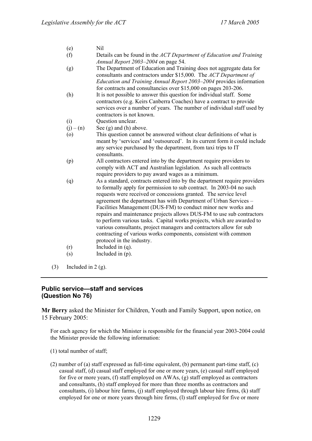- (e) Nil
- (f) Details can be found in the *ACT Department of Education and Training Annual Report 2003–2004* on page 54.
- (g) The Department of Education and Training does not aggregate data for consultants and contractors under \$15,000. The *ACT Department of Education and Training Annual Report 2003–2004* provides information for contracts and consultancies over \$15,000 on pages 203-206.
- (h) It is not possible to answer this question for individual staff. Some contractors (e.g. Keirs Canberra Coaches) have a contract to provide services over a number of years. The number of individual staff used by contractors is not known.
- (i) Question unclear.
- $(i) (n)$  See (g) and (h) above.
- (o) This question cannot be answered without clear definitions of what is meant by 'services' and 'outsourced'. In its current form it could include any service purchased by the department, from taxi trips to IT consultants.
- (p) All contractors entered into by the department require providers to comply with ACT and Australian legislation. As such all contracts require providers to pay award wages as a minimum.
- (q) As a standard, contracts entered into by the department require providers to formally apply for permission to sub contract. In 2003-04 no such requests were received or concessions granted. The service level agreement the department has with Department of Urban Services – Facilities Management (DUS-FM) to conduct minor new works and repairs and maintenance projects allows DUS-FM to use sub contractors to perform various tasks. Capital works projects, which are awarded to various consultants, project managers and contractors allow for sub contracting of various works components, consistent with common protocol in the industry.
- (r) Included in (q).
- (s) Included in (p).
- $(3)$  Included in 2  $(g)$ .

#### **Public service—staff and services (Question No 76)**

**Mr Berry** asked the Minister for Children, Youth and Family Support, upon notice, on 15 February 2005:

- (1) total number of staff;
- (2) number of (a) staff expressed as full-time equivalent, (b) permanent part-time staff, (c) casual staff, (d) casual staff employed for one or more years, (e) casual staff employed for five or more years, (f) staff employed on AWAs, (g) staff employed as contractors and consultants, (h) staff employed for more than three months as contractors and consultants, (i) labour hire farms, (j) staff employed through labour hire firms, (k) staff employed for one or more years through hire firms, (l) staff employed for five or more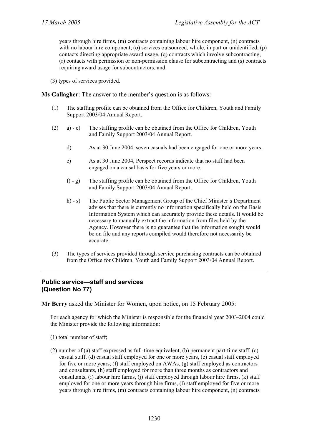years through hire firms, (m) contracts containing labour hire component, (n) contracts with no labour hire component, (o) services outsourced, whole, in part or unidentified, (p) contacts directing appropriate award usage, (q) contracts which involve subcontracting, (r) contacts with permission or non-permission clause for subcontracting and (s) contracts requiring award usage for subcontractors; and

(3) types of services provided.

**Ms Gallagher**: The answer to the member's question is as follows:

- (1) The staffing profile can be obtained from the Office for Children, Youth and Family Support 2003/04 Annual Report.
- (2) a) c) The staffing profile can be obtained from the Office for Children, Youth and Family Support 2003/04 Annual Report.
	- d) As at 30 June 2004, seven casuals had been engaged for one or more years.
	- e) As at 30 June 2004, Perspect records indicate that no staff had been engaged on a causal basis for five years or more.
	- f) g) The staffing profile can be obtained from the Office for Children, Youth and Family Support 2003/04 Annual Report.
	- h) s) The Public Sector Management Group of the Chief Minister's Department advises that there is currently no information specifically held on the Basis Information System which can accurately provide these details. It would be necessary to manually extract the information from files held by the Agency. However there is no guarantee that the information sought would be on file and any reports compiled would therefore not necessarily be accurate.
- (3) The types of services provided through service purchasing contracts can be obtained from the Office for Children, Youth and Family Support 2003/04 Annual Report.

#### **Public service—staff and services (Question No 77)**

**Mr Berry** asked the Minister for Women, upon notice, on 15 February 2005:

- (1) total number of staff;
- (2) number of (a) staff expressed as full-time equivalent, (b) permanent part-time staff, (c) casual staff, (d) casual staff employed for one or more years, (e) casual staff employed for five or more years, (f) staff employed on AWAs, (g) staff employed as contractors and consultants, (h) staff employed for more than three months as contractors and consultants, (i) labour hire farms, (j) staff employed through labour hire firms, (k) staff employed for one or more years through hire firms, (l) staff employed for five or more years through hire firms, (m) contracts containing labour hire component, (n) contracts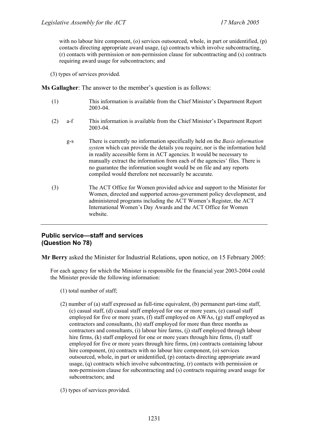with no labour hire component, (o) services outsourced, whole, in part or unidentified, (p) contacts directing appropriate award usage, (q) contracts which involve subcontracting, (r) contacts with permission or non-permission clause for subcontracting and (s) contracts requiring award usage for subcontractors; and

(3) types of services provided.

**Ms Gallagher**: The answer to the member's question is as follows:

- (1) This information is available from the Chief Minister's Department Report 2003-04.
- (2) a-f This information is available from the Chief Minister's Department Report 2003-04.
	- g-s There is currently no information specifically held on the *Basis information system* which can provide the details you require, nor is the information held in readily accessible form in ACT agencies. It would be necessary to manually extract the information from each of the agencies' files. There is no guarantee the information sought would be on file and any reports compiled would therefore not necessarily be accurate.
- (3) The ACT Office for Women provided advice and support to the Minister for Women, directed and supported across-government policy development, and administered programs including the ACT Women's Register, the ACT International Women's Day Awards and the ACT Office for Women website.

#### **Public service—staff and services (Question No 78)**

**Mr Berry** asked the Minister for Industrial Relations, upon notice, on 15 February 2005:

- (1) total number of staff;
- (2) number of (a) staff expressed as full-time equivalent, (b) permanent part-time staff, (c) casual staff, (d) casual staff employed for one or more years, (e) casual staff employed for five or more years, (f) staff employed on AWAs, (g) staff employed as contractors and consultants, (h) staff employed for more than three months as contractors and consultants, (i) labour hire farms, (j) staff employed through labour hire firms, (k) staff employed for one or more years through hire firms, (l) staff employed for five or more years through hire firms, (m) contracts containing labour hire component, (n) contracts with no labour hire component, (o) services outsourced, whole, in part or unidentified, (p) contacts directing appropriate award usage, (q) contracts which involve subcontracting, (r) contacts with permission or non-permission clause for subcontracting and (s) contracts requiring award usage for subcontractors; and
- (3) types of services provided.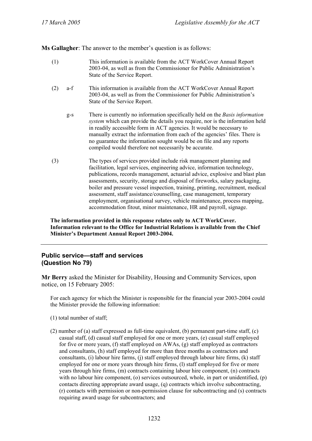**Ms Gallagher**: The answer to the member's question is as follows:

- (1) This information is available from the ACT WorkCover Annual Report 2003-04, as well as from the Commissioner for Public Administration's State of the Service Report.
- (2) a-f This information is available from the ACT WorkCover Annual Report 2003-04, as well as from the Commissioner for Public Administration's State of the Service Report.
	- g-s There is currently no information specifically held on the *Basis information system* which can provide the details you require, nor is the information held in readily accessible form in ACT agencies. It would be necessary to manually extract the information from each of the agencies' files. There is no guarantee the information sought would be on file and any reports compiled would therefore not necessarily be accurate.
- (3) The types of services provided include risk management planning and facilitation, legal services, engineering advice, information technology, publications, records management, actuarial advice, explosive and blast plan assessments, security, storage and disposal of fireworks, salary packaging, boiler and pressure vessel inspection, training, printing, recruitment, medical assessment, staff assistance/counselling, case management, temporary employment, organisational survey, vehicle maintenance, process mapping, accommodation fitout, minor maintenance, HR and payroll, signage.

**The information provided in this response relates only to ACT WorkCover. Information relevant to the Office for Industrial Relations is available from the Chief Minister's Department Annual Report 2003-2004.** 

#### **Public service—staff and services (Question No 79)**

**Mr Berry** asked the Minister for Disability, Housing and Community Services, upon notice, on 15 February 2005:

- (1) total number of staff;
- (2) number of (a) staff expressed as full-time equivalent, (b) permanent part-time staff, (c) casual staff, (d) casual staff employed for one or more years, (e) casual staff employed for five or more years, (f) staff employed on AWAs, (g) staff employed as contractors and consultants, (h) staff employed for more than three months as contractors and consultants, (i) labour hire farms, (j) staff employed through labour hire firms, (k) staff employed for one or more years through hire firms, (l) staff employed for five or more years through hire firms, (m) contracts containing labour hire component, (n) contracts with no labour hire component, (o) services outsourced, whole, in part or unidentified, (p) contacts directing appropriate award usage, (q) contracts which involve subcontracting, (r) contacts with permission or non-permission clause for subcontracting and (s) contracts requiring award usage for subcontractors; and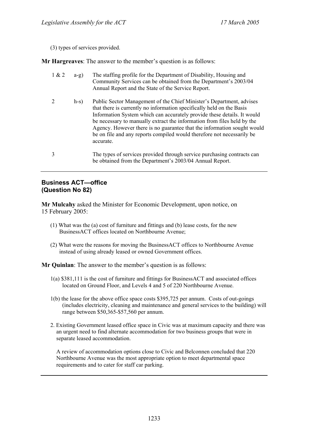(3) types of services provided.

**Mr Hargreaves**: The answer to the member's question is as follows:

- 1 & 2 a-g) The staffing profile for the Department of Disability, Housing and Community Services can be obtained from the Department's 2003/04 Annual Report and the State of the Service Report.
- 2 h-s) Public Sector Management of the Chief Minister's Department, advises that there is currently no information specifically held on the Basis Information System which can accurately provide these details. It would be necessary to manually extract the information from files held by the Agency. However there is no guarantee that the information sought would be on file and any reports compiled would therefore not necessarily be accurate.
- 3 The types of services provided through service purchasing contracts can be obtained from the Department's 2003/04 Annual Report.

#### **Business ACT—office (Question No 82)**

**Mr Mulcahy** asked the Minister for Economic Development, upon notice, on 15 February 2005:

- (1) What was the (a) cost of furniture and fittings and (b) lease costs, for the new BusinessACT offices located on Northbourne Avenue;
- (2) What were the reasons for moving the BusinessACT offices to Northbourne Avenue instead of using already leased or owned Government offices.

**Mr Quinlan**: The answer to the member's question is as follows:

- 1(a) \$381,111 is the cost of furniture and fittings for BusinessACT and associated offices located on Ground Floor, and Levels 4 and 5 of 220 Northbourne Avenue.
- 1(b) the lease for the above office space costs \$395,725 per annum. Costs of out-goings (includes electricity, cleaning and maintenance and general services to the building) will range between \$50,365-\$57,560 per annum.
- 2. Existing Government leased office space in Civic was at maximum capacity and there was an urgent need to find alternate accommodation for two business groups that were in separate leased accommodation.

A review of accommodation options close to Civic and Belconnen concluded that 220 Northbourne Avenue was the most appropriate option to meet departmental space requirements and to cater for staff car parking.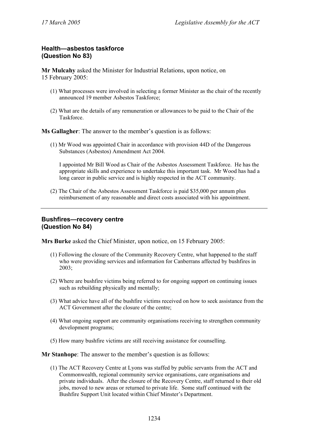# **Health—asbestos taskforce (Question No 83)**

**Mr Mulcahy** asked the Minister for Industrial Relations, upon notice, on 15 February 2005:

- (1) What processes were involved in selecting a former Minister as the chair of the recently announced 19 member Asbestos Taskforce;
- (2) What are the details of any remuneration or allowances to be paid to the Chair of the **Taskforce**

**Ms Gallagher**: The answer to the member's question is as follows:

(1) Mr Wood was appointed Chair in accordance with provision 44D of the Dangerous Substances (Asbestos) Amendment Act 2004.

I appointed Mr Bill Wood as Chair of the Asbestos Assessment Taskforce. He has the appropriate skills and experience to undertake this important task. Mr Wood has had a long career in public service and is highly respected in the ACT community.

(2) The Chair of the Asbestos Assessment Taskforce is paid \$35,000 per annum plus reimbursement of any reasonable and direct costs associated with his appointment.

# **Bushfires—recovery centre (Question No 84)**

**Mrs Burke** asked the Chief Minister, upon notice, on 15 February 2005:

- (1) Following the closure of the Community Recovery Centre, what happened to the staff who were providing services and information for Canberrans affected by bushfires in 2003;
- (2) Where are bushfire victims being referred to for ongoing support on continuing issues such as rebuilding physically and mentally;
- (3) What advice have all of the bushfire victims received on how to seek assistance from the ACT Government after the closure of the centre;
- (4) What ongoing support are community organisations receiving to strengthen community development programs;
- (5) How many bushfire victims are still receiving assistance for counselling.

**Mr Stanhope**: The answer to the member's question is as follows:

(1) The ACT Recovery Centre at Lyons was staffed by public servants from the ACT and Commonwealth, regional community service organisations, care organisations and private individuals. After the closure of the Recovery Centre, staff returned to their old jobs, moved to new areas or returned to private life. Some staff continued with the Bushfire Support Unit located within Chief Minster's Department.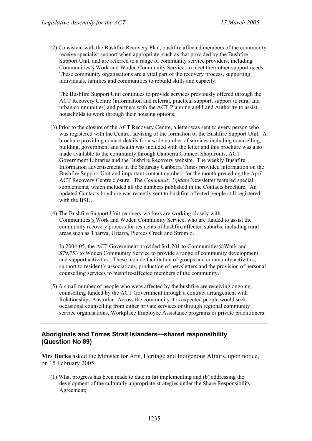(2) Consistent with the Bushfire Recovery Plan, bushfire affected members of the community receive specialist support when appropriate, such as that provided by the Bushfire Support Unit, and are referred to a range of community service providers, including Communities@Work and Woden Community Service, to meet their other support needs. These community organisations are a vital part of the recovery process, supporting individuals, families and communities to rebuild skills and capacity.

The Bushfire Support Unit continues to provide services previously offered through the ACT Recovery Centre (information and referral, practical support, support to rural and urban communities) and partners with the ACT Planning and Land Authority to assist households to work through their housing options.

- (3) Prior to the closure of the ACT Recovery Centre, a letter was sent to every person who was registered with the Centre, advising of the formation of the Bushfire Support Unit. A brochure providing contact details for a wide number of services including counselling, building, government and health was included with the letter and this brochure was also made available to the community through Canberra Connect Shopfronts, ACT Government Libraries and the Bushfire Recovery website. The weekly Bushfire Information advertisements in the Saturday Canberra Times provided information on the Bushfire Support Unit and important contact numbers for the month preceding the April ACT Recovery Centre closure. The *Community Update* Newsletter featured special supplements, which included all the numbers published in the Contacts brochure. An updated Contacts brochure was recently sent to bushfire-affected people still registered with the BSU.
- (4) The Bushfire Support Unit recovery workers are working closely with Communities@Work and Woden Community Service, who are funded to assist the community recovery process for residents of bushfire affected suburbs, including rural areas such as Tharwa, Uriarra, Pierces Creek and Stromlo.

In 2004-05, the ACT Government provided \$61,201 to Communities@Work and \$79,753 to Woden Community Service to provide a range of community development and support activities. These include facilitation of groups and community activities, support to resident's associations, production of newsletters and the provision of personal counselling services to bushfire-affected members of the community.

(5) A small number of people who were affected by the bushfire are receiving ongoing counselling funded by the ACT Government through a contract arrangement with Relationships Australia. Across the community it is expected people would seek occasional counselling from either private services or through regional community service organisations, Workplace Employee Assistance programs or private practitioners.

# **Aboriginals and Torres Strait Islanders—shared responsibility (Question No 89)**

**Mrs Burke** asked the Minister for Arts, Heritage and Indigenous Affairs, upon notice, on 15 February 2005:

(1) What progress has been made to date in (a) implementing and (b) addressing the development of the culturally appropriate strategies under the Share Responsibility Agreement;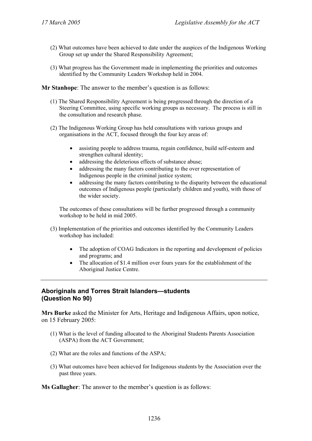- (2) What outcomes have been achieved to date under the auspices of the Indigenous Working Group set up under the Shared Responsibility Agreement;
- (3) What progress has the Government made in implementing the priorities and outcomes identified by the Community Leaders Workshop held in 2004.

**Mr Stanhope**: The answer to the member's question is as follows:

- (1) The Shared Responsibility Agreement is being progressed through the direction of a Steering Committee, using specific working groups as necessary. The process is still in the consultation and research phase.
- (2) The Indigenous Working Group has held consultations with various groups and organisations in the ACT, focused through the four key areas of:
	- assisting people to address trauma, regain confidence, build self-esteem and strengthen cultural identity;
	- addressing the deleterious effects of substance abuse;
	- addressing the many factors contributing to the over representation of Indigenous people in the criminal justice system;
	- addressing the many factors contributing to the disparity between the educational outcomes of Indigenous people (particularly children and youth), with those of the wider society.

The outcomes of these consultations will be further progressed through a community workshop to be held in mid 2005.

- (3) Implementation of the priorities and outcomes identified by the Community Leaders workshop has included:
	- The adoption of COAG Indicators in the reporting and development of policies and programs; and
	- The allocation of \$1.4 million over fours years for the establishment of the Aboriginal Justice Centre.

# **Aboriginals and Torres Strait Islanders—students (Question No 90)**

**Mrs Burke** asked the Minister for Arts, Heritage and Indigenous Affairs, upon notice, on 15 February 2005:

- (1) What is the level of funding allocated to the Aboriginal Students Parents Association (ASPA) from the ACT Government;
- (2) What are the roles and functions of the ASPA;
- (3) What outcomes have been achieved for Indigenous students by the Association over the past three years.

**Ms Gallagher**: The answer to the member's question is as follows: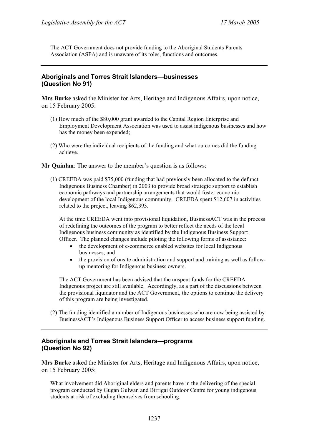The ACT Government does not provide funding to the Aboriginal Students Parents Association (ASPA) and is unaware of its roles, functions and outcomes.

# **Aboriginals and Torres Strait Islanders—businesses (Question No 91)**

**Mrs Burke** asked the Minister for Arts, Heritage and Indigenous Affairs, upon notice, on 15 February 2005:

- (1) How much of the \$80,000 grant awarded to the Capital Region Enterprise and Employment Development Association was used to assist indigenous businesses and how has the money been expended;
- (2) Who were the individual recipients of the funding and what outcomes did the funding achieve.

**Mr Ouinlan:** The answer to the member's question is as follows:

(1) CREEDA was paid \$75,000 (funding that had previously been allocated to the defunct Indigenous Business Chamber) in 2003 to provide broad strategic support to establish economic pathways and partnership arrangements that would foster economic development of the local Indigenous community. CREEDA spent \$12,607 in activities related to the project, leaving \$62,393.

At the time CREEDA went into provisional liquidation, BusinessACT was in the process of redefining the outcomes of the program to better reflect the needs of the local Indigenous business community as identified by the Indigenous Business Support Officer. The planned changes include piloting the following forms of assistance:

- the development of e-commerce enabled websites for local Indigenous businesses; and
- the provision of onsite administration and support and training as well as followup mentoring for Indigenous business owners.

The ACT Government has been advised that the unspent funds for the CREEDA Indigenous project are still available. Accordingly, as a part of the discussions between the provisional liquidator and the ACT Government, the options to continue the delivery of this program are being investigated.

(2) The funding identified a number of Indigenous businesses who are now being assisted by BusinessACT's Indigenous Business Support Officer to access business support funding.

# **Aboriginals and Torres Strait Islanders—programs (Question No 92)**

**Mrs Burke** asked the Minister for Arts, Heritage and Indigenous Affairs, upon notice, on 15 February 2005:

What involvement did Aboriginal elders and parents have in the delivering of the special program conducted by Gugan Gulwan and Birrigai Outdoor Centre for young indigenous students at risk of excluding themselves from schooling.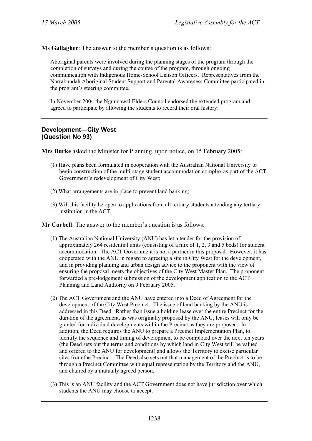**Ms Gallagher**: The answer to the member's question is as follows:

Aboriginal parents were involved during the planning stages of the program through the completion of surveys and during the course of the program, through ongoing communication with Indigenous Home-School Liaison Officers. Representatives from the Narrabundah Aboriginal Student Support and Parental Awareness Committee participated in the program's steering committee.

In November 2004 the Ngunnawal Elders Council endorsed the extended program and agreed to participate by allowing the students to record their oral history.

# **Development—City West (Question No 93)**

**Mrs Burke** asked the Minister for Planning, upon notice, on 15 February 2005:

- (1) Have plans been formulated in cooperation with the Australian National University to begin construction of the multi-stage student accommodation complex as part of the ACT Government's redevelopment of City West;
- (2) What arrangements are in place to prevent land banking;
- (3) Will this facility be open to applications from all tertiary students attending any tertiary institution in the ACT.

**Mr Corbell**: The answer to the member's question is as follows:

- (1) The Australian National University (ANU) has let a tender for the provision of approximately 264 residential units (consisting of a mix of 1, 2, 3 and 5 beds) for student accommodation. The ACT Government is not a partner in this proposal. However, it has cooperated with the ANU in regard to agreeing a site in City West for the development, and in providing planning and urban design advice to the proponent with the view of ensuring the proposal meets the objectives of the City West Master Plan. The proponent forwarded a pre-lodgement submission of the development application to the ACT Planning and Land Authority on 9 February 2005.
- (2) The ACT Government and the ANU have entered into a Deed of Agreement for the development of the City West Precinct. The issue of land banking by the ANU is addressed in this Deed. Rather than issue a holding lease over the entire Precinct for the duration of the agreement, as was originally proposed by the ANU, leases will only be granted for individual developments within the Precinct as they are proposed. In addition, the Deed requires the ANU to prepare a Precinct Implementation Plan, to identify the sequence and timing of development to be completed over the next ten years (the Deed sets out the terms and conditions by which land in City West will be valued and offered to the ANU for development) and allows the Territory to excise particular sites from the Precinct. The Deed also sets out that management of the Precinct is to be through a Precinct Committee with equal representation by the Territory and the ANU, and chaired by a mutually agreed person.
- (3) This is an ANU facility and the ACT Government does not have jurisdiction over which students the ANU may choose to accept.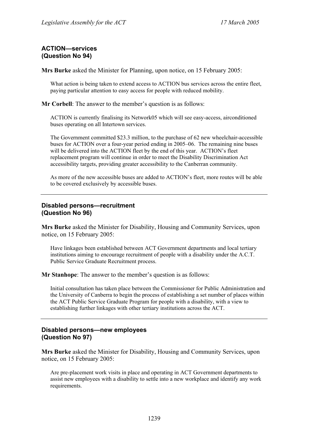# **ACTION—services (Question No 94)**

**Mrs Burke** asked the Minister for Planning, upon notice, on 15 February 2005:

What action is being taken to extend access to ACTION bus services across the entire fleet, paying particular attention to easy access for people with reduced mobility.

**Mr Corbell**: The answer to the member's question is as follows:

ACTION is currently finalising its Network05 which will see easy-access, airconditioned buses operating on all Intertown services.

The Government committed \$23.3 million, to the purchase of 62 new wheelchair-accessible buses for ACTION over a four-year period ending in 2005–06. The remaining nine buses will be delivered into the ACTION fleet by the end of this year. ACTION's fleet replacement program will continue in order to meet the Disability Discrimination Act accessibility targets, providing greater accessibility to the Canberran community.

As more of the new accessible buses are added to ACTION's fleet, more routes will be able to be covered exclusively by accessible buses.

# **Disabled persons—recruitment (Question No 96)**

**Mrs Burke** asked the Minister for Disability, Housing and Community Services, upon notice, on 15 February 2005:

Have linkages been established between ACT Government departments and local tertiary institutions aiming to encourage recruitment of people with a disability under the A.C.T. Public Service Graduate Recruitment process.

**Mr Stanhope**: The answer to the member's question is as follows:

Initial consultation has taken place between the Commissioner for Public Administration and the University of Canberra to begin the process of establishing a set number of places within the ACT Public Service Graduate Program for people with a disability, with a view to establishing further linkages with other tertiary institutions across the ACT.

# **Disabled persons—new employees (Question No 97)**

**Mrs Burke** asked the Minister for Disability, Housing and Community Services, upon notice, on 15 February 2005:

Are pre-placement work visits in place and operating in ACT Government departments to assist new employees with a disability to settle into a new workplace and identify any work requirements.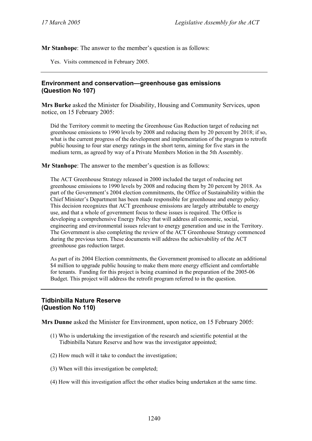**Mr Stanhope**: The answer to the member's question is as follows:

Yes. Visits commenced in February 2005.

# **Environment and conservation—greenhouse gas emissions (Question No 107)**

**Mrs Burke** asked the Minister for Disability, Housing and Community Services, upon notice, on 15 February 2005:

Did the Territory commit to meeting the Greenhouse Gas Reduction target of reducing net greenhouse emissions to 1990 levels by 2008 and reducing them by 20 percent by 2018; if so, what is the current progress of the development and implementation of the program to retrofit public housing to four star energy ratings in the short term, aiming for five stars in the medium term, as agreed by way of a Private Members Motion in the 5th Assembly.

**Mr Stanhope**: The answer to the member's question is as follows:

The ACT Greenhouse Strategy released in 2000 included the target of reducing net greenhouse emissions to 1990 levels by 2008 and reducing them by 20 percent by 2018. As part of the Government's 2004 election commitments, the Office of Sustainability within the Chief Minister's Department has been made responsible for greenhouse and energy policy. This decision recognizes that ACT greenhouse emissions are largely attributable to energy use, and that a whole of government focus to these issues is required. The Office is developing a comprehensive Energy Policy that will address all economic, social, engineering and environmental issues relevant to energy generation and use in the Territory. The Government is also completing the review of the ACT Greenhouse Strategy commenced during the previous term. These documents will address the achievability of the ACT greenhouse gas reduction target.

As part of its 2004 Election commitments, the Government promised to allocate an additional \$4 million to upgrade public housing to make them more energy efficient and comfortable for tenants. Funding for this project is being examined in the preparation of the 2005-06 Budget. This project will address the retrofit program referred to in the question.

# **Tidbinbilla Nature Reserve (Question No 110)**

**Mrs Dunne** asked the Minister for Environment, upon notice, on 15 February 2005:

- (1) Who is undertaking the investigation of the research and scientific potential at the Tidbinbilla Nature Reserve and how was the investigator appointed;
- (2) How much will it take to conduct the investigation;
- (3) When will this investigation be completed;
- (4) How will this investigation affect the other studies being undertaken at the same time.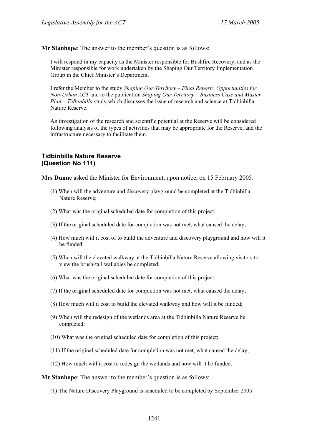**Mr Stanhope**: The answer to the member's question is as follows:

I will respond in my capacity as the Minister responsible for Bushfire Recovery, and as the Minister responsible for work undertaken by the Shaping Our Territory Implementation Group in the Chief Minister's Department.

I refer the Member to the study *Shaping Our Territory – Final Report: Opportunities for Non-Urban ACT* and to the publication *Shaping Our Territory – Business Case and Master Plan – Tidbinbilla* study which discusses the issue of research and science at Tidbinbilla Nature Reserve.

An investigation of the research and scientific potential at the Reserve will be considered following analysis of the types of activities that may be appropriate for the Reserve, and the infrastructure necessary to facilitate them.

#### **Tidbinbilla Nature Reserve (Question No 111)**

**Mrs Dunne** asked the Minister for Environment, upon notice, on 15 February 2005:

- (1) When will the adventure and discovery playground be completed at the Tidbinbilla Nature Reserve;
- (2) What was the original scheduled date for completion of this project;
- (3) If the original scheduled date for completion was not met, what caused the delay;
- (4) How much will it cost of to build the adventure and discovery playground and how will it be funded;
- (5) When will the elevated walkway at the Tidbinbilla Nature Reserve allowing visitors to view the brush-tail wallabies be completed;
- (6) What was the original scheduled date for completion of this project;
- (7) If the original scheduled date for completion was not met, what caused the delay;
- (8) How much will it cost to build the elevated walkway and how will it be funded;
- (9) When will the redesign of the wetlands area at the Tidbinbilla Nature Reserve be completed;
- (10) What was the original scheduled date for completion of this project;
- (11) If the original scheduled date for completion was not met, what caused the delay;
- (12) How much will it cost to redesign the wetlands and how will it be funded.

**Mr Stanhope**: The answer to the member's question is as follows:

(1) The Nature Discovery Playground is scheduled to be completed by September 2005.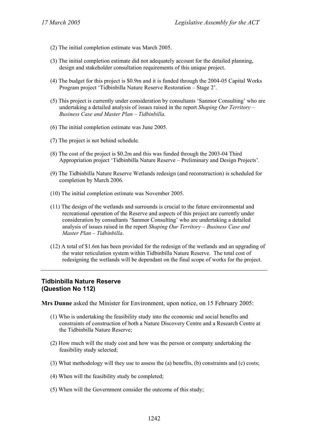- (2) The initial completion estimate was March 2005.
- (3) The initial completion estimate did not adequately account for the detailed planning, design and stakeholder consultation requirements of this unique project.
- (4) The budget for this project is \$0.9m and it is funded through the 2004-05 Capital Works Program project 'Tidbinbilla Nature Reserve Restoration – Stage 2'.
- (5) This project is currently under consideration by consultants 'Sanmor Consulting' who are undertaking a detailed analysis of issues raised in the report *Shaping Our Territory – Business Case and Master Plan – Tidbinbilla*.
- (6) The initial completion estimate was June 2005.
- (7) The project is not behind schedule.
- (8) The cost of the project is \$0.2m and this was funded through the 2003-04 Third Appropriation project 'Tidbinbilla Nature Reserve – Preliminary and Design Projects'.
- (9) The Tidbinbilla Nature Reserve Wetlands redesign (and reconstruction) is scheduled for completion by March 2006.
- (10) The initial completion estimate was November 2005.
- (11) The design of the wetlands and surrounds is crucial to the future environmental and recreational operation of the Reserve and aspects of this project are currently under consideration by consultants 'Sanmor Consulting' who are undertaking a detailed analysis of issues raised in the report *Shaping Our Territory – Business Case and Master Plan – Tidbinbilla*.
- (12) A total of \$1.6m has been provided for the redesign of the wetlands and an upgrading of the water reticulation system within Tidbinbilla Nature Reserve. The total cost of redesigning the wetlands will be dependant on the final scope of works for the project.

# **Tidbinbilla Nature Reserve (Question No 112)**

**Mrs Dunne** asked the Minister for Environment, upon notice, on 15 February 2005:

- (1) Who is undertaking the feasibility study into the economic and social benefits and constraints of construction of both a Nature Discovery Centre and a Research Centre at the Tidbinbilla Nature Reserve;
- (2) How much will the study cost and how was the person or company undertaking the feasibility study selected;
- (3) What methodology will they use to assess the (a) benefits, (b) constraints and (c) costs;
- (4) When will the feasibility study be completed;
- (5) When will the Government consider the outcome of this study;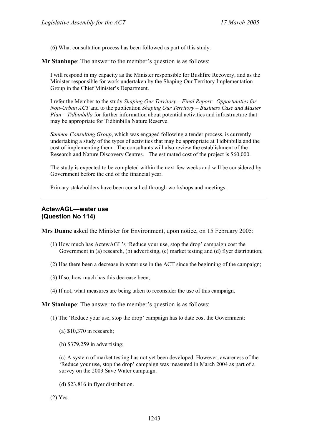(6) What consultation process has been followed as part of this study.

**Mr Stanhope**: The answer to the member's question is as follows:

I will respond in my capacity as the Minister responsible for Bushfire Recovery, and as the Minister responsible for work undertaken by the Shaping Our Territory Implementation Group in the Chief Minister's Department.

I refer the Member to the study *Shaping Our Territory – Final Report: Opportunities for Non-Urban ACT* and to the publication *Shaping Our Territory – Business Case and Master Plan – Tidbinbilla* for further information about potential activities and infrastructure that may be appropriate for Tidbinbilla Nature Reserve.

*Sanmor Consulting Group*, which was engaged following a tender process, is currently undertaking a study of the types of activities that may be appropriate at Tidbinbilla and the cost of implementing them. The consultants will also review the establishment of the Research and Nature Discovery Centres. The estimated cost of the project is \$60,000.

The study is expected to be completed within the next few weeks and will be considered by Government before the end of the financial year.

Primary stakeholders have been consulted through workshops and meetings.

#### **ActewAGL—water use (Question No 114)**

**Mrs Dunne** asked the Minister for Environment, upon notice, on 15 February 2005:

- (1) How much has ActewAGL's 'Reduce your use, stop the drop' campaign cost the Government in (a) research, (b) advertising, (c) market testing and (d) flyer distribution;
- (2) Has there been a decrease in water use in the ACT since the beginning of the campaign;
- (3) If so, how much has this decrease been;
- (4) If not, what measures are being taken to reconsider the use of this campaign.

**Mr Stanhope**: The answer to the member's question is as follows:

- (1) The 'Reduce your use, stop the drop' campaign has to date cost the Government:
	- (a) \$10,370 in research;
	- (b) \$379,259 in advertising;

(c) A system of market testing has not yet been developed. However, awareness of the 'Reduce your use, stop the drop' campaign was measured in March 2004 as part of a survey on the 2003 Save Water campaign.

- (d) \$23,816 in flyer distribution.
- (2) Yes.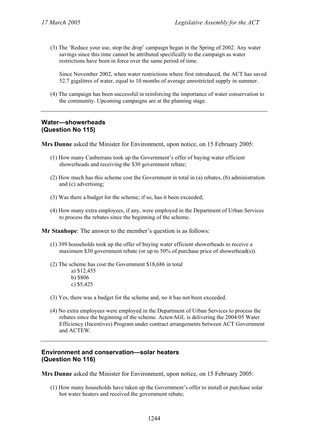(3) The 'Reduce your use, stop the drop' campaign began in the Spring of 2002. Any water savings since this time cannot be attributed specifically to the campaign as water restrictions have been in force over the same period of time.

Since November 2002, when water restrictions where first introduced, the ACT has saved 52.7 gigalitres of water, equal to 10 months of average unrestricted supply in summer.

(4) The campaign has been successful in reinforcing the importance of water conservation to the community. Upcoming campaigns are at the planning stage.

# **Water—showerheads (Question No 115)**

**Mrs Dunne** asked the Minister for Environment, upon notice, on 15 February 2005:

- (1) How many Canberrans took up the Government's offer of buying water efficient showerheads and receiving the \$30 government rebate;
- (2) How much has this scheme cost the Government in total in (a) rebates, (b) administration and (c) advertising;
- (3) Was there a budget for the scheme; if so, has it been exceeded;
- (4) How many extra employees, if any, were employed in the Department of Urban Services to process the rebates since the beginning of the scheme.

**Mr Stanhope**: The answer to the member's question is as follows:

- (1) 399 households took up the offer of buying water efficient showerheads to receive a maximum \$30 government rebate (or up to 50% of purchase price of showerhead(s)).
- (2) The scheme has cost the Government \$18,686 in total a) \$12,455 b) \$806 c) \$5,425
- (3) Yes, there was a budget for the scheme and, no it has not been exceeded.
- (4) No extra employees were employed in the Department of Urban Services to process the rebates since the beginning of the scheme. ActewAGL is delivering the 2004/05 Water Efficiency (Incentives) Program under contract arrangements between ACT Government and ACTEW.

# **Environment and conservation—solar heaters (Question No 116)**

**Mrs Dunne** asked the Minister for Environment, upon notice, on 15 February 2005:

(1) How many households have taken up the Government's offer to install or purchase solar hot water heaters and received the government rebate;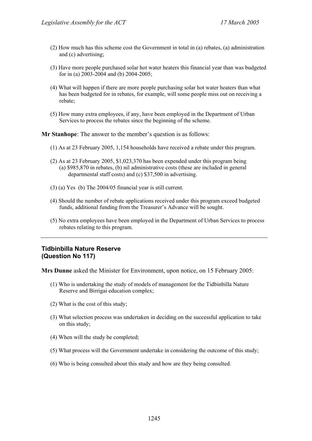- (2) How much has this scheme cost the Government in total in (a) rebates, (a) administration and (c) advertising;
- (3) Have more people purchased solar hot water heaters this financial year than was budgeted for in (a) 2003-2004 and (b) 2004-2005;
- (4) What will happen if there are more people purchasing solar hot water heaters than what has been budgeted for in rebates, for example, will some people miss out on receiving a rebate;
- (5) How many extra employees, if any, have been employed in the Department of Urban Services to process the rebates since the beginning of the scheme.

**Mr Stanhope**: The answer to the member's question is as follows:

- (1) As at 23 February 2005, 1,154 households have received a rebate under this program.
- (2) As at 23 February 2005, \$1,023,370 has been expended under this program being (a) \$985,870 in rebates, (b) nil administrative costs (these are included in general departmental staff costs) and (c) \$37,500 in advertising.
- (3) (a) Yes (b) The 2004/05 financial year is still current.
- (4) Should the number of rebate applications received under this program exceed budgeted funds, additional funding from the Treasurer's Advance will be sought.
- (5) No extra employees have been employed in the Department of Urban Services to process rebates relating to this program.

# **Tidbinbilla Nature Reserve (Question No 117)**

**Mrs Dunne** asked the Minister for Environment, upon notice, on 15 February 2005:

- (1) Who is undertaking the study of models of management for the Tidbinbilla Nature Reserve and Birrigai education complex;
- (2) What is the cost of this study;
- (3) What selection process was undertaken in deciding on the successful application to take on this study;
- (4) When will the study be completed;
- (5) What process will the Government undertake in considering the outcome of this study;
- (6) Who is being consulted about this study and how are they being consulted.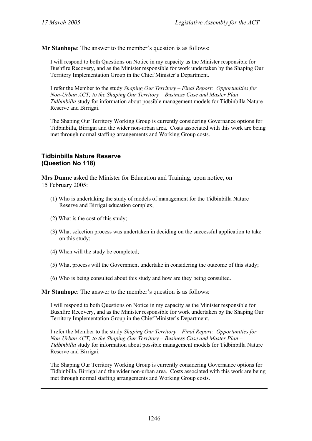**Mr Stanhope**: The answer to the member's question is as follows:

I will respond to both Questions on Notice in my capacity as the Minister responsible for Bushfire Recovery, and as the Minister responsible for work undertaken by the Shaping Our Territory Implementation Group in the Chief Minister's Department.

I refer the Member to the study *Shaping Our Territory – Final Report: Opportunities for Non-Urban ACT; to the Shaping Our Territory – Business Case and Master Plan – Tidbinbilla* study for information about possible management models for Tidbinbilla Nature Reserve and Birrigai.

The Shaping Our Territory Working Group is currently considering Governance options for Tidbinbilla, Birrigai and the wider non-urban area. Costs associated with this work are being met through normal staffing arrangements and Working Group costs.

# **Tidbinbilla Nature Reserve (Question No 118)**

**Mrs Dunne** asked the Minister for Education and Training, upon notice, on 15 February 2005:

- (1) Who is undertaking the study of models of management for the Tidbinbilla Nature Reserve and Birrigai education complex;
- (2) What is the cost of this study;
- (3) What selection process was undertaken in deciding on the successful application to take on this study;
- (4) When will the study be completed;
- (5) What process will the Government undertake in considering the outcome of this study;
- (6) Who is being consulted about this study and how are they being consulted.

**Mr Stanhope**: The answer to the member's question is as follows:

I will respond to both Questions on Notice in my capacity as the Minister responsible for Bushfire Recovery, and as the Minister responsible for work undertaken by the Shaping Our Territory Implementation Group in the Chief Minister's Department.

I refer the Member to the study *Shaping Our Territory – Final Report: Opportunities for Non-Urban ACT; to the Shaping Our Territory – Business Case and Master Plan – Tidbinbilla* study for information about possible management models for Tidbinbilla Nature Reserve and Birrigai.

The Shaping Our Territory Working Group is currently considering Governance options for Tidbinbilla, Birrigai and the wider non-urban area. Costs associated with this work are being met through normal staffing arrangements and Working Group costs.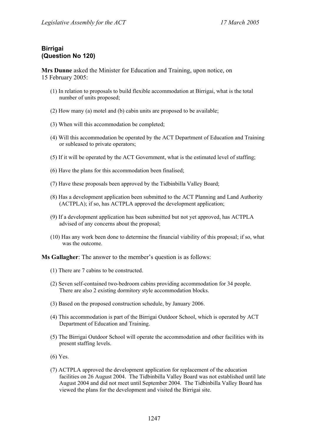# **Birrigai (Question No 120)**

**Mrs Dunne** asked the Minister for Education and Training, upon notice, on 15 February 2005:

- (1) In relation to proposals to build flexible accommodation at Birrigai, what is the total number of units proposed;
- (2) How many (a) motel and (b) cabin units are proposed to be available;
- (3) When will this accommodation be completed;
- (4) Will this accommodation be operated by the ACT Department of Education and Training or subleased to private operators;
- (5) If it will be operated by the ACT Government, what is the estimated level of staffing;
- (6) Have the plans for this accommodation been finalised;
- (7) Have these proposals been approved by the Tidbinbilla Valley Board;
- (8) Has a development application been submitted to the ACT Planning and Land Authority (ACTPLA); if so, has ACTPLA approved the development application;
- (9) If a development application has been submitted but not yet approved, has ACTPLA advised of any concerns about the proposal;
- (10) Has any work been done to determine the financial viability of this proposal; if so, what was the outcome.

**Ms Gallagher**: The answer to the member's question is as follows:

- (1) There are 7 cabins to be constructed.
- (2) Seven self-contained two-bedroom cabins providing accommodation for 34 people. There are also 2 existing dormitory style accommodation blocks.
- (3) Based on the proposed construction schedule, by January 2006.
- (4) This accommodation is part of the Birrigai Outdoor School, which is operated by ACT Department of Education and Training.
- (5) The Birrigai Outdoor School will operate the accommodation and other facilities with its present staffing levels.
- (6) Yes.
- (7) ACTPLA approved the development application for replacement of the education facilities on 26 August 2004. The Tidbinbilla Valley Board was not established until late August 2004 and did not meet until September 2004. The Tidbinbilla Valley Board has viewed the plans for the development and visited the Birrigai site.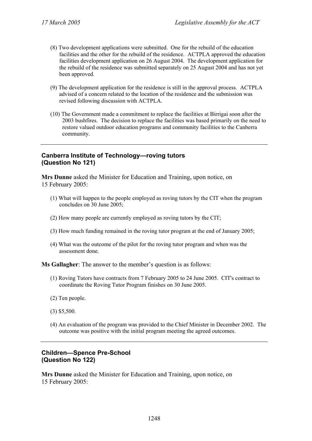- (8) Two development applications were submitted. One for the rebuild of the education facilities and the other for the rebuild of the residence. ACTPLA approved the education facilities development application on 26 August 2004. The development application for the rebuild of the residence was submitted separately on 25 August 2004 and has not yet been approved.
- (9) The development application for the residence is still in the approval process. ACTPLA advised of a concern related to the location of the residence and the submission was revised following discussion with ACTPLA.
- (10) The Government made a commitment to replace the facilities at Birrigai soon after the 2003 bushfires. The decision to replace the facilities was based primarily on the need to restore valued outdoor education programs and community facilities to the Canberra community.

# **Canberra Institute of Technology—roving tutors (Question No 121)**

**Mrs Dunne** asked the Minister for Education and Training, upon notice, on 15 February 2005:

- (1) What will happen to the people employed as roving tutors by the CIT when the program concludes on 30 June 2005;
- (2) How many people are currently employed as roving tutors by the CIT;
- (3) How much funding remained in the roving tutor program at the end of January 2005;
- (4) What was the outcome of the pilot for the roving tutor program and when was the assessment done.

**Ms Gallagher**: The answer to the member's question is as follows:

- (1) Roving Tutors have contracts from 7 February 2005 to 24 June 2005. CIT's contract to coordinate the Roving Tutor Program finishes on 30 June 2005.
- (2) Ten people.
- (3) \$5,500.
- (4) An evaluation of the program was provided to the Chief Minister in December 2002. The outcome was positive with the initial program meeting the agreed outcomes.

# **Children—Spence Pre-School (Question No 122)**

**Mrs Dunne** asked the Minister for Education and Training, upon notice, on 15 February 2005: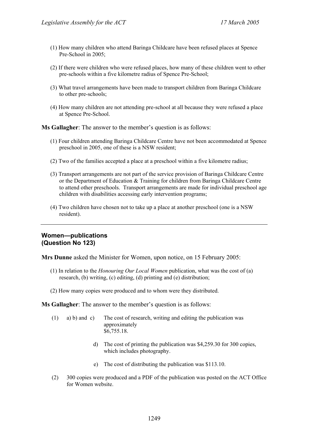- (1) How many children who attend Baringa Childcare have been refused places at Spence Pre-School in 2005;
- (2) If there were children who were refused places, how many of these children went to other pre-schools within a five kilometre radius of Spence Pre-School;
- (3) What travel arrangements have been made to transport children from Baringa Childcare to other pre-schools;
- (4) How many children are not attending pre-school at all because they were refused a place at Spence Pre-School.

**Ms Gallagher**: The answer to the member's question is as follows:

- (1) Four children attending Baringa Childcare Centre have not been accommodated at Spence preschool in 2005, one of these is a NSW resident;
- (2) Two of the families accepted a place at a preschool within a five kilometre radius;
- (3) Transport arrangements are not part of the service provision of Baringa Childcare Centre or the Department of Education & Training for children from Baringa Childcare Centre to attend other preschools. Transport arrangements are made for individual preschool age children with disabilities accessing early intervention programs;
- (4) Two children have chosen not to take up a place at another preschool (one is a NSW resident).

# **Women—publications (Question No 123)**

**Mrs Dunne** asked the Minister for Women, upon notice, on 15 February 2005:

- (1) In relation to the *Honouring Our Local Women* publication, what was the cost of (a) research, (b) writing, (c) editing, (d) printing and (e) distribution;
- (2) How many copies were produced and to whom were they distributed.

**Ms Gallagher**: The answer to the member's question is as follows:

- (1) a) b) and c) The cost of research, writing and editing the publication was approximately \$6,755.18.
	- d) The cost of printing the publication was \$4,259.30 for 300 copies, which includes photography.
	- e) The cost of distributing the publication was \$113.10.
- (2) 300 copies were produced and a PDF of the publication was posted on the ACT Office for Women website.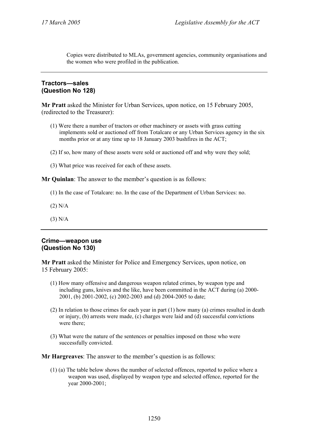Copies were distributed to MLAs, government agencies, community organisations and the women who were profiled in the publication.

# **Tractors—sales (Question No 128)**

**Mr Pratt** asked the Minister for Urban Services, upon notice, on 15 February 2005, (redirected to the Treasurer):

- (1) Were there a number of tractors or other machinery or assets with grass cutting implements sold or auctioned off from Totalcare or any Urban Services agency in the six months prior or at any time up to 18 January 2003 bushfires in the ACT;
- (2) If so, how many of these assets were sold or auctioned off and why were they sold;
- (3) What price was received for each of these assets.

**Mr Quinlan**: The answer to the member's question is as follows:

- (1) In the case of Totalcare: no. In the case of the Department of Urban Services: no.
- (2) N/A
- (3) N/A

# **Crime—weapon use (Question No 130)**

**Mr Pratt** asked the Minister for Police and Emergency Services, upon notice, on 15 February 2005:

- (1) How many offensive and dangerous weapon related crimes, by weapon type and including guns, knives and the like, have been committed in the ACT during (a) 2000- 2001, (b) 2001-2002, (c) 2002-2003 and (d) 2004-2005 to date;
- (2) In relation to those crimes for each year in part (1) how many (a) crimes resulted in death or injury, (b) arrests were made, (c) charges were laid and (d) successful convictions were there;
- (3) What were the nature of the sentences or penalties imposed on those who were successfully convicted.

**Mr Hargreaves**: The answer to the member's question is as follows:

(1) (a) The table below shows the number of selected offences, reported to police where a weapon was used, displayed by weapon type and selected offence, reported for the year 2000-2001;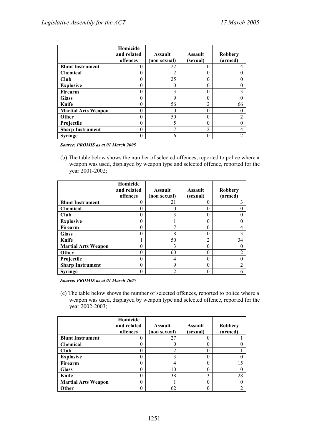|                            | Homicide<br>and related<br>offences | <b>Assault</b><br>(non sexual) | <b>Assault</b><br>(sexual) | <b>Robbery</b><br>(armed) |
|----------------------------|-------------------------------------|--------------------------------|----------------------------|---------------------------|
| <b>Blunt Instrument</b>    |                                     | 22                             | 0                          |                           |
| <b>Chemical</b>            |                                     | 2                              | 0                          |                           |
| Club                       |                                     | 25                             | 0                          |                           |
| <b>Explosive</b>           |                                     | 0                              | 0                          |                           |
| Firearm                    |                                     | 3                              | 0                          | 13                        |
| <b>Glass</b>               |                                     | 9                              | 0                          |                           |
| Knife                      |                                     | 56                             | $\overline{2}$             | 66                        |
| <b>Martial Arts Weapon</b> | ∩                                   | 0                              | $\Omega$                   |                           |
| Other                      |                                     | 50                             | 0                          |                           |
| Projectile                 |                                     | 5                              | 0                          |                           |
| <b>Sharp Instrument</b>    |                                     | 7                              | $\overline{2}$             |                           |
| <b>Syringe</b>             |                                     | 6                              | 0                          | 12                        |

(b) The table below shows the number of selected offences, reported to police where a weapon was used, displayed by weapon type and selected offence, reported for the year 2001-2002;

|                            | Homicide<br>and related<br>offences | <b>Assault</b><br>(non sexual) | <b>Assault</b><br>(sexual) | <b>Robbery</b><br>(armed) |
|----------------------------|-------------------------------------|--------------------------------|----------------------------|---------------------------|
| <b>Blunt Instrument</b>    |                                     | 21                             | 0                          |                           |
| Chemical                   |                                     | 0                              | 0                          |                           |
| <b>Club</b>                |                                     | 3                              | 0                          |                           |
| <b>Explosive</b>           |                                     |                                | 0                          |                           |
| Firearm                    |                                     | π                              | 0                          |                           |
| <b>Glass</b>               | O                                   | 8                              | 0                          |                           |
| Knife                      |                                     | 50                             | $\overline{2}$             | 34                        |
| <b>Martial Arts Weapon</b> |                                     | 3                              | 0                          |                           |
| Other                      |                                     | 60                             | 0                          |                           |
| Projectile                 |                                     | 4                              | 0                          |                           |
| <b>Sharp Instrument</b>    |                                     | 9                              | 0                          |                           |
| <b>Syringe</b>             |                                     | 2                              | 0                          | 16                        |

*Source: PROMIS as at 01 March 2005* 

(c) The table below shows the number of selected offences, reported to police where a weapon was used, displayed by weapon type and selected offence, reported for the year 2002-2003;

|                            | Homicide<br>and related<br>offences | <b>Assault</b><br>(non sexual) | <b>Assault</b><br>(sexual) | <b>Robbery</b><br>(armed) |
|----------------------------|-------------------------------------|--------------------------------|----------------------------|---------------------------|
| <b>Blunt Instrument</b>    |                                     | 27                             | 0                          |                           |
| <b>Chemical</b>            |                                     |                                | 0                          |                           |
| Club                       |                                     | າ                              | 0                          |                           |
| <b>Explosive</b>           |                                     | 3                              | 0                          |                           |
| Firearm                    |                                     | 4                              | 0                          | 15                        |
| <b>Glass</b>               |                                     | 10                             | 0                          |                           |
| Knife                      |                                     | 38                             | 3                          | 28                        |
| <b>Martial Arts Weapon</b> |                                     |                                | 0                          |                           |
| Other                      |                                     | 62                             |                            |                           |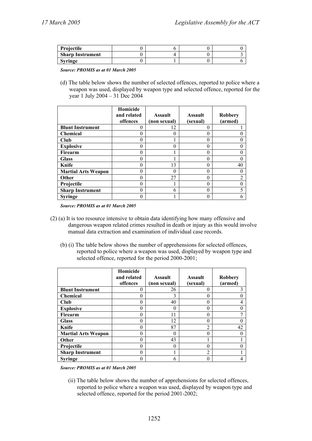| Projectile              |  |  |
|-------------------------|--|--|
| <b>Sharp Instrument</b> |  |  |
| <b>Syringe</b>          |  |  |

(d) The table below shows the number of selected offences, reported to police where a weapon was used, displayed by weapon type and selected offence, reported for the year 1 July 2004 – 31 Dec 2004

|                            | Homicide<br>and related<br>offences | <b>Assault</b><br>(non sexual) | <b>Assault</b><br>(sexual) | <b>Robbery</b><br>(armed) |
|----------------------------|-------------------------------------|--------------------------------|----------------------------|---------------------------|
| <b>Blunt Instrument</b>    |                                     | 12                             | 0                          |                           |
| <b>Chemical</b>            |                                     | 0                              | $\Omega$                   |                           |
| Club                       |                                     |                                | 0                          |                           |
| <b>Explosive</b>           |                                     | 0                              | $\Omega$                   |                           |
| Firearm                    |                                     |                                | 0                          |                           |
| <b>Glass</b>               |                                     |                                | 0                          |                           |
| Knife                      |                                     | 13                             | 0                          | 40                        |
| <b>Martial Arts Weapon</b> | 0                                   | 0                              | $\mathbf{0}$               |                           |
| <b>Other</b>               | 0                                   | 27                             | 0                          |                           |
| Projectile                 |                                     |                                | 0                          |                           |
| <b>Sharp Instrument</b>    | 0                                   | 6                              | 0                          |                           |
| <b>Syringe</b>             |                                     |                                | 0                          |                           |

*Source: PROMIS as at 01 March 2005* 

- (2) (a) It is too resource intensive to obtain data identifying how many offensive and dangerous weapon related crimes resulted in death or injury as this would involve manual data extraction and examination of individual case records.
	- (b) (i) The table below shows the number of apprehensions for selected offences, reported to police where a weapon was used, displayed by weapon type and selected offence, reported for the period 2000-2001;

|                            | Homicide<br>and related<br>offences | <b>Assault</b><br>(non sexual) | <b>Assault</b><br>(sexual) | Robbery<br>(armed) |
|----------------------------|-------------------------------------|--------------------------------|----------------------------|--------------------|
| <b>Blunt Instrument</b>    |                                     | 26                             | 0                          |                    |
| <b>Chemical</b>            |                                     | 3                              | $\Omega$                   |                    |
| Club                       |                                     | 40                             | $\Omega$                   |                    |
| <b>Explosive</b>           |                                     | 0                              | $\Omega$                   |                    |
| Firearm                    |                                     | 11                             | $\theta$                   |                    |
| <b>Glass</b>               |                                     | 12                             | $\Omega$                   |                    |
| Knife                      |                                     | 87                             | 2                          | 42                 |
| <b>Martial Arts Weapon</b> |                                     | C                              | 0                          |                    |
| <b>Other</b>               |                                     | 43                             |                            |                    |
| Projectile                 |                                     | 0                              | 0                          |                    |
| <b>Sharp Instrument</b>    |                                     |                                | $\mathfrak{D}$             |                    |
| <b>Syringe</b>             |                                     | 6                              | 0                          |                    |

*Source: PROMIS as at 01 March 2005* 

(ii) The table below shows the number of apprehensions for selected offences, reported to police where a weapon was used, displayed by weapon type and selected offence, reported for the period 2001-2002;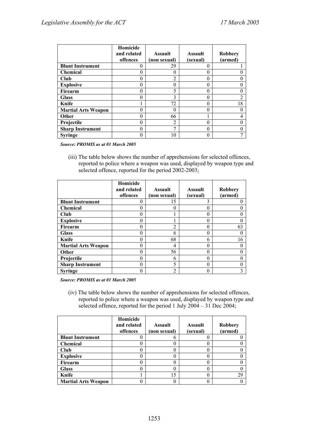|                            | Homicide<br>and related<br>offences | <b>Assault</b><br>(non sexual) | <b>Assault</b><br>(sexual) | <b>Robbery</b><br>(armed) |
|----------------------------|-------------------------------------|--------------------------------|----------------------------|---------------------------|
| <b>Blunt Instrument</b>    |                                     | 29                             | 0                          |                           |
| <b>Chemical</b>            |                                     | $\left( \right)$               | 0                          |                           |
| Club                       |                                     | າ                              | 0                          |                           |
| <b>Explosive</b>           |                                     | 0                              | 0                          |                           |
| Firearm                    |                                     | 5                              | 0                          |                           |
| <b>Glass</b>               |                                     | 3                              | 0                          | $\overline{2}$            |
| Knife                      |                                     | 72                             | 0                          | 18                        |
| <b>Martial Arts Weapon</b> |                                     | $\Omega$                       | 0                          |                           |
| Other                      |                                     | 66                             |                            |                           |
| Projectile                 |                                     | 2                              | 0                          |                           |
| <b>Sharp Instrument</b>    |                                     | ┑                              | 0                          |                           |
| <b>Syringe</b>             |                                     | 10                             | 0                          |                           |

(iii) The table below shows the number of apprehensions for selected offences, reported to police where a weapon was used, displayed by weapon type and selected offence, reported for the period 2002-2003;

|                            | Homicide<br>and related<br>offences | <b>Assault</b><br>(non sexual) | <b>Assault</b><br>(sexual) | <b>Robbery</b><br>(armed) |
|----------------------------|-------------------------------------|--------------------------------|----------------------------|---------------------------|
| <b>Blunt Instrument</b>    |                                     | 15                             | 3                          |                           |
| <b>Chemical</b>            |                                     | 0                              | 0                          |                           |
| Club                       |                                     |                                | 0                          |                           |
| <b>Explosive</b>           |                                     |                                | 0                          |                           |
| Firearm                    |                                     | ∍                              | 0                          | 63                        |
| <b>Glass</b>               |                                     | 6                              | 0                          |                           |
| Knife                      |                                     | 68                             | 6                          | 16                        |
| <b>Martial Arts Weapon</b> |                                     | 4                              | 0                          |                           |
| Other                      |                                     | 56                             | 0                          |                           |
| Projectile                 |                                     | 6                              | 0                          |                           |
| <b>Sharp Instrument</b>    |                                     | 5                              | 0                          |                           |
| <b>Syringe</b>             |                                     | $\overline{2}$                 |                            |                           |

*Source: PROMIS as at 01 March 2005* 

(iv) The table below shows the number of apprehensions for selected offences, reported to police where a weapon was used, displayed by weapon type and selected offence, reported for the period 1 July 2004 – 31 Dec 2004;

|                            | Homicide<br>and related<br>offences | <b>Assault</b><br>(non sexual) | <b>Assault</b><br>(sexual) | <b>Robbery</b><br>(armed) |
|----------------------------|-------------------------------------|--------------------------------|----------------------------|---------------------------|
| <b>Blunt Instrument</b>    |                                     |                                |                            |                           |
| Chemical                   |                                     |                                |                            |                           |
| Club                       |                                     |                                |                            |                           |
| <b>Explosive</b>           |                                     |                                |                            |                           |
| Firearm                    |                                     |                                |                            |                           |
| <b>Glass</b>               |                                     |                                |                            |                           |
| Knife                      |                                     | 15                             |                            | 29                        |
| <b>Martial Arts Weapon</b> |                                     |                                |                            |                           |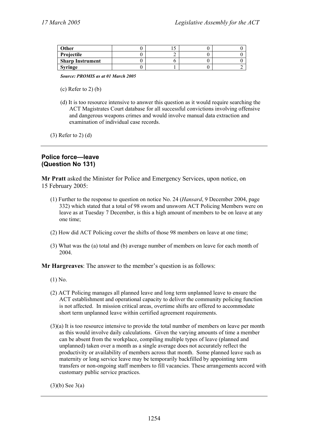| Other                   |  |  |
|-------------------------|--|--|
| Projectile              |  |  |
| <b>Sharp Instrument</b> |  |  |
| <b>Syringe</b>          |  |  |

- $(c)$  Refer to 2 $(b)$
- (d) It is too resource intensive to answer this question as it would require searching the ACT Magistrates Court database for all successful convictions involving offensive and dangerous weapons crimes and would involve manual data extraction and examination of individual case records.

(3) Refer to 2) (d)

# **Police force—leave (Question No 131)**

**Mr Pratt** asked the Minister for Police and Emergency Services, upon notice, on 15 February 2005:

- (1) Further to the response to question on notice No. 24 (*Hansard*, 9 December 2004, page 332) which stated that a total of 98 sworn and unsworn ACT Policing Members were on leave as at Tuesday 7 December, is this a high amount of members to be on leave at any one time;
- (2) How did ACT Policing cover the shifts of those 98 members on leave at one time;
- (3) What was the (a) total and (b) average number of members on leave for each month of 2004.

**Mr Hargreaves**: The answer to the member's question is as follows:

- (1) No.
- (2) ACT Policing manages all planned leave and long term unplanned leave to ensure the ACT establishment and operational capacity to deliver the community policing function is not affected. In mission critical areas, overtime shifts are offered to accommodate short term unplanned leave within certified agreement requirements.
- (3)(a) It is too resource intensive to provide the total number of members on leave per month as this would involve daily calculations. Given the varying amounts of time a member can be absent from the workplace, compiling multiple types of leave (planned and unplanned) taken over a month as a single average does not accurately reflect the productivity or availability of members across that month. Some planned leave such as maternity or long service leave may be temporarily backfilled by appointing term transfers or non-ongoing staff members to fill vacancies. These arrangements accord with customary public service practices.

 $(3)(b)$  See 3(a)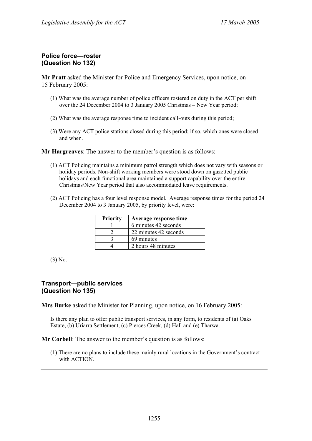# **Police force—roster (Question No 132)**

**Mr Pratt** asked the Minister for Police and Emergency Services, upon notice, on 15 February 2005:

- (1) What was the average number of police officers rostered on duty in the ACT per shift over the 24 December 2004 to 3 January 2005 Christmas – New Year period;
- (2) What was the average response time to incident call-outs during this period;
- (3) Were any ACT police stations closed during this period; if so, which ones were closed and when.

**Mr Hargreaves**: The answer to the member's question is as follows:

- (1) ACT Policing maintains a minimum patrol strength which does not vary with seasons or holiday periods. Non-shift working members were stood down on gazetted public holidays and each functional area maintained a support capability over the entire Christmas/New Year period that also accommodated leave requirements.
- (2) ACT Policing has a four level response model. Average response times for the period 24 December 2004 to 3 January 2005, by priority level, were:

| <b>Priority</b> | Average response time |
|-----------------|-----------------------|
|                 | 6 minutes 42 seconds  |
|                 | 22 minutes 42 seconds |
|                 | 69 minutes            |
|                 | 2 hours 48 minutes    |

(3) No.

# **Transport—public services (Question No 135)**

**Mrs Burke** asked the Minister for Planning, upon notice, on 16 February 2005:

Is there any plan to offer public transport services, in any form, to residents of (a) Oaks Estate, (b) Uriarra Settlement, (c) Pierces Creek, (d) Hall and (e) Tharwa.

**Mr Corbell**: The answer to the member's question is as follows:

(1) There are no plans to include these mainly rural locations in the Government's contract with ACTION.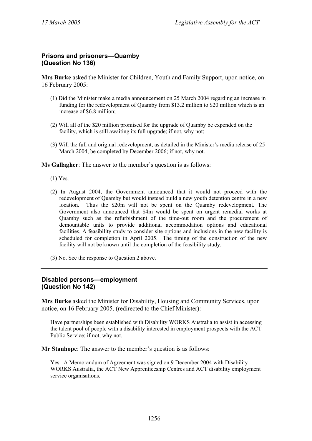# **Prisons and prisoners—Quamby (Question No 136)**

**Mrs Burke** asked the Minister for Children, Youth and Family Support, upon notice, on 16 February 2005:

- (1) Did the Minister make a media announcement on 25 March 2004 regarding an increase in funding for the redevelopment of Quamby from \$13.2 million to \$20 million which is an increase of \$6.8 million;
- (2) Will all of the \$20 million promised for the upgrade of Quamby be expended on the facility, which is still awaiting its full upgrade; if not, why not;
- (3) Will the full and original redevelopment, as detailed in the Minister's media release of 25 March 2004, be completed by December 2006; if not, why not.

**Ms Gallagher**: The answer to the member's question is as follows:

- (1) Yes.
- (2) In August 2004, the Government announced that it would not proceed with the redevelopment of Quamby but would instead build a new youth detention centre in a new location. Thus the \$20m will not be spent on the Quamby redevelopment. The Government also announced that \$4m would be spent on urgent remedial works at Quamby such as the refurbishment of the time-out room and the procurement of demountable units to provide additional accommodation options and educational facilities. A feasibility study to consider site options and inclusions in the new facility is scheduled for completion in April 2005. The timing of the construction of the new facility will not be known until the completion of the feasibility study.
- (3) No. See the response to Question 2 above.

# **Disabled persons—employment (Question No 142)**

**Mrs Burke** asked the Minister for Disability, Housing and Community Services, upon notice, on 16 February 2005, (redirected to the Chief Minister):

Have partnerships been established with Disability WORKS Australia to assist in accessing the talent pool of people with a disability interested in employment prospects with the ACT Public Service; if not, why not.

**Mr Stanhope**: The answer to the member's question is as follows:

Yes. A Memorandum of Agreement was signed on 9 December 2004 with Disability WORKS Australia, the ACT New Apprenticeship Centres and ACT disability employment service organisations.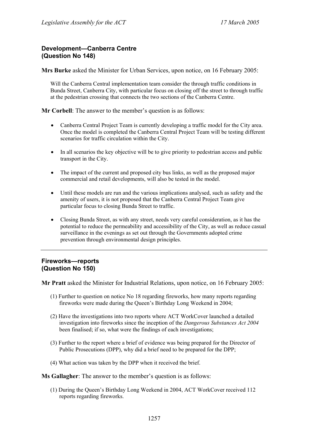# **Development—Canberra Centre (Question No 148)**

**Mrs Burke** asked the Minister for Urban Services, upon notice, on 16 February 2005:

Will the Canberra Central implementation team consider the through traffic conditions in Bunda Street, Canberra City, with particular focus on closing off the street to through traffic at the pedestrian crossing that connects the two sections of the Canberra Centre.

**Mr Corbell**: The answer to the member's question is as follows:

- Canberra Central Project Team is currently developing a traffic model for the City area. Once the model is completed the Canberra Central Project Team will be testing different scenarios for traffic circulation within the City.
- In all scenarios the key objective will be to give priority to pedestrian access and public transport in the City.
- The impact of the current and proposed city bus links, as well as the proposed major commercial and retail developments, will also be tested in the model.
- Until these models are run and the various implications analysed, such as safety and the amenity of users, it is not proposed that the Canberra Central Project Team give particular focus to closing Bunda Street to traffic.
- Closing Bunda Street, as with any street, needs very careful consideration, as it has the potential to reduce the permeability and accessibility of the City, as well as reduce casual surveillance in the evenings as set out through the Governments adopted crime prevention through environmental design principles.

# **Fireworks—reports (Question No 150)**

**Mr Pratt** asked the Minister for Industrial Relations, upon notice, on 16 February 2005:

- (1) Further to question on notice No 18 regarding fireworks, how many reports regarding fireworks were made during the Queen's Birthday Long Weekend in 2004;
- (2) Have the investigations into two reports where ACT WorkCover launched a detailed investigation into fireworks since the inception of the *Dangerous Substances Act 2004* been finalised; if so, what were the findings of each investigations;
- (3) Further to the report where a brief of evidence was being prepared for the Director of Public Prosecutions (DPP), why did a brief need to be prepared for the DPP;
- (4) What action was taken by the DPP when it received the brief.

**Ms Gallagher**: The answer to the member's question is as follows:

(1) During the Queen's Birthday Long Weekend in 2004, ACT WorkCover received 112 reports regarding fireworks.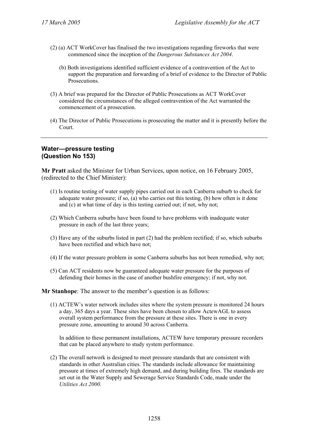- (2) (a) ACT WorkCover has finalised the two investigations regarding fireworks that were commenced since the inception of the *Dangerous Substances Act 2004*.
	- (b) Both investigations identified sufficient evidence of a contravention of the Act to support the preparation and forwarding of a brief of evidence to the Director of Public Prosecutions.
- (3) A brief was prepared for the Director of Public Prosecutions as ACT WorkCover considered the circumstances of the alleged contravention of the Act warranted the commencement of a prosecution.
- (4) The Director of Public Prosecutions is prosecuting the matter and it is presently before the Court.

# **Water—pressure testing (Question No 153)**

**Mr Pratt** asked the Minister for Urban Services, upon notice, on 16 February 2005, (redirected to the Chief Minister):

- (1) Is routine testing of water supply pipes carried out in each Canberra suburb to check for adequate water pressure; if so, (a) who carries out this testing, (b) how often is it done and (c) at what time of day is this testing carried out; if not, why not;
- (2) Which Canberra suburbs have been found to have problems with inadequate water pressure in each of the last three years;
- (3) Have any of the suburbs listed in part (2) had the problem rectified; if so, which suburbs have been rectified and which have not;
- (4) If the water pressure problem in some Canberra suburbs has not been remedied, why not;
- (5) Can ACT residents now be guaranteed adequate water pressure for the purposes of defending their homes in the case of another bushfire emergency; if not, why not.

#### **Mr Stanhope**: The answer to the member's question is as follows:

(1) ACTEW's water network includes sites where the system pressure is monitored 24 hours a day, 365 days a year. These sites have been chosen to allow ActewAGL to assess overall system performance from the pressure at these sites. There is one in every pressure zone, amounting to around 30 across Canberra.

In addition to these permanent installations, ACTEW have temporary pressure recorders that can be placed anywhere to study system performance.

(2) The overall network is designed to meet pressure standards that are consistent with standards in other Australian cities. The standards include allowance for maintaining pressure at times of extremely high demand, and during building fires. The standards are set out in the Water Supply and Sewerage Service Standards Code, made under the *Utilities Act 2000*.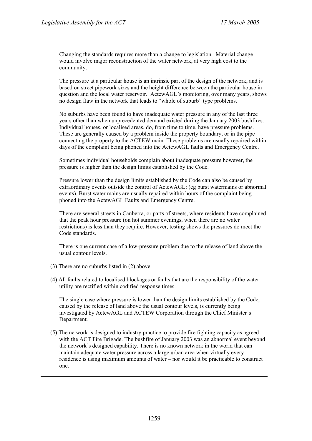Changing the standards requires more than a change to legislation. Material change would involve major reconstruction of the water network, at very high cost to the community.

The pressure at a particular house is an intrinsic part of the design of the network, and is based on street pipework sizes and the height difference between the particular house in question and the local water reservoir. ActewAGL's monitoring, over many years, shows no design flaw in the network that leads to "whole of suburb" type problems.

No suburbs have been found to have inadequate water pressure in any of the last three years other than when unprecedented demand existed during the January 2003 bushfires. Individual houses, or localised areas, do, from time to time, have pressure problems. These are generally caused by a problem inside the property boundary, or in the pipe connecting the property to the ACTEW main. These problems are usually repaired within days of the complaint being phoned into the ActewAGL faults and Emergency Centre.

Sometimes individual households complain about inadequate pressure however, the pressure is higher than the design limits established by the Code.

Pressure lower than the design limits established by the Code can also be caused by extraordinary events outside the control of ActewAGL: (eg burst watermains or abnormal events). Burst water mains are usually repaired within hours of the complaint being phoned into the ActewAGL Faults and Emergency Centre.

There are several streets in Canberra, or parts of streets, where residents have complained that the peak hour pressure (on hot summer evenings, when there are no water restrictions) is less than they require. However, testing shows the pressures do meet the Code standards.

There is one current case of a low-pressure problem due to the release of land above the usual contour levels.

- (3) There are no suburbs listed in (2) above.
- (4) All faults related to localised blockages or faults that are the responsibility of the water utility are rectified within codified response times.

The single case where pressure is lower than the design limits established by the Code, caused by the release of land above the usual contour levels, is currently being investigated by ActewAGL and ACTEW Corporation through the Chief Minister's Department.

(5) The network is designed to industry practice to provide fire fighting capacity as agreed with the ACT Fire Brigade. The bushfire of January 2003 was an abnormal event beyond the network's designed capability. There is no known network in the world that can maintain adequate water pressure across a large urban area when virtually every residence is using maximum amounts of water – nor would it be practicable to construct one.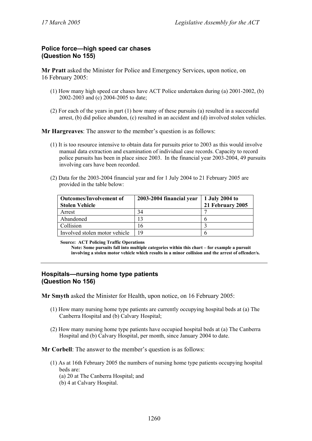# **Police force—high speed car chases (Question No 155)**

**Mr Pratt** asked the Minister for Police and Emergency Services, upon notice, on 16 February 2005:

- (1) How many high speed car chases have ACT Police undertaken during (a) 2001-2002, (b) 2002-2003 and (c) 2004-2005 to date;
- (2) For each of the years in part (1) how many of these pursuits (a) resulted in a successful arrest, (b) did police abandon, (c) resulted in an accident and (d) involved stolen vehicles.

**Mr Hargreaves**: The answer to the member's question is as follows:

- (1) It is too resource intensive to obtain data for pursuits prior to 2003 as this would involve manual data extraction and examination of individual case records. Capacity to record police pursuits has been in place since 2003. In the financial year 2003-2004, 49 pursuits involving cars have been recorded.
- (2) Data for the 2003-2004 financial year and for 1 July 2004 to 21 February 2005 are provided in the table below:

| <b>Outcomes/Involvement of</b> | 2003-2004 financial year | 1 July 2004 to   |
|--------------------------------|--------------------------|------------------|
| <b>Stolen Vehicle</b>          |                          | 21 February 2005 |
| Arrest                         | 34                       |                  |
| Abandoned                      |                          |                  |
| Collision                      | 16                       |                  |
| Involved stolen motor vehicle  | 19                       |                  |

**Source: ACT Policing Traffic Operations** 

**Note: Some pursuits fall into multiple categories within this chart – for example a pursuit involving a stolen motor vehicle which results in a minor collision and the arrest of offender/s.** 

# **Hospitals—nursing home type patients (Question No 156)**

**Mr Smyth** asked the Minister for Health, upon notice, on 16 February 2005:

- (1) How many nursing home type patients are currently occupying hospital beds at (a) The Canberra Hospital and (b) Calvary Hospital;
- (2) How many nursing home type patients have occupied hospital beds at (a) The Canberra Hospital and (b) Calvary Hospital, per month, since January 2004 to date.

**Mr Corbell**: The answer to the member's question is as follows:

- (1) As at 16th February 2005 the numbers of nursing home type patients occupying hospital beds are:
	- (a) 20 at The Canberra Hospital; and
	- (b) 4 at Calvary Hospital.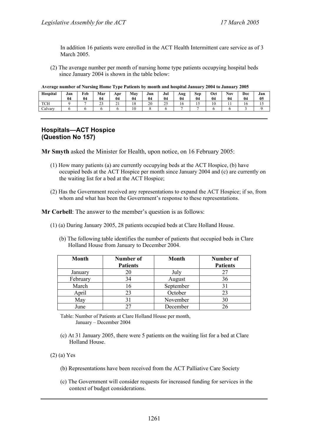In addition 16 patients were enrolled in the ACT Health Intermittent care service as of 3 March 2005.

(2) The average number per month of nursing home type patients occupying hospital beds since January 2004 is shown in the table below:

|  | Average number of Nursing Home Type Patients by month and hospital January 2004 to January 2005 |  |
|--|-------------------------------------------------------------------------------------------------|--|
|  |                                                                                                 |  |

| Hospital               | Jan<br>04 | <b>Feb</b><br>04 | Mar<br>04    | Apr<br>04                   | May<br>04            | Jun<br>04 | Jul<br>04          | Aug<br>04 | Sep<br>04 | Oct<br>0 <sub>4</sub> | <b>Nov</b><br>04 | Dec<br>04 | Jan<br>05 |
|------------------------|-----------|------------------|--------------|-----------------------------|----------------------|-----------|--------------------|-----------|-----------|-----------------------|------------------|-----------|-----------|
| <b>TOTT</b><br>1 U 1 1 |           |                  | $\sim$<br>رے | $\sim$ $\sim$<br><u>∠ 1</u> | 1 <sup>o</sup><br>10 | 20        | $\sim$ $\sim$<br>ت | 16        | IJ        | 10                    | . .              | 10        | 15        |
| Calvary                |           |                  |              |                             | 10                   |           |                    | -         |           |                       |                  |           |           |

# **Hospitals—ACT Hospice (Question No 157)**

**Mr Smyth** asked the Minister for Health, upon notice, on 16 February 2005:

- (1) How many patients (a) are currently occupying beds at the ACT Hospice, (b) have occupied beds at the ACT Hospice per month since January 2004 and (c) are currently on the waiting list for a bed at the ACT Hospice;
- (2) Has the Government received any representations to expand the ACT Hospice; if so, from whom and what has been the Government's response to these representations.

**Mr Corbell**: The answer to the member's question is as follows:

- (1) (a) During January 2005, 28 patients occupied beds at Clare Holland House.
	- (b) The following table identifies the number of patients that occupied beds in Clare Holland House from January to December 2004.

| <b>Month</b> | Number of       | Month     | Number of       |
|--------------|-----------------|-----------|-----------------|
|              | <b>Patients</b> |           | <b>Patients</b> |
| January      | 20              | July      |                 |
| February     | 34              | August    | 36              |
| March        |                 | September | 31              |
| April        | 23              | October   | 23              |
| May          |                 | November  | 30              |
| June         |                 | December  | 26              |

Table: Number of Patients at Clare Holland House per month, January – December 2004

(c) At 31 January 2005, there were 5 patients on the waiting list for a bed at Clare Holland House.

(2) (a) Yes

- (b) Representations have been received from the ACT Palliative Care Society
- (c) The Government will consider requests for increased funding for services in the context of budget considerations.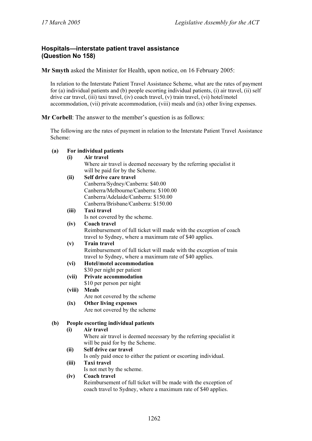# **Hospitals—interstate patient travel assistance (Question No 158)**

**Mr Smyth** asked the Minister for Health, upon notice, on 16 February 2005:

In relation to the Interstate Patient Travel Assistance Scheme, what are the rates of payment for (a) individual patients and (b) people escorting individual patients, (i) air travel, (ii) self drive car travel, (iii) taxi travel, (iv) coach travel, (v) train travel, (vi) hotel/motel accommodation, (vii) private accommodation, (viii) meals and (ix) other living expenses.

**Mr Corbell**: The answer to the member's question is as follows:

The following are the rates of payment in relation to the Interstate Patient Travel Assistance Scheme:

# **(a) For individual patients**

#### **(i) Air travel**

 Where air travel is deemed necessary by the referring specialist it will be paid for by the Scheme.

#### **(ii) Self drive care travel**  Canberra/Sydney/Canberra: \$40.00 Canberra/Melbourne/Canberra: \$100.00 Canberra/Adelaide/Canberra: \$150.00

Canberra/Brisbane/Canberra: \$150.00

# **(iii) Taxi travel**

Is not covered by the scheme.

# **(iv) Coach travel**

 Reimbursement of full ticket will made with the exception of coach travel to Sydney, where a maximum rate of \$40 applies.

#### **(v) Train travel**  Reimbursement of full ticket will made with the exception of train travel to Sydney, where a maximum rate of \$40 applies.

- **(vi) Hotel/motel accommodation**  \$30 per night per patient
- **(vii) Private accommodation** 
	- \$10 per person per night
- **(viii) Meals**

Are not covered by the scheme

**(ix) Other living expenses**  Are not covered by the scheme

# **(b) People escorting individual patients**

# **(i) Air travel**

 Where air travel is deemed necessary by the referring specialist it will be paid for by the Scheme.

# **(ii) Self drive car travel**

Is only paid once to either the patient or escorting individual.

- **(iii) Taxi travel** 
	- Is not met by the scheme.

# **(iv) Coach travel**

 Reimbursement of full ticket will be made with the exception of coach travel to Sydney, where a maximum rate of \$40 applies.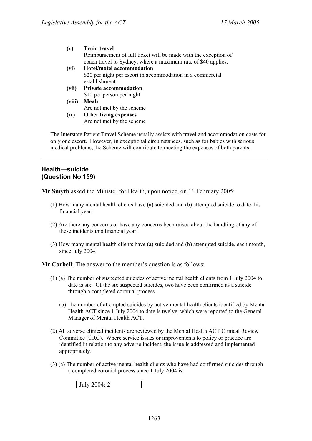#### **(v) Train travel**

 Reimbursement of full ticket will be made with the exception of coach travel to Sydney, where a maximum rate of \$40 applies.

- **(vi) Hotel/motel accommodation**  \$20 per night per escort in accommodation in a commercial establishment
- **(vii) Private accommodation**  \$10 per person per night
- **(viii) Meals**
- Are not met by the scheme  **(ix) Other living expenses**  Are not met by the scheme

The Interstate Patient Travel Scheme usually assists with travel and accommodation costs for only one escort. However, in exceptional circumstances, such as for babies with serious medical problems, the Scheme will contribute to meeting the expenses of both parents.

#### **Health—suicide (Question No 159)**

**Mr Smyth** asked the Minister for Health, upon notice, on 16 February 2005:

- (1) How many mental health clients have (a) suicided and (b) attempted suicide to date this financial year;
- (2) Are there any concerns or have any concerns been raised about the handling of any of these incidents this financial year;
- (3) How many mental health clients have (a) suicided and (b) attempted suicide, each month, since July 2004.

**Mr Corbell**: The answer to the member's question is as follows:

- (1) (a) The number of suspected suicides of active mental health clients from 1 July 2004 to date is six. Of the six suspected suicides, two have been confirmed as a suicide through a completed coronial process.
	- (b) The number of attempted suicides by active mental health clients identified by Mental Health ACT since 1 July 2004 to date is twelve, which were reported to the General Manager of Mental Health ACT.
- (2) All adverse clinical incidents are reviewed by the Mental Health ACT Clinical Review Committee (CRC). Where service issues or improvements to policy or practice are identified in relation to any adverse incident, the issue is addressed and implemented appropriately.
- (3) (a) The number of active mental health clients who have had confirmed suicides through a completed coronial process since 1 July 2004 is:

July 2004: 2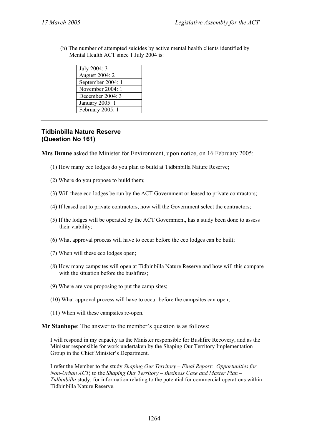(b) The number of attempted suicides by active mental health clients identified by Mental Health ACT since 1 July 2004 is:

| July 2004: 3      |
|-------------------|
| August 2004: 2    |
| September 2004: 1 |
| November 2004: 1  |
| December 2004: 3  |
| January 2005: 1   |
| February 2005: 1  |
|                   |

# **Tidbinbilla Nature Reserve (Question No 161)**

**Mrs Dunne** asked the Minister for Environment, upon notice, on 16 February 2005:

- (1) How many eco lodges do you plan to build at Tidbinbilla Nature Reserve;
- (2) Where do you propose to build them;
- (3) Will these eco lodges be run by the ACT Government or leased to private contractors;
- (4) If leased out to private contractors, how will the Government select the contractors;
- (5) If the lodges will be operated by the ACT Government, has a study been done to assess their viability;
- (6) What approval process will have to occur before the eco lodges can be built;
- (7) When will these eco lodges open;
- (8) How many campsites will open at Tidbinbilla Nature Reserve and how will this compare with the situation before the bushfires:
- (9) Where are you proposing to put the camp sites;
- (10) What approval process will have to occur before the campsites can open;
- (11) When will these campsites re-open.

**Mr Stanhope**: The answer to the member's question is as follows:

I will respond in my capacity as the Minister responsible for Bushfire Recovery, and as the Minister responsible for work undertaken by the Shaping Our Territory Implementation Group in the Chief Minister's Department.

I refer the Member to the study *Shaping Our Territory – Final Report: Opportunities for Non-Urban ACT*; to the *Shaping Our Territory – Business Case and Master Plan – Tidbinbilla* study; for information relating to the potential for commercial operations within Tidbinbilla Nature Reserve.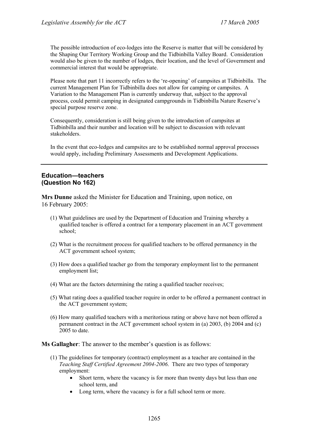The possible introduction of eco-lodges into the Reserve is matter that will be considered by the Shaping Our Territory Working Group and the Tidbinbilla Valley Board. Consideration would also be given to the number of lodges, their location, and the level of Government and commercial interest that would be appropriate.

Please note that part 11 incorrectly refers to the 're-opening' of campsites at Tidbinbilla. The current Management Plan for Tidbinbilla does not allow for camping or campsites. A Variation to the Management Plan is currently underway that, subject to the approval process, could permit camping in designated campgrounds in Tidbinbilla Nature Reserve's special purpose reserve zone.

Consequently, consideration is still being given to the introduction of campsites at Tidbinbilla and their number and location will be subject to discussion with relevant stakeholders.

In the event that eco-ledges and campsites are to be established normal approval processes would apply, including Preliminary Assessments and Development Applications.

# **Education—teachers (Question No 162)**

**Mrs Dunne** asked the Minister for Education and Training, upon notice, on 16 February 2005:

- (1) What guidelines are used by the Department of Education and Training whereby a qualified teacher is offered a contract for a temporary placement in an ACT government school;
- (2) What is the recruitment process for qualified teachers to be offered permanency in the ACT government school system;
- (3) How does a qualified teacher go from the temporary employment list to the permanent employment list;
- (4) What are the factors determining the rating a qualified teacher receives;
- (5) What rating does a qualified teacher require in order to be offered a permanent contract in the ACT government system;
- (6) How many qualified teachers with a meritorious rating or above have not been offered a permanent contract in the ACT government school system in (a) 2003, (b) 2004 and (c) 2005 to date.

**Ms Gallagher**: The answer to the member's question is as follows:

- (1) The guidelines for temporary (contract) employment as a teacher are contained in the *Teaching Staff Certified Agreement 2004-2006*. There are two types of temporary employment:
	- Short term, where the vacancy is for more than twenty days but less than one school term, and
	- Long term, where the vacancy is for a full school term or more.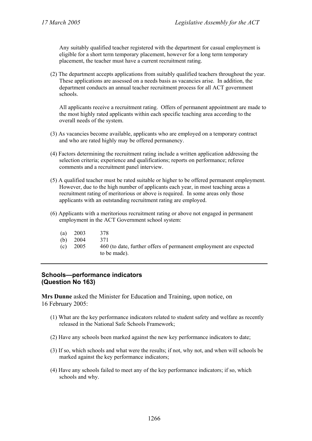Any suitably qualified teacher registered with the department for casual employment is eligible for a short term temporary placement, however for a long term temporary placement, the teacher must have a current recruitment rating.

(2) The department accepts applications from suitably qualified teachers throughout the year. These applications are assessed on a needs basis as vacancies arise. In addition, the department conducts an annual teacher recruitment process for all ACT government schools.

All applicants receive a recruitment rating. Offers of permanent appointment are made to the most highly rated applicants within each specific teaching area according to the overall needs of the system.

- (3) As vacancies become available, applicants who are employed on a temporary contract and who are rated highly may be offered permanency.
- (4) Factors determining the recruitment rating include a written application addressing the selection criteria; experience and qualifications; reports on performance; referee comments and a recruitment panel interview.
- (5) A qualified teacher must be rated suitable or higher to be offered permanent employment. However, due to the high number of applicants each year, in most teaching areas a recruitment rating of meritorious or above is required. In some areas only those applicants with an outstanding recruitment rating are employed.
- (6) Applicants with a meritorious recruitment rating or above not engaged in permanent employment in the ACT Government school system:
	- (a) 2003 378
	- (b) 2004 371
	- (c) 2005 460 (to date, further offers of permanent employment are expected to be made).

# **Schools—performance indicators (Question No 163)**

**Mrs Dunne** asked the Minister for Education and Training, upon notice, on 16 February 2005:

- (1) What are the key performance indicators related to student safety and welfare as recently released in the National Safe Schools Framework;
- (2) Have any schools been marked against the new key performance indicators to date;
- (3) If so, which schools and what were the results; if not, why not, and when will schools be marked against the key performance indicators;
- (4) Have any schools failed to meet any of the key performance indicators; if so, which schools and why.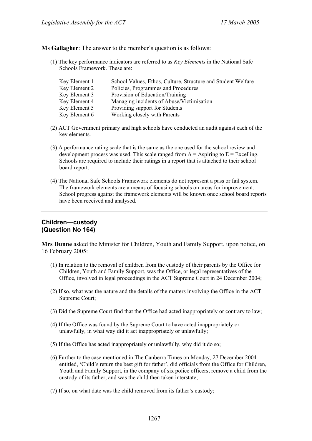**Ms Gallagher**: The answer to the member's question is as follows:

(1) The key performance indicators are referred to as *Key Elements* in the National Safe Schools Framework. These are:

| Key Element 1 | School Values, Ethos, Culture, Structure and Student Welfare |
|---------------|--------------------------------------------------------------|
| Key Element 2 | Policies, Programmes and Procedures                          |
| Key Element 3 | Provision of Education/Training                              |
| Key Element 4 | Managing incidents of Abuse/Victimisation                    |
| Key Element 5 | Providing support for Students                               |
| Key Element 6 | Working closely with Parents                                 |

- (2) ACT Government primary and high schools have conducted an audit against each of the key elements.
- (3) A performance rating scale that is the same as the one used for the school review and development process was used. This scale ranged from  $A =$  Aspiring to  $E =$  Excelling. Schools are required to include their ratings in a report that is attached to their school board report.
- (4) The National Safe Schools Framework elements do not represent a pass or fail system. The framework elements are a means of focusing schools on areas for improvement. School progress against the framework elements will be known once school board reports have been received and analysed.

# **Children—custody (Question No 164)**

**Mrs Dunne** asked the Minister for Children, Youth and Family Support, upon notice, on 16 February 2005:

- (1) In relation to the removal of children from the custody of their parents by the Office for Children, Youth and Family Support, was the Office, or legal representatives of the Office, involved in legal proceedings in the ACT Supreme Court in 24 December 2004;
- (2) If so, what was the nature and the details of the matters involving the Office in the ACT Supreme Court;
- (3) Did the Supreme Court find that the Office had acted inappropriately or contrary to law;
- (4) If the Office was found by the Supreme Court to have acted inappropriately or unlawfully, in what way did it act inappropriately or unlawfully;
- (5) If the Office has acted inappropriately or unlawfully, why did it do so;
- (6) Further to the case mentioned in The Canberra Times on Monday, 27 December 2004 entitled, 'Child's return the best gift for father', did officials from the Office for Children, Youth and Family Support, in the company of six police officers, remove a child from the custody of its father, and was the child then taken interstate;
- (7) If so, on what date was the child removed from its father's custody;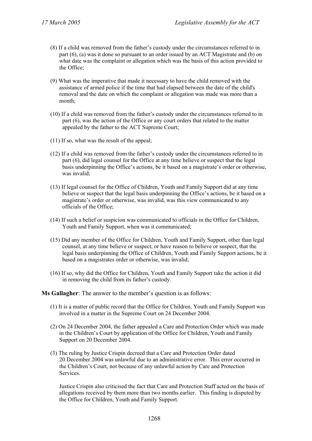- (8) If a child was removed from the father's custody under the circumstances referred to in part (6), (a) was it done so pursuant to an order issued by an ACT Magistrate and (b) on what date was the complaint or allegation which was the basis of this action provided to the Office;
- (9) What was the imperative that made it necessary to have the child removed with the assistance of armed police if the time that had elapsed between the date of the child's removal and the date on which the complaint or allegation was made was more than a month;
- (10) If a child was removed from the father's custody under the circumstances referred to in part (6), was the action of the Office or any court orders that related to the matter appealed by the father to the ACT Supreme Court;
- (11) If so, what was the result of the appeal;
- (12) If a child was removed from the father's custody under the circumstances referred to in part (6), did legal counsel for the Office at any time believe or suspect that the legal basis underpinning the Office's actions, be it based on a magistrate's order or otherwise, was invalid;
- (13) If legal counsel for the Office of Children, Youth and Family Support did at any time believe or suspect that the legal basis underpinning the Office's actions, be it based on a magistrate's order or otherwise, was invalid, was this view communicated to any officials of the Office;
- (14) If such a belief or suspicion was communicated to officials in the Office for Children, Youth and Family Support, when was it communicated;
- (15) Did any member of the Office for Children, Youth and Family Support, other than legal counsel, at any time believe or suspect, or have reason to believe or suspect, that the legal basis underpinning the Office of Children, Youth and Family Support actions, be it based on a magistrates order or otherwise, was invalid;
- (16) If so, why did the Office for Children, Youth and Family Support take the action it did in removing the child from its father's custody.

**Ms Gallagher**: The answer to the member's question is as follows:

- (1) It is a matter of public record that the Office for Children, Youth and Family Support was involved in a matter in the Supreme Court on 24 December 2004.
- (2) On 24 December 2004, the father appealed a Care and Protection Order which was made in the Children's Court by application of the Office for Children, Youth and Family Support on 20 December 2004.
- (3) The ruling by Justice Crispin decreed that a Care and Protection Order dated 20 December 2004 was unlawful due to an administrative error. This error occurred in the Children's Court, not because of any unlawful action by Care and Protection Services.

Justice Crispin also criticised the fact that Care and Protection Staff acted on the basis of allegations received by them more than two months earlier. This finding is disputed by the Office for Children, Youth and Family Support.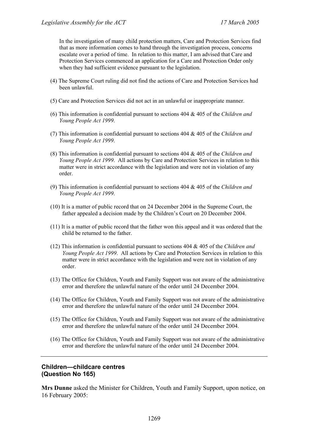In the investigation of many child protection matters, Care and Protection Services find that as more information comes to hand through the investigation process, concerns escalate over a period of time. In relation to this matter, I am advised that Care and Protection Services commenced an application for a Care and Protection Order only when they had sufficient evidence pursuant to the legislation.

- (4) The Supreme Court ruling did not find the actions of Care and Protection Services had been unlawful.
- (5) Care and Protection Services did not act in an unlawful or inappropriate manner.
- (6) This information is confidential pursuant to sections 404 & 405 of the *Children and Young People Act 1999*.
- (7) This information is confidential pursuant to sections 404 & 405 of the *Children and Young People Act 1999*.
- (8) This information is confidential pursuant to sections 404 & 405 of the *Children and Young People Act 1999*. All actions by Care and Protection Services in relation to this matter were in strict accordance with the legislation and were not in violation of any order.
- (9) This information is confidential pursuant to sections 404 & 405 of the *Children and Young People Act 1999*.
- (10) It is a matter of public record that on 24 December 2004 in the Supreme Court, the father appealed a decision made by the Children's Court on 20 December 2004.
- (11) It is a matter of public record that the father won this appeal and it was ordered that the child be returned to the father.
- (12) This information is confidential pursuant to sections 404 & 405 of the *Children and Young People Act 1999*. All actions by Care and Protection Services in relation to this matter were in strict accordance with the legislation and were not in violation of any order.
- (13) The Office for Children, Youth and Family Support was not aware of the administrative error and therefore the unlawful nature of the order until 24 December 2004.
- (14) The Office for Children, Youth and Family Support was not aware of the administrative error and therefore the unlawful nature of the order until 24 December 2004.
- (15) The Office for Children, Youth and Family Support was not aware of the administrative error and therefore the unlawful nature of the order until 24 December 2004.
- (16) The Office for Children, Youth and Family Support was not aware of the administrative error and therefore the unlawful nature of the order until 24 December 2004.

#### **Children—childcare centres (Question No 165)**

**Mrs Dunne** asked the Minister for Children, Youth and Family Support, upon notice, on 16 February 2005: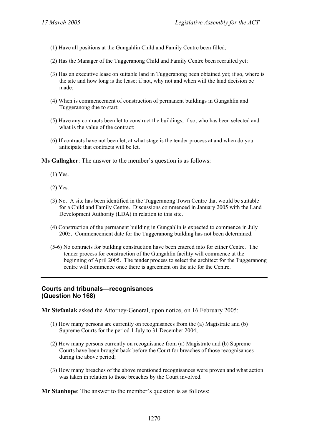- (1) Have all positions at the Gungahlin Child and Family Centre been filled;
- (2) Has the Manager of the Tuggeranong Child and Family Centre been recruited yet;
- (3) Has an executive lease on suitable land in Tuggeranong been obtained yet; if so, where is the site and how long is the lease; if not, why not and when will the land decision be made;
- (4) When is commencement of construction of permanent buildings in Gungahlin and Tuggeranong due to start;
- (5) Have any contracts been let to construct the buildings; if so, who has been selected and what is the value of the contract;
- (6) If contracts have not been let, at what stage is the tender process at and when do you anticipate that contracts will be let.

**Ms Gallagher**: The answer to the member's question is as follows:

- (1) Yes.
- (2) Yes.
- (3) No. A site has been identified in the Tuggeranong Town Centre that would be suitable for a Child and Family Centre. Discussions commenced in January 2005 with the Land Development Authority (LDA) in relation to this site.
- (4) Construction of the permanent building in Gungahlin is expected to commence in July 2005. Commencement date for the Tuggeranong building has not been determined.
- (5-6) No contracts for building construction have been entered into for either Centre. The tender process for construction of the Gungahlin facility will commence at the beginning of April 2005. The tender process to select the architect for the Tuggeranong centre will commence once there is agreement on the site for the Centre.

# **Courts and tribunals—recognisances (Question No 168)**

**Mr Stefaniak** asked the Attorney-General, upon notice, on 16 February 2005:

- (1) How many persons are currently on recognisances from the (a) Magistrate and (b) Supreme Courts for the period 1 July to 31 December 2004;
- (2) How many persons currently on recognisance from (a) Magistrate and (b) Supreme Courts have been brought back before the Court for breaches of those recognisances during the above period;
- (3) How many breaches of the above mentioned recognisances were proven and what action was taken in relation to those breaches by the Court involved.

**Mr Stanhope**: The answer to the member's question is as follows: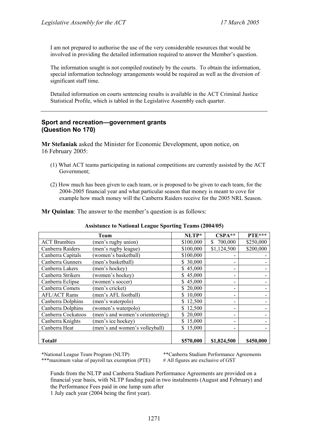I am not prepared to authorise the use of the very considerable resources that would be involved in providing the detailed information required to answer the Member's question.

The information sought is not compiled routinely by the courts. To obtain the information, special information technology arrangements would be required as well as the diversion of significant staff time.

Detailed information on courts sentencing results is available in the ACT Criminal Justice Statistical Profile, which is tabled in the Legislative Assembly each quarter.

### **Sport and recreation—government grants (Question No 170)**

**Mr Stefaniak** asked the Minister for Economic Development, upon notice, on 16 February 2005:

- (1) What ACT teams participating in national competitions are currently assisted by the ACT Government;
- (2) How much has been given to each team, or is proposed to be given to each team, for the 2004-2005 financial year and what particular season that money is meant to cove for example how much money will the Canberra Raiders receive for the 2005 NRL Season.

**Mr Quinlan**: The answer to the member's question is as follows:

|                     | Team                             | NLTP*     | $CSPA**$      | PTE***    |
|---------------------|----------------------------------|-----------|---------------|-----------|
| <b>ACT</b> Brumbies | (men's rugby union)              | \$100,000 | 700,000<br>S. | \$250,000 |
| Canberra Raiders    | (men's rugby league)             | \$100,000 | \$1,124,500   | \$200,000 |
| Canberra Capitals   | (women's basketball)             | \$100,000 |               |           |
| Canberra Gunners    | (men's basketball)               | \$30,000  |               |           |
| Canberra Lakers     | (men's hockey)                   | \$45,000  |               |           |
| Canberra Strikers   | (women's hockey)                 | \$45,000  |               |           |
| Canberra Eclipse    | (women's soccer)                 | \$45,000  |               |           |
| Canberra Comets     | (men's cricket)                  | 20,000    |               |           |
| <b>AFL/ACT Rams</b> | (men's AFL football)             | 10,000    |               |           |
| Canberra Dolphins   | (men's waterpolo)                | 12,500    |               |           |
| Canberra Dolphins   | (women's waterpolo)              | \$12,500  |               |           |
| Canberra Cockatoos  | (men's and women's orienteering) | \$20,000  |               |           |
| Canberra Knights    | (men's ice hockey)               | 15,000    |               |           |
| Canberra Heat       | (men's and women's volleyball)   | \$15,000  |               |           |
| Total#              |                                  | \$570,000 | \$1,824,500   | \$450,000 |

#### **Assistance to National League Sporting Teams (2004/05)**

\*\*\*maximum value of payroll tax exemption (PTE) # All figures are exclusive of GST

\*National League Team Program (NLTP) \*\*Canberra Stadium Performance Agreements

Funds from the NLTP and Canberra Stadium Performance Agreements are provided on a financial year basis, with NLTP funding paid in two instalments (August and February) and the Performance Fees paid in one lump sum after 1 July each year (2004 being the first year).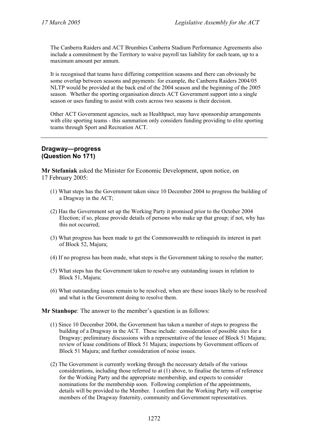The Canberra Raiders and ACT Brumbies Canberra Stadium Performance Agreements also include a commitment by the Territory to waive payroll tax liability for each team, up to a maximum amount per annum.

It is recognised that teams have differing competition seasons and there can obviously be some overlap between seasons and payments: for example, the Canberra Raiders 2004/05 NLTP would be provided at the back end of the 2004 season and the beginning of the 2005 season. Whether the sporting organisation directs ACT Government support into a single season or uses funding to assist with costs across two seasons is their decision.

Other ACT Government agencies, such as Healthpact, may have sponsorship arrangements with elite sporting teams - this summation only considers funding providing to elite sporting teams through Sport and Recreation ACT.

#### **Dragway—progress (Question No 171)**

**Mr Stefaniak** asked the Minister for Economic Development, upon notice, on 17 February 2005:

- (1) What steps has the Government taken since 10 December 2004 to progress the building of a Dragway in the ACT;
- (2) Has the Government set up the Working Party it promised prior to the October 2004 Election; if so, please provide details of persons who make up that group; if not, why has this not occurred;
- (3) What progress has been made to get the Commonwealth to relinquish its interest in part of Block 52, Majura;
- (4) If no progress has been made, what steps is the Government taking to resolve the matter;
- (5) What steps has the Government taken to resolve any outstanding issues in relation to Block 51, Majura;
- (6) What outstanding issues remain to be resolved, when are these issues likely to be resolved and what is the Government doing to resolve them.

**Mr Stanhope**: The answer to the member's question is as follows:

- (1) Since 10 December 2004, the Government has taken a number of steps to progress the building of a Dragway in the ACT. These include: consideration of possible sites for a Dragway; preliminary discussions with a representative of the lessee of Block 51 Majura; review of lease conditions of Block 51 Majura; inspections by Government officers of Block 51 Majura; and further consideration of noise issues.
- (2) The Government is currently working through the necessary details of the various considerations, including those referred to at (1) above, to finalise the terms of reference for the Working Party and the appropriate membership, and expects to consider nominations for the membership soon. Following completion of the appointments, details will be provided to the Member. I confirm that the Working Party will comprise members of the Dragway fraternity, community and Government representatives.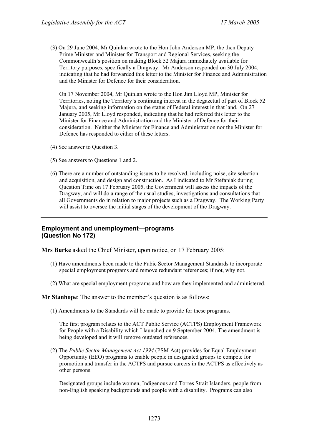(3) On 29 June 2004, Mr Quinlan wrote to the Hon John Anderson MP, the then Deputy Prime Minister and Minister for Transport and Regional Services, seeking the Commonwealth's position on making Block 52 Majura immediately available for Territory purposes, specifically a Dragway. Mr Anderson responded on 30 July 2004, indicating that he had forwarded this letter to the Minister for Finance and Administration and the Minister for Defence for their consideration.

On 17 November 2004, Mr Quinlan wrote to the Hon Jim Lloyd MP, Minister for Territories, noting the Territory's continuing interest in the degazettal of part of Block 52 Majura, and seeking information on the status of Federal interest in that land. On 27 January 2005, Mr Lloyd responded, indicating that he had referred this letter to the Minister for Finance and Administration and the Minister of Defence for their consideration. Neither the Minister for Finance and Administration nor the Minister for Defence has responded to either of these letters.

- (4) See answer to Question 3.
- (5) See answers to Questions 1 and 2.
- (6) There are a number of outstanding issues to be resolved, including noise, site selection and acquisition, and design and construction. As I indicated to Mr Stefaniak during Question Time on 17 February 2005, the Government will assess the impacts of the Dragway, and will do a range of the usual studies, investigations and consultations that all Governments do in relation to major projects such as a Dragway. The Working Party will assist to oversee the initial stages of the development of the Dragway.

# **Employment and unemployment—programs (Question No 172)**

**Mrs Burke** asked the Chief Minister, upon notice, on 17 February 2005:

- (1) Have amendments been made to the Pubic Sector Management Standards to incorporate special employment programs and remove redundant references; if not, why not.
- (2) What are special employment programs and how are they implemented and administered.

**Mr Stanhope**: The answer to the member's question is as follows:

(1) Amendments to the Standards will be made to provide for these programs.

The first program relates to the ACT Public Service (ACTPS) Employment Framework for People with a Disability which I launched on 9 September 2004. The amendment is being developed and it will remove outdated references.

(2) The *Public Sector Management Act 1994* (PSM Act) provides for Equal Employment Opportunity (EEO) programs to enable people in designated groups to compete for promotion and transfer in the ACTPS and pursue careers in the ACTPS as effectively as other persons.

Designated groups include women, Indigenous and Torres Strait Islanders, people from non-English speaking backgrounds and people with a disability. Programs can also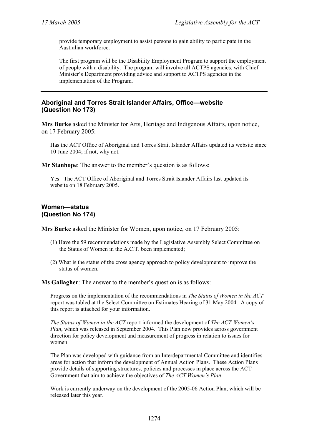provide temporary employment to assist persons to gain ability to participate in the Australian workforce.

The first program will be the Disability Employment Program to support the employment of people with a disability. The program will involve all ACTPS agencies, with Chief Minister's Department providing advice and support to ACTPS agencies in the implementation of the Program.

# **Aboriginal and Torres Strait Islander Affairs, Office—website (Question No 173)**

**Mrs Burke** asked the Minister for Arts, Heritage and Indigenous Affairs, upon notice, on 17 February 2005:

Has the ACT Office of Aboriginal and Torres Strait Islander Affairs updated its website since 10 June 2004; if not, why not.

**Mr Stanhope**: The answer to the member's question is as follows:

Yes. The ACT Office of Aboriginal and Torres Strait Islander Affairs last updated its website on 18 February 2005.

# **Women—status (Question No 174)**

**Mrs Burke** asked the Minister for Women, upon notice, on 17 February 2005:

- (1) Have the 59 recommendations made by the Legislative Assembly Select Committee on the Status of Women in the A.C.T. been implemented;
- (2) What is the status of the cross agency approach to policy development to improve the status of women.

**Ms Gallagher**: The answer to the member's question is as follows:

Progress on the implementation of the recommendations in *The Status of Women in the ACT* report was tabled at the Select Committee on Estimates Hearing of 31 May 2004. A copy of this report is attached for your information.

*The Status of Women in the ACT* report informed the development of *The ACT Women's Plan*, which was released in September 2004. This Plan now provides across government direction for policy development and measurement of progress in relation to issues for women.

The Plan was developed with guidance from an Interdepartmental Committee and identifies areas for action that inform the development of Annual Action Plans. These Action Plans provide details of supporting structures, policies and processes in place across the ACT Government that aim to achieve the objectives of *The ACT Women's Plan*.

Work is currently underway on the development of the 2005-06 Action Plan, which will be released later this year.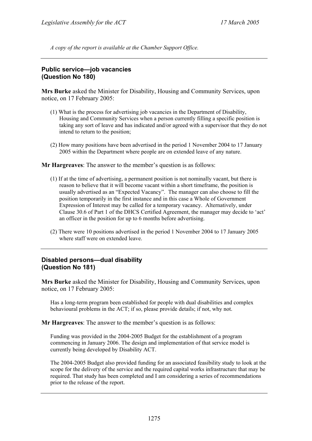*A copy of the report is available at the Chamber Support Office.* 

# **Public service—job vacancies (Question No 180)**

**Mrs Burke** asked the Minister for Disability, Housing and Community Services, upon notice, on 17 February 2005:

- (1) What is the process for advertising job vacancies in the Department of Disability, Housing and Community Services when a person currently filling a specific position is taking any sort of leave and has indicated and/or agreed with a supervisor that they do not intend to return to the position;
- (2) How many positions have been advertised in the period 1 November 2004 to 17 January 2005 within the Department where people are on extended leave of any nature.

**Mr Hargreaves**: The answer to the member's question is as follows:

- (1) If at the time of advertising, a permanent position is not nominally vacant, but there is reason to believe that it will become vacant within a short timeframe, the position is usually advertised as an "Expected Vacancy". The manager can also choose to fill the position temporarily in the first instance and in this case a Whole of Government Expression of Interest may be called for a temporary vacancy. Alternatively, under Clause 30.6 of Part 1 of the DHCS Certified Agreement, the manager may decide to 'act' an officer in the position for up to 6 months before advertising.
- (2) There were 10 positions advertised in the period 1 November 2004 to 17 January 2005 where staff were on extended leave.

#### **Disabled persons—dual disability (Question No 181)**

**Mrs Burke** asked the Minister for Disability, Housing and Community Services, upon notice, on 17 February 2005:

Has a long-term program been established for people with dual disabilities and complex behavioural problems in the ACT; if so, please provide details; if not, why not.

**Mr Hargreaves**: The answer to the member's question is as follows:

Funding was provided in the 2004-2005 Budget for the establishment of a program commencing in January 2006. The design and implementation of that service model is currently being developed by Disability ACT.

The 2004-2005 Budget also provided funding for an associated feasibility study to look at the scope for the delivery of the service and the required capital works infrastructure that may be required. That study has been completed and I am considering a series of recommendations prior to the release of the report.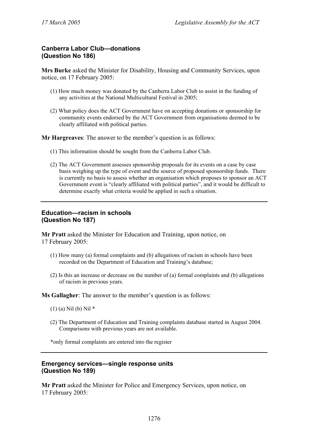# **Canberra Labor Club—donations (Question No 186)**

**Mrs Burke** asked the Minister for Disability, Housing and Community Services, upon notice, on 17 February 2005:

- (1) How much money was donated by the Canberra Labor Club to assist in the funding of any activities at the National Multicultural Festival in 2005;
- (2) What policy does the ACT Government have on accepting donations or sponsorship for community events endorsed by the ACT Government from organisations deemed to be clearly affiliated with political parties.

**Mr Hargreaves**: The answer to the member's question is as follows:

- (1) This information should be sought from the Canberra Labor Club.
- (2) The ACT Government assesses sponsorship proposals for its events on a case by case basis weighing up the type of event and the source of proposed sponsorship funds. There is currently no basis to assess whether an organisation which proposes to sponsor an ACT Government event is "clearly affiliated with political parties", and it would be difficult to determine exactly what criteria would be applied in such a situation.

# **Education—racism in schools (Question No 187)**

**Mr Pratt** asked the Minister for Education and Training, upon notice, on 17 February 2005:

- (1) How many (a) formal complaints and (b) allegations of racism in schools have been recorded on the Department of Education and Training's database;
- (2) Is this an increase or decrease on the number of (a) formal complaints and (b) allegations of racism in previous years.

**Ms Gallagher**: The answer to the member's question is as follows:

- (1) (a) Nil (b) Nil \*
- (2) The Department of Education and Training complaints database started in August 2004. Comparisons with previous years are not available.

\*only formal complaints are entered into the register

# **Emergency services—single response units (Question No 189)**

**Mr Pratt** asked the Minister for Police and Emergency Services, upon notice, on 17 February 2005: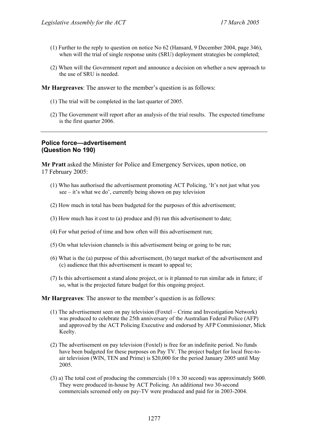- (1) Further to the reply to question on notice No 62 (Hansard, 9 December 2004, page 346), when will the trial of single response units (SRU) deployment strategies be completed;
- (2) When will the Government report and announce a decision on whether a new approach to the use of SRU is needed.

**Mr Hargreaves**: The answer to the member's question is as follows:

- (1) The trial will be completed in the last quarter of 2005.
- (2) The Government will report after an analysis of the trial results. The expected timeframe is the first quarter 2006.

# **Police force—advertisement (Question No 190)**

**Mr Pratt** asked the Minister for Police and Emergency Services, upon notice, on 17 February 2005:

- (1) Who has authorised the advertisement promoting ACT Policing, 'It's not just what you  $\sec - it$ 's what we do', currently being shown on pay television
- (2) How much in total has been budgeted for the purposes of this advertisement;
- (3) How much has it cost to (a) produce and (b) run this advertisement to date;
- (4) For what period of time and how often will this advertisement run;
- (5) On what television channels is this advertisement being or going to be run;
- (6) What is the (a) purpose of this advertisement, (b) target market of the advertisement and (c) audience that this advertisement is meant to appeal to;
- (7) Is this advertisement a stand alone project, or is it planned to run similar ads in future; if so, what is the projected future budget for this ongoing project.

#### **Mr Hargreaves**: The answer to the member's question is as follows:

- (1) The advertisement seen on pay television (Foxtel Crime and Investigation Network) was produced to celebrate the 25th anniversary of the Australian Federal Police (AFP) and approved by the ACT Policing Executive and endorsed by AFP Commissioner, Mick Keelty.
- (2) The advertisement on pay television (Foxtel) is free for an indefinite period. No funds have been budgeted for these purposes on Pay TV. The project budget for local free-toair television (WIN, TEN and Prime) is \$20,000 for the period January 2005 until May 2005.
- (3) a) The total cost of producing the commercials (10 x 30 second) was approximately \$600. They were produced in-house by ACT Policing. An additional two 30-second commercials screened only on pay-TV were produced and paid for in 2003-2004.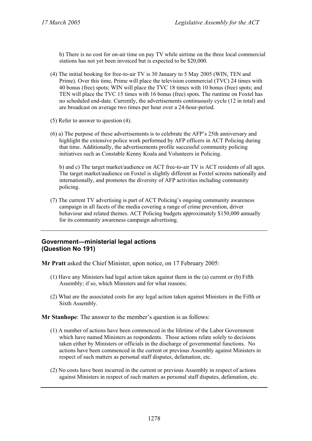b) There is no cost for on-air time on pay TV while airtime on the three local commercial stations has not yet been invoiced but is expected to be \$20,000.

- (4) The initial booking for free-to-air TV is 30 January to 5 May 2005 (WIN, TEN and Prime). Over this time, Prime will place the television commercial (TVC) 24 times with 40 bonus (free) spots; WIN will place the TVC 18 times with 10 bonus (free) spots; and TEN will place the TVC 15 times with 16 bonus (free) spots. The runtime on Foxtel has no scheduled end-date. Currently, the advertisements continuously cycle (12 in total) and are broadcast on average two times per hour over a 24-hour-period.
- (5) Refer to answer to question (4).
- (6) a) The purpose of these advertisements is to celebrate the AFP's 25th anniversary and highlight the extensive police work performed by AFP officers in ACT Policing during that time. Additionally, the advertisements profile successful community policing initiatives such as Constable Kenny Koala and Volunteers in Policing.

b) and c) The target market/audience on ACT free-to-air TV is ACT residents of all ages. The target market/audience on Foxtel is slightly different as Foxtel screens nationally and internationally, and promotes the diversity of AFP activities including community policing.

(7) The current TV advertising is part of ACT Policing's ongoing community awareness campaign in all facets of the media covering a range of crime prevention, driver behaviour and related themes. ACT Policing budgets approximately \$150,000 annually for its community awareness campaign advertising.

#### **Government—ministerial legal actions (Question No 191)**

**Mr Pratt** asked the Chief Minister, upon notice, on 17 February 2005:

- (1) Have any Ministers had legal action taken against them in the (a) current or (b) Fifth Assembly; if so, which Ministers and for what reasons;
- (2) What are the associated costs for any legal action taken against Ministers in the Fifth or Sixth Assembly.

**Mr Stanhope**: The answer to the member's question is as follows:

- (1) A number of actions have been commenced in the lifetime of the Labor Government which have named Ministers as respondents. Those actions relate solely to decisions taken either by Ministers or officials in the discharge of governmental functions. No actions have been commenced in the current or previous Assembly against Ministers in respect of such matters as personal staff disputes, defamation, etc.
- (2) No costs have been incurred in the current or previous Assembly in respect of actions against Ministers in respect of such matters as personal staff disputes, defamation, etc.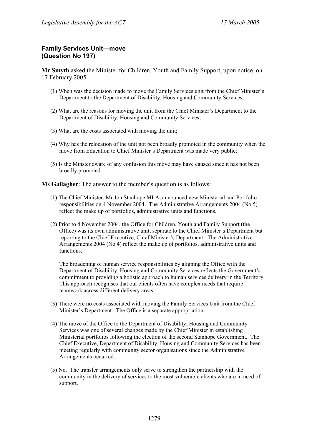# **Family Services Unit—move (Question No 197)**

**Mr Smyth** asked the Minister for Children, Youth and Family Support, upon notice, on 17 February 2005:

- (1) When was the decision made to move the Family Services unit from the Chief Minister's Department to the Department of Disability, Housing and Community Services;
- (2) What are the reasons for moving the unit from the Chief Minister's Department to the Department of Disability, Housing and Community Services;
- (3) What are the costs associated with moving the unit;
- (4) Why has the relocation of the unit not been broadly promoted in the community when the move from Education to Chief Minister's Department was made very public;
- (5) Is the Minster aware of any confusion this move may have caused since it has not been broadly promoted.

**Ms Gallagher**: The answer to the member's question is as follows:

- (1) The Chief Minister, Mr Jon Stanhope MLA, announced new Ministerial and Portfolio responsibilities on 4 November 2004. The Administrative Arrangements 2004 (No 5) reflect the make up of portfolios, administrative units and functions.
- (2) Prior to 4 November 2004, the Office for Children, Youth and Family Support (the Office) was its own administrative unit, separate to the Chief Minister's Department but reporting to the Chief Executive, Chief Minister's Department. The Administrative Arrangements 2004 (No 4) reflect the make up of portfolios, administrative units and functions.

The broadening of human service responsibilities by aligning the Office with the Department of Disability, Housing and Community Services reflects the Government's commitment to providing a holistic approach to human services delivery in the Territory. This approach recognises that our clients often have complex needs that require teamwork across different delivery areas.

- (3) There were no costs associated with moving the Family Services Unit from the Chief Minister's Department. The Office is a separate appropriation.
- (4) The move of the Office to the Department of Disability, Housing and Community Services was one of several changes made by the Chief Minister in establishing Ministerial portfolios following the election of the second Stanhope Government. The Chief Executive, Department of Disability, Housing and Community Services has been meeting regularly with community sector organisations since the Administrative Arrangements occurred.
- (5) No. The transfer arrangements only serve to strengthen the partnership with the community in the delivery of services to the most vulnerable clients who are in need of support.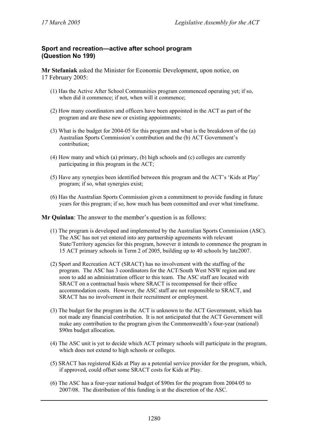# **Sport and recreation—active after school program (Question No 199)**

**Mr Stefaniak** asked the Minister for Economic Development, upon notice, on 17 February 2005:

- (1) Has the Active After School Communities program commenced operating yet; if so, when did it commence; if not, when will it commence;
- (2) How many coordinators and officers have been appointed in the ACT as part of the program and are these new or existing appointments;
- (3) What is the budget for 2004-05 for this program and what is the breakdown of the (a) Australian Sports Commission's contribution and the (b) ACT Government's contribution;
- (4) How many and which (a) primary, (b) high schools and (c) colleges are currently participating in this program in the ACT;
- (5) Have any synergies been identified between this program and the ACT's 'Kids at Play' program; if so, what synergies exist;
- (6) Has the Australian Sports Commission given a commitment to provide funding in future years for this program; if so, how much has been committed and over what timeframe.

**Mr Quinlan**: The answer to the member's question is as follows:

- (1) The program is developed and implemented by the Australian Sports Commission (ASC). The ASC has not yet entered into any partnership agreements with relevant State/Territory agencies for this program, however it intends to commence the program in 15 ACT primary schools in Term 2 of 2005, building up to 40 schools by late2007.
- (2) Sport and Recreation ACT (SRACT) has no involvement with the staffing of the program. The ASC has 3 coordinators for the ACT/South West NSW region and are soon to add an administration officer to this team. The ASC staff are located with SRACT on a contractual basis where SRACT is recompensed for their office accommodation costs. However, the ASC staff are not responsible to SRACT, and SRACT has no involvement in their recruitment or employment.
- (3) The budget for the program in the ACT is unknown to the ACT Government, which has not made any financial contribution. It is not anticipated that the ACT Government will make any contribution to the program given the Commonwealth's four-year (national) \$90m budget allocation.
- (4) The ASC unit is yet to decide which ACT primary schools will participate in the program, which does not extend to high schools or colleges.
- (5) SRACT has registered Kids at Play as a potential service provider for the program, which, if approved, could offset some SRACT costs for Kids at Play.
- (6) The ASC has a four-year national budget of \$90m for the program from 2004/05 to 2007/08. The distribution of this funding is at the discretion of the ASC.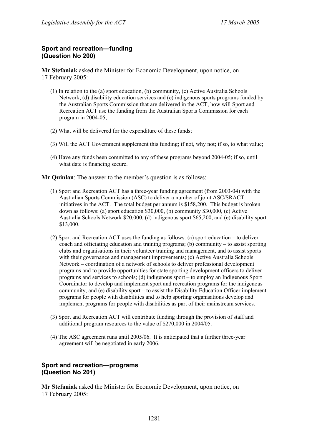# **Sport and recreation—funding (Question No 200)**

**Mr Stefaniak** asked the Minister for Economic Development, upon notice, on 17 February 2005:

- (1) In relation to the (a) sport education, (b) community, (c) Active Australia Schools Network, (d) disability education services and (e) indigenous sports programs funded by the Australian Sports Commission that are delivered in the ACT, how will Sport and Recreation ACT use the funding from the Australian Sports Commission for each program in 2004-05;
- (2) What will be delivered for the expenditure of these funds;
- (3) Will the ACT Government supplement this funding; if not, why not; if so, to what value;
- (4) Have any funds been committed to any of these programs beyond 2004-05; if so, until what date is financing secure.

**Mr Quinlan**: The answer to the member's question is as follows:

- (1) Sport and Recreation ACT has a three-year funding agreement (from 2003-04) with the Australian Sports Commission (ASC) to deliver a number of joint ASC/SRACT initiatives in the ACT. The total budget per annum is \$158,200. This budget is broken down as follows: (a) sport education \$30,000, (b) community \$30,000, (c) Active Australia Schools Network \$20,000, (d) indigenous sport \$65,200, and (e) disability sport \$13,000.
- (2) Sport and Recreation ACT uses the funding as follows: (a) sport education to deliver coach and officiating education and training programs; (b) community – to assist sporting clubs and organisations in their volunteer training and management, and to assist sports with their governance and management improvements; (c) Active Australia Schools Network – coordination of a network of schools to deliver professional development programs and to provide opportunities for state sporting development officers to deliver programs and services to schools; (d) indigenous sport – to employ an Indigenous Sport Coordinator to develop and implement sport and recreation programs for the indigenous community, and (e) disability sport – to assist the Disability Education Officer implement programs for people with disabilities and to help sporting organisations develop and implement programs for people with disabilities as part of their mainstream services.
- (3) Sport and Recreation ACT will contribute funding through the provision of staff and additional program resources to the value of \$270,000 in 2004/05.
- (4) The ASC agreement runs until 2005/06. It is anticipated that a further three-year agreement will be negotiated in early 2006.

# **Sport and recreation—programs (Question No 201)**

**Mr Stefaniak** asked the Minister for Economic Development, upon notice, on 17 February 2005: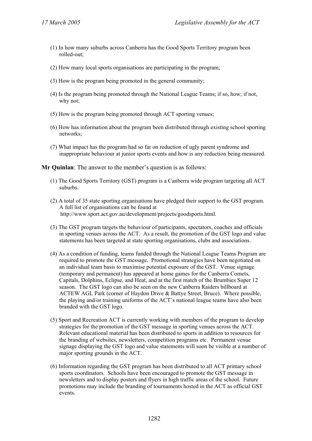- (1) In how many suburbs across Canberra has the Good Sports Territory program been rolled-out;
- (2) How many local sports organisations are participating in the program;
- (3) How is the program being promoted in the general community;
- (4) Is the program being promoted through the National League Teams; if so, how; if not, why not;
- (5) How is the program being promoted through ACT sporting venues;
- (6) How has information about the program been distributed through existing school sporting networks;
- (7) What impact has the program had so far on reduction of ugly parent syndrome and inappropriate behaviour at junior sports events and how is any reduction being measured.

**Mr Quinlan**: The answer to the member's question is as follows:

- (1) The Good Sports Territory (GST) program is a Canberra wide program targeting all ACT suburbs.
- (2) A total of 35 state sporting organisations have pledged their support to the GST program. A full list of organisations can be found at http://www.sport.act.gov.au/development/projects/goodsports.html.
- (3) The GST program targets the behaviour of participants, spectators, coaches and officials in sporting venues across the ACT. As a result, the promotion of the GST logo and value statements has been targeted at state sporting organisations, clubs and associations.
- (4) As a condition of funding, teams funded through the National League Teams Program are required to promote the GST message. Promotional strategies have been negotiated on an individual team basis to maximise potential exposure of the GST. Venue signage (temporary and permanent) has appeared at home games for the Canberra Comets, Capitals, Dolphins, Eclipse, and Heat, and at the first match of the Brumbies Super 12 season. The GST logo can also be seen on the new Canberra Raiders billboard at ACTEW AGL Park (corner of Haydon Drive & Battye Street, Bruce). Where possible, the playing and/or training uniforms of the ACT's national league teams have also been branded with the GST logo.
- (5) Sport and Recreation ACT is currently working with members of the program to develop strategies for the promotion of the GST message in sporting venues across the ACT. Relevant educational material has been distributed to sports in addition to resources for the branding of websites, newsletters, competition programs etc. Permanent venue signage displaying the GST logo and value statements will soon be visible at a number of major sporting grounds in the ACT.
- (6) Information regarding the GST program has been distributed to all ACT primary school sports coordinators. Schools have been encouraged to promote the GST message in newsletters and to display posters and flyers in high traffic areas of the school. Future promotions may include the branding of tournaments hosted in the ACT as official GST events.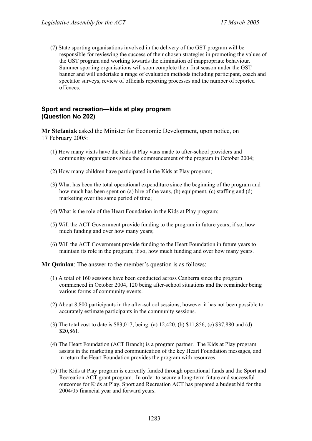(7) State sporting organisations involved in the delivery of the GST program will be responsible for reviewing the success of their chosen strategies in promoting the values of the GST program and working towards the elimination of inappropriate behaviour. Summer sporting organisations will soon complete their first season under the GST banner and will undertake a range of evaluation methods including participant, coach and spectator surveys, review of officials reporting processes and the number of reported offences.

### **Sport and recreation—kids at play program (Question No 202)**

**Mr Stefaniak** asked the Minister for Economic Development, upon notice, on 17 February 2005:

- (1) How many visits have the Kids at Play vans made to after-school providers and community organisations since the commencement of the program in October 2004;
- (2) How many children have participated in the Kids at Play program;
- (3) What has been the total operational expenditure since the beginning of the program and how much has been spent on (a) hire of the vans, (b) equipment, (c) staffing and (d) marketing over the same period of time;
- (4) What is the role of the Heart Foundation in the Kids at Play program;
- (5) Will the ACT Government provide funding to the program in future years; if so, how much funding and over how many years;
- (6) Will the ACT Government provide funding to the Heart Foundation in future years to maintain its role in the program; if so, how much funding and over how many years.

**Mr Quinlan**: The answer to the member's question is as follows:

- (1) A total of 160 sessions have been conducted across Canberra since the program commenced in October 2004, 120 being after-school situations and the remainder being various forms of community events.
- (2) About 8,800 participants in the after-school sessions, however it has not been possible to accurately estimate participants in the community sessions.
- (3) The total cost to date is \$83,017, being: (a) 12,420, (b) \$11,856, (c) \$37,880 and (d) \$20,861.
- (4) The Heart Foundation (ACT Branch) is a program partner. The Kids at Play program assists in the marketing and communication of the key Heart Foundation messages, and in return the Heart Foundation provides the program with resources.
- (5) The Kids at Play program is currently funded through operational funds and the Sport and Recreation ACT grant program. In order to secure a long-term future and successful outcomes for Kids at Play, Sport and Recreation ACT has prepared a budget bid for the 2004/05 financial year and forward years.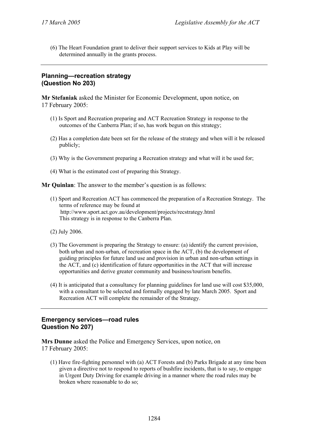(6) The Heart Foundation grant to deliver their support services to Kids at Play will be determined annually in the grants process.

# **Planning—recreation strategy (Question No 203)**

**Mr Stefaniak** asked the Minister for Economic Development, upon notice, on 17 February 2005:

- (1) Is Sport and Recreation preparing and ACT Recreation Strategy in response to the outcomes of the Canberra Plan; if so, has work begun on this strategy;
- (2) Has a completion date been set for the release of the strategy and when will it be released publicly;
- (3) Why is the Government preparing a Recreation strategy and what will it be used for;
- (4) What is the estimated cost of preparing this Strategy.

**Mr Quinlan**: The answer to the member's question is as follows:

- (1) Sport and Recreation ACT has commenced the preparation of a Recreation Strategy. The terms of reference may be found at http://www.sport.act.gov.au/development/projects/recstrategy.html This strategy is in response to the Canberra Plan.
- (2) July 2006.
- (3) The Government is preparing the Strategy to ensure: (a) identify the current provision, both urban and non-urban, of recreation space in the ACT, (b) the development of guiding principles for future land use and provision in urban and non-urban settings in the ACT, and (c) identification of future opportunities in the ACT that will increase opportunities and derive greater community and business/tourism benefits.
- (4) It is anticipated that a consultancy for planning guidelines for land use will cost \$35,000, with a consultant to be selected and formally engaged by late March 2005. Sport and Recreation ACT will complete the remainder of the Strategy.

# **Emergency services—road rules Question No 207)**

**Mrs Dunne** asked the Police and Emergency Services, upon notice, on 17 February 2005:

(1) Have fire-fighting personnel with (a) ACT Forests and (b) Parks Brigade at any time been given a directive not to respond to reports of bushfire incidents, that is to say, to engage in Urgent Duty Driving for example driving in a manner where the road rules may be broken where reasonable to do so;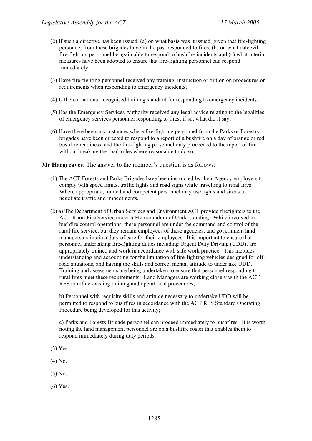- (2) If such a directive has been issued, (a) on what basis was it issued, given that fire-fighting personnel from these brigades have in the past responded to fires, (b) on what date will fire-fighting personnel be again able to respond to bushfire incidents and (c) what interim measures have been adopted to ensure that fire-fighting personnel can respond immediately;
- (3) Have fire-fighting personnel received any training, instruction or tuition on procedures or requirements when responding to emergency incidents;
- (4) Is there a national recognised training standard for responding to emergency incidents;
- (5) Has the Emergency Services Authority received any legal advice relating to the legalities of emergency services personnel responding to fires; if so, what did it say;
- (6) Have there been any instances where fire-fighting personnel from the Parks or Forestry brigades have been directed to respond to a report of a bushfire on a day of orange or red bushfire readiness, and the fire-fighting personnel only proceeded to the report of fire without breaking the road-rules where reasonable to do so.

**Mr Hargreaves**: The answer to the member's question is as follows:

- (1) The ACT Forests and Parks Brigades have been instructed by their Agency employers to comply with speed limits, traffic lights and road signs while travelling to rural fires. Where appropriate, trained and competent personnel may use lights and sirens to negotiate traffic and impediments.
- (2) a) The Department of Urban Services and Environment ACT provide firefighters to the ACT Rural Fire Service under a Memorandum of Understanding. While involved in bushfire control operations, these personnel are under the command and control of the rural fire service, but they remain employees of these agencies, and government land managers maintain a duty of care for their employees. It is important to ensure that personnel undertaking fire-fighting duties including Urgent Duty Driving (UDD), are appropriately trained and work in accordance with safe work practice. This includes understanding and accounting for the limitation of fire-fighting vehicles designed for offroad situations, and having the skills and correct mental attitude to undertake UDD. Training and assessments are being undertaken to ensure that personnel responding to rural fires meet these requirements. Land Managers are working closely with the ACT RFS to refine existing training and operational procedures;

b) Personnel with requisite skills and attitude necessary to undertake UDD will be permitted to respond to bushfires in accordance with the ACT RFS Standard Operating Procedure being developed for this activity;

c) Parks and Forests Brigade personnel can proceed immediately to bushfires. It is worth noting the land management personnel are on a bushfire roster that enables them to respond immediately during duty periods.

- (3) Yes.
- (4) No.
- (5) No.
- (6) Yes.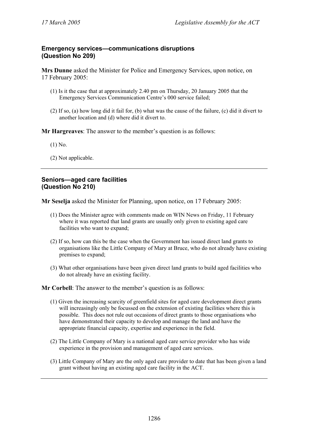# **Emergency services—communications disruptions (Question No 209)**

**Mrs Dunne** asked the Minister for Police and Emergency Services, upon notice, on 17 February 2005:

- (1) Is it the case that at approximately 2.40 pm on Thursday, 20 January 2005 that the Emergency Services Communication Centre's 000 service failed;
- (2) If so, (a) how long did it fail for, (b) what was the cause of the failure, (c) did it divert to another location and (d) where did it divert to.

**Mr Hargreaves**: The answer to the member's question is as follows:

(1) No.

(2) Not applicable.

# **Seniors—aged care facilities (Question No 210)**

**Mr Seselja** asked the Minister for Planning, upon notice, on 17 February 2005:

- (1) Does the Minister agree with comments made on WIN News on Friday, 11 February where it was reported that land grants are usually only given to existing aged care facilities who want to expand;
- (2) If so, how can this be the case when the Government has issued direct land grants to organisations like the Little Company of Mary at Bruce, who do not already have existing premises to expand;
- (3) What other organisations have been given direct land grants to build aged facilities who do not already have an existing facility.

**Mr Corbell**: The answer to the member's question is as follows:

- (1) Given the increasing scarcity of greenfield sites for aged care development direct grants will increasingly only be focussed on the extension of existing facilities where this is possible. This does not rule out occasions of direct grants to those organisations who have demonstrated their capacity to develop and manage the land and have the appropriate financial capacity, expertise and experience in the field.
- (2) The Little Company of Mary is a national aged care service provider who has wide experience in the provision and management of aged care services.
- (3) Little Company of Mary are the only aged care provider to date that has been given a land grant without having an existing aged care facility in the ACT.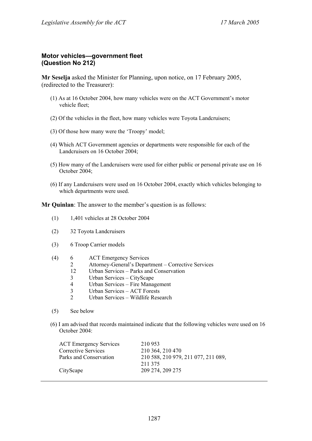#### **Motor vehicles—government fleet (Question No 212)**

**Mr Seselja** asked the Minister for Planning, upon notice, on 17 February 2005, (redirected to the Treasurer):

- (1) As at 16 October 2004, how many vehicles were on the ACT Government's motor vehicle fleet;
- (2) Of the vehicles in the fleet, how many vehicles were Toyota Landcruisers;
- (3) Of those how many were the 'Troopy' model;
- (4) Which ACT Government agencies or departments were responsible for each of the Landcruisers on 16 October 2004;
- (5) How many of the Landcruisers were used for either public or personal private use on 16 October 2004;
- (6) If any Landcruisers were used on 16 October 2004, exactly which vehicles belonging to which departments were used.

**Mr Quinlan**: The answer to the member's question is as follows:

- (1) 1,401 vehicles at 28 October 2004
- (2) 32 Toyota Landcruisers
- (3) 6 Troop Carrier models
- (4) 6 ACT Emergency Services
	- 2 Attorney-General's Department Corrective Services
	- 12 Urban Services Parks and Conservation
	- 3 Urban Services CityScape
	- 4 Urban Services Fire Management<br>3 Urban Services ACT Forests
	- 3 Urban Services ACT Forests
	- 2 Urban Services Wildlife Research
- (5) See below
- (6) I am advised that records maintained indicate that the following vehicles were used on 16 October 2004:

| <b>ACT Emergency Services</b> | 210 953                             |
|-------------------------------|-------------------------------------|
| <b>Corrective Services</b>    | 210 364, 210 470                    |
| Parks and Conservation        | 210 588, 210 979, 211 077, 211 089, |
|                               | 211 375                             |
| CityScape                     | 209 274, 209 275                    |
|                               |                                     |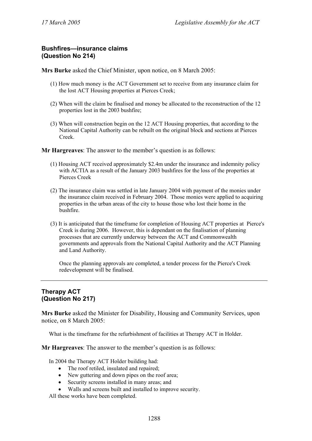# **Bushfires—insurance claims (Question No 214)**

**Mrs Burke** asked the Chief Minister, upon notice, on 8 March 2005:

- (1) How much money is the ACT Government set to receive from any insurance claim for the lost ACT Housing properties at Pierces Creek;
- (2) When will the claim be finalised and money be allocated to the reconstruction of the 12 properties lost in the 2003 bushfire;
- (3) When will construction begin on the 12 ACT Housing properties, that according to the National Capital Authority can be rebuilt on the original block and sections at Pierces Creek.

**Mr Hargreaves**: The answer to the member's question is as follows:

- (1) Housing ACT received approximately \$2.4m under the insurance and indemnity policy with ACTIA as a result of the January 2003 bushfires for the loss of the properties at Pierces Creek
- (2) The insurance claim was settled in late January 2004 with payment of the monies under the insurance claim received in February 2004. Those monies were applied to acquiring properties in the urban areas of the city to house those who lost their home in the bushfire.
- (3) It is anticipated that the timeframe for completion of Housing ACT properties at Pierce's Creek is during 2006. However, this is dependant on the finalisation of planning processes that are currently underway between the ACT and Commonwealth governments and approvals from the National Capital Authority and the ACT Planning and Land Authority.

Once the planning approvals are completed, a tender process for the Pierce's Creek redevelopment will be finalised.

# **Therapy ACT (Question No 217)**

**Mrs Burke** asked the Minister for Disability, Housing and Community Services, upon notice, on 8 March 2005:

What is the timeframe for the refurbishment of facilities at Therapy ACT in Holder.

**Mr Hargreaves**: The answer to the member's question is as follows:

In 2004 the Therapy ACT Holder building had:

- The roof retiled, insulated and repaired;
- New guttering and down pipes on the roof area;
- Security screens installed in many areas; and
- Walls and screens built and installed to improve security.

All these works have been completed.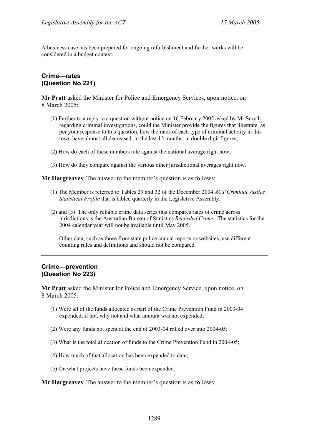A business case has been prepared for ongoing refurbishment and further works will be considered in a budget context.

#### **Crime—rates (Question No 221)**

**Mr Pratt** asked the Minister for Police and Emergency Services, upon notice, on 8 March 2005:

- (1) Further to a reply to a question without notice on 16 February 2005 asked by Mr Smyth regarding criminal investigations, could the Minister provide the figures that illustrate, as per your response to this question, how the rates of each type of criminal activity in this town have almost all decreased, in the last 12 months, in double digit figures;
- (2) How do each of these numbers rate against the national average right now;
- (3) How do they compare against the various other jurisdictional averages right now.

**Mr Hargreaves**: The answer to the member's question is as follows:

- (1) The Member is referred to Tables 29 and 32 of the December 2004 *ACT Criminal Justice Statistical Profile* that is tabled quarterly in the Legislative Assembly.
- (2) and (3) The only reliable crime data series that compares rates of crime across jurisdictions is the Australian Bureau of Statistics *Recorded Crime*. The statistics for the 2004 calendar year will not be available until May 2005.

Other data, such as those from state police annual reports or websites, use different counting rules and definitions and should not be compared.

# **Crime—prevention (Question No 223)**

**Mr Pratt** asked the Minister for Police and Emergency Service, upon notice, on 8 March 2005:

- (1) Were all of the funds allocated as part of the Crime Prevention Fund in 2003-04 expended; if not, why not and what amount was not expended;
- (2) Were any funds not spent at the end of 2003-04 rolled over into 2004-05;
- (3) What is the total allocation of funds to the Crime Prevention Fund in 2004-05;
- (4) How much of that allocation has been expended to date;
- (5) On what projects have these funds been expended.

**Mr Hargreaves**: The answer to the member's question is as follows: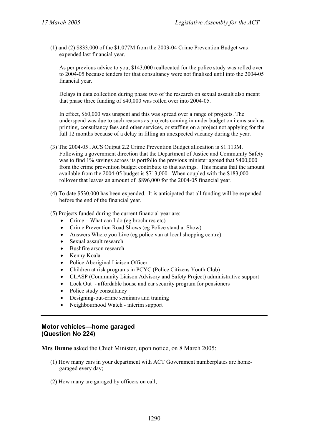(1) and (2) \$833,000 of the \$1.077M from the 2003-04 Crime Prevention Budget was expended last financial year.

As per previous advice to you, \$143,000 reallocated for the police study was rolled over to 2004-05 because tenders for that consultancy were not finalised until into the 2004-05 financial year.

Delays in data collection during phase two of the research on sexual assault also meant that phase three funding of \$40,000 was rolled over into 2004-05.

In effect, \$60,000 was unspent and this was spread over a range of projects. The underspend was due to such reasons as projects coming in under budget on items such as printing, consultancy fees and other services, or staffing on a project not applying for the full 12 months because of a delay in filling an unexpected vacancy during the year.

- (3) The 2004-05 JACS Output 2.2 Crime Prevention Budget allocation is \$1.113M. Following a government direction that the Department of Justice and Community Safety was to find 1% savings across its portfolio the previous minister agreed that \$400,000 from the crime prevention budget contribute to that savings. This means that the amount available from the 2004-05 budget is \$713,000. When coupled with the \$183,000 rollover that leaves an amount of \$896,000 for the 2004-05 financial year.
- (4) To date \$530,000 has been expended. It is anticipated that all funding will be expended before the end of the financial year.
- (5) Projects funded during the current financial year are:
	- Crime What can I do (eg brochures etc)
	- Crime Prevention Road Shows (eg Police stand at Show)
	- Answers Where you Live (eg police van at local shopping centre)
	- Sexual assault research
	- Bushfire arson research
	- Kenny Koala
	- Police Aboriginal Liaison Officer
	- Children at risk programs in PCYC (Police Citizens Youth Club)
	- CLASP (Community Liaison Advisory and Safety Project) administrative support
	- Lock Out affordable house and car security program for pensioners
	- Police study consultancy
	- Designing-out-crime seminars and training
	- Neighbourhood Watch interim support

# **Motor vehicles—home garaged (Question No 224)**

**Mrs Dunne** asked the Chief Minister, upon notice, on 8 March 2005:

- (1) How many cars in your department with ACT Government numberplates are homegaraged every day;
- (2) How many are garaged by officers on call;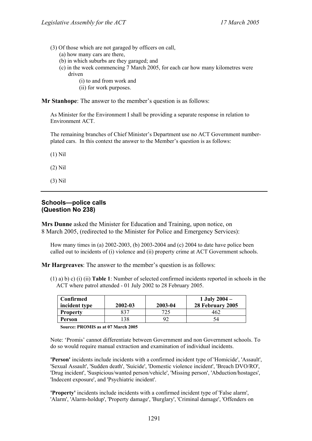(3) Of those which are not garaged by officers on call,

(a) how many cars are there,

- (b) in which suburbs are they garaged; and
- (c) in the week commencing 7 March 2005, for each car how many kilometres were driven

(i) to and from work and

(ii) for work purposes.

**Mr Stanhope**: The answer to the member's question is as follows:

As Minister for the Environment I shall be providing a separate response in relation to Environment ACT.

The remaining branches of Chief Minister's Department use no ACT Government numberplated cars. In this context the answer to the Member's question is as follows:

(1) Nil

- (2) Nil
- (3) Nil

### **Schools—police calls (Question No 238)**

**Mrs Dunne** asked the Minister for Education and Training, upon notice, on 8 March 2005, (redirected to the Minister for Police and Emergency Services):

How many times in (a) 2002-2003, (b) 2003-2004 and (c) 2004 to date have police been called out to incidents of (i) violence and (ii) property crime at ACT Government schools.

**Mr Hargreaves**: The answer to the member's question is as follows:

(1) a) b) c) (i) (ii) **Table 1**: Number of selected confirmed incidents reported in schools in the ACT where patrol attended - 01 July 2002 to 28 February 2005.

| Confirmed<br>incident type | $2002 - 03$ | 2003-04 | 1 July $2004 -$<br>28 February 2005 |
|----------------------------|-------------|---------|-------------------------------------|
| <b>Property</b>            | 837         | 725     | 462                                 |
| Person                     | 38          | 92      | 54                                  |

**Source: PROMIS as at 07 March 2005** 

Note: 'Promis' cannot differentiate between Government and non Government schools. To do so would require manual extraction and examination of individual incidents.

**'Person'** incidents include incidents with a confirmed incident type of 'Homicide', 'Assault', 'Sexual Assault', 'Sudden death', 'Suicide', 'Domestic violence incident', 'Breach DVO/RO', 'Drug incident', 'Suspicious/wanted person/vehicle', 'Missing person', 'Abduction/hostages', 'Indecent exposure', and 'Psychiatric incident'.

**'Property'** incidents include incidents with a confirmed incident type of 'False alarm', 'Alarm', 'Alarm-holdup', 'Property damage', 'Burglary', 'Criminal damage', 'Offenders on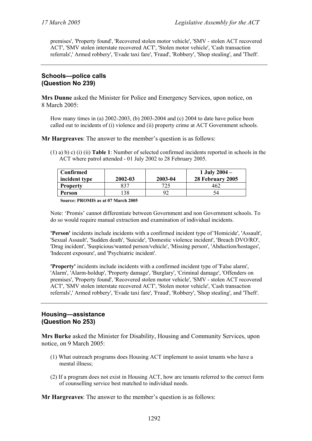premises', 'Property found', 'Recovered stolen motor vehicle', 'SMV - stolen ACT recovered ACT', 'SMV stolen interstate recovered ACT', 'Stolen motor vehicle', 'Cash transaction referrals',' Armed robbery', 'Evade taxi fare', 'Fraud', 'Robbery', 'Shop stealing', and 'Theft'.

#### **Schools—police calls (Question No 239)**

**Mrs Dunne** asked the Minister for Police and Emergency Services, upon notice, on 8 March 2005:

How many times in (a) 2002-2003, (b) 2003-2004 and (c) 2004 to date have police been called out to incidents of (i) violence and (ii) property crime at ACT Government schools.

**Mr Hargreaves**: The answer to the member's question is as follows:

(1) a) b) c) (i) (ii) **Table 1**: Number of selected confirmed incidents reported in schools in the ACT where patrol attended - 01 July 2002 to 28 February 2005.

| Confirmed<br>incident type | $2002 - 03$ | 2003-04 | 1 July $2004 -$<br>28 February 2005 |
|----------------------------|-------------|---------|-------------------------------------|
| <b>Property</b>            | 22 J        |         |                                     |
| Person                     |             |         | 54                                  |

**Source: PROMIS as at 07 March 2005** 

Note: 'Promis' cannot differentiate between Government and non Government schools. To do so would require manual extraction and examination of individual incidents.

**'Person'** incidents include incidents with a confirmed incident type of 'Homicide', 'Assault', 'Sexual Assault', 'Sudden death', 'Suicide', 'Domestic violence incident', 'Breach DVO/RO', 'Drug incident', 'Suspicious/wanted person/vehicle', 'Missing person', 'Abduction/hostages', 'Indecent exposure', and 'Psychiatric incident'.

**'Property'** incidents include incidents with a confirmed incident type of 'False alarm', 'Alarm', 'Alarm-holdup', 'Property damage', 'Burglary', 'Criminal damage', 'Offenders on premises', 'Property found', 'Recovered stolen motor vehicle', 'SMV - stolen ACT recovered ACT', 'SMV stolen interstate recovered ACT', 'Stolen motor vehicle', 'Cash transaction referrals',' Armed robbery', 'Evade taxi fare', 'Fraud', 'Robbery', 'Shop stealing', and 'Theft'.

# **Housing—assistance (Question No 253)**

**Mrs Burke** asked the Minister for Disability, Housing and Community Services, upon notice, on 9 March 2005:

- (1) What outreach programs does Housing ACT implement to assist tenants who have a mental illness;
- (2) If a program does not exist in Housing ACT, how are tenants referred to the correct form of counselling service best matched to individual needs.

**Mr Hargreaves**: The answer to the member's question is as follows: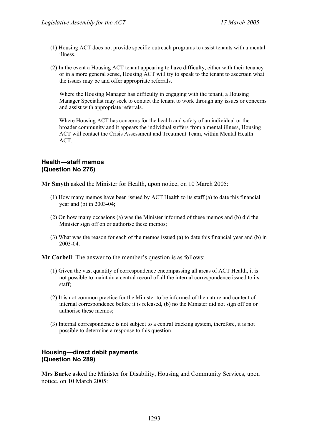- (1) Housing ACT does not provide specific outreach programs to assist tenants with a mental illness.
- (2) In the event a Housing ACT tenant appearing to have difficulty, either with their tenancy or in a more general sense, Housing ACT will try to speak to the tenant to ascertain what the issues may be and offer appropriate referrals.

Where the Housing Manager has difficulty in engaging with the tenant, a Housing Manager Specialist may seek to contact the tenant to work through any issues or concerns and assist with appropriate referrals.

Where Housing ACT has concerns for the health and safety of an individual or the broader community and it appears the individual suffers from a mental illness, Housing ACT will contact the Crisis Assessment and Treatment Team, within Mental Health ACT.

# **Health—staff memos (Question No 276)**

**Mr Smyth** asked the Minister for Health, upon notice, on 10 March 2005:

- (1) How many memos have been issued by ACT Health to its staff (a) to date this financial year and (b) in 2003-04;
- (2) On how many occasions (a) was the Minister informed of these memos and (b) did the Minister sign off on or authorise these memos;
- (3) What was the reason for each of the memos issued (a) to date this financial year and (b) in 2003-04.

**Mr Corbell**: The answer to the member's question is as follows:

- (1) Given the vast quantity of correspondence encompassing all areas of ACT Health, it is not possible to maintain a central record of all the internal correspondence issued to its staff;
- (2) It is not common practice for the Minister to be informed of the nature and content of internal correspondence before it is released, (b) no the Minister did not sign off on or authorise these memos;
- (3) Internal correspondence is not subject to a central tracking system, therefore, it is not possible to determine a response to this question.

# **Housing—direct debit payments (Question No 289)**

**Mrs Burke** asked the Minister for Disability, Housing and Community Services, upon notice, on 10 March 2005: